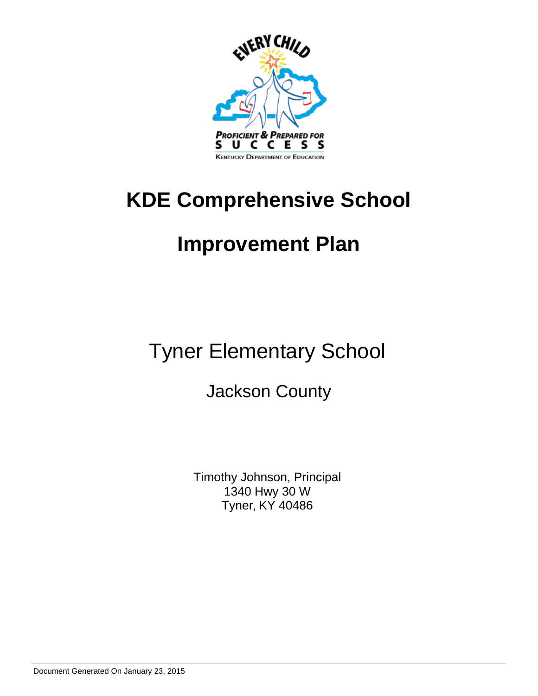

# **KDE Comprehensive School**

# **Improvement Plan**

Tyner Elementary School

Jackson County

Timothy Johnson, Principal 1340 Hwy 30 W Tyner, KY 40486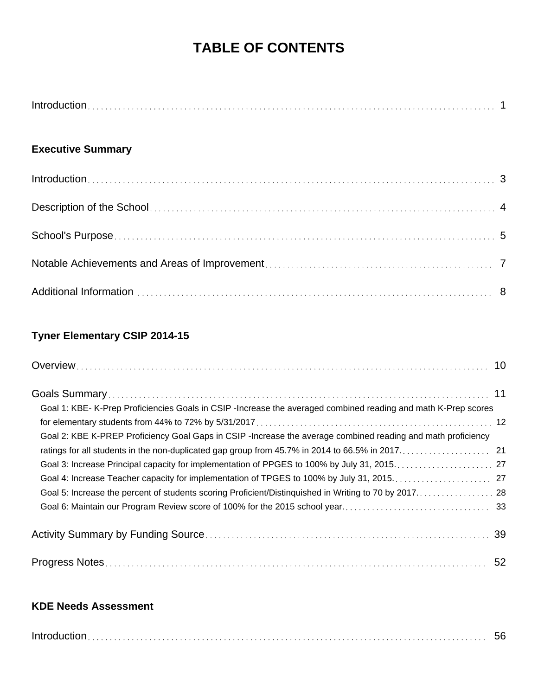# **TABLE OF CONTENTS**

### **Executive Summary**

## **Tyner Elementary CSIP 2014-15**

| Goal 1: KBE- K-Prep Proficiencies Goals in CSIP-Increase the averaged combined reading and math K-Prep scores |  |
|---------------------------------------------------------------------------------------------------------------|--|
|                                                                                                               |  |
| Goal 2: KBE K-PREP Proficiency Goal Gaps in CSIP -Increase the average combined reading and math proficiency  |  |
| ratings for all students in the non-duplicated gap group from 45.7% in 2014 to 66.5% in 2017. 21              |  |
|                                                                                                               |  |
|                                                                                                               |  |
| Goal 5: Increase the percent of students scoring Proficient/Distinguished in Writing to 70 by 2017. 28        |  |
|                                                                                                               |  |
|                                                                                                               |  |
|                                                                                                               |  |

### **KDE Needs Assessment**

|--|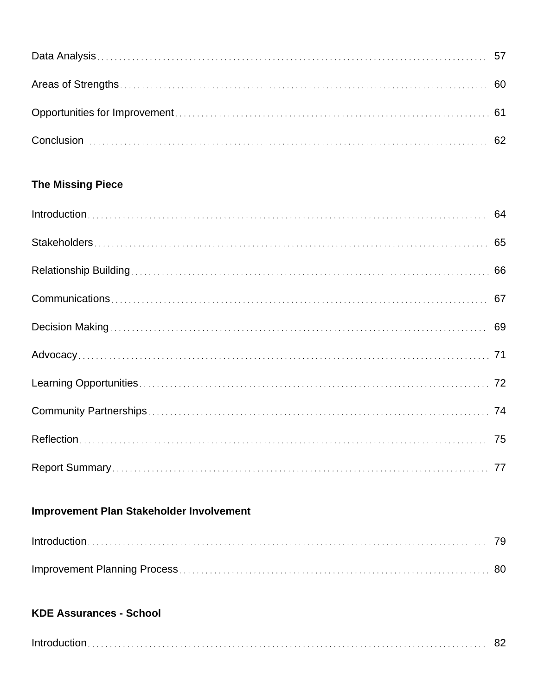## **The Missing Piece**

## **Improvement Plan Stakeholder Involvement**

## **KDE Assurances - School**

|--|--|--|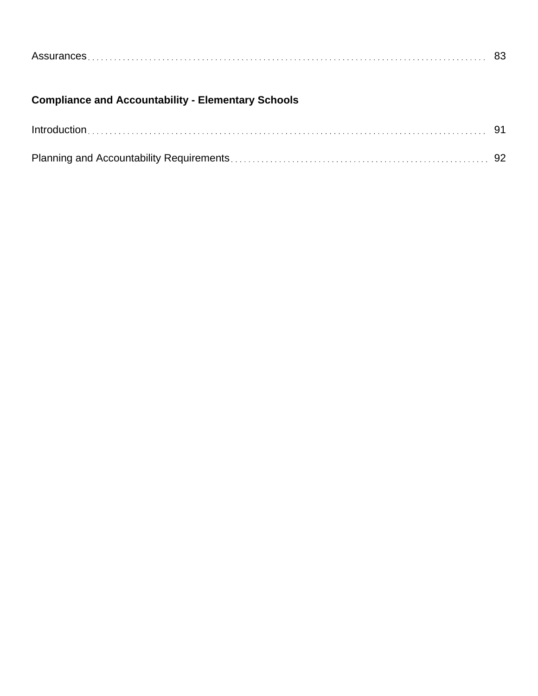| Assurances |  |  |  |
|------------|--|--|--|
|            |  |  |  |

## **Compliance and Accountability - Elementary Schools**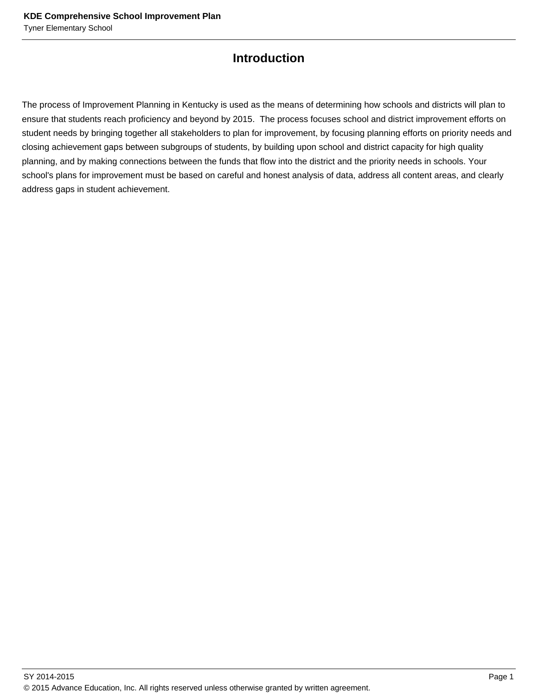## **Introduction**

The process of Improvement Planning in Kentucky is used as the means of determining how schools and districts will plan to ensure that students reach proficiency and beyond by 2015. The process focuses school and district improvement efforts on student needs by bringing together all stakeholders to plan for improvement, by focusing planning efforts on priority needs and closing achievement gaps between subgroups of students, by building upon school and district capacity for high quality planning, and by making connections between the funds that flow into the district and the priority needs in schools. Your school's plans for improvement must be based on careful and honest analysis of data, address all content areas, and clearly address gaps in student achievement.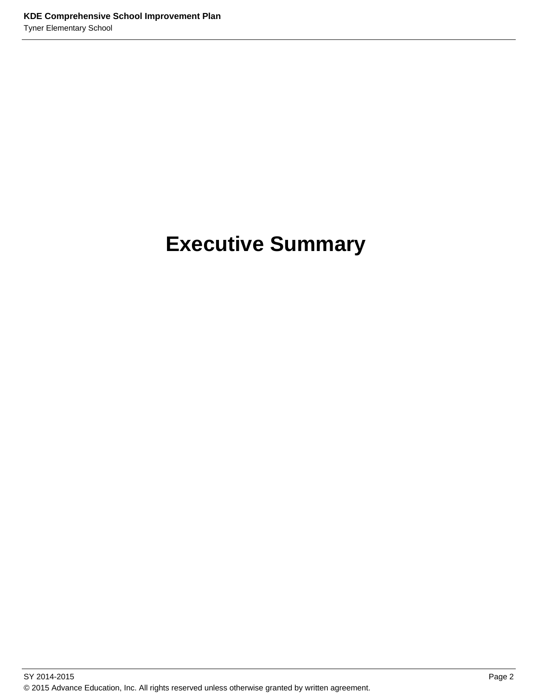# **Executive Summary**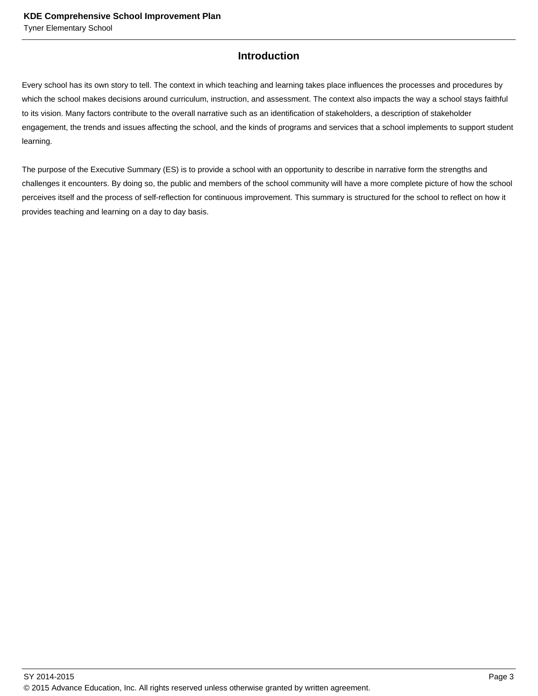#### **Introduction**

Every school has its own story to tell. The context in which teaching and learning takes place influences the processes and procedures by which the school makes decisions around curriculum, instruction, and assessment. The context also impacts the way a school stays faithful to its vision. Many factors contribute to the overall narrative such as an identification of stakeholders, a description of stakeholder engagement, the trends and issues affecting the school, and the kinds of programs and services that a school implements to support student learning.

The purpose of the Executive Summary (ES) is to provide a school with an opportunity to describe in narrative form the strengths and challenges it encounters. By doing so, the public and members of the school community will have a more complete picture of how the school perceives itself and the process of self-reflection for continuous improvement. This summary is structured for the school to reflect on how it provides teaching and learning on a day to day basis.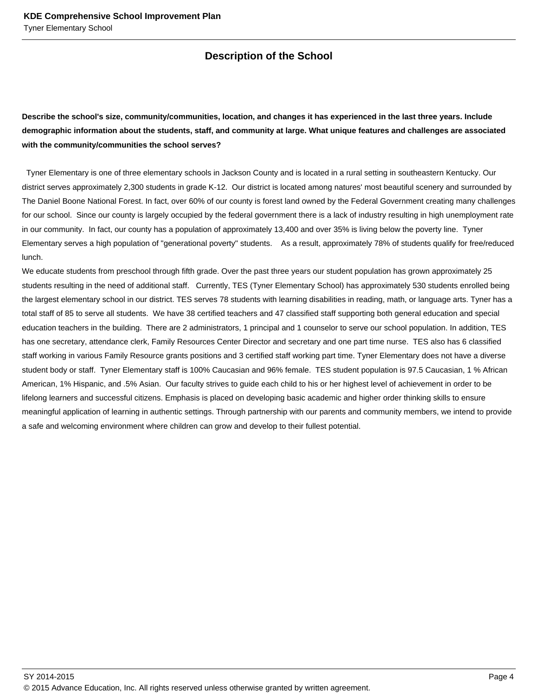### **Description of the School**

**Describe the school's size, community/communities, location, and changes it has experienced in the last three years. Include demographic information about the students, staff, and community at large. What unique features and challenges are associated with the community/communities the school serves?**

 Tyner Elementary is one of three elementary schools in Jackson County and is located in a rural setting in southeastern Kentucky. Our district serves approximately 2,300 students in grade K-12. Our district is located among natures' most beautiful scenery and surrounded by The Daniel Boone National Forest. In fact, over 60% of our county is forest land owned by the Federal Government creating many challenges for our school. Since our county is largely occupied by the federal government there is a lack of industry resulting in high unemployment rate in our community. In fact, our county has a population of approximately 13,400 and over 35% is living below the poverty line. Tyner Elementary serves a high population of "generational poverty" students. As a result, approximately 78% of students qualify for free/reduced lunch.

We educate students from preschool through fifth grade. Over the past three years our student population has grown approximately 25 students resulting in the need of additional staff. Currently, TES (Tyner Elementary School) has approximately 530 students enrolled being the largest elementary school in our district. TES serves 78 students with learning disabilities in reading, math, or language arts. Tyner has a total staff of 85 to serve all students. We have 38 certified teachers and 47 classified staff supporting both general education and special education teachers in the building. There are 2 administrators, 1 principal and 1 counselor to serve our school population. In addition, TES has one secretary, attendance clerk, Family Resources Center Director and secretary and one part time nurse. TES also has 6 classified staff working in various Family Resource grants positions and 3 certified staff working part time. Tyner Elementary does not have a diverse student body or staff. Tyner Elementary staff is 100% Caucasian and 96% female. TES student population is 97.5 Caucasian, 1 % African American, 1% Hispanic, and .5% Asian. Our faculty strives to guide each child to his or her highest level of achievement in order to be lifelong learners and successful citizens. Emphasis is placed on developing basic academic and higher order thinking skills to ensure meaningful application of learning in authentic settings. Through partnership with our parents and community members, we intend to provide a safe and welcoming environment where children can grow and develop to their fullest potential.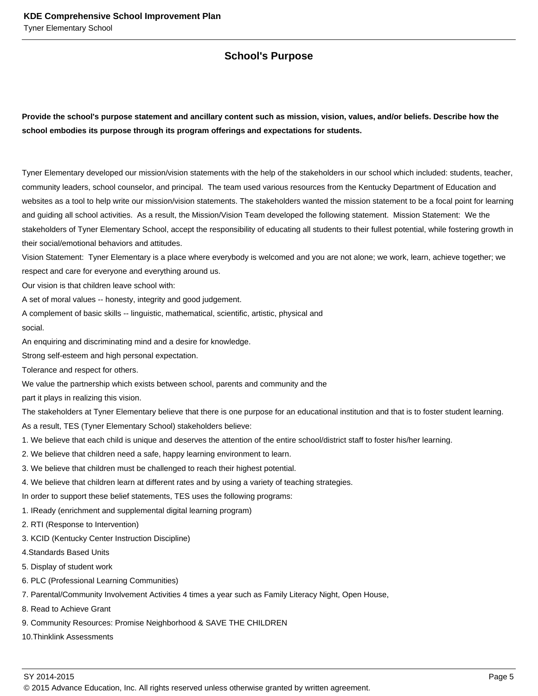#### **School's Purpose**

**Provide the school's purpose statement and ancillary content such as mission, vision, values, and/or beliefs. Describe how the school embodies its purpose through its program offerings and expectations for students.**

Tyner Elementary developed our mission/vision statements with the help of the stakeholders in our school which included: students, teacher, community leaders, school counselor, and principal. The team used various resources from the Kentucky Department of Education and websites as a tool to help write our mission/vision statements. The stakeholders wanted the mission statement to be a focal point for learning and guiding all school activities. As a result, the Mission/Vision Team developed the following statement. Mission Statement: We the stakeholders of Tyner Elementary School, accept the responsibility of educating all students to their fullest potential, while fostering growth in their social/emotional behaviors and attitudes.

Vision Statement: Tyner Elementary is a place where everybody is welcomed and you are not alone; we work, learn, achieve together; we respect and care for everyone and everything around us.

Our vision is that children leave school with:

A set of moral values -- honesty, integrity and good judgement.

A complement of basic skills -- linguistic, mathematical, scientific, artistic, physical and

social.

An enquiring and discriminating mind and a desire for knowledge.

Strong self-esteem and high personal expectation.

Tolerance and respect for others.

We value the partnership which exists between school, parents and community and the

part it plays in realizing this vision.

The stakeholders at Tyner Elementary believe that there is one purpose for an educational institution and that is to foster student learning.

As a result, TES (Tyner Elementary School) stakeholders believe:

- 1. We believe that each child is unique and deserves the attention of the entire school/district staff to foster his/her learning.
- 2. We believe that children need a safe, happy learning environment to learn.
- 3. We believe that children must be challenged to reach their highest potential.
- 4. We believe that children learn at different rates and by using a variety of teaching strategies.

In order to support these belief statements, TES uses the following programs:

1. IReady (enrichment and supplemental digital learning program)

2. RTI (Response to Intervention)

- 3. KCID (Kentucky Center Instruction Discipline)
- 4.Standards Based Units
- 5. Display of student work
- 6. PLC (Professional Learning Communities)
- 7. Parental/Community Involvement Activities 4 times a year such as Family Literacy Night, Open House,
- 8. Read to Achieve Grant
- 9. Community Resources: Promise Neighborhood & SAVE THE CHILDREN
- 10.Thinklink Assessments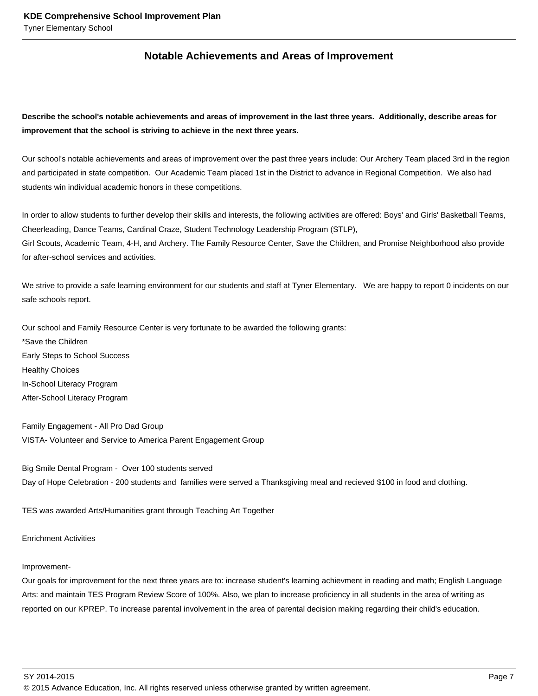#### **Notable Achievements and Areas of Improvement**

**Describe the school's notable achievements and areas of improvement in the last three years. Additionally, describe areas for improvement that the school is striving to achieve in the next three years.**

Our school's notable achievements and areas of improvement over the past three years include: Our Archery Team placed 3rd in the region and participated in state competition. Our Academic Team placed 1st in the District to advance in Regional Competition. We also had students win individual academic honors in these competitions.

In order to allow students to further develop their skills and interests, the following activities are offered: Boys' and Girls' Basketball Teams, Cheerleading, Dance Teams, Cardinal Craze, Student Technology Leadership Program (STLP), Girl Scouts, Academic Team, 4-H, and Archery. The Family Resource Center, Save the Children, and Promise Neighborhood also provide for after-school services and activities.

We strive to provide a safe learning environment for our students and staff at Tyner Elementary. We are happy to report 0 incidents on our safe schools report.

Our school and Family Resource Center is very fortunate to be awarded the following grants: \*Save the Children Early Steps to School Success Healthy Choices In-School Literacy Program After-School Literacy Program

Family Engagement - All Pro Dad Group VISTA- Volunteer and Service to America Parent Engagement Group

Big Smile Dental Program - Over 100 students served Day of Hope Celebration - 200 students and families were served a Thanksgiving meal and recieved \$100 in food and clothing.

TES was awarded Arts/Humanities grant through Teaching Art Together

#### Enrichment Activities

#### Improvement-

Our goals for improvement for the next three years are to: increase student's learning achievment in reading and math; English Language Arts: and maintain TES Program Review Score of 100%. Also, we plan to increase proficiency in all students in the area of writing as reported on our KPREP. To increase parental involvement in the area of parental decision making regarding their child's education.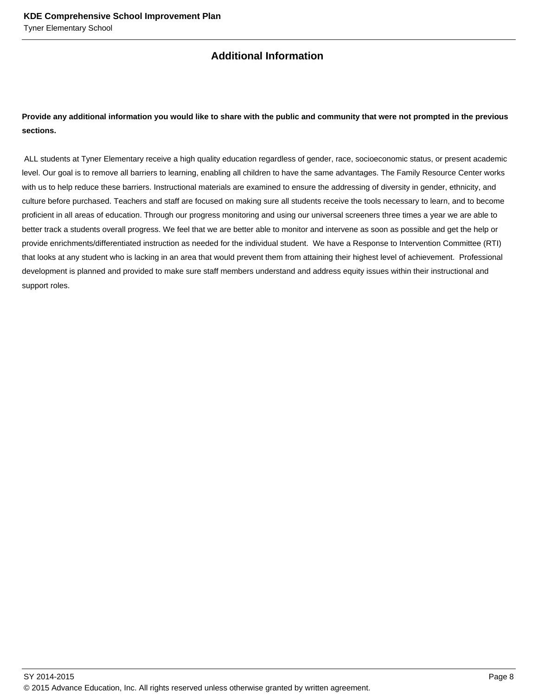### **Additional Information**

#### **Provide any additional information you would like to share with the public and community that were not prompted in the previous sections.**

 ALL students at Tyner Elementary receive a high quality education regardless of gender, race, socioeconomic status, or present academic level. Our goal is to remove all barriers to learning, enabling all children to have the same advantages. The Family Resource Center works with us to help reduce these barriers. Instructional materials are examined to ensure the addressing of diversity in gender, ethnicity, and culture before purchased. Teachers and staff are focused on making sure all students receive the tools necessary to learn, and to become proficient in all areas of education. Through our progress monitoring and using our universal screeners three times a year we are able to better track a students overall progress. We feel that we are better able to monitor and intervene as soon as possible and get the help or provide enrichments/differentiated instruction as needed for the individual student. We have a Response to Intervention Committee (RTI) that looks at any student who is lacking in an area that would prevent them from attaining their highest level of achievement. Professional development is planned and provided to make sure staff members understand and address equity issues within their instructional and support roles.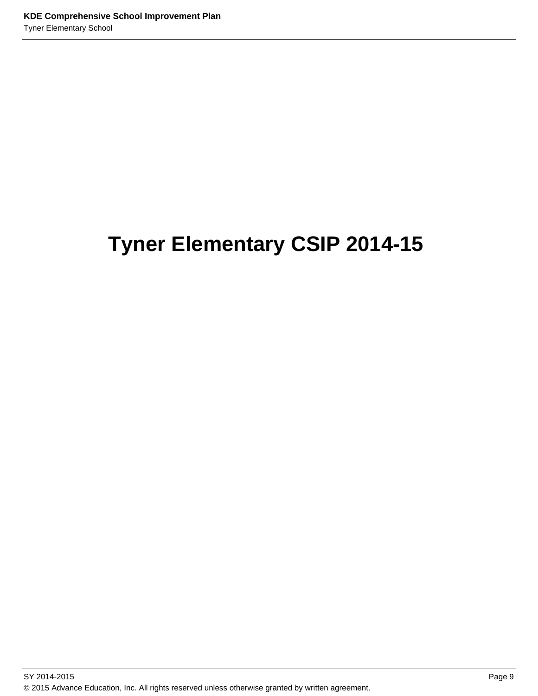# **Tyner Elementary CSIP 2014-15**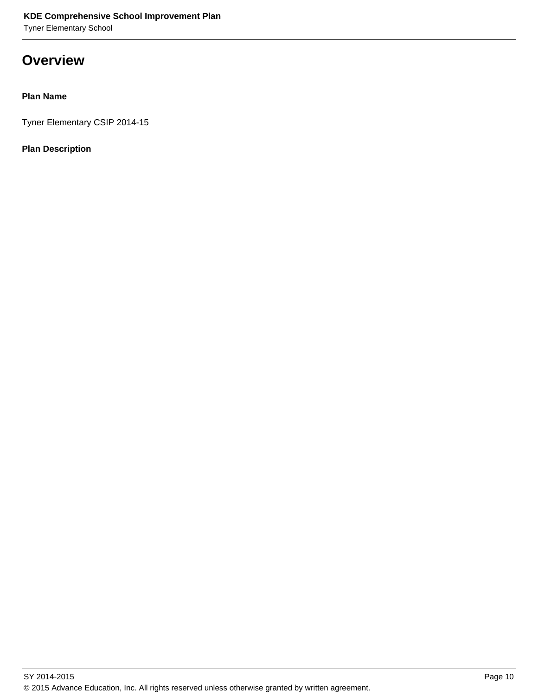Tyner Elementary School

## **Overview**

#### **Plan Name**

Tyner Elementary CSIP 2014-15

#### **Plan Description**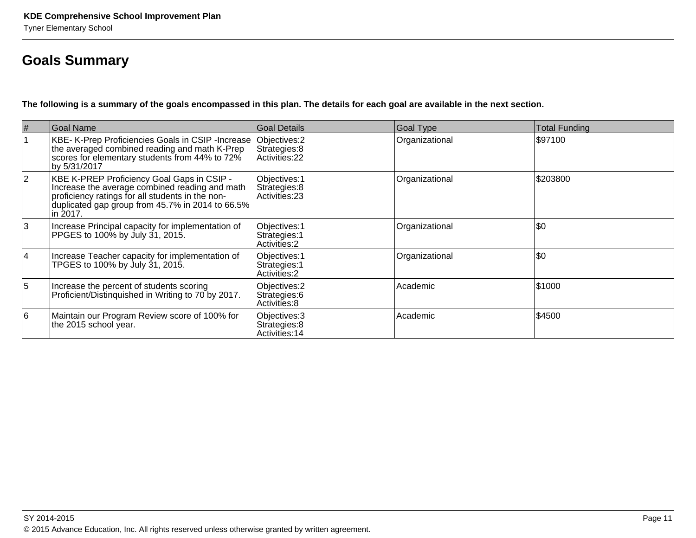## **Goals Summary**

**The following is a summary of the goals encompassed in this plan. The details for each goal are available in the next section.**

| $\#$           | Goal Name                                                                                                                                                                                                        | Goal Details                                           | <b>Goal Type</b> | Total Funding |
|----------------|------------------------------------------------------------------------------------------------------------------------------------------------------------------------------------------------------------------|--------------------------------------------------------|------------------|---------------|
|                | KBE- K-Prep Proficiencies Goals in CSIP -Increase<br>the averaged combined reading and math K-Prep<br>scores for elementary students from 44% to 72%<br>by 5/31/2017                                             | Objectives: 2<br>Strategies: 8<br>Activities: 22       | Organizational   | \$97100       |
| $ 2\rangle$    | KBE K-PREP Proficiency Goal Gaps in CSIP -<br>Increase the average combined reading and math<br>proficiency ratings for all students in the non-<br>duplicated gap group from 45.7% in 2014 to 66.5%<br>in 2017. | Objectives: 1<br>Strategies: 8<br>Activities: 23       | Organizational   | \$203800      |
| 3              | Increase Principal capacity for implementation of<br>PPGES to 100% by July 31, 2015.                                                                                                                             | Objectives: 1<br>Strategies: 1<br><b>Activities: 2</b> | Organizational   | \$0           |
| 4              | Increase Teacher capacity for implementation of<br>TPGES to 100% by July 31, 2015.                                                                                                                               | Objectives: 1<br>Strategies: 1<br><b>Activities: 2</b> | Organizational   | \$0           |
| $\overline{5}$ | Increase the percent of students scoring<br>Proficient/Distinguished in Writing to 70 by 2017.                                                                                                                   | Objectives: 2<br>Strategies: 6<br> Activities: 8       | Academic         | \$1000        |
| 16             | Maintain our Program Review score of 100% for<br>the 2015 school year.                                                                                                                                           | Objectives: 3<br>Strategies: 8<br>Activities: 14       | Academic         | \$4500        |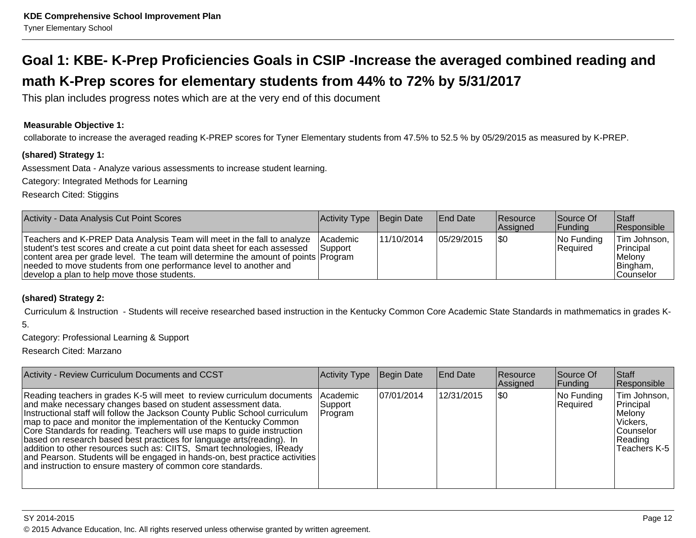# **Goal 1: KBE- K-Prep Proficiencies Goals in CSIP -Increase the averaged combined reading andmath K-Prep scores for elementary students from 44% to 72% by 5/31/2017**

This plan includes progress notes which are at the very end of this document

#### **Measurable Objective 1:**

collaborate to increase the averaged reading K-PREP scores for Tyner Elementary students from 47.5% to 52.5 % by 05/29/2015 as measured by K-PREP.

#### **(shared) Strategy 1:**

Assessment Data - Analyze various assessments to increase student learning.

Category: Integrated Methods for Learning

Research Cited: Stiggins

| Activity - Data Analysis Cut Point Scores                                                                                                                                                                                                                                                                                                                      | Activity Type Begin Date     |            | <b>End Date</b> | Resource<br><b>Assigned</b> | Source Of<br><b>Funding</b> | <b>Staff</b><br><b>Responsible</b>                            |
|----------------------------------------------------------------------------------------------------------------------------------------------------------------------------------------------------------------------------------------------------------------------------------------------------------------------------------------------------------------|------------------------------|------------|-----------------|-----------------------------|-----------------------------|---------------------------------------------------------------|
| Teachers and K-PREP Data Analysis Team will meet in the fall to analyze<br>student's test scores and create a cut point data sheet for each assessed<br>content area per grade level. The team will determine the amount of points Program<br>needed to move students from one performance level to another and<br>develop a plan to help move those students. | <b>IAcademic</b><br>lSupport | 11/10/2014 | 105/29/2015     | 1\$0                        | No Funding<br>Required      | Tim Johnson,<br>Principal<br>Melonv<br>Bingham,<br>lCounselor |

#### **(shared) Strategy 2:**

Curriculum & Instruction - Students will receive researched based instruction in the Kentucky Common Core Academic State Standards in mathmematics in grades K-

5.

Category: Professional Learning & Support

Research Cited: Marzano

| Activity - Review Curriculum Documents and CCST                                                                                                                                                                                                                                                                                                                                                                                                                                                                                                                                                                                                                          | Activity Type                   | Begin Date | <b>End Date</b> | <b>Resource</b><br>Assigned | Source Of<br> Funding  | Staff<br>Responsible                                                                            |
|--------------------------------------------------------------------------------------------------------------------------------------------------------------------------------------------------------------------------------------------------------------------------------------------------------------------------------------------------------------------------------------------------------------------------------------------------------------------------------------------------------------------------------------------------------------------------------------------------------------------------------------------------------------------------|---------------------------------|------------|-----------------|-----------------------------|------------------------|-------------------------------------------------------------------------------------------------|
| Reading teachers in grades K-5 will meet to review curriculum documents<br>and make necessary changes based on student assessment data.<br>Instructional staff will follow the Jackson County Public School curriculum<br>map to pace and monitor the implementation of the Kentucky Common<br>Core Standards for reading. Teachers will use maps to guide instruction<br>based on research based best practices for language arts (reading). In<br>addition to other resources such as: CIITS, Smart technologies, IReady<br>and Pearson. Students will be engaged in hands-on, best practice activities<br>and instruction to ensure mastery of common core standards. | Academic<br> Support<br>Program | 07/01/2014 | 12/31/2015      | ISO                         | No Funding<br>Required | Tim Johnson,<br>Principal<br>Melonv<br>lVickers.<br><b>Counselor</b><br>Reading<br>Teachers K-5 |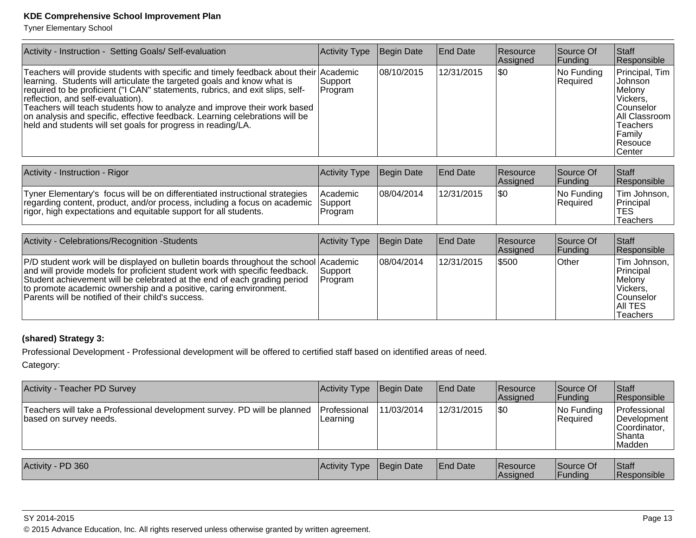Tyner Elementary School

| Activity - Instruction - Setting Goals/ Self-evaluation                                                                                                                                                                                                                                                                                                                                                                                                                                                          | Activity Type      | Begin Date | <b>End Date</b> | <b>Resource</b><br>Assigned | Source Of<br> Funding  | <b>Staff</b><br>Responsible                                                                                                                     |
|------------------------------------------------------------------------------------------------------------------------------------------------------------------------------------------------------------------------------------------------------------------------------------------------------------------------------------------------------------------------------------------------------------------------------------------------------------------------------------------------------------------|--------------------|------------|-----------------|-----------------------------|------------------------|-------------------------------------------------------------------------------------------------------------------------------------------------|
| Teachers will provide students with specific and timely feedback about their Academic<br>learning. Students will articulate the targeted goals and know what is<br>required to be proficient ("I CAN" statements, rubrics, and exit slips, self-<br>reflection, and self-evaluation).<br>Teachers will teach students how to analyze and improve their work based<br>on analysis and specific, effective feedback. Learning celebrations will be<br>held and students will set goals for progress in reading/LA. | Support<br>Program | 08/10/2015 | 12/31/2015      | 1\$0                        | No Funding<br>Required | Principal, Tim<br>Johnson<br>Melony<br>Vickers,<br><b>Counselor</b><br>All Classroom<br><b>Teachers</b><br> Family<br><b>Resouce</b><br>∣Center |

| Activity - Instruction - Rigor                                                                                                                                                                                                       | Activity Type          | Begin Date | <b>IEnd Date</b> | <b>Resource</b><br><b>Assigned</b> | Source Of<br><b>IFundina</b> | <b>Staff</b><br>Responsible                  |
|--------------------------------------------------------------------------------------------------------------------------------------------------------------------------------------------------------------------------------------|------------------------|------------|------------------|------------------------------------|------------------------------|----------------------------------------------|
| Tyner Elementary's focus will be on differentiated instructional strategies<br>regarding content, product, and/or process, including a focus on academic Support<br>rigor, high expectations and equitable support for all students. | l Academic<br> Program | 08/04/2014 | 12/31/2015       | 1\$0                               | INo Fundina<br>Required      | Tim Johnson,<br>Principal<br>TES<br>Teachers |

| Activity - Celebrations/Recognition -Students                                                                                                                                                                                                                                                                                                                              | Activity Type              | Begin Date  | <b>End Date</b> | Resource<br>Assigned | Source Of<br>Funding | <b>Staff</b><br>Responsible                                                                                  |
|----------------------------------------------------------------------------------------------------------------------------------------------------------------------------------------------------------------------------------------------------------------------------------------------------------------------------------------------------------------------------|----------------------------|-------------|-----------------|----------------------|----------------------|--------------------------------------------------------------------------------------------------------------|
| P/D student work will be displayed on bulletin boards throughout the school Academic<br>and will provide models for proficient student work with specific feedback.<br>Student achievement will be celebrated at the end of each grading period<br>to promote academic ownership and a positive, caring environment.<br>Parents will be notified of their child's success. | Support_<br><b>Program</b> | 108/04/2014 | 12/31/2015      | \$500                | <b>Other</b>         | Tim Johnson,  <br>Principal<br><b>IMelony</b><br>Vickers,<br><b>Counselor</b><br>IAII TES<br><b>Teachers</b> |

#### **(shared) Strategy 3:**

Professional Development - Professional development will be offered to certified staff based on identified areas of need.

Category:

| <b>Activity - Teacher PD Survey</b>                                                                | <b>Activity Type</b>     | Begin Date | <b>End Date</b> | <b>Resource</b><br>Assigned | Source Of<br> Funding         | <b>Staff</b><br>Responsible                                                     |
|----------------------------------------------------------------------------------------------------|--------------------------|------------|-----------------|-----------------------------|-------------------------------|---------------------------------------------------------------------------------|
| Teachers will take a Professional development survey. PD will be planned<br>based on survey needs. | Professional<br>Learning | 11/03/2014 | 12/31/2015      | \$0                         | No Funding<br><b>Required</b> | Professional<br><i><b>IDevelopment</b></i><br>Coordinator,<br> Shanta<br>Madden |
|                                                                                                    |                          |            |                 |                             |                               |                                                                                 |
| Activity - PD 360                                                                                  | <b>Activity Type</b>     | Begin Date | <b>End Date</b> | <b>Resource</b><br>Assigned | Source Of<br> Funding         | <b>Staff</b><br>Responsible                                                     |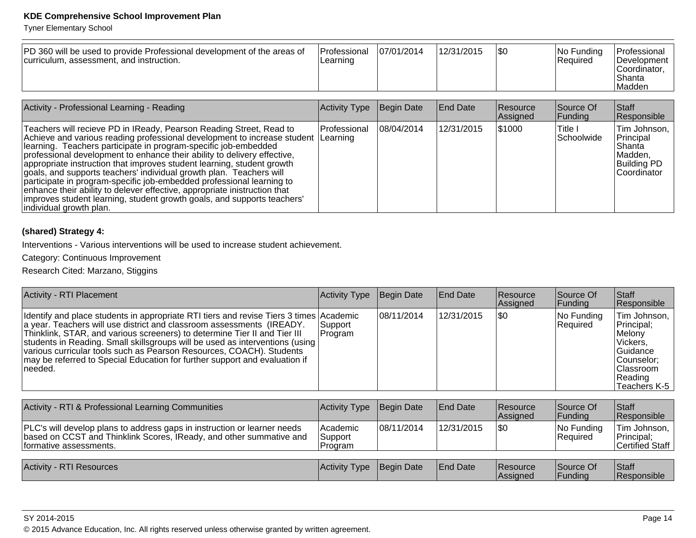Tyner Elementary School

| PD 360 will be used to provide Professional development of the areas of<br>curriculum, assessment, and instruction. | Professional<br>Learning | 07/01/2014 | 12/31/2015 | \$0 | No Funding<br><b>Required</b> | <b>Professional</b><br>Development<br>lCoordinator<br>l Shanta<br><sup>I</sup> Madden |
|---------------------------------------------------------------------------------------------------------------------|--------------------------|------------|------------|-----|-------------------------------|---------------------------------------------------------------------------------------|
|                                                                                                                     |                          |            |            |     |                               |                                                                                       |

| Activity - Professional Learning - Reading                                                                                                                                                                                                                                                                                                                                                                                                                                                                                                                                                                                                                                                                           | Activity Type | Begin Date  | <b>End Date</b> | <b>Resource</b><br>Assigned | Source Of<br> Funding     | <b>Staff</b><br>Responsible                                                           |
|----------------------------------------------------------------------------------------------------------------------------------------------------------------------------------------------------------------------------------------------------------------------------------------------------------------------------------------------------------------------------------------------------------------------------------------------------------------------------------------------------------------------------------------------------------------------------------------------------------------------------------------------------------------------------------------------------------------------|---------------|-------------|-----------------|-----------------------------|---------------------------|---------------------------------------------------------------------------------------|
| Teachers will recieve PD in IReady, Pearson Reading Street, Read to<br>Achieve and various reading professional development to increase student Learning<br>Iearning. Teachers participate in program-specific job-embedded<br>professional development to enhance their ability to delivery effective,<br>appropriate instruction that improves student learning, student growth<br>goals, and supports teachers' individual growth plan. Teachers will<br>participate in program-specific job-embedded professional learning to<br>enhance their ability to delever effective, appropriate inistruction that<br>improves student learning, student growth goals, and supports teachers'<br>individual growth plan. | Professional  | 108/04/2014 | 12/31/2015      | \$1000                      | ∣Title I<br>lSchoolwide l | Tim Johnson,<br>Principal<br>lShanta<br>Madden,<br><b>Building PD</b><br>lCoordinator |

#### **(shared) Strategy 4:**

Interventions - Various interventions will be used to increase student achievement.

Category: Continuous Improvement

Research Cited: Marzano, Stiggins

| <b>Activity - RTI Placement</b>                                                                                                                                                                                                                                                                                                                                                                                                                                                               | <b>Activity Type</b>            | Begin Date  | <b>End Date</b> | Resource<br>Assigned        | Source Of<br> Funding  | Staff<br>Responsible                                                                                                |
|-----------------------------------------------------------------------------------------------------------------------------------------------------------------------------------------------------------------------------------------------------------------------------------------------------------------------------------------------------------------------------------------------------------------------------------------------------------------------------------------------|---------------------------------|-------------|-----------------|-----------------------------|------------------------|---------------------------------------------------------------------------------------------------------------------|
| Identify and place students in appropriate RTI tiers and revise Tiers 3 times Academic<br>a year. Teachers will use district and classroom assessments (IREADY.<br>Thinklink, STAR, and various screeners) to determine Tier II and Tier III<br>students in Reading. Small skillsgroups will be used as interventions (using<br>various curricular tools such as Pearson Resources, COACH). Students<br>may be referred to Special Education for further support and evaluation if<br>needed. | Support<br>Program              | 08/11/2014  | 12/31/2015      | \$0                         | No Funding<br>Required | Tim Johnson,<br>Principal;<br>Melony<br>Vickers,<br>Guidance<br> Counselor;<br>Classroom<br>Reading<br>Teachers K-5 |
| Activity - RTI & Professional Learning Communities                                                                                                                                                                                                                                                                                                                                                                                                                                            | <b>Activity Type</b>            | Begin Date  | <b>End Date</b> | <b>Resource</b><br>Assigned | Source Of<br>Funding   | <b>S</b> taff<br>Responsible                                                                                        |
| PLC's will develop plans to address gaps in instruction or learner needs<br>based on CCST and Thinklink Scores, IReady, and other summative and<br>formative assessments.                                                                                                                                                                                                                                                                                                                     | Academic<br>Support<br> Program | 108/11/2014 | 12/31/2015      | 1\$0                        | No Funding<br>Required | Tim Johnson,<br>Principal;<br>Certified Staff                                                                       |
| <b>Activity - RTI Resources</b>                                                                                                                                                                                                                                                                                                                                                                                                                                                               | <b>Activity Type</b>            | Begin Date  | <b>End Date</b> | <b>Resource</b><br>Assigned | Source Of<br> Funding  | <b>Staff</b><br>Responsible                                                                                         |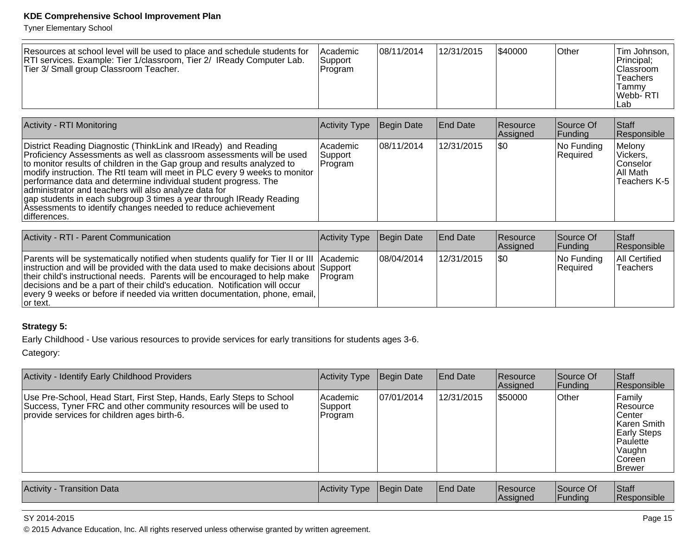Tyner Elementary School

| Resources at school level will be used to place and schedule students for<br>RTI services. Example: Tier 1/classroom, Tier 2/ IReady Computer Lab.<br>Tier 3/ Small group Classroom Teacher. | <b>Academic</b><br>Support<br>Program | 08/11/2014 | 12/31/2015 | \$40000 | ∣Other | Tim Johnson,  <br>Principal;<br><b>Classroom</b><br>Teachers<br>Tammv<br>Webb-RTI<br>∣Lab |
|----------------------------------------------------------------------------------------------------------------------------------------------------------------------------------------------|---------------------------------------|------------|------------|---------|--------|-------------------------------------------------------------------------------------------|
|----------------------------------------------------------------------------------------------------------------------------------------------------------------------------------------------|---------------------------------------|------------|------------|---------|--------|-------------------------------------------------------------------------------------------|

| Activity - RTI Monitoring                                                                                                                                                                                                                                                                                                                                                                                                                                                                                                                                                           | Activity Type                    | Begin Date | <b>End Date</b> | <b>Resource</b><br>Assigned | Source Of<br> Funding  | <b>Staff</b><br>Responsible                                   |
|-------------------------------------------------------------------------------------------------------------------------------------------------------------------------------------------------------------------------------------------------------------------------------------------------------------------------------------------------------------------------------------------------------------------------------------------------------------------------------------------------------------------------------------------------------------------------------------|----------------------------------|------------|-----------------|-----------------------------|------------------------|---------------------------------------------------------------|
| District Reading Diagnostic (ThinkLink and IReady) and Reading<br>Proficiency Assessments as well as classroom assessments will be used<br>to monitor results of children in the Gap group and results analyzed to<br>modify instruction. The RtI team will meet in PLC every 9 weeks to monitor<br>performance data and determine individual student progress. The<br>administrator and teachers will also analyze data for<br>gap students in each subgroup 3 times a year through IReady Reading<br>Assessments to identify changes needed to reduce achievement<br>differences. | Academic<br> Support<br> Program | 08/11/2014 | 12/31/2015      | I\$0                        | No Funding<br>Required | Melony<br> Vickers,<br>lConselor<br>∣All Math<br>Teachers K-5 |

| Activity - RTI - Parent Communication                                                                                                                                                                                                                                                                                                                                                                                                                        | Activity Type | Begin Date  | End Date   | <b>Resource</b><br>Assigned | Source Of<br><b>Funding</b> | <b>Staff</b><br>Responsible |
|--------------------------------------------------------------------------------------------------------------------------------------------------------------------------------------------------------------------------------------------------------------------------------------------------------------------------------------------------------------------------------------------------------------------------------------------------------------|---------------|-------------|------------|-----------------------------|-----------------------------|-----------------------------|
| <b>Parents will be systematically notified when students qualify for Tier II or III Academic</b><br>instruction and will be provided with the data used to make decisions about Support<br>their child's instructional needs. Parents will be encouraged to help make   Program<br>decisions and be a part of their child's education. Notification will occur<br>every 9 weeks or before if needed via written documentation, phone, email,<br>$ $ or text. |               | 108/04/2014 | 12/31/2015 | 1\$0                        | $ No$ Funding<br>Required   | All Certified<br>'Teachers  |

#### **Strategy 5:**

Early Childhood - Use various resources to provide services for early transitions for students ages 3-6.

Category:

| Activity - Identify Early Childhood Providers                                                                                                                                           | Activity Type                                         | Begin Date  | <b>IEnd Date</b>               | <b>Resource</b><br>Assigned | Source Of<br> Funding | Staff<br>Responsible                                                                                             |
|-----------------------------------------------------------------------------------------------------------------------------------------------------------------------------------------|-------------------------------------------------------|-------------|--------------------------------|-----------------------------|-----------------------|------------------------------------------------------------------------------------------------------------------|
| Use Pre-School, Head Start, First Step, Hands, Early Steps to School<br>Success, Tyner FRC and other community resources will be used to<br>provide services for children ages birth-6. | l Academic<br>Support<br>Program                      | 107/01/2014 | 12/31/2015                     | \$50000                     | Other                 | Family<br>∣Resource<br>∣Center<br>lKaren Smith<br>Early Steps<br> Paulette<br>Vaughn<br>lCoreen<br><b>Brewer</b> |
| LA SAN MONTES SAN SAN DISTURBANCE                                                                                                                                                       | $\mathbf{A}$ . $\mathbf{B}$ . The set of $\mathbf{B}$ |             | $\Gamma$ . The set of $\Gamma$ | 10. <b>.</b>                | $\sim$ $\sim$         | $\sqrt{2}$                                                                                                       |

| Activity<br>Transition Data | Activity Type | ⊦Date<br><b>I</b> Beain | <sup>1</sup> Date | <b>Resource</b> | Source Of | Staff              |
|-----------------------------|---------------|-------------------------|-------------------|-----------------|-----------|--------------------|
|                             |               |                         |                   | lAssianec       | IFundina  | <b>Responsible</b> |

#### SY 2014-2015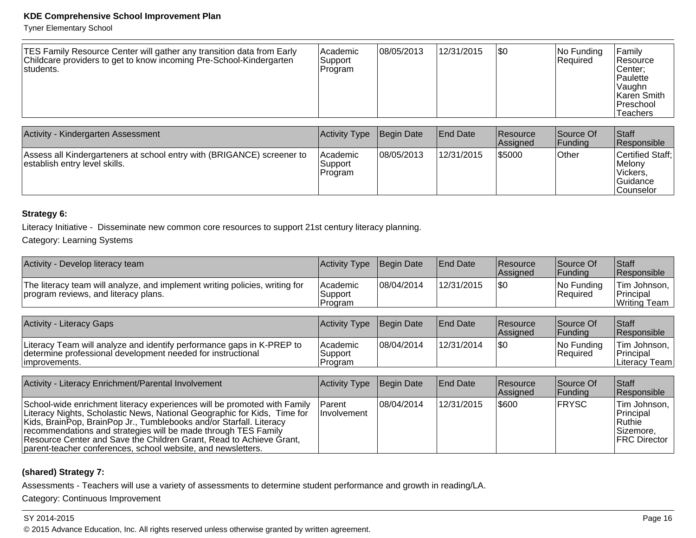Tyner Elementary School

| <b>TES Family Resource Center will gather any transition data from Early</b><br>Childcare providers to get to know incoming Pre-School-Kindergarten<br>students. | Academic<br>Support<br>'Program | 08/05/2013 | 12/31/2015 | \$0 | No Funding<br><b>Required</b> | Family<br>Resource<br>lCenter:<br>Paulette<br> Vaughn<br>Karen Smith<br><b>Preschool</b><br>Teachers |
|------------------------------------------------------------------------------------------------------------------------------------------------------------------|---------------------------------|------------|------------|-----|-------------------------------|------------------------------------------------------------------------------------------------------|
|------------------------------------------------------------------------------------------------------------------------------------------------------------------|---------------------------------|------------|------------|-----|-------------------------------|------------------------------------------------------------------------------------------------------|

| Activity - Kindergarten Assessment                                                                      | Activity Type                  | Begin Date | <b>End Date</b> | Resource<br><b>Assigned</b> | Source Of<br> Fundina | <b>Staff</b><br><b>Responsible</b>                                |
|---------------------------------------------------------------------------------------------------------|--------------------------------|------------|-----------------|-----------------------------|-----------------------|-------------------------------------------------------------------|
| Assess all Kindergarteners at school entry with (BRIGANCE) screener to<br>establish entry level skills. | Academic<br>Support<br>Program | 08/05/2013 | 12/31/2015      | \$5000                      | Other                 | Certified Staff:<br>Melonv<br>Vickers,<br> Guidance<br>lCounselor |

#### **Strategy 6:**

Literacy Initiative - Disseminate new common core resources to support 21st century literacy planning.

Category: Learning Systems

| Activity - Develop literacy team                                                                                                                                                                                                                                                                                                                                                                                                     | <b>Activity Type</b>           | Begin Date  | <b>End Date</b> | Resource<br>Assigned | Source Of<br> Funding       | Staff<br>Responsible                                                      |
|--------------------------------------------------------------------------------------------------------------------------------------------------------------------------------------------------------------------------------------------------------------------------------------------------------------------------------------------------------------------------------------------------------------------------------------|--------------------------------|-------------|-----------------|----------------------|-----------------------------|---------------------------------------------------------------------------|
| The literacy team will analyze, and implement writing policies, writing for<br>program reviews, and literacy plans.                                                                                                                                                                                                                                                                                                                  | Academic<br>Support<br>Program | 08/04/2014  | 12/31/2015      | \$0                  | No Funding<br>Required      | Tim Johnson.<br>Principal<br>Writing Team                                 |
|                                                                                                                                                                                                                                                                                                                                                                                                                                      |                                |             |                 |                      |                             |                                                                           |
| <b>Activity - Literacy Gaps</b>                                                                                                                                                                                                                                                                                                                                                                                                      | Activity Type                  | Begin Date  | <b>End Date</b> | Resource<br>Assigned | Source Of<br><b>Funding</b> | Staff<br>Responsible                                                      |
| Literacy Team will analyze and identify performance gaps in K-PREP to<br>determine professional development needed for instructional<br>improvements.                                                                                                                                                                                                                                                                                | Academic<br>Support<br>Program | 08/04/2014  | 12/31/2014      | \$0                  | No Funding<br>Required      | Tim Johnson,<br>Principal<br>Literacy Team                                |
|                                                                                                                                                                                                                                                                                                                                                                                                                                      |                                |             |                 |                      |                             |                                                                           |
| Activity - Literacy Enrichment/Parental Involvement                                                                                                                                                                                                                                                                                                                                                                                  | Activity Type                  | Begin Date  | <b>End Date</b> | Resource<br>Assigned | Source Of<br> Funding       | Staff<br> Responsible                                                     |
| School-wide enrichment literacy experiences will be promoted with Family<br>Literacy Nights, Scholastic News, National Geographic for Kids, Time for<br>Kids, BrainPop, BrainPop Jr., Tumblebooks and/or Starfall. Literacy<br>recommendations and strategies will be made through TES Family<br>Resource Center and Save the Children Grant, Read to Achieve Grant,<br>parent-teacher conferences, school website, and newsletters. | Parent<br>Involvement          | 108/04/2014 | 12/31/2015      | \$600                | <b>FRYSC</b>                | Tim Johnson,<br>Principal<br>∣Ruthie<br> Sizemore,<br><b>FRC Director</b> |

#### **(shared) Strategy 7:**

Assessments - Teachers will use a variety of assessments to determine student performance and growth in reading/LA.

Category: Continuous Improvement

#### SY 2014-2015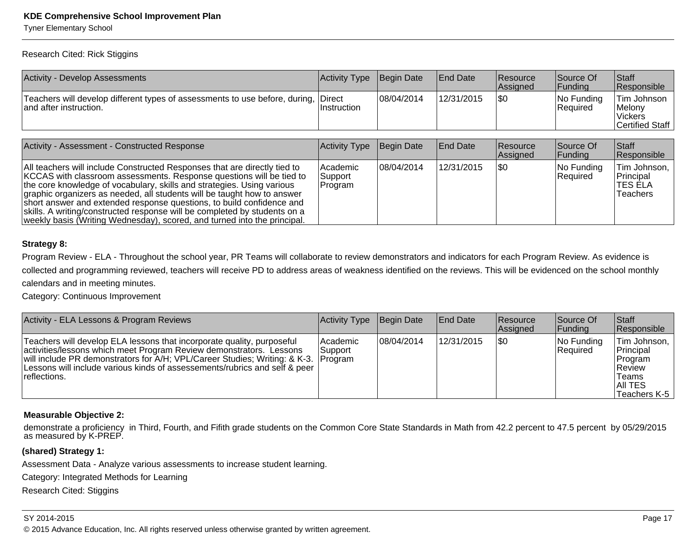Tyner Elementary School

Research Cited: Rick Stiggins

| <b>Activity - Develop Assessments</b>                                                                        | Activity Type | Begin Date         | <b>End Date</b> | <b>Resource</b><br>Assigned | Source Of<br> Funding           | <b>Staff</b><br>Responsible                                 |
|--------------------------------------------------------------------------------------------------------------|---------------|--------------------|-----------------|-----------------------------|---------------------------------|-------------------------------------------------------------|
| Teachers will develop different types of assessments to use before, during, Direct<br>and after instruction. | IInstruction  | 08/04/2014         | 12/31/2015      | <b>SO</b>                   | No Funding<br><b>Required</b>   | lTim Johnson<br>Melony<br><b>Vickers</b><br>Certified Staff |
| Activity - Assessment - Constructed Response                                                                 | Activity Type | Begin Date         | <b>End Date</b> | <b>Resource</b><br>Assigned | Source Of<br> Funding           | <b>Staff</b><br>Responsible                                 |
| $\Delta$ ll togchers will include Constructed Pesponses that are directly tied to                            | Academic      | $A \cap R / A / A$ | 112/31/2015     | ۱¢∩                         | $\overline{\text{N}}$ n Eunding | <b>Tim Inhneon</b>                                          |

| All teachers will include Constructed Responses that are directly tied to | l Academic | 108/04/2014 | 12/31/2015 | 1\$0 | $ No$ Funding | Tim Johnson, |
|---------------------------------------------------------------------------|------------|-------------|------------|------|---------------|--------------|
| KCCAS with classroom assessments. Response questions will be tied to      | Support    |             |            |      | Required      | Principal    |
| the core knowledge of vocabulary, skills and strategies. Using various    | Program    |             |            |      |               | ltes ela     |
| graphic organizers as needed, all students will be taught how to answer   |            |             |            |      |               | Teachers     |
| short answer and extended response questions, to build confidence and     |            |             |            |      |               |              |
| skills. A writing/constructed response will be completed by students on a |            |             |            |      |               |              |
| weekly basis (Writing Wednesday), scored, and turned into the principal.  |            |             |            |      |               |              |

#### **Strategy 8:**

Program Review - ELA - Throughout the school year, PR Teams will collaborate to review demonstrators and indicators for each Program Review. As evidence is collected and programming reviewed, teachers will receive PD to address areas of weakness identified on the reviews. This will be evidenced on the school monthlycalendars and in meeting minutes.

Category: Continuous Improvement

| Activity - ELA Lessons & Program Reviews                                                                                                                                                                                                                                                                                          | Activity Type       | Begin Date  | <b>IEnd Date</b> | <b>Resource</b><br>Assigned | Source Of<br> Funding  | <b>Staff</b><br>Responsible                                                          |
|-----------------------------------------------------------------------------------------------------------------------------------------------------------------------------------------------------------------------------------------------------------------------------------------------------------------------------------|---------------------|-------------|------------------|-----------------------------|------------------------|--------------------------------------------------------------------------------------|
| Teachers will develop ELA lessons that incorporate quality, purposeful<br>activities/lessons which meet Program Review demonstrators. Lessons<br>will include PR demonstrators for A/H; VPL/Career Studies; Writing: & K-3. Program<br>Lessons will include various kinds of assessements/rubrics and self & peer<br>reflections. | Academic<br>Support | 108/04/2014 | 12/31/2015       | \$0                         | No Funding<br>Required | Tim Johnson,<br>Principal<br>Program<br> Review<br>Teams<br>IAII TES<br>Teachers K-5 |

#### **Measurable Objective 2:**

demonstrate a proficiency in Third, Fourth, and Fifith grade students on the Common Core State Standards in Math from 42.2 percent to 47.5 percent by 05/29/2015 as measured by K-PREP.

#### **(shared) Strategy 1:**

Assessment Data - Analyze various assessments to increase student learning.

Category: Integrated Methods for Learning

Research Cited: Stiggins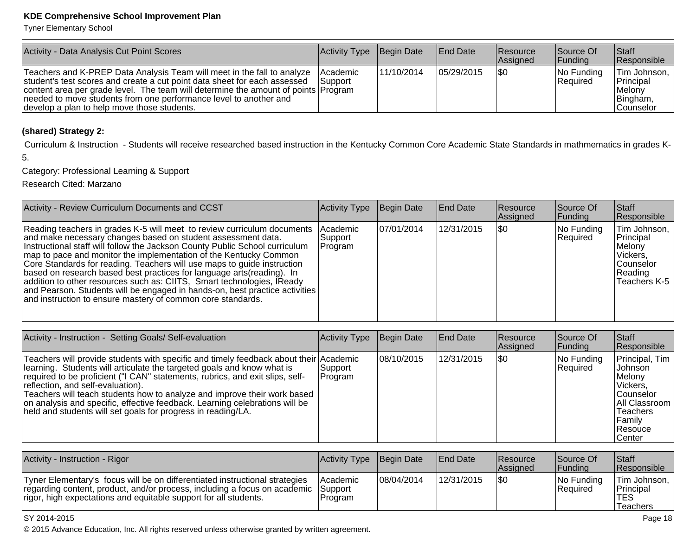Tyner Elementary School

| <b>Activity - Data Analysis Cut Point Scores</b>                                                                                                                                                                                                                                                                                                               | Activity Type                | Begin Date | <b>End Date</b> | <b>IResource</b><br>Assigned | Source Of<br><b>Funding</b> | <b>Staff</b><br>Responsible                                           |
|----------------------------------------------------------------------------------------------------------------------------------------------------------------------------------------------------------------------------------------------------------------------------------------------------------------------------------------------------------------|------------------------------|------------|-----------------|------------------------------|-----------------------------|-----------------------------------------------------------------------|
| Teachers and K-PREP Data Analysis Team will meet in the fall to analyze<br>student's test scores and create a cut point data sheet for each assessed<br>content area per grade level. The team will determine the amount of points Program<br>needed to move students from one performance level to another and<br>develop a plan to help move those students. | <b>IAcademic</b><br>lSupport | 11/10/2014 | 05/29/2015      | 1\$0                         | $ No$ Funding<br>Required   | Tim Johnson,<br>Principal<br>l Melonv<br>Bingham,<br><b>Counselor</b> |

#### **(shared) Strategy 2:**

Curriculum & Instruction - Students will receive researched based instruction in the Kentucky Common Core Academic State Standards in mathmematics in grades K-

5.

Category: Professional Learning & Support

Research Cited: Marzano

| Activity - Review Curriculum Documents and CCST                                                                                                                                                                                                                                                                                                                                                                                                                                                                                                                                                                                                                            | Activity Type                           | Begin Date  | <b>End Date</b> | <b>Resource</b><br>Assigned | Source Of<br> Funding  | <b>Staff</b><br>Responsible                                                               |
|----------------------------------------------------------------------------------------------------------------------------------------------------------------------------------------------------------------------------------------------------------------------------------------------------------------------------------------------------------------------------------------------------------------------------------------------------------------------------------------------------------------------------------------------------------------------------------------------------------------------------------------------------------------------------|-----------------------------------------|-------------|-----------------|-----------------------------|------------------------|-------------------------------------------------------------------------------------------|
| Reading teachers in grades K-5 will meet to review curriculum documents  <br>and make necessary changes based on student assessment data.<br>Instructional staff will follow the Jackson County Public School curriculum<br>map to pace and monitor the implementation of the Kentucky Common<br>Core Standards for reading. Teachers will use maps to guide instruction<br>based on research based best practices for language arts (reading). In<br>addition to other resources such as: CIITS, Smart technologies, IReady<br>and Pearson. Students will be engaged in hands-on, best practice activities<br>and instruction to ensure mastery of common core standards. | <b>Academic</b><br> Support_<br>Program | 107/01/2014 | 12/31/2015      | 1\$0                        | No Funding<br>Required | Tim Johnson,<br>Principal<br>⊺Melonv<br>Vickers,<br>lCounselor<br>Reading<br>Teachers K-5 |

| Activity - Instruction - Setting Goals/ Self-evaluation                                                                                                                                                                                                                                                                                                                                                                                                                                                          | Activity Type       | Begin Date  | <b>End Date</b> | <b>Resource</b><br>Assigned | Source Of<br>Funding   | <b>Staff</b><br>Responsible                                                                                                                     |
|------------------------------------------------------------------------------------------------------------------------------------------------------------------------------------------------------------------------------------------------------------------------------------------------------------------------------------------------------------------------------------------------------------------------------------------------------------------------------------------------------------------|---------------------|-------------|-----------------|-----------------------------|------------------------|-------------------------------------------------------------------------------------------------------------------------------------------------|
| Teachers will provide students with specific and timely feedback about their Academic<br>learning. Students will articulate the targeted goals and know what is<br>required to be proficient ("I CAN" statements, rubrics, and exit slips, self-<br>reflection, and self-evaluation).<br>Teachers will teach students how to analyze and improve their work based<br>on analysis and specific, effective feedback. Learning celebrations will be<br>held and students will set goals for progress in reading/LA. | Support<br> Program | 108/10/2015 | 12/31/2015      | 1\$0                        | No Funding<br>Required | Principal, Tim<br><b>Johnson</b><br>Melony<br>Vickers,<br> Counselor<br>All Classroom<br><b>Teachers</b><br> Family<br>Resouce<br><b>Center</b> |

| Activity - Instruction - Rigor                                                                                                                                                                                                       | Activity Type Begin Date   |             | <b>End Date</b> | Resource<br><b>Assigned</b> | Source Of<br><b>IFundina</b> | Staff<br>Responsible                                                  |
|--------------------------------------------------------------------------------------------------------------------------------------------------------------------------------------------------------------------------------------|----------------------------|-------------|-----------------|-----------------------------|------------------------------|-----------------------------------------------------------------------|
| Tyner Elementary's focus will be on differentiated instructional strategies<br>regarding content, product, and/or process, including a focus on academic Support<br>rigor, high expectations and equitable support for all students. | <b>Academic</b><br>Program | 108/04/2014 | 12/31/2015      | 1\$0                        | No Funding<br>Required       | $T$ im Johnson, $\overline{R}$<br>Principal<br>TES<br><b>Teachers</b> |

#### SY 2014-2015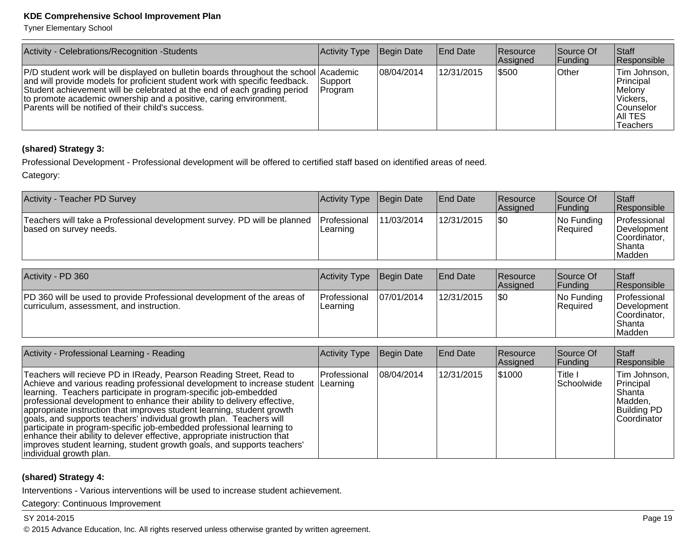Tyner Elementary School

| Activity - Celebrations/Recognition -Students                                                                                                                                                                                                                                                                                                                              | Activity Type       | Begin Date  | <b>End Date</b> | <b>Resource</b><br>Assigned | Source Of<br> Funding | <b>Staff</b><br>Responsible                                                                 |
|----------------------------------------------------------------------------------------------------------------------------------------------------------------------------------------------------------------------------------------------------------------------------------------------------------------------------------------------------------------------------|---------------------|-------------|-----------------|-----------------------------|-----------------------|---------------------------------------------------------------------------------------------|
| P/D student work will be displayed on bulletin boards throughout the school Academic<br>and will provide models for proficient student work with specific feedback.<br>Student achievement will be celebrated at the end of each grading period<br>to promote academic ownership and a positive, caring environment.<br>Parents will be notified of their child's success. | 'Support<br>Program | 108/04/2014 | 12/31/2015      | 5500                        | <b>Other</b>          | Tim Johnson,<br>Principal<br>Melony<br>Vickers,<br><b>Counselor</b><br>IAII TES<br>Teachers |

#### **(shared) Strategy 3:**

Professional Development - Professional development will be offered to certified staff based on identified areas of need.

Category:

| Activity - Teacher PD Survey                                                                       | Activity Type            | Begin Date | <b>End Date</b> | Resource<br>Assigned | Source Of<br> Funding   | <b>Staff</b><br><b>Responsible</b>                               |
|----------------------------------------------------------------------------------------------------|--------------------------|------------|-----------------|----------------------|-------------------------|------------------------------------------------------------------|
| Teachers will take a Professional development survey. PD will be planned<br>based on survey needs. | Professional<br>Learning | 11/03/2014 | 12/31/2015      | \$0                  | INo Fundina<br>Required | Professional<br>Development<br>Coordinator,<br>Shanta<br>lMadden |

| Activity - PD 360                                                                                                          | <b>Activity Type</b>     | Begin Date | <b>End Date</b> | <b>Resource</b><br><b>Assigned</b> | <b>Source Of</b><br><b>Funding</b> | <b>Staff</b><br><b>Responsible</b>                                       |
|----------------------------------------------------------------------------------------------------------------------------|--------------------------|------------|-----------------|------------------------------------|------------------------------------|--------------------------------------------------------------------------|
| <b>PD</b> 360 will be used to provide Professional development of the areas of<br>curriculum, assessment, and instruction. | Professional<br>Learning | 07/01/2014 | 12/31/2015      | \$0                                | No Funding<br><b>Required</b>      | Professional<br><b>IDevelopment</b><br>Coordinator.<br> Shanta<br>Madden |

| Activity - Professional Learning - Reading                                                                                                                                                                                                                                                                                                                                                                                                                                                                                                                                                                                                                                                                           | Activity Type | Begin Date  | <b>End Date</b> | <b>Resource</b><br>Assigned | Source Of<br> Funding  | <b>Staff</b><br>Responsible                                                            |
|----------------------------------------------------------------------------------------------------------------------------------------------------------------------------------------------------------------------------------------------------------------------------------------------------------------------------------------------------------------------------------------------------------------------------------------------------------------------------------------------------------------------------------------------------------------------------------------------------------------------------------------------------------------------------------------------------------------------|---------------|-------------|-----------------|-----------------------------|------------------------|----------------------------------------------------------------------------------------|
| Teachers will recieve PD in IReady, Pearson Reading Street, Read to<br>Achieve and various reading professional development to increase student Learning<br>learning. Teachers participate in program-specific job-embedded<br>professional development to enhance their ability to delivery effective,<br>appropriate instruction that improves student learning, student growth<br>goals, and supports teachers' individual growth plan. Teachers will<br>participate in program-specific job-embedded professional learning to<br>enhance their ability to delever effective, appropriate inistruction that<br>improves student learning, student growth goals, and supports teachers'<br>individual growth plan. | lProfessional | 108/04/2014 | 12/31/2015      | \$1000                      | ∣Title I<br>Schoolwide | Tim Johnson,  <br>Principal<br>lShanta<br>Madden,<br><b>Building PD</b><br>Coordinator |

#### **(shared) Strategy 4:**

Interventions - Various interventions will be used to increase student achievement.

Category: Continuous Improvement

#### SY 2014-2015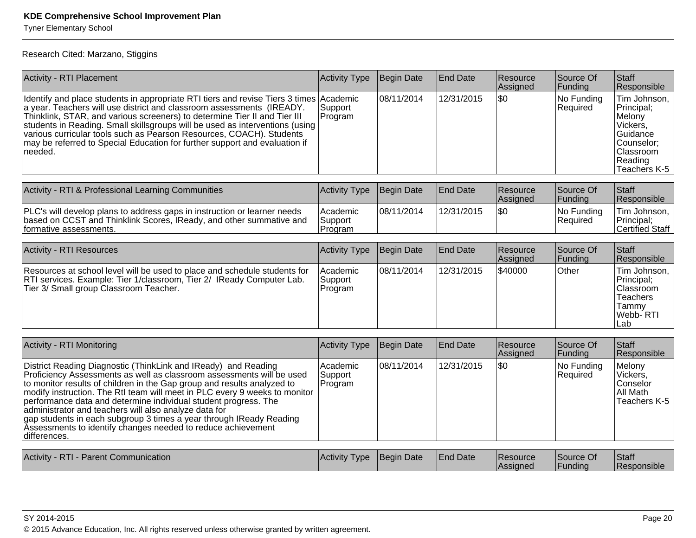Tyner Elementary School

Research Cited: Marzano, Stiggins

| <b>Activity - RTI Placement</b>                                                                                                                                                                                                                                                                                                                                                                                                                                                                                                                                                     | <b>Activity Type</b>           | Begin Date        | <b>End Date</b> | Resource<br>Assigned | Source Of<br>Funding   | Staff<br>Responsible                                                                                               |
|-------------------------------------------------------------------------------------------------------------------------------------------------------------------------------------------------------------------------------------------------------------------------------------------------------------------------------------------------------------------------------------------------------------------------------------------------------------------------------------------------------------------------------------------------------------------------------------|--------------------------------|-------------------|-----------------|----------------------|------------------------|--------------------------------------------------------------------------------------------------------------------|
| Identify and place students in appropriate RTI tiers and revise Tiers 3 times Academic<br>a year. Teachers will use district and classroom assessments (IREADY.<br>Thinklink, STAR, and various screeners) to determine Tier II and Tier III<br>students in Reading. Small skillsgroups will be used as interventions (using<br>various curricular tools such as Pearson Resources, COACH). Students<br>may be referred to Special Education for further support and evaluation if<br>needed.                                                                                       | Support<br>Program             | 08/11/2014        | 12/31/2015      | $\overline{30}$      | No Funding<br>Required | Tim Johnson,<br>Principal;<br>Melony<br>Vickers,<br>Guidance<br>Counselor:<br>Classroom<br>Reading<br>Teachers K-5 |
| Activity - RTI & Professional Learning Communities                                                                                                                                                                                                                                                                                                                                                                                                                                                                                                                                  | <b>Activity Type</b>           | Begin Date        | <b>End Date</b> | Resource<br>Assigned | Source Of<br>Funding   | Staff<br>Responsible                                                                                               |
| PLC's will develop plans to address gaps in instruction or learner needs<br>based on CCST and Thinklink Scores, IReady, and other summative and<br>formative assessments.                                                                                                                                                                                                                                                                                                                                                                                                           | Academic<br>Support<br>Program | 08/11/2014        | 12/31/2015      | $ $ \$0              | No Funding<br>Required | Tim Johnson,<br>Principal;<br><b>Certified Staff</b>                                                               |
| <b>Activity - RTI Resources</b>                                                                                                                                                                                                                                                                                                                                                                                                                                                                                                                                                     | <b>Activity Type</b>           | Begin Date        | <b>End Date</b> | Resource<br>Assigned | Source Of<br>Funding   | Staff<br>Responsible                                                                                               |
| Resources at school level will be used to place and schedule students for<br>RTI services. Example: Tier 1/classroom, Tier 2/ IReady Computer Lab.<br>Tier 3/ Small group Classroom Teacher.                                                                                                                                                                                                                                                                                                                                                                                        | Academic<br>Support<br>Program | 08/11/2014        | 12/31/2015      | \$40000              | Other                  | Tim Johnson,<br>Principal;<br>Classroom<br><b>Teachers</b><br>Tammy<br>Webb- RTI<br>Lab                            |
| Activity - RTI Monitoring                                                                                                                                                                                                                                                                                                                                                                                                                                                                                                                                                           | <b>Activity Type</b>           | <b>Begin Date</b> | <b>End Date</b> | Resource<br>Assigned | Source Of<br>Funding   | Staff<br>Responsible                                                                                               |
| District Reading Diagnostic (ThinkLink and IReady) and Reading<br>Proficiency Assessments as well as classroom assessments will be used<br>to monitor results of children in the Gap group and results analyzed to<br>modify instruction. The RtI team will meet in PLC every 9 weeks to monitor<br>performance data and determine individual student progress. The<br>administrator and teachers will also analyze data for<br>gap students in each subgroup 3 times a year through IReady Reading<br>Assessments to identify changes needed to reduce achievement<br>differences. | Academic<br>Support<br>Program | 08/11/2014        | 12/31/2015      | $ $ \$0              | No Funding<br>Required | Melony<br>Vickers.<br>Conselor<br>All Math<br>Teachers K-5                                                         |
| Activity - RTI - Parent Communication                                                                                                                                                                                                                                                                                                                                                                                                                                                                                                                                               | <b>Activity Type</b>           | <b>Begin Date</b> | <b>End Date</b> | Resource<br>Assigned | Source Of<br>Funding   | Staff<br>Responsible                                                                                               |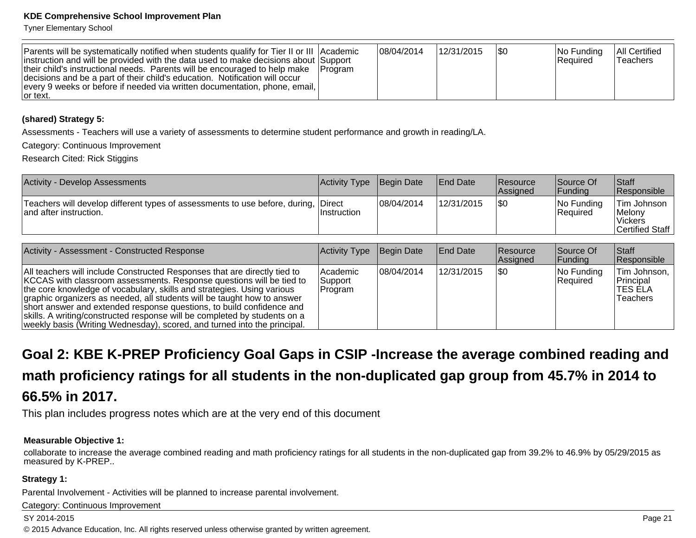Tyner Elementary School

| Parents will be systematically notified when students qualify for Tier II or III Academic<br>instruction and will be provided with the data used to make decisions about Support<br>their child's instructional needs. Parents will be encouraged to help make   Program<br>decisions and be a part of their child's education. Notification will occur<br>every 9 weeks or before if needed via written documentation, phone, email,<br>Tor text. |  | 08/04/2014 | 12/31/2015 | 1\$0 | $ No$ Funding<br>Required | <b>All Certified</b><br><b>Teachers</b> |
|----------------------------------------------------------------------------------------------------------------------------------------------------------------------------------------------------------------------------------------------------------------------------------------------------------------------------------------------------------------------------------------------------------------------------------------------------|--|------------|------------|------|---------------------------|-----------------------------------------|
|----------------------------------------------------------------------------------------------------------------------------------------------------------------------------------------------------------------------------------------------------------------------------------------------------------------------------------------------------------------------------------------------------------------------------------------------------|--|------------|------------|------|---------------------------|-----------------------------------------|

#### **(shared) Strategy 5:**

Assessments - Teachers will use a variety of assessments to determine student performance and growth in reading/LA.

Category: Continuous Improvement

Research Cited: Rick Stiggins

| <b>Activity - Develop Assessments</b>                                                                        | Activity Type      | Begin Date | <b>End Date</b> | <b>Resource</b><br><b>Assigned</b> | Source Of<br><b>Funding</b> | <b>Staff</b><br><b>Responsible</b>                          |
|--------------------------------------------------------------------------------------------------------------|--------------------|------------|-----------------|------------------------------------|-----------------------------|-------------------------------------------------------------|
| Teachers will develop different types of assessments to use before, during, Direct<br>and after instruction. | <b>Instruction</b> | 08/04/2014 | 12/31/2015      | \$0                                | No Funding<br>Required      | Tim Johnson<br><i>Melony</i><br>Vickers<br> Certified Staff |

| Activity - Assessment - Constructed Response                                                                                                                                                                                                                                                                                                                                                                                                                                                                                             | Activity Type                     | Begin Date  | <b>End Date</b> | <b>Resource</b><br><b>Assigned</b> | Source Of<br> Funding  | Staff<br>Responsible                               |
|------------------------------------------------------------------------------------------------------------------------------------------------------------------------------------------------------------------------------------------------------------------------------------------------------------------------------------------------------------------------------------------------------------------------------------------------------------------------------------------------------------------------------------------|-----------------------------------|-------------|-----------------|------------------------------------|------------------------|----------------------------------------------------|
| All teachers will include Constructed Responses that are directly tied to<br>KCCAS with classroom assessments. Response questions will be tied to<br>the core knowledge of vocabulary, skills and strategies. Using various<br>graphic organizers as needed, all students will be taught how to answer<br>short answer and extended response questions, to build confidence and<br>skills. A writing/constructed response will be completed by students on a<br>weekly basis (Writing Wednesday), scored, and turned into the principal. | l Academic<br>Support<br> Program | 108/04/2014 | 12/31/2015      | 1\$0                               | No Funding<br>Required | Tim Johnson,<br> Principal<br>ITES ELA<br>Teachers |

**Goal 2: KBE K-PREP Proficiency Goal Gaps in CSIP -Increase the average combined reading andmath proficiency ratings for all students in the non-duplicated gap group from 45.7% in 2014 to66.5% in 2017.**

This plan includes progress notes which are at the very end of this document

#### **Measurable Objective 1:**

collaborate to increase the average combined reading and math proficiency ratings for all students in the non-duplicated gap from 39.2% to 46.9% by 05/29/2015 asmeasured by K-PREP..

#### **Strategy 1:**

Parental Involvement - Activities will be planned to increase parental involvement.

Category: Continuous Improvement

#### SY 2014-2015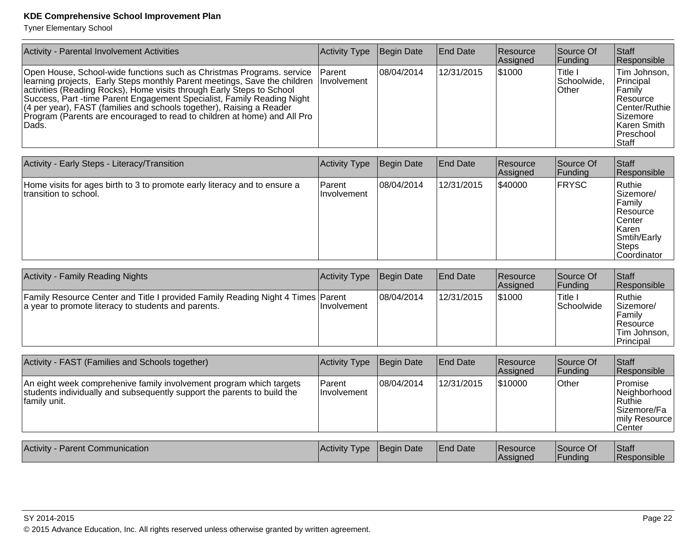Tyner Elementary School

| Activity - Parental Involvement Activities                                                                                                                                                                                                                                                                                                                                                                                                                                      | Activity Type  | Begin Date | End Date        | <b>Resource</b><br> Assigned | Source Of<br> Funding              | Staff<br>Responsible                                                                                                 |
|---------------------------------------------------------------------------------------------------------------------------------------------------------------------------------------------------------------------------------------------------------------------------------------------------------------------------------------------------------------------------------------------------------------------------------------------------------------------------------|----------------|------------|-----------------|------------------------------|------------------------------------|----------------------------------------------------------------------------------------------------------------------|
| Open House, School-wide functions such as Christmas Programs. service<br>learning projects, Early Steps monthly Parent meetings, Save the children Involvement<br>activities (Reading Rocks), Home visits through Early Steps to School<br>Success, Part -time Parent Engagement Specialist, Family Reading Night<br>(4 per year), FAST (families and schools together), Raising a Reader<br>Program (Parents are encouraged to read to children at home) and All Pro<br>lDads. | <b>IParent</b> | 08/04/2014 | 12/31/2015      | \$1000                       | lTitle I<br> Schoolwide,<br>∣Other | Tim Johnson,  <br>Principal<br>Family<br>Resource<br>Center/Ruthie<br>Sizemore<br>Karen Smith<br>Preschool<br>∣Staff |
|                                                                                                                                                                                                                                                                                                                                                                                                                                                                                 |                |            |                 |                              |                                    |                                                                                                                      |
| Activity - Early Steps - Literacy/Transition                                                                                                                                                                                                                                                                                                                                                                                                                                    | Activity Type  | Begin Date | <b>End Date</b> | Resource                     | Source Of                          | Staff                                                                                                                |

| Activity - Early Steps - Literacy/Transition                                                        | Activity Type                 | <b>Begin Date</b> | <b>IEnd Date</b> | <b>Resource</b><br> Assigned | Source Of<br> Funding | <b>IStaff</b><br><b>Responsible</b>                                                                                  |
|-----------------------------------------------------------------------------------------------------|-------------------------------|-------------------|------------------|------------------------------|-----------------------|----------------------------------------------------------------------------------------------------------------------|
| Home visits for ages birth to 3 to promote early literacy and to ensure a<br>Itransition to school. | Parent<br><b>Ilnvolvement</b> | 108/04/2014       | 12/31/2015       | \$40000                      | <b>FRYSC</b>          | Ruthie<br>Sizemore/<br>Familv<br><b>Resource</b><br>Center<br>l Karen<br>Smtih/Early<br><b>Steps</b><br>lCoordinator |

| <b>Activity - Family Reading Nights</b>                                                                                                | Activity Type | Begin Date  | <b>End Date</b> | <b>Resource</b><br>Assigned | Source Of<br> Fundina   | <b>Staff</b><br>Responsible                                                |
|----------------------------------------------------------------------------------------------------------------------------------------|---------------|-------------|-----------------|-----------------------------|-------------------------|----------------------------------------------------------------------------|
| Family Resource Center and Title I provided Family Reading Night 4 Times Parent<br>a year to promote literacy to students and parents. | Ilnvolvement  | 108/04/2014 | 12/31/2015      | \$1000                      | ا Title⊓<br> Schoolwide | Ruthie<br>Sizemore/<br>Family<br>∣Resource<br>Tim Johnson, I<br>'Principal |

| Activity - FAST (Families and Schools together)                                                                                                                | <b>Activity Type</b>          | Begin Date  | <b>IEnd Date</b> | <b>Resource</b><br>Assigned | Source Of<br>Funding  | Staff<br>Responsible                                                            |
|----------------------------------------------------------------------------------------------------------------------------------------------------------------|-------------------------------|-------------|------------------|-----------------------------|-----------------------|---------------------------------------------------------------------------------|
| An eight week comprehenive family involvement program which targets<br>students individually and subsequently support the parents to build the<br>family unit. | Parent<br><b>Ilnvolvement</b> | 108/04/2014 | 12/31/2015       | 510000                      | Other                 | lPromise<br>Neighborhood<br> Ruthie<br> Sizemore/Fa<br>mily Resource<br>∣Center |
| <b>Activity - Parent Communication</b>                                                                                                                         | <b>Activity Type</b>          | Begin Date  | <b>End Date</b>  | <b>Resource</b><br>Assigned | Source Of<br> Funding | Staff<br>Responsible                                                            |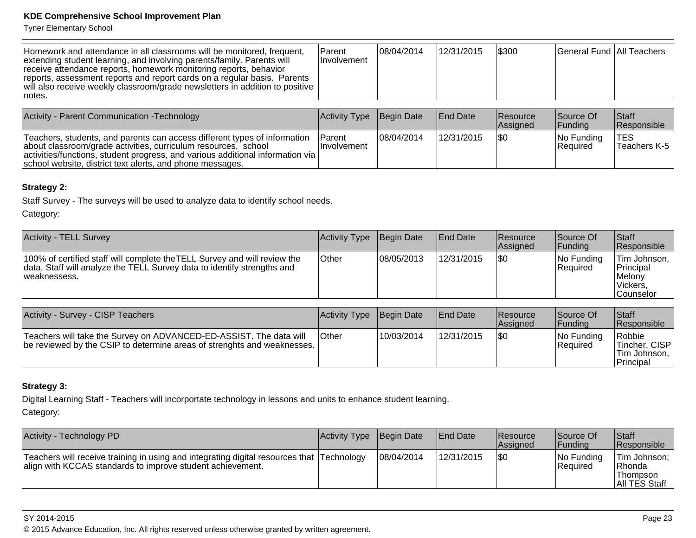Tyner Elementary School

| Homework and attendance in all classrooms will be monitored, frequent,<br>extending student learning, and involving parents/family. Parents will<br>receive attendance reports, homework monitoring reports, behavior<br>reports, assessment reports and report cards on a regular basis. Parents<br>  will also receive weekly classroom/grade newsletters in addition to positive<br>Inotes. | Parent<br><b>Involvement</b> | 108/04/2014 | 12/31/2015      | \$300                         | General Fund   All Teachers  |                   |
|------------------------------------------------------------------------------------------------------------------------------------------------------------------------------------------------------------------------------------------------------------------------------------------------------------------------------------------------------------------------------------------------|------------------------------|-------------|-----------------|-------------------------------|------------------------------|-------------------|
|                                                                                                                                                                                                                                                                                                                                                                                                |                              |             |                 |                               |                              |                   |
| Activity - Parent Communication - Technology                                                                                                                                                                                                                                                                                                                                                   | <b>Activity Type</b>         | Begin Date  | <b>End Date</b> | Resource<br>$\Lambda$ ooianod | Source Of<br>$\Gamma$ unding | <b>Staff</b><br>D |

|                                                                                                                                                                                                                                                                                                    |                                |             |            | <b>Assigned</b> | Funding                        | <b>Responsible</b> |
|----------------------------------------------------------------------------------------------------------------------------------------------------------------------------------------------------------------------------------------------------------------------------------------------------|--------------------------------|-------------|------------|-----------------|--------------------------------|--------------------|
| Teachers, students, and parents can access different types of information<br>about classroom/grade activities, curriculum resources, school<br>$ $ activities/functions, student progress, and various additional information via $ $<br>school website, district text alerts, and phone messages. | <b>IParent</b><br>Ilnvolvement | 108/04/2014 | 12/31/2015 |                 | INo Fundina<br><b>Required</b> | Teachers K-5       |

#### **Strategy 2:**

Staff Survey - The surveys will be used to analyze data to identify school needs.

Category:

| <b>Activity - TELL Survey</b>                                                                                                                                        | <b>Activity Type</b> | Begin Date  | <b>End Date</b> | <b>Resource</b><br><b>Assianed</b> | Source Of<br> Funding     | <b>Staff</b><br>Responsible                                           |
|----------------------------------------------------------------------------------------------------------------------------------------------------------------------|----------------------|-------------|-----------------|------------------------------------|---------------------------|-----------------------------------------------------------------------|
| 100% of certified staff will complete the TELL Survey and will review the<br>data. Staff will analyze the TELL Survey data to identify strengths and<br>weaknessess. | Other                | 108/05/2013 | 12/31/2015      | \$0                                | $ No$ Funding<br>Required | Tim Johnson, I<br>Principal<br>Melony<br>Vickers,<br><b>Counselor</b> |

| Activity - Survey - CISP Teachers                                                                                                             | <b>Activity Type</b> | Begin Date | <b>End Date</b> | <b>Resource</b><br><b>Assigned</b> | Source Of<br>Funding    | <b>Staff</b><br><b>Responsible</b>                       |
|-----------------------------------------------------------------------------------------------------------------------------------------------|----------------------|------------|-----------------|------------------------------------|-------------------------|----------------------------------------------------------|
| Teachers will take the Survey on ADVANCED-ED-ASSIST. The data will<br>be reviewed by the CSIP to determine areas of strenghts and weaknesses. | <b>Other</b>         | 10/03/2014 | 12/31/2015      | 1\$0                               | No Funding<br> Reauired | Robbie<br>Tincher, CISP<br> Tim Johnson,  <br>'Principal |

#### **Strategy 3:**

Digital Learning Staff - Teachers will incorportate technology in lessons and units to enhance student learning.Category:

| Activity - Technology PD                                                                                                                                | Activity Type Begin Date |            | <b>End Date</b> | <b>Resource</b><br><b>Assianed</b> | Source Of<br> Fundina  | <b>Staff</b><br>Responsible                           |
|---------------------------------------------------------------------------------------------------------------------------------------------------------|--------------------------|------------|-----------------|------------------------------------|------------------------|-------------------------------------------------------|
| Teachers will receive training in using and integrating digital resources that Technology<br>align with KCCAS standards to improve student achievement. |                          | 08/04/2014 | 12/31/2015      | \$0                                | No Funding<br>Required | Tim Johnson;<br>IRhonda<br>lThompson<br>All TES Staff |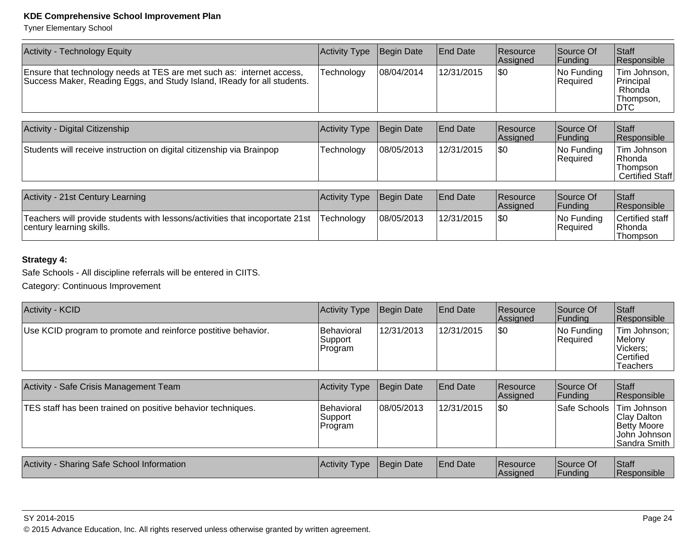Tyner Elementary School

| Activity - Technology Equity                                                                                                                     | Activity Type | Begin Date | <b>End Date</b> | <b>Resource</b><br>Assigned | Source Of<br> Funding   | Staff<br>Responsible                                             |
|--------------------------------------------------------------------------------------------------------------------------------------------------|---------------|------------|-----------------|-----------------------------|-------------------------|------------------------------------------------------------------|
| Ensure that technology needs at TES are met such as: internet access,<br>Success Maker, Reading Eggs, and Study Island, IReady for all students. | Technology    | 08/04/2014 | 12/31/2015      | \$0                         | No Funding<br> Reauired | Tim Johnson,  <br>Principal<br>Rhonda<br>Thompson.<br><b>DTC</b> |
|                                                                                                                                                  |               |            |                 |                             |                         |                                                                  |

| Activity - Digital Citizenship                                        | Activity Type | Begin Date | <b>End Date</b> | Resource<br><b>Assigned</b> | Source Of<br><b>Funding</b>   | <b>Staff</b><br>Responsible                            |
|-----------------------------------------------------------------------|---------------|------------|-----------------|-----------------------------|-------------------------------|--------------------------------------------------------|
| Students will receive instruction on digital citizenship via Brainpop | Technology    | 08/05/2013 | 12/31/2015      | \$0                         | No Funding<br><b>Required</b> | Tim Johnson  <br>Rhonda<br>Thompson<br>Certified Staff |

| Activity - 21st Century Learning                                                                         | Activity Type Begin Date |            | <b>IEnd Date</b> | <b>Resource</b><br><b>Assigned</b> | Source Of<br><b> Fundina</b> | Staff<br><b>Responsible</b>                    |
|----------------------------------------------------------------------------------------------------------|--------------------------|------------|------------------|------------------------------------|------------------------------|------------------------------------------------|
| Teachers will provide students with lessons/activities that incoportate 21st<br>century learning skills. | <b>Technology</b>        | 08/05/2013 | 12/31/2015       | \$0                                | No Funding<br>Required       | Certified staff<br>l Rhonda<br><b>Thompson</b> |

#### **Strategy 4:**

Safe Schools - All discipline referrals will be entered in CIITS.

Category: Continuous Improvement

| <b>Activity - KCID</b>                                        | <b>Activity Type</b>              | Begin Date | <b>End Date</b> | <b>Resource</b><br>Assigned | Source Of<br> Funding  | <b>Staff</b><br>Responsible                                           |
|---------------------------------------------------------------|-----------------------------------|------------|-----------------|-----------------------------|------------------------|-----------------------------------------------------------------------|
| Use KCID program to promote and reinforce postitive behavior. | Behavioral<br>Support<br> Program | 12/31/2013 | 12/31/2015      | \$0                         | No Funding<br>Reauired | Tim Johnson;  <br> Melony<br>Vickers:<br><b>Certified</b><br>Teachers |

| Activity - Safe Crisis Management Team                      | <b>Activity Type</b>              | Begin Date | <b>End Date</b> | Resource<br>Assigned | Source Of<br> Funding | Staff<br>Responsible                                                                |
|-------------------------------------------------------------|-----------------------------------|------------|-----------------|----------------------|-----------------------|-------------------------------------------------------------------------------------|
| TES staff has been trained on positive behavior techniques. | Behavioral<br> Support<br>Program | 08/05/2013 | 12/31/2015      | 1\$0                 | Safe Schools          | <b>Tim Johnson</b><br>Clay Dalton<br>Betty Moore<br> John Johnson  <br>Sandra Smith |
| Activity - Sharing Safe School Information                  | Activity Type                     | Begin Date | <b>End Date</b> | Resource<br>Assigned | Source Of<br> Funding | Staff<br>Responsible                                                                |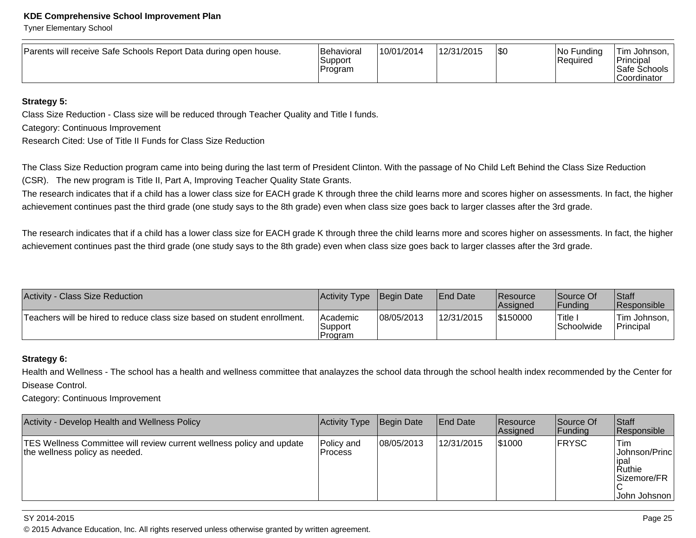Tyner Elementary School

| Parents will receive Safe Schools Report Data during open house. | <b>Behavioral</b><br>Support<br>Program | 10/01/2014 | 12/31/2015 | \$0 | No Funding<br>Required | Tim Johnson.<br>'Principal<br>Safe Schools<br><b>Coordinator</b> |
|------------------------------------------------------------------|-----------------------------------------|------------|------------|-----|------------------------|------------------------------------------------------------------|
|------------------------------------------------------------------|-----------------------------------------|------------|------------|-----|------------------------|------------------------------------------------------------------|

#### **Strategy 5:**

Class Size Reduction - Class size will be reduced through Teacher Quality and Title I funds.

Category: Continuous Improvement

Research Cited: Use of Title II Funds for Class Size Reduction

The Class Size Reduction program came into being during the last term of President Clinton. With the passage of No Child Left Behind the Class Size Reduction(CSR). The new program is Title II, Part A, Improving Teacher Quality State Grants.

The research indicates that if a child has a lower class size for EACH grade K through three the child learns more and scores higher on assessments. In fact, the higher achievement continues past the third grade (one study says to the 8th grade) even when class size goes back to larger classes after the 3rd grade.

The research indicates that if a child has a lower class size for EACH grade K through three the child learns more and scores higher on assessments. In fact, the higher achievement continues past the third grade (one study says to the 8th grade) even when class size goes back to larger classes after the 3rd grade.

| <b>Activity - Class Size Reduction</b>                                   | Activity Type                    | Begin Date | <b>IEnd Date</b> | <b>Resource</b><br><b>Assigned</b> | Source Of<br> Fundina | Staff<br>Responsible        |
|--------------------------------------------------------------------------|----------------------------------|------------|------------------|------------------------------------|-----------------------|-----------------------------|
| Teachers will be hired to reduce class size based on student enrollment. | lAcademic<br>Support<br>'Program | 08/05/2013 | 12/31/2015       | \$150000                           | Title.<br>Schoolwide  | Tim Johnson, I<br>Principal |

#### **Strategy 6:**

Health and Wellness - The school has a health and wellness committee that analayzes the school data through the school health index recommended by the Center forDisease Control.

Category: Continuous Improvement

| <b>Activity - Develop Health and Wellness Policy</b>                                                    | Activity Type                 | Begin Date | <b>End Date</b> | <b>Resource</b><br>Assigned | Source Of<br> Funding | <b>Staff</b><br>Responsible                                               |
|---------------------------------------------------------------------------------------------------------|-------------------------------|------------|-----------------|-----------------------------|-----------------------|---------------------------------------------------------------------------|
| TES Wellness Committee will review current wellness policy and update<br>the wellness policy as needed. | lPolicv and<br><b>Process</b> | 08/05/2013 | 12/31/2015      | 1\$1000                     | <b>FRYSC</b>          | 'Tim<br> Johnson/Princ <br>lipal<br>Ruthie<br>Sizemore/FR<br>John Johsnon |

SY 2014-2015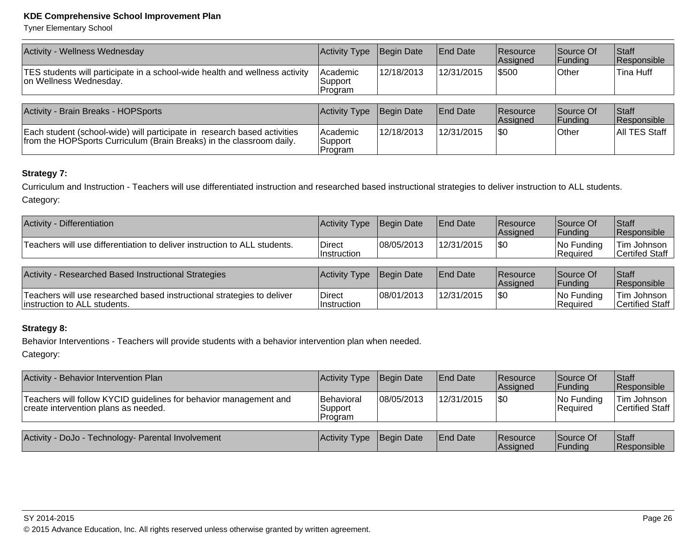Tyner Elementary School

| <b>Activity - Wellness Wednesday</b>                                                                                                             | <b>Activity Type</b>             | Begin Date | <b>End Date</b> | <b>Resource</b><br>Assigned | Source Of<br><b>Funding</b> | <b>Staff</b><br>Responsible |
|--------------------------------------------------------------------------------------------------------------------------------------------------|----------------------------------|------------|-----------------|-----------------------------|-----------------------------|-----------------------------|
| TES students will participate in a school-wide health and wellness activity<br>on Wellness Wednesday.                                            | l Academic<br>Support<br>Program | 12/18/2013 | 12/31/2015      | \$500                       | Other                       | Tina Huff                   |
| Activity - Brain Breaks - HOPSports                                                                                                              | Activity Type                    | Begin Date | <b>End Date</b> | <b>Resource</b>             | Source Of                   | <b>Staff</b>                |
|                                                                                                                                                  |                                  |            |                 | Assigned                    | <b>Funding</b>              | Responsible                 |
| Each student (school-wide) will participate in research based activities<br>from the HOPSports Curriculum (Brain Breaks) in the classroom daily. | Academic<br>Support<br>Program   | 12/18/2013 | 12/31/2015      | <b>SO</b>                   | lOther                      | All TES Staff               |

#### **Strategy 7:**

Curriculum and Instruction - Teachers will use differentiated instruction and researched based instructional strategies to deliver instruction to ALL students.Category:

| Activity - Differentiation                                                                             | <b>Activity Type</b>         | Begin Date | <b>End Date</b> | Resource<br>Assigned | Source Of<br> Funding   | <b>Staff</b><br>Responsible    |
|--------------------------------------------------------------------------------------------------------|------------------------------|------------|-----------------|----------------------|-------------------------|--------------------------------|
| Teachers will use differentiation to deliver instruction to ALL students.                              | Direct<br><b>Instruction</b> | 08/05/2013 | 12/31/2015      | 1\$0                 | No Funding<br>Required  | Tim Johnson<br>Certifed Staff  |
| Activity - Researched Based Instructional Strategies                                                   | Activity Type                | Begin Date | <b>End Date</b> | Resource<br>Assigned | Source Of<br> Funding   | <b>Staff</b><br>Responsible    |
| Teachers will use researched based instructional strategies to deliver<br>instruction to ALL students. | <b>Direct</b><br>Instruction | 08/01/2013 | 12/31/2015      | \$0                  | No Funding<br> Reauired | Tim Johnson<br>Certified Staff |

#### **Strategy 8:**

Behavior Interventions - Teachers will provide students with a behavior intervention plan when needed.Category:

| Activity - Behavior Intervention Plan                                                                     | Activity Type Begin Date          |            | <b>End Date</b> | Resource<br>Assigned        | Source Of<br> Funding  | Staff<br>Responsible           |
|-----------------------------------------------------------------------------------------------------------|-----------------------------------|------------|-----------------|-----------------------------|------------------------|--------------------------------|
| Teachers will follow KYCID guidelines for behavior management and<br>create intervention plans as needed. | Behavioral<br>Support<br> Program | 08/05/2013 | 12/31/2015      | 1\$0                        | No Funding<br>Required | Tim Johnson<br>Certified Staff |
| Activity - DoJo - Technology- Parental Involvement                                                        | Activity Type                     | Begin Date | <b>End Date</b> | <b>Resource</b><br>Assigned | Source Of<br> Funding  | <b>Staff</b><br>Responsible    |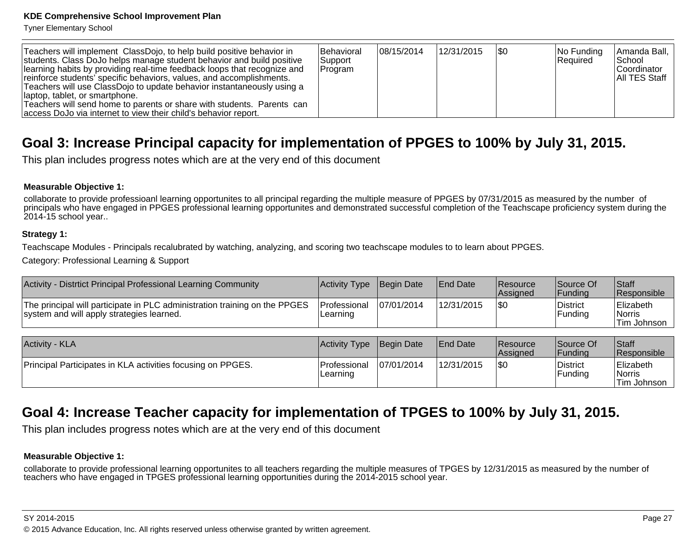Tyner Elementary School

| Teachers will implement ClassDojo, to help build positive behavior in<br>students. Class DoJo helps manage student behavior and build positive<br>learning habits by providing real-time feedback loops that recognize and<br>reinforce students' specific behaviors, values, and accomplishments.<br>Teachers will use ClassDojo to update behavior instantaneously using a<br>laptop, tablet, or smartphone.<br>Teachers will send home to parents or share with students. Parents can<br>access DoJo via internet to view their child's behavior report. | <b>IBehavioral</b><br><b>Support</b><br>Program | 108/15/2014 | 12/31/2015 | 1\$0 | $ No$ Funding<br>Required | Amanda Ball,<br> School<br><b>Coordinator</b><br><b>AII TES Staff</b> |
|-------------------------------------------------------------------------------------------------------------------------------------------------------------------------------------------------------------------------------------------------------------------------------------------------------------------------------------------------------------------------------------------------------------------------------------------------------------------------------------------------------------------------------------------------------------|-------------------------------------------------|-------------|------------|------|---------------------------|-----------------------------------------------------------------------|
|-------------------------------------------------------------------------------------------------------------------------------------------------------------------------------------------------------------------------------------------------------------------------------------------------------------------------------------------------------------------------------------------------------------------------------------------------------------------------------------------------------------------------------------------------------------|-------------------------------------------------|-------------|------------|------|---------------------------|-----------------------------------------------------------------------|

## **Goal 3: Increase Principal capacity for implementation of PPGES to 100% by July 31, 2015.**

This plan includes progress notes which are at the very end of this document

#### **Measurable Objective 1:**

collaborate to provide professioanl learning opportunites to all principal regarding the multiple measure of PPGES by 07/31/2015 as measured by the number of principals who have engaged in PPGES professional learning opportunites and demonstrated successful completion of the Teachscape proficiency system during the2014-15 school year..

#### **Strategy 1:**

Teachscape Modules - Principals recalubrated by watching, analyzing, and scoring two teachscape modules to to learn about PPGES.

Category: Professional Learning & Support

| Activity - Distrtict Principal Professional Learning Community                                                          | <b>Activity Type</b>     | Begin Date  | <b>End Date</b> | <b>Resource</b><br>Assigned | Source Of<br><b>Funding</b> | <b>Staff</b><br>Responsible                             |
|-------------------------------------------------------------------------------------------------------------------------|--------------------------|-------------|-----------------|-----------------------------|-----------------------------|---------------------------------------------------------|
| The principal will participate in PLC administration training on the PPGES<br>system and will apply strategies learned. | Professional<br>Learning | 107/01/2014 | 12/31/2015      | \$0                         | District<br> Funding        | Elizabeth<br><i><b>Norris</b></i><br>Tim Johnson        |
|                                                                                                                         |                          |             |                 |                             |                             |                                                         |
| <b>Activity - KLA</b>                                                                                                   | Activity Type            | Begin Date  | <b>End Date</b> | <b>Resource</b><br>Assigned | Source Of<br> Funding       | <b>Staff</b><br>Responsible                             |
| Principal Participates in KLA activities focusing on PPGES.                                                             | Professional<br>Learning | 07/01/2014  | 12/31/2015      | <b>\\$0</b>                 | District<br> Funding        | Elizabeth<br><i><b>Norris</b></i><br><b>Tim Johnson</b> |

## **Goal 4: Increase Teacher capacity for implementation of TPGES to 100% by July 31, 2015.**

This plan includes progress notes which are at the very end of this document

#### **Measurable Objective 1:**

collaborate to provide professional learning opportunites to all teachers regarding the multiple measures of TPGES by 12/31/2015 as measured by the number ofteachers who have engaged in TPGES professional learning opportunities during the 2014-2015 school year.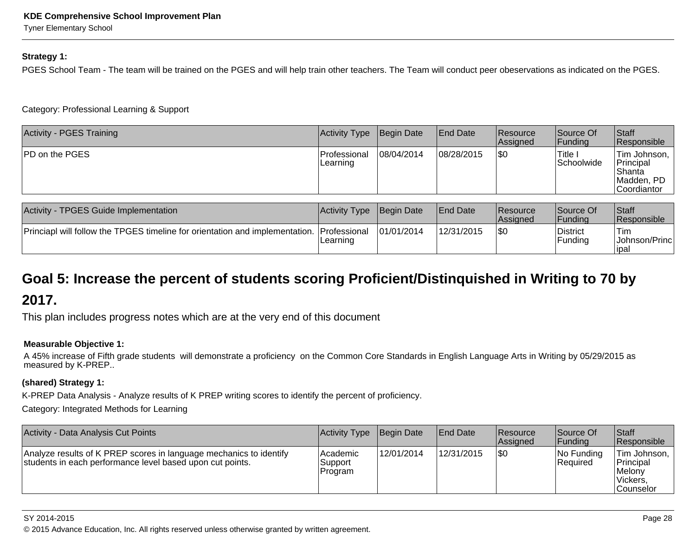Tyner Elementary School

#### **Strategy 1:**

PGES School Team - The team will be trained on the PGES and will help train other teachers. The Team will conduct peer obeservations as indicated on the PGES.

Category: Professional Learning & Support

| Activity - PGES Training | Activity Type                   | Begin Date | <b>End Date</b> | <b>Resource</b><br><b>Assigned</b> | Source Of<br> Fundina  | Staff<br>Responsible                                                    |
|--------------------------|---------------------------------|------------|-----------------|------------------------------------|------------------------|-------------------------------------------------------------------------|
| <b>PD on the PGES</b>    | <b>Professional</b><br>Learning | 08/04/2014 | 08/28/2015      | \$0                                | 'Title I<br>Schoolwide | Tim Johnson,<br>Principal<br>Shanta<br>Madden, PD<br><b>Coordiantor</b> |

| Activity - TPGES Guide Implementation                                                     | Activity Type Begin Date |             | <b>IEnd Date</b> | <b>Resource</b><br><b>Assigned</b> | Source Of<br> Fundina      | <b>Staff</b><br><b>Responsible</b>     |
|-------------------------------------------------------------------------------------------|--------------------------|-------------|------------------|------------------------------------|----------------------------|----------------------------------------|
| Princiapl will follow the TPGES timeline for orientation and implementation. Professional | Learning                 | 101/01/2014 | 12/31/2015       | 1\$0                               | District<br><b>Fundina</b> | 'Tim<br> Johnson/Princ <br><b>IDal</b> |

## **Goal 5: Increase the percent of students scoring Proficient/Distinquished in Writing to 70 by2017.**

This plan includes progress notes which are at the very end of this document

#### **Measurable Objective 1:**

 A 45% increase of Fifth grade students will demonstrate a proficiency on the Common Core Standards in English Language Arts in Writing by 05/29/2015 asmeasured by K-PREP..

#### **(shared) Strategy 1:**

K-PREP Data Analysis - Analyze results of K PREP writing scores to identify the percent of proficiency.

Category: Integrated Methods for Learning

| Activity - Data Analysis Cut Points                                                                                             | Activity Type                          | Begin Date | <b>End Date</b> | <b>Resource</b><br>Assigned | Source Of<br> Funding         | Staff<br>Responsible                                                        |
|---------------------------------------------------------------------------------------------------------------------------------|----------------------------------------|------------|-----------------|-----------------------------|-------------------------------|-----------------------------------------------------------------------------|
| Analyze results of K PREP scores in language mechanics to identify<br>students in each performance level based upon cut points. | lAcademic<br>Support<br><b>Program</b> | 12/01/2014 | 12/31/2015      | \$0                         | No Funding<br><b>Required</b> | Tim Johnson,<br><b>Principal</b><br>∣Melonv<br>Vickers,<br><b>Counselor</b> |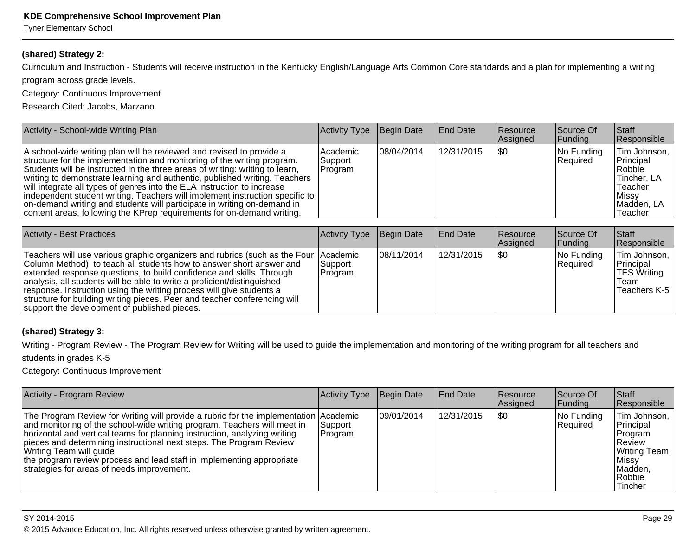Tyner Elementary School

#### **(shared) Strategy 2:**

Curriculum and Instruction - Students will receive instruction in the Kentucky English/Language Arts Common Core standards and a plan for implementing a writing

program across grade levels.

Category: Continuous Improvement

Research Cited: Jacobs, Marzano

| Activity - School-wide Writing Plan                                                                                                                                                                                                                                                                                                                                                                                                                                                                                                                                                                                               | Activity Type                     | Begin Date  | <b>End Date</b> | <b>Resource</b><br><b>Assigned</b> | Source Of<br> Funding  | <b>Staff</b><br>Responsible                                                                         |
|-----------------------------------------------------------------------------------------------------------------------------------------------------------------------------------------------------------------------------------------------------------------------------------------------------------------------------------------------------------------------------------------------------------------------------------------------------------------------------------------------------------------------------------------------------------------------------------------------------------------------------------|-----------------------------------|-------------|-----------------|------------------------------------|------------------------|-----------------------------------------------------------------------------------------------------|
| A school-wide writing plan will be reviewed and revised to provide a<br>structure for the implementation and monitoring of the writing program.<br>Students will be instructed in the three areas of writing: writing to learn,<br>writing to demonstrate learning and authentic, published writing. Teachers<br>will integrate all types of genres into the ELA instruction to increase<br> independent student writing. Teachers will implement instruction specific to   <br>on-demand writing and students will participate in writing on-demand in<br>content areas, following the KPrep requirements for on-demand writing. | lAcademic<br> Support<br> Program | 108/04/2014 | 12/31/2015      | 1\$0                               | No Funding<br>Required | Tim Johnson,<br>Principal<br>Robbie<br>∣Tincher. LA<br>∣Teacher<br>∣Missv<br>Madden, LA<br>∣Teacher |

| <b>Activity - Best Practices</b>                                                                                                                                                                                                                                                                                                                                                                                                                                                                                     | Activity Type        | Begin Date  | <b>End Date</b> | <b>Resource</b><br><b>Assigned</b> | Source Of<br><b>Funding</b> | <b>Staff</b><br>Responsible                                       |
|----------------------------------------------------------------------------------------------------------------------------------------------------------------------------------------------------------------------------------------------------------------------------------------------------------------------------------------------------------------------------------------------------------------------------------------------------------------------------------------------------------------------|----------------------|-------------|-----------------|------------------------------------|-----------------------------|-------------------------------------------------------------------|
| Teachers will use various graphic organizers and rubrics (such as the Four   Academic<br>Column Method) to teach all students how to answer short answer and<br>extended response questions, to build confidence and skills. Through<br>analysis, all students will be able to write a proficient/distinguished<br>response. Instruction using the writing process will give students a<br>structure for building writing pieces. Peer and teacher conferencing will<br>support the development of published pieces. | 'Support<br> Program | 108/11/2014 | 12/31/2015      | \$0                                | No Funding<br>Required      | Tim Johnson,<br>Principal<br>∣TES Writing<br>Team<br>Teachers K-5 |

#### **(shared) Strategy 3:**

Writing - Program Review - The Program Review for Writing will be used to guide the implementation and monitoring of the writing program for all teachers andstudents in grades K-5

Category: Continuous Improvement

| <b>Activity - Program Review</b>                                                                                                                                                                                                                                                                                                                                                                                                                                              | Activity Type        | Begin Date | <b>End Date</b> | Resource<br><b>Assigned</b> | Source Of<br><b>Funding</b> | <b>Staff</b><br>Responsible                                                                                        |
|-------------------------------------------------------------------------------------------------------------------------------------------------------------------------------------------------------------------------------------------------------------------------------------------------------------------------------------------------------------------------------------------------------------------------------------------------------------------------------|----------------------|------------|-----------------|-----------------------------|-----------------------------|--------------------------------------------------------------------------------------------------------------------|
| The Program Review for Writing will provide a rubric for the implementation Academic<br>and monitoring of the school-wide writing program. Teachers will meet in<br>horizontal and vertical teams for planning instruction, analyzing writing<br>pieces and determining instructional next steps. The Program Review<br><b>Writing Team will guide</b><br>the program review process and lead staff in implementing appropriate<br>strategies for areas of needs improvement. | Support <br> Program | 09/01/2014 | 12/31/2015      | 1\$0                        | No Funding<br>Required      | Tim Johnson,  <br>Principal<br>Program<br><b>Review</b><br>Writing Team:<br>Missy <br>Madden,<br>Robbie<br>Tincher |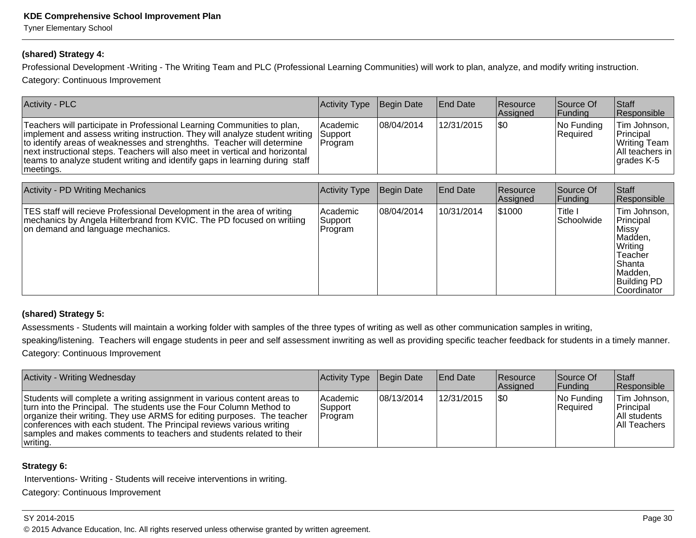Tyner Elementary School

#### **(shared) Strategy 4:**

Professional Development -Writing - The Writing Team and PLC (Professional Learning Communities) will work to plan, analyze, and modify writing instruction.Category: Continuous Improvement

| <b>Activity - PLC</b>                                                                                                                                                                                                                                                                                                                                                                                        | <b>Activity Type</b>           | Begin Date  | <b>End Date</b> | <b>Resource</b><br>Assigned | Source Of<br><b>Funding</b> | Staff<br>Responsible                                                       |
|--------------------------------------------------------------------------------------------------------------------------------------------------------------------------------------------------------------------------------------------------------------------------------------------------------------------------------------------------------------------------------------------------------------|--------------------------------|-------------|-----------------|-----------------------------|-----------------------------|----------------------------------------------------------------------------|
| Teachers will participate in Professional Learning Communities to plan,<br>implement and assess writing instruction. They will analyze student writing<br>to identify areas of weaknesses and strenghths. Teacher will determine<br>next instructional steps. Teachers will also meet in vertical and horizontal<br>teams to analyze student writing and identify gaps in learning during staff<br>meetings. | Academic<br>Support<br>Program | 108/04/2014 | 12/31/2015      | \$0                         | No Funding<br>Required      | Tim Johnson,<br>Principal<br>Writing Team<br>All teachers in<br>grades K-5 |
|                                                                                                                                                                                                                                                                                                                                                                                                              |                                |             |                 |                             |                             |                                                                            |
| <b>Activity - PD Writing Mechanics</b>                                                                                                                                                                                                                                                                                                                                                                       | <b>Activity Type</b>           | Begin Date  | <b>End Date</b> | Resource<br>Assigned        | Source Of<br> Funding       | <b>Staff</b><br>Responsible                                                |
| TES staff will recieve Professional Development in the area of writing<br>mechanics by Angela Hilterbrand from KVIC. The PD focused on writiing<br>on demand and language mechanics.                                                                                                                                                                                                                         | Academic<br>Support<br>Program | 108/04/2014 | 10/31/2014      | 1\$1000                     | Title I<br> Schoolwide      | Tim Johnson,<br>Principal<br>Missy<br>Madden,<br>Writing<br>lTeacher       |

#### **(shared) Strategy 5:**

Assessments - Students will maintain a working folder with samples of the three types of writing as well as other communication samples in writing,

speaking/listening. Teachers will engage students in peer and self assessment inwriting as well as providing specific teacher feedback for students in a timely manner. Category: Continuous Improvement

| <b>Activity - Writing Wednesday</b>                                                                                                                                                                                                                                                                                                                                                   | Activity Type                    | Begin Date | <b>End Date</b> | <b>Resource</b><br>Assigned | Source Of<br> Funding     | Staff<br>Responsible                                         |
|---------------------------------------------------------------------------------------------------------------------------------------------------------------------------------------------------------------------------------------------------------------------------------------------------------------------------------------------------------------------------------------|----------------------------------|------------|-----------------|-----------------------------|---------------------------|--------------------------------------------------------------|
| Students will complete a writing assignment in various content areas to<br>turn into the Principal. The students use the Four Column Method to<br>organize their writing. They use ARMS for editing purposes. The teacher<br>conferences with each student. The Principal reviews various writing<br>samples and makes comments to teachers and students related to their<br>writing. | lAcademic<br>Support<br> Program | 08/13/2014 | 12/31/2015      | 1\$0                        | $ No$ Funding<br>Required | Tim Johnson,  <br>Principal<br>All students<br>IAII Teachers |

#### **Strategy 6:**

Interventions- Writing - Students will receive interventions in writing.

Category: Continuous Improvement

#### SY 2014-2015

© 2015 Advance Education, Inc. All rights reserved unless otherwise granted by written agreement.

 Shanta Madden,Building PD Coordinator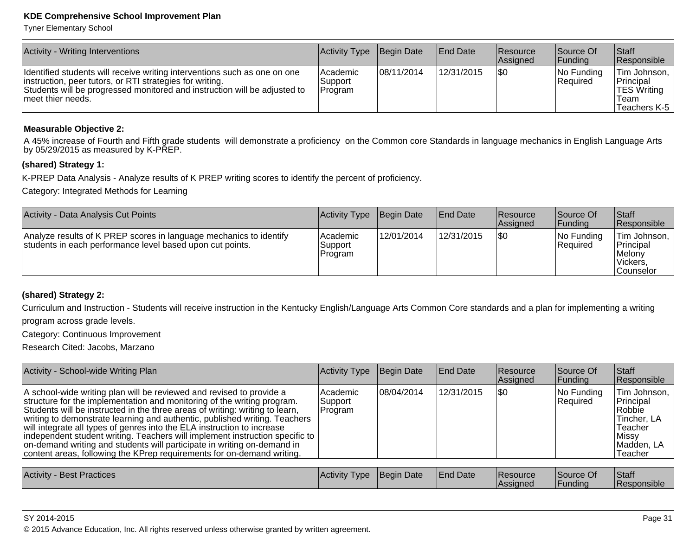Tyner Elementary School

| Activity - Writing Interventions                                                                                                                                                                                                         | Activity Type                     | Begin Date | <b>IEnd Date</b> | <b>Resource</b><br>Assigned | Source Of<br>Funding      | Staff<br>Responsible                                                           |
|------------------------------------------------------------------------------------------------------------------------------------------------------------------------------------------------------------------------------------------|-----------------------------------|------------|------------------|-----------------------------|---------------------------|--------------------------------------------------------------------------------|
| Identified students will receive writing interventions such as one on one<br>instruction, peer tutors, or RTI strategies for writing.<br>Students will be progressed monitored and instruction will be adjusted to<br>Imeet thier needs. | l Academic<br>Support<br> Program | 08/11/2014 | 12/31/2015       | 1\$0                        | $ No$ Funding<br>Required | Tim Johnson,<br><b>Principal</b><br><b>TES Writing</b><br>Team<br>Teachers K-5 |

#### **Measurable Objective 2:**

A 45% increase of Fourth and Fifth grade students will demonstrate a proficiency on the Common core Standards in language mechanics in English Language Arts by 05/29/2015 as measured by K-PREP.

#### **(shared) Strategy 1:**

K-PREP Data Analysis - Analyze results of K PREP writing scores to identify the percent of proficiency.

Category: Integrated Methods for Learning

| Activity - Data Analysis Cut Points                                                                                             | Activity Type                   | Begin Date | <b>IEnd Date</b> | Resource<br><b>Assigned</b> | Source Of<br>IFundina     | <b>Staff</b><br><b>Responsible</b>                                    |
|---------------------------------------------------------------------------------------------------------------------------------|---------------------------------|------------|------------------|-----------------------------|---------------------------|-----------------------------------------------------------------------|
| Analyze results of K PREP scores in language mechanics to identify<br>students in each performance level based upon cut points. | lAcademic<br>Support<br>Program | 12/01/2014 | 12/31/2015       | \$0                         | $ No$ Funding<br>Required | Tim Johnson, I<br>Principal<br>Melony<br>Vickers,<br><b>Counselor</b> |

#### **(shared) Strategy 2:**

Curriculum and Instruction - Students will receive instruction in the Kentucky English/Language Arts Common Core standards and a plan for implementing a writingprogram across grade levels.

Category: Continuous Improvement

Research Cited: Jacobs, Marzano

| Activity - School-wide Writing Plan                                                                                                                                                                                                                                                                                                                                                                                                                                                                                                                                                                                              | Activity Type                  | Begin Date  | <b>End Date</b> | <b>Resource</b><br>Assigned | Source Of<br><b>Funding</b> | Staff<br>Responsible                                                                             |
|----------------------------------------------------------------------------------------------------------------------------------------------------------------------------------------------------------------------------------------------------------------------------------------------------------------------------------------------------------------------------------------------------------------------------------------------------------------------------------------------------------------------------------------------------------------------------------------------------------------------------------|--------------------------------|-------------|-----------------|-----------------------------|-----------------------------|--------------------------------------------------------------------------------------------------|
| A school-wide writing plan will be reviewed and revised to provide a<br>structure for the implementation and monitoring of the writing program.<br>Students will be instructed in the three areas of writing: writing to learn,<br>writing to demonstrate learning and authentic, published writing. Teachers<br>will integrate all types of genres into the ELA instruction to increase<br> independent student writing. Teachers will implement instruction specific to  <br>on-demand writing and students will participate in writing on-demand in<br>content areas, following the KPrep requirements for on-demand writing. | Academic<br>Support<br>Program | 108/04/2014 | 12/31/2015      | \$0                         | No Funding<br>Required      | Tim Johnson,<br>Principal<br>Robbie<br>Tincher, LA<br>Teacher<br>Missy <br>Madden, LA<br>Teacher |
| <b>Activity - Best Practices</b>                                                                                                                                                                                                                                                                                                                                                                                                                                                                                                                                                                                                 | Activity Type                  | Begin Date  | <b>End Date</b> | Resource<br>Assigned        | Source Of<br> Funding       | Staff<br>Responsible                                                                             |

| SY 2014-2015 |  |  |  |  |
|--------------|--|--|--|--|
|--------------|--|--|--|--|

© 2015 Advance Education, Inc. All rights reserved unless otherwise granted by written agreement.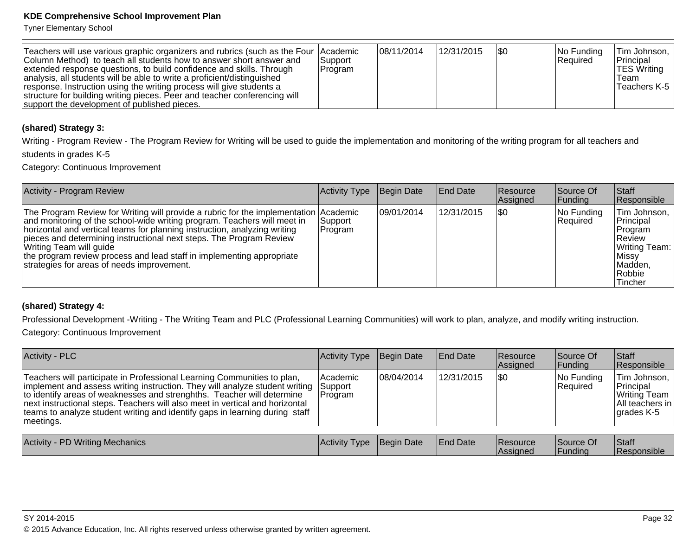Tyner Elementary School

| Teachers will use various graphic organizers and rubrics (such as the Four   Academic<br>Column Method) to teach all students how to answer short answer and<br>extended response questions, to build confidence and skills. Through<br>analysis, all students will be able to write a proficient/distinguished<br>response. Instruction using the writing process will give students a<br>structure for building writing pieces. Peer and teacher conferencing will<br>support the development of published pieces. | <b>Support</b><br>Program | 108/11/2014 | 12/31/2015 | 1\$0 | $ No$ Funding<br>Required | Tim Johnson,<br>Principal<br><b>TES Writing</b><br>Team<br>Teachers K-5 |
|----------------------------------------------------------------------------------------------------------------------------------------------------------------------------------------------------------------------------------------------------------------------------------------------------------------------------------------------------------------------------------------------------------------------------------------------------------------------------------------------------------------------|---------------------------|-------------|------------|------|---------------------------|-------------------------------------------------------------------------|
|----------------------------------------------------------------------------------------------------------------------------------------------------------------------------------------------------------------------------------------------------------------------------------------------------------------------------------------------------------------------------------------------------------------------------------------------------------------------------------------------------------------------|---------------------------|-------------|------------|------|---------------------------|-------------------------------------------------------------------------|

#### **(shared) Strategy 3:**

Writing - Program Review - The Program Review for Writing will be used to guide the implementation and monitoring of the writing program for all teachers andstudents in grades K-5

Category: Continuous Improvement

| <b>Activity - Program Review</b>                                                                                                                                                                                                                                                                                                                                                                                                                                       | <b>Activity Type</b> | Begin Date  | <b>End Date</b> | <b>Resource</b><br>Assigned | Source Of<br><b>Funding</b> | <b>Staff</b><br>Responsible                                                                                |
|------------------------------------------------------------------------------------------------------------------------------------------------------------------------------------------------------------------------------------------------------------------------------------------------------------------------------------------------------------------------------------------------------------------------------------------------------------------------|----------------------|-------------|-----------------|-----------------------------|-----------------------------|------------------------------------------------------------------------------------------------------------|
| The Program Review for Writing will provide a rubric for the implementation Academic<br>and monitoring of the school-wide writing program. Teachers will meet in<br>horizontal and vertical teams for planning instruction, analyzing writing<br>pieces and determining instructional next steps. The Program Review<br>Writing Team will guide<br>the program review process and lead staff in implementing appropriate<br>strategies for areas of needs improvement. | Support<br>Program   | 109/01/2014 | 12/31/2015      | \$0                         | No Funding<br>Required      | Tim Johnson,<br>Principal<br>Program<br>∣Review<br>Writing Team:<br>Missy <br>Madden,<br>Robbie<br>Tincher |

#### **(shared) Strategy 4:**

Professional Development -Writing - The Writing Team and PLC (Professional Learning Communities) will work to plan, analyze, and modify writing instruction.Category: Continuous Improvement

| Activity - PLC                                                                                                                                                                                                                                                                                                                                                                                               | Activity Type                         | Begin Date  | <b>End Date</b>  | <b>Resource</b><br>Assigned | Source Of<br> Funding  | Staff<br>Responsible                                                        |
|--------------------------------------------------------------------------------------------------------------------------------------------------------------------------------------------------------------------------------------------------------------------------------------------------------------------------------------------------------------------------------------------------------------|---------------------------------------|-------------|------------------|-----------------------------|------------------------|-----------------------------------------------------------------------------|
| Teachers will participate in Professional Learning Communities to plan,<br>implement and assess writing instruction. They will analyze student writing<br>to identify areas of weaknesses and strenghths. Teacher will determine<br>next instructional steps. Teachers will also meet in vertical and horizontal<br>teams to analyze student writing and identify gaps in learning during staff<br>meetings. | Academic<br><b>Support</b><br>Program | 108/04/2014 | 12/31/2015       | 1\$0                        | No Funding<br>Required | Tim Johnson.<br>Principal<br>Writing Team<br>All teachers in<br>∣grades K-5 |
| Activity - PD Writing Mechanics                                                                                                                                                                                                                                                                                                                                                                              | Activity Tyne HRegin Date             |             | <b>IFnd Date</b> | RASOUTCA                    | ISource Of             | $\mathsf{R}$                                                                |

| <b>Activity - PD Writing Mechanics</b> | Activity Type Begin Date |  | <b>End Date</b> | Resource<br><b>Assigned</b> | Source Of<br>Funding | Staff<br>Responsible |
|----------------------------------------|--------------------------|--|-----------------|-----------------------------|----------------------|----------------------|
|----------------------------------------|--------------------------|--|-----------------|-----------------------------|----------------------|----------------------|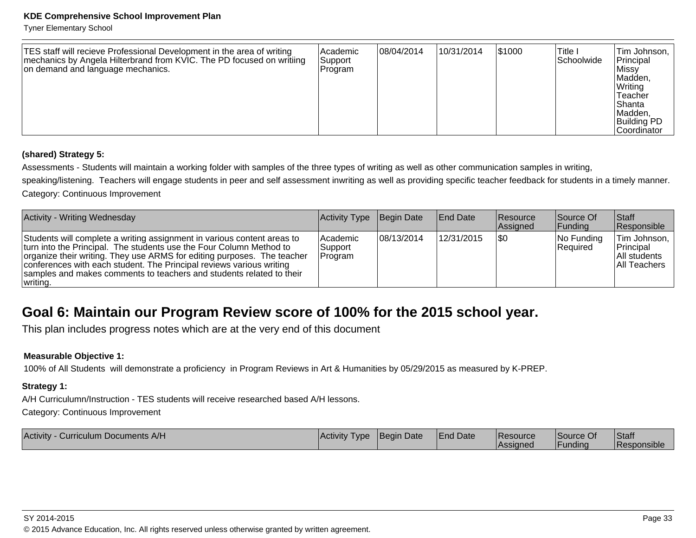Tyner Elementary School

| TES staff will recieve Professional Development in the area of writing<br>mechanics by Angela Hilterbrand from KVIC. The PD focused on writiing<br>on demand and language mechanics. | <b>Academic</b><br>Support<br>Program | 08/04/2014 | 10/31/2014 | 1\$1000 | Title I<br>Schoolwide | Tim Johnson,<br>Principal<br>Missy <br> Madden,<br>Writing<br>Teacher<br>lShanta<br>Madden,<br><b>Building PD</b><br> Coordinator |
|--------------------------------------------------------------------------------------------------------------------------------------------------------------------------------------|---------------------------------------|------------|------------|---------|-----------------------|-----------------------------------------------------------------------------------------------------------------------------------|
|--------------------------------------------------------------------------------------------------------------------------------------------------------------------------------------|---------------------------------------|------------|------------|---------|-----------------------|-----------------------------------------------------------------------------------------------------------------------------------|

#### **(shared) Strategy 5:**

Assessments - Students will maintain a working folder with samples of the three types of writing as well as other communication samples in writing,

speaking/listening. Teachers will engage students in peer and self assessment inwriting as well as providing specific teacher feedback for students in a timely manner.Category: Continuous Improvement

| Activity - Writing Wednesday                                                                                                                                                                                                                                                                                                                                                          | Activity Type                          | Begin Date | <b>End Date</b> | <b>Resource</b><br><b>Assigned</b> | Source Of<br><b>IFunding</b> | <b>Staff</b><br><b>Responsible</b>                        |
|---------------------------------------------------------------------------------------------------------------------------------------------------------------------------------------------------------------------------------------------------------------------------------------------------------------------------------------------------------------------------------------|----------------------------------------|------------|-----------------|------------------------------------|------------------------------|-----------------------------------------------------------|
| Students will complete a writing assignment in various content areas to<br>turn into the Principal. The students use the Four Column Method to<br>organize their writing. They use ARMS for editing purposes. The teacher<br>conferences with each student. The Principal reviews various writing<br>samples and makes comments to teachers and students related to their<br>writing. | <b>Academic</b><br>Support<br> Program | 08/13/2014 | 12/31/2015      | \$0                                | $ No$ Funding<br>Required    | Tim Johnson,<br>Principal<br>All students<br>All Teachers |

# **Goal 6: Maintain our Program Review score of 100% for the 2015 school year.**

This plan includes progress notes which are at the very end of this document

#### **Measurable Objective 1:**

100% of All Students will demonstrate a proficiency in Program Reviews in Art & Humanities by 05/29/2015 as measured by K-PREP.

#### **Strategy 1:**

A/H Curriculumn/Instruction - TES students will receive researched based A/H lessons.

Category: Continuous Improvement

| <b>Activity</b><br>Curriculum Documents A/H | <b>IActivity</b><br><b>I</b> vpe | Begin Date | <b>End Date</b> | Resource        | Source Of | Staff            |
|---------------------------------------------|----------------------------------|------------|-----------------|-----------------|-----------|------------------|
|                                             |                                  |            |                 | <b>Assigned</b> | Funding   | .<br>Responsible |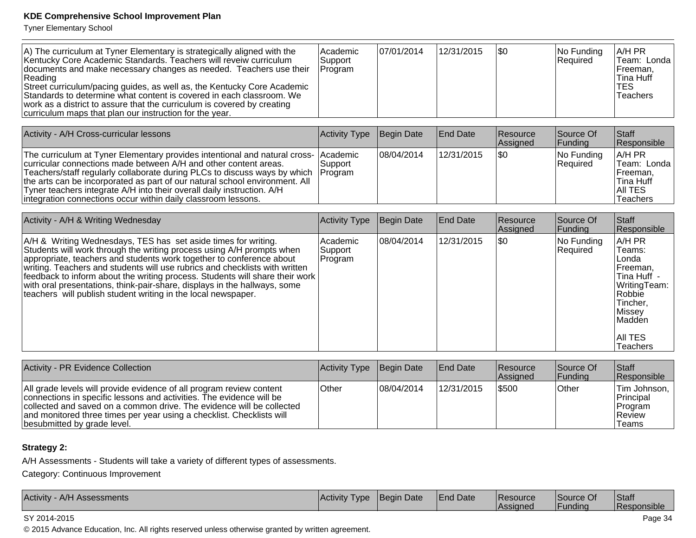Tyner Elementary School

| A) The curriculum at Tyner Elementary is strategically aligned with the<br>Kentucky Core Academic Standards. Teachers will revelw curriculum<br>documents and make necessary changes as needed. Teachers use their<br>Reading<br>Street curriculum/pacing guides, as well as, the Kentucky Core Academic<br>Standards to determine what content is covered in each classroom. We<br>work as a district to assure that the curriculum is covered by creating<br>curriculum maps that plan our instruction for the year.       | Academic<br>Support<br>Program | 07/01/2014 | 12/31/2015      | l\$0                 | No Funding<br>Required | A/H PR<br>Team: Londa<br>Freeman,<br>Tina Huff<br><b>TES</b><br><b>Teachers</b>                                                       |
|------------------------------------------------------------------------------------------------------------------------------------------------------------------------------------------------------------------------------------------------------------------------------------------------------------------------------------------------------------------------------------------------------------------------------------------------------------------------------------------------------------------------------|--------------------------------|------------|-----------------|----------------------|------------------------|---------------------------------------------------------------------------------------------------------------------------------------|
|                                                                                                                                                                                                                                                                                                                                                                                                                                                                                                                              |                                |            |                 |                      |                        |                                                                                                                                       |
| Activity - A/H Cross-curricular lessons                                                                                                                                                                                                                                                                                                                                                                                                                                                                                      | <b>Activity Type</b>           | Begin Date | <b>End Date</b> | Resource<br>Assigned | Source Of<br>Funding   | Staff<br>Responsible                                                                                                                  |
| The curriculum at Tyner Elementary provides intentional and natural cross-<br>curricular connections made between A/H and other content areas.<br>Teachers/staff regularly collaborate during PLCs to discuss ways by which<br>the arts can be incorporated as part of our natural school environment. All<br>Tyner teachers integrate A/H into their overall daily instruction. A/H<br>integration connections occur within daily classroom lessons.                                                                        | Academic<br>Support<br>Program | 08/04/2014 | 12/31/2015      | \$0                  | No Funding<br>Required | A/H PR<br>Team: Londa<br>Freeman,<br><b>Tina Huff</b><br>AII TES<br><b>Teachers</b>                                                   |
| Activity - A/H & Writing Wednesday                                                                                                                                                                                                                                                                                                                                                                                                                                                                                           | <b>Activity Type</b>           | Begin Date | <b>End Date</b> | Resource             | Source Of              | Staff                                                                                                                                 |
|                                                                                                                                                                                                                                                                                                                                                                                                                                                                                                                              |                                |            |                 | Assigned             | Funding                | Responsible                                                                                                                           |
| A/H & Writing Wednesdays, TES has set aside times for writing.<br>Students will work through the writing process using A/H prompts when<br>appropriate, teachers and students work together to conference about<br>writing. Teachers and students will use rubrics and checklists with written<br>feedback to inform about the writing process. Students will share their work<br>with oral presentations, think-pair-share, displays in the hallways, some<br>teachers will publish student writing in the local newspaper. | Academic<br>Support<br>Program | 08/04/2014 | 12/31/2015      | \$0                  | No Funding<br>Required | A/H PR<br>Teams:<br>Londa<br>Freeman,<br>Tina Huff -<br>WritingTeam:<br>Robbie<br>Tincher,<br>Missey<br>Maddén<br>AII TES<br>Teachers |
|                                                                                                                                                                                                                                                                                                                                                                                                                                                                                                                              |                                |            |                 |                      |                        |                                                                                                                                       |
| Activity - PR Evidence Collection                                                                                                                                                                                                                                                                                                                                                                                                                                                                                            | Activity Type                  | Begin Date | <b>End Date</b> | Resource<br>Assigned | Source Of<br>Funding   | <b>Staff</b><br>Responsible                                                                                                           |
| All grade levels will provide evidence of all program review content<br>connections in specific lessons and activities. The evidence will be<br>collected and saved on a common drive. The evidence will be collected<br>and monitored three times per year using a checklist. Checklists will<br>besubmitted by grade level.                                                                                                                                                                                                | Other                          | 08/04/2014 | 12/31/2015      | \$500                | Other                  | Tim Johnson,<br>Principal<br>Program<br>Review<br>Teams                                                                               |

## **Strategy 2:**

A/H Assessments - Students will take a variety of different types of assessments.

Category: Continuous Improvement

| Activity - A/H Assessments | <b>Activity Type</b> | <b>Begin Date</b> | <b>End Date</b> | <b>Resource</b><br>Assigned | Source Of<br>Funding | Staff<br><b>Responsible</b> |
|----------------------------|----------------------|-------------------|-----------------|-----------------------------|----------------------|-----------------------------|
|----------------------------|----------------------|-------------------|-----------------|-----------------------------|----------------------|-----------------------------|

#### SY 2014-2015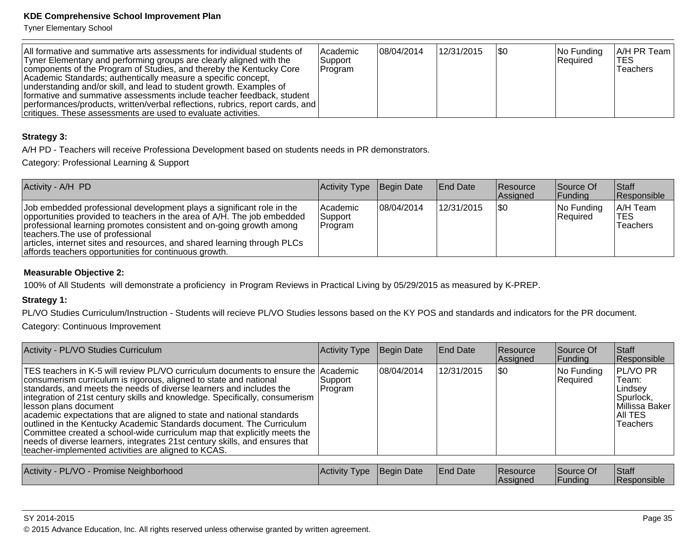Tyner Elementary School

| All formative and summative arts assessments for individual students of<br>Tyner Elementary and performing groups are clearly aligned with the<br>components of the Program of Studies, and thereby the Kentucky Core<br>Academic Standards; authentically measure a specific concept,<br>understanding and/or skill, and lead to student growth. Examples of<br>formative and summative assessments include teacher feedback, student<br> performances/products, written/verbal reflections, rubrics, report cards, and | lAcademic<br>Support<br>Program | 108/04/2014 | 12/31/2015 | 1\$0 | $ No$ Funding<br>Required | $ A/H$ PR Team $ $<br><b>ITES</b><br>Teachers |
|--------------------------------------------------------------------------------------------------------------------------------------------------------------------------------------------------------------------------------------------------------------------------------------------------------------------------------------------------------------------------------------------------------------------------------------------------------------------------------------------------------------------------|---------------------------------|-------------|------------|------|---------------------------|-----------------------------------------------|
| critiques. These assessments are used to evaluate activities.                                                                                                                                                                                                                                                                                                                                                                                                                                                            |                                 |             |            |      |                           |                                               |

#### **Strategy 3:**

A/H PD - Teachers will receive Professiona Development based on students needs in PR demonstrators.

Category: Professional Learning & Support

| Activity - A/H PD                                                                                                                                                                                                                                                                                                                                                                                  | Activity Type                            | Begin Date  | <b>End Date</b> | <b>Resource</b><br><b>Assigned</b> | Source Of<br> Funding  | <b>Staff</b><br>Responsible        |
|----------------------------------------------------------------------------------------------------------------------------------------------------------------------------------------------------------------------------------------------------------------------------------------------------------------------------------------------------------------------------------------------------|------------------------------------------|-------------|-----------------|------------------------------------|------------------------|------------------------------------|
| Job embedded professional development plays a significant role in the<br>opportunities provided to teachers in the area of A/H. The job embedded<br>professional learning promotes consistent and on-going growth among<br>Iteachers. The use of professional<br>articles, internet sites and resources, and shared learning through PLCs<br>affords teachers opportunities for continuous growth. | <b>Academic</b><br> Support_<br> Program | 108/04/2014 | 12/31/2015      | \$0                                | No Funding<br>Required | A/H Team<br><b>TES</b><br>Teachers |

#### **Measurable Objective 2:**

100% of All Students will demonstrate a proficiency in Program Reviews in Practical Living by 05/29/2015 as measured by K-PREP.

#### **Strategy 1:**

PL/VO Studies Curriculum/Instruction - Students will recieve PL/VO Studies lessons based on the KY POS and standards and indicators for the PR document.

Category: Continuous Improvement

| Activity - PL/VO Studies Curriculum                                                                                                                                                                                                                                                                                                                                                                                                                                                                                                                                                                                                                                                                       | <b>Activity Type</b> | Begin Date  | <b>End Date</b> | Resource<br>Assigned        | Source Of<br>Funding   | <b>Staff</b><br>Responsible                                                                 |
|-----------------------------------------------------------------------------------------------------------------------------------------------------------------------------------------------------------------------------------------------------------------------------------------------------------------------------------------------------------------------------------------------------------------------------------------------------------------------------------------------------------------------------------------------------------------------------------------------------------------------------------------------------------------------------------------------------------|----------------------|-------------|-----------------|-----------------------------|------------------------|---------------------------------------------------------------------------------------------|
| TES teachers in K-5 will review PL/VO curriculum documents to ensure the Academic<br>consumerism curriculum is rigorous, aligned to state and national<br>standards, and meets the needs of diverse learners and includes the<br>integration of 21st century skills and knowledge. Specifically, consumerism<br>lesson plans document<br>academic expectations that are aligned to state and national standards<br>outlined in the Kentucky Academic Standards document. The Curriculum<br>Committee created a school-wide curriculum map that explicitly meets the<br>needs of diverse learners, integrates 21st century skills, and ensures that<br>teacher-implemented activities are aligned to KCAS. | Support<br> Program  | 108/04/2014 | 12/31/2015      | 1\$0                        | No Funding<br>Required | PL/VO PR<br>Team:<br>Lindsev<br> Spurlock,<br>Millissa Baker<br>IAII TES<br><b>Teachers</b> |
| Activity - PL/VO - Promise Neighborhood                                                                                                                                                                                                                                                                                                                                                                                                                                                                                                                                                                                                                                                                   | <b>Activity Type</b> | Begin Date  | <b>End Date</b> | <b>Resource</b><br>Assigned | Source Of<br>Funding   | <b>Staff</b><br>Responsible                                                                 |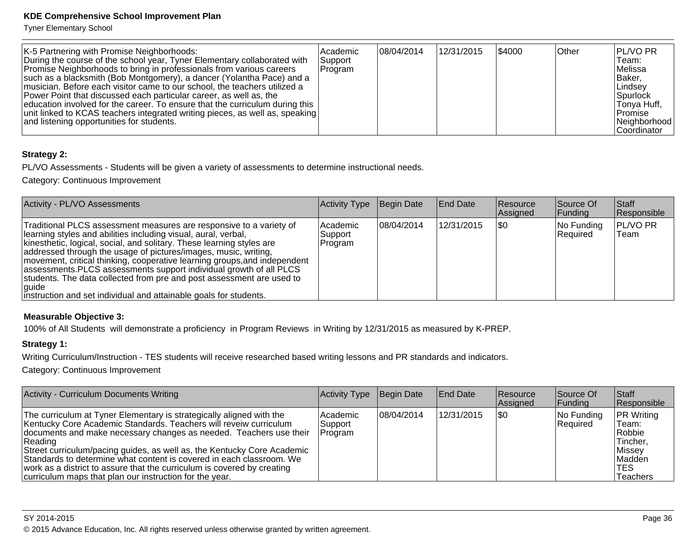Tyner Elementary School

| K-5 Partnering with Promise Neighborhoods:<br>During the course of the school year, Tyner Elementary collaborated with<br>Promise Neighborhoods to bring in professionals from various careers<br>such as a blacksmith (Bob Montgomery), a dancer (Yolantha Pace) and a<br>musician. Before each visitor came to our school, the teachers utilized a<br>Power Point that discussed each particular career, as well as, the<br>education involved for the career. To ensure that the curriculum during this<br>unit linked to KCAS teachers integrated writing pieces, as well as, speaking<br>and listening opportunities for students. | Academic<br>Support<br>Program | 08/04/2014 | 12/31/2015 | 1\$4000 | ∣Other | <b>PL/VO PR</b><br>Team:<br>lMelissa<br> Baker,<br>∣Lindsev<br> Spurlock <br> Tonya Huff,<br>∣Promise i<br>Neighborhood |
|-----------------------------------------------------------------------------------------------------------------------------------------------------------------------------------------------------------------------------------------------------------------------------------------------------------------------------------------------------------------------------------------------------------------------------------------------------------------------------------------------------------------------------------------------------------------------------------------------------------------------------------------|--------------------------------|------------|------------|---------|--------|-------------------------------------------------------------------------------------------------------------------------|
|                                                                                                                                                                                                                                                                                                                                                                                                                                                                                                                                                                                                                                         |                                |            |            |         |        | lCoordinator                                                                                                            |

## **Strategy 2:**

PL/VO Assessments - Students will be given a variety of assessments to determine instructional needs.

Category: Continuous Improvement

| Activity - PL/VO Assessments                                                                                                                                                                                                                                                                                                                                                                                                                                                                                                                                                                 | Activity Type                   | Begin Date  | <b>End Date</b> | Resource<br>Assigned | Source Of<br> Funding  | Staff<br>Responsible      |
|----------------------------------------------------------------------------------------------------------------------------------------------------------------------------------------------------------------------------------------------------------------------------------------------------------------------------------------------------------------------------------------------------------------------------------------------------------------------------------------------------------------------------------------------------------------------------------------------|---------------------------------|-------------|-----------------|----------------------|------------------------|---------------------------|
| Traditional PLCS assessment measures are responsive to a variety of<br>learning styles and abilities including visual, aural, verbal,<br>kinesthetic, logical, social, and solitary. These learning styles are<br>addressed through the usage of pictures/images, music, writing,<br>movement, critical thinking, cooperative learning groups, and independent<br>assessments. PLCS assessments support individual growth of all PLCS<br>students. The data collected from pre and post assessment are used to<br>guide<br>instruction and set individual and attainable goals for students. | lAcademic<br>Support<br>Program | 108/04/2014 | 12/31/2015      | \$0                  | No Funding<br>Required | <b>PL/VO PR</b><br>lTeam. |

#### **Measurable Objective 3:**

100% of All Students will demonstrate a proficiency in Program Reviews in Writing by 12/31/2015 as measured by K-PREP.

#### **Strategy 1:**

Writing Curriculum/Instruction - TES students will receive researched based writing lessons and PR standards and indicators.

Category: Continuous Improvement

| <b>Activity - Curriculum Documents Writing</b>                                                                                                                                                                                                                                                                                                                                                                                                                                                                      | Activity Type                    | Begin Date | <b>End Date</b> | <b>Resource</b><br>Assigned | Source Of<br> Funding  | <b>Staff</b><br>Responsible                                                              |
|---------------------------------------------------------------------------------------------------------------------------------------------------------------------------------------------------------------------------------------------------------------------------------------------------------------------------------------------------------------------------------------------------------------------------------------------------------------------------------------------------------------------|----------------------------------|------------|-----------------|-----------------------------|------------------------|------------------------------------------------------------------------------------------|
| The curriculum at Tyner Elementary is strategically aligned with the<br>Kentucky Core Academic Standards. Teachers will reveiw curriculum<br>documents and make necessary changes as needed. Teachers use their<br>Reading<br>Street curriculum/pacing guides, as well as, the Kentucky Core Academic<br>Standards to determine what content is covered in each classroom. We<br>work as a district to assure that the curriculum is covered by creating<br>curriculum maps that plan our instruction for the year. | l Academic<br>Support<br>Program | 08/04/2014 | 12/31/2015      | 1\$0                        | No Funding<br>Required | <b>PR Writing</b><br>Team:<br>Robbie<br>Tincher,<br>Missey<br>Madden<br>TES.<br>Teachers |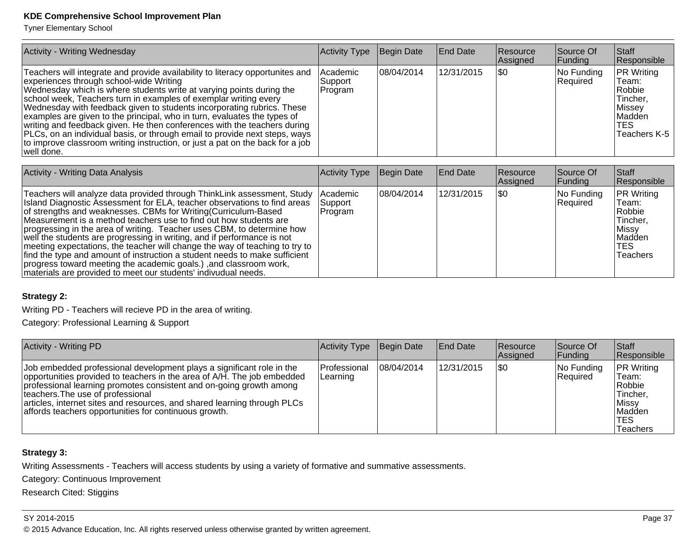Tyner Elementary School

| <b>Activity - Writing Wednesday</b>                                                                                                                                                                                                                                                                                                                                                                                                                                                                                                                                                                                                                                                  | Activity Type                  | Begin Date  | <b>End Date</b> | Resource<br>Assigned | Source Of<br> Funding  | Staff<br>Responsible                                                                                        |
|--------------------------------------------------------------------------------------------------------------------------------------------------------------------------------------------------------------------------------------------------------------------------------------------------------------------------------------------------------------------------------------------------------------------------------------------------------------------------------------------------------------------------------------------------------------------------------------------------------------------------------------------------------------------------------------|--------------------------------|-------------|-----------------|----------------------|------------------------|-------------------------------------------------------------------------------------------------------------|
| Teachers will integrate and provide availability to literacy opportunites and<br>experiences through school-wide Writing<br>Wednesday which is where students write at varying points during the<br>school week, Teachers turn in examples of exemplar writing every<br>Wednesday with feedback given to students incorporating rubrics. These<br>examples are given to the principal, who in turn, evaluates the types of<br>writing and feedback given. He then conferences with the teachers during<br>PLCs, on an individual basis, or through email to provide next steps, ways<br>to improve classroom writing instruction, or just a pat on the back for a job<br> well done. | Academic<br>Support<br>Program | 108/04/2014 | 12/31/2015      | ISO                  | No Funding<br>Required | <b>PR Writing</b><br>Team:<br>Robbie<br>Tincher,<br>Missey <br><b>IMadden</b><br><b>TES</b><br>Teachers K-5 |

| <b>Activity - Writing Data Analysis</b>                                                                                                                                                                                                                                                                                                                                                                                                                                                                                                                                                                                                                                                                                                                        | Activity Type      | Begin Date | <b>End Date</b> | Resource<br>Assigned | Source Of<br> Funding  | <b>Staff</b><br>Responsible                                                                     |
|----------------------------------------------------------------------------------------------------------------------------------------------------------------------------------------------------------------------------------------------------------------------------------------------------------------------------------------------------------------------------------------------------------------------------------------------------------------------------------------------------------------------------------------------------------------------------------------------------------------------------------------------------------------------------------------------------------------------------------------------------------------|--------------------|------------|-----------------|----------------------|------------------------|-------------------------------------------------------------------------------------------------|
| Teachers will analyze data provided through ThinkLink assessment, Study  Academic<br>Island Diagnostic Assessment for ELA, teacher observations to find areas<br>of strengths and weaknesses. CBMs for Writing (Curriculum-Based<br>Measurement is a method teachers use to find out how students are<br>progressing in the area of writing. Teacher uses CBM, to determine how<br>well the students are progressing in writing, and if performance is not<br>meeting expectations, the teacher will change the way of teaching to try to<br>find the type and amount of instruction a student needs to make sufficient<br>progress toward meeting the academic goals.), and classroom work,<br>materials are provided to meet our students' indivudual needs. | Support<br>Program | 08/04/2014 | 12/31/2015      | 1\$0                 | No Funding<br>Required | <b>PR Writing</b><br>Team:<br>Robbie<br>Tincher,<br>Missy <br>Madden<br>TES.<br><b>Teachers</b> |

#### **Strategy 2:**

Writing PD - Teachers will recieve PD in the area of writing.

Category: Professional Learning & Support

| Activity - Writing PD                                                                                                                                                                                                                                                                                                                                                                              | Activity Type            | Begin Date | <b>End Date</b> | Resource<br>Assigned | Source Of<br>Funding   | <b>Staff</b><br>Responsible                                                                    |
|----------------------------------------------------------------------------------------------------------------------------------------------------------------------------------------------------------------------------------------------------------------------------------------------------------------------------------------------------------------------------------------------------|--------------------------|------------|-----------------|----------------------|------------------------|------------------------------------------------------------------------------------------------|
| Job embedded professional development plays a significant role in the<br>opportunities provided to teachers in the area of A/H. The job embedded<br>professional learning promotes consistent and on-going growth among<br>Iteachers. The use of professional<br>articles, internet sites and resources, and shared learning through PLCs<br>affords teachers opportunities for continuous growth. | Professional<br>Learning | 08/04/2014 | 12/31/2015      | \$0                  | No Funding<br>Required | <b>PR Writing</b><br>Team:<br>Robbie<br>Tincher,<br>Missy <br>Madden<br><b>TES</b><br>Teachers |

### **Strategy 3:**

Writing Assessments - Teachers will access students by using a variety of formative and summative assessments.

Category: Continuous Improvement

Research Cited: Stiggins

#### SY 2014-2015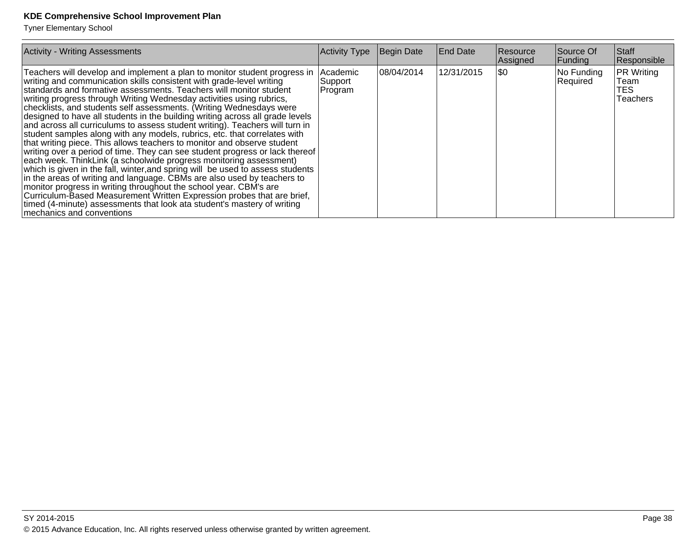| <b>Activity - Writing Assessments</b>                                                                                                                                                                                                                                                                                                                                                                                                                                                                                                                                                                                                                                                                                                                                                                                                                                                                                                                                                                                                                                                                                                                                                                                                                                      | <b>Activity Type</b>           | Begin Date | <b>End Date</b> | <b>Resource</b><br>Assigned | Source Of<br>Funding   | Staff<br>Responsible                                 |
|----------------------------------------------------------------------------------------------------------------------------------------------------------------------------------------------------------------------------------------------------------------------------------------------------------------------------------------------------------------------------------------------------------------------------------------------------------------------------------------------------------------------------------------------------------------------------------------------------------------------------------------------------------------------------------------------------------------------------------------------------------------------------------------------------------------------------------------------------------------------------------------------------------------------------------------------------------------------------------------------------------------------------------------------------------------------------------------------------------------------------------------------------------------------------------------------------------------------------------------------------------------------------|--------------------------------|------------|-----------------|-----------------------------|------------------------|------------------------------------------------------|
| Teachers will develop and implement a plan to monitor student progress in<br>writing and communication skills consistent with grade-level writing<br>standards and formative assessments. Teachers will monitor student<br>writing progress through Writing Wednesday activities using rubrics,<br>checklists, and students self assessments. (Writing Wednesdays were<br>designed to have all students in the building writing across all grade levels<br>and across all curriculums to assess student writing). Teachers will turn in<br>student samples along with any models, rubrics, etc. that correlates with<br>that writing piece. This allows teachers to monitor and observe student<br>writing over a period of time. They can see student progress or lack thereof<br>each week. ThinkLink (a schoolwide progress monitoring assessment)<br>which is given in the fall, winter, and spring will be used to assess students<br>in the areas of writing and language. CBMs are also used by teachers to<br>monitor progress in writing throughout the school year. CBM's are<br>Curriculum-Based Measurement Written Expression probes that are brief,<br>timed (4-minute) assessments that look ata student's mastery of writing<br>Imechanics and conventions | Academic<br>Support<br>Program | 08/04/2014 | 12/31/2015      | 1\$0                        | No Funding<br>Required | <b>PR Writing</b><br>Team<br>TES.<br><b>Teachers</b> |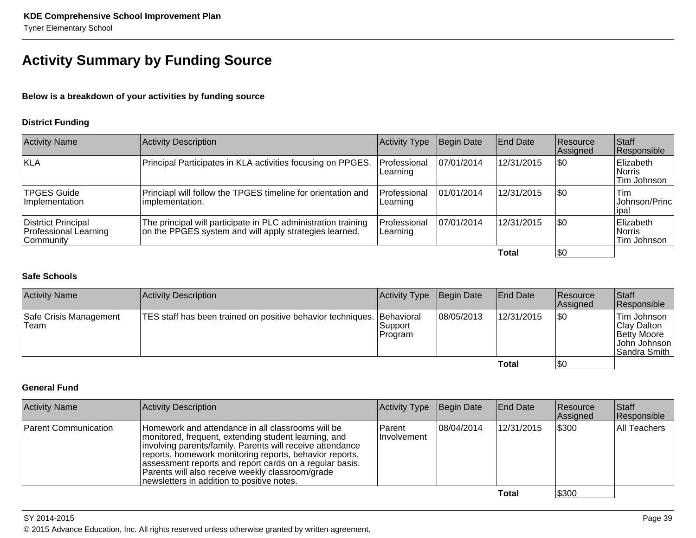# **Activity Summary by Funding Source**

**Below is a breakdown of your activities by funding source**

#### **District Funding**

| <b>Activity Name</b>                                       | Activity Description                                                                                                    | <b>Activity Type</b>             | Begin Date  | <b>End Date</b> | Resource<br>Assigned | <b>Staff</b><br>Responsible         |
|------------------------------------------------------------|-------------------------------------------------------------------------------------------------------------------------|----------------------------------|-------------|-----------------|----------------------|-------------------------------------|
| KLA                                                        | Principal Participates in KLA activities focusing on PPGES.                                                             | <b>IProfessional</b><br>Learning | 107/01/2014 | 12/31/2015      | \$0                  | Elizabeth<br>Norris<br>Tim Johnson  |
| TPGES Guide<br>Ilmplementation                             | Princiapl will follow the TPGES timeline for orientation and<br>limplementation.                                        | <b>Professional</b><br>Learning  | 101/01/2014 | 12/31/2015      | \$0                  | Tim<br>Johnson/Princ<br>lipal       |
| Distrtict Principal<br>Professional Learning<br> Community | The principal will participate in PLC administration training<br>on the PPGES system and will apply strategies learned. | Professional<br>Learning         | 107/01/2014 | 12/31/2015      | \$0                  | Elizabeth<br>∣Norris<br>Tim Johnson |
|                                                            |                                                                                                                         |                                  |             | Total           | \$0                  |                                     |

### **Safe Schools**

| <b>Activity Name</b>           | Activity Description                                                   | Activity Type      | Begin Date | <b>End Date</b> | Resource<br>Assigned | Staff<br>Responsible                                                         |
|--------------------------------|------------------------------------------------------------------------|--------------------|------------|-----------------|----------------------|------------------------------------------------------------------------------|
| Safe Crisis Management<br>Team | TES staff has been trained on positive behavior techniques. Behavioral | Support<br>Program | 08/05/2013 | 12/31/2015      | \$0                  | Tim Johnson<br>Clay Dalton<br>Betty Moore<br> John Johnson  <br>Sandra Smith |
|                                |                                                                        |                    |            | Total           | <b>\$0</b>           |                                                                              |

## **General Fund**

| <b>Activity Name</b> | Activity Description                                                                                                                                                                                                                                                                                                                                                                           | Activity Type                 | Begin Date  | End Date   | <b>Resource</b><br>Assigned | <b>Staff</b><br>Responsible |
|----------------------|------------------------------------------------------------------------------------------------------------------------------------------------------------------------------------------------------------------------------------------------------------------------------------------------------------------------------------------------------------------------------------------------|-------------------------------|-------------|------------|-----------------------------|-----------------------------|
| Parent Communication | Homework and attendance in all classrooms will be<br>monitored, frequent, extending student learning, and<br>involving parents/family. Parents will receive attendance<br>reports, homework monitoring reports, behavior reports,<br>assessment reports and report cards on a regular basis.<br>Parents will also receive weekly classroom/grade<br>newsletters in addition to positive notes. | <b>Parent</b><br>IInvolvement | 108/04/2014 | 12/31/2015 | \$300                       | All Teachers                |
|                      |                                                                                                                                                                                                                                                                                                                                                                                                |                               |             | Total      | \$300                       |                             |

SY 2014-2015Page 39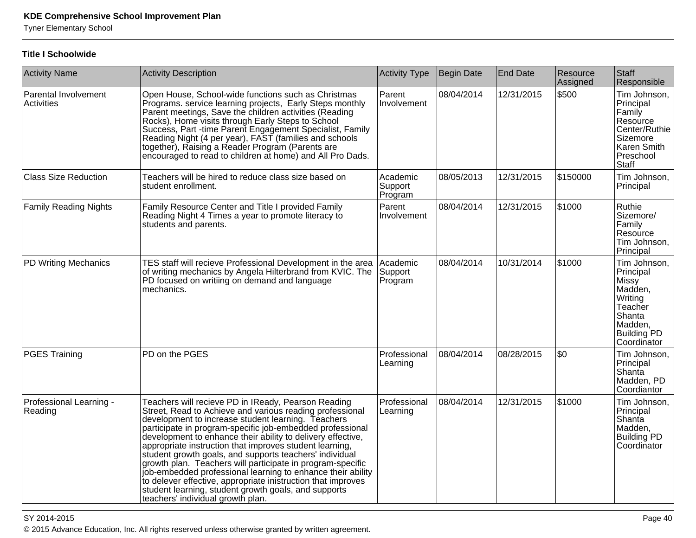Tyner Elementary School

#### **Title I Schoolwide**

| <b>Activity Name</b>               | <b>Activity Description</b>                                                                                                                                                                                                                                                                                                                                                                                                                                                                                                                                                                                                                                                                                       | Activity Type                  | <b>Begin Date</b> | <b>End Date</b> | Resource<br>Assigned | Staff<br>Responsible                                                                                                     |
|------------------------------------|-------------------------------------------------------------------------------------------------------------------------------------------------------------------------------------------------------------------------------------------------------------------------------------------------------------------------------------------------------------------------------------------------------------------------------------------------------------------------------------------------------------------------------------------------------------------------------------------------------------------------------------------------------------------------------------------------------------------|--------------------------------|-------------------|-----------------|----------------------|--------------------------------------------------------------------------------------------------------------------------|
| Parental Involvement<br>Activities | Open House, School-wide functions such as Christmas<br>Programs. service learning projects, Early Steps monthly<br>Parent meetings, Save the children activities (Reading<br>Rocks), Home visits through Early Steps to School<br>Success, Part -time Parent Engagement Specialist, Family<br>Reading Night (4 per year), FAST (families and schools<br>together), Raising a Reader Program (Parents are<br>encouraged to read to children at home) and All Pro Dads.                                                                                                                                                                                                                                             | Parent<br>Involvement          | 08/04/2014        | 12/31/2015      | \$500                | Tim Johnson,<br>Principal<br>Family<br>Resource<br>Center/Ruthie<br>Sizemore<br>Karen Smith<br>Preschool<br><b>Staff</b> |
| <b>Class Size Reduction</b>        | Teachers will be hired to reduce class size based on<br>student enrollment.                                                                                                                                                                                                                                                                                                                                                                                                                                                                                                                                                                                                                                       | Academic<br>Support<br>Program | 08/05/2013        | 12/31/2015      | \$150000             | Tim Johnson,<br>Principal                                                                                                |
| <b>Family Reading Nights</b>       | Family Resource Center and Title I provided Family<br>Reading Night 4 Times a year to promote literacy to<br>students and parents.                                                                                                                                                                                                                                                                                                                                                                                                                                                                                                                                                                                | Parent<br>Involvement          | 08/04/2014        | 12/31/2015      | \$1000               | Ruthie<br>Sizemore/<br>Family<br>Resource<br>Tim Johnson,<br>Principal                                                   |
| PD Writing Mechanics               | TES staff will recieve Professional Development in the area<br>of writing mechanics by Angela Hilterbrand from KVIC. The<br>PD focused on writiing on demand and language<br>mechanics.                                                                                                                                                                                                                                                                                                                                                                                                                                                                                                                           | Academic<br>Support<br>Program | 08/04/2014        | 10/31/2014      | \$1000               | Tim Johnson,<br>Principal<br>Missy<br>Madden,<br>Writing<br>Teacher<br>Shanta<br>Madden,<br>Building PD<br>Coordinator   |
| <b>PGES Training</b>               | PD on the PGES                                                                                                                                                                                                                                                                                                                                                                                                                                                                                                                                                                                                                                                                                                    | Professional<br>Learning       | 08/04/2014        | 08/28/2015      | \$0                  | Tim Johnson,<br>Principal<br>Shanta<br>Madden, PD<br>Coordiantor                                                         |
| Professional Learning -<br>Reading | Teachers will recieve PD in IReady, Pearson Reading<br>Street, Read to Achieve and various reading professional<br>development to increase student learning. Teachers<br>participate in program-specific job-embedded professional<br>development to enhance their ability to delivery effective,<br>appropriate instruction that improves student learning,<br>student growth goals, and supports teachers' individual<br>growth plan. Teachers will participate in program-specific<br>job-embedded professional learning to enhance their ability<br>to delever effective, appropriate inistruction that improves<br>student learning, student growth goals, and supports<br>teachers' individual growth plan. | Professional<br>Learning       | 08/04/2014        | 12/31/2015      | \$1000               | Tim Johnson,<br>Principal<br>Shanta<br>Madden,<br><b>Building PD</b><br>Coordinator                                      |

SY 2014-2015

en and the set of the set of the set of the set of the set of the set of the set of the set of the set of the set of the set of the set of the set of the set of the set of the set of the set of the set of the set of the se © 2015 Advance Education, Inc. All rights reserved unless otherwise granted by written agreement.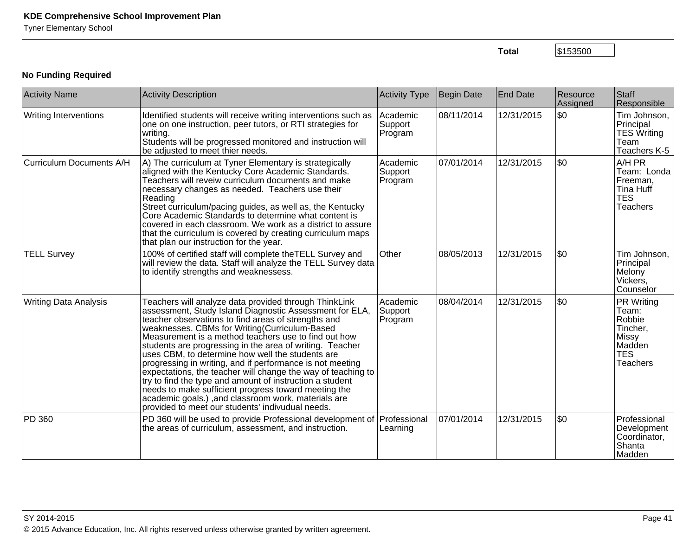**Total**

\$153500

# **No Funding Required**

| <b>Activity Name</b>         | <b>Activity Description</b>                                                                                                                                                                                                                                                                                                                                                                                                                                                                                                                                                                                                                                                                                                                                  | Activity Type                  | <b>Begin Date</b> | <b>End Date</b> | Resource<br>Assigned | Staff<br>Responsible                                                                                 |
|------------------------------|--------------------------------------------------------------------------------------------------------------------------------------------------------------------------------------------------------------------------------------------------------------------------------------------------------------------------------------------------------------------------------------------------------------------------------------------------------------------------------------------------------------------------------------------------------------------------------------------------------------------------------------------------------------------------------------------------------------------------------------------------------------|--------------------------------|-------------------|-----------------|----------------------|------------------------------------------------------------------------------------------------------|
| <b>Writing Interventions</b> | Identified students will receive writing interventions such as<br>one on one instruction, peer tutors, or RTI strategies for<br>writing.<br>Students will be progressed monitored and instruction will<br>be adjusted to meet thier needs.                                                                                                                                                                                                                                                                                                                                                                                                                                                                                                                   | Academic<br>Support<br>Program | 08/11/2014        | 12/31/2015      | l\$0                 | Tim Johnson,<br>Principal<br><b>TES Writing</b><br>Team<br>Teachers K-5                              |
| Curriculum Documents A/H     | A) The curriculum at Tyner Elementary is strategically<br>aligned with the Kentucky Core Academic Standards.<br>Teachers will reveiw curriculum documents and make<br>necessary changes as needed. Teachers use their<br>Reading<br>Street curriculum/pacing guides, as well as, the Kentucky<br>Core Academic Standards to determine what content is<br>covered in each classroom. We work as a district to assure<br>that the curriculum is covered by creating curriculum maps<br>that plan our instruction for the year.                                                                                                                                                                                                                                 | Academic<br>Support<br>Program | 07/01/2014        | 12/31/2015      | l\$0                 | A/H PR<br>Team: Londa<br>Freeman,<br><b>Tina Huff</b><br><b>TES</b><br><b>Teachers</b>               |
| <b>TELL Survey</b>           | 100% of certified staff will complete the TELL Survey and<br>will review the data. Staff will analyze the TELL Survey data<br>to identify strengths and weaknessess.                                                                                                                                                                                                                                                                                                                                                                                                                                                                                                                                                                                         | Other                          | 08/05/2013        | 12/31/2015      | \$0                  | Tim Johnson,<br>Principal<br>Melony<br>Vickers,<br>Counselor                                         |
| <b>Writing Data Analysis</b> | Teachers will analyze data provided through ThinkLink<br>assessment, Study Island Diagnostic Assessment for ELA,<br>teacher observations to find areas of strengths and<br>weaknesses. CBMs for Writing(Curriculum-Based<br>Measurement is a method teachers use to find out how<br>students are progressing in the area of writing. Teacher<br>uses CBM, to determine how well the students are<br>progressing in writing, and if performance is not meeting<br>expectations, the teacher will change the way of teaching to<br>try to find the type and amount of instruction a student<br>needs to make sufficient progress toward meeting the<br>academic goals.), and classroom work, materials are<br>provided to meet our students' indivudual needs. | Academic<br>Support<br>Program | 08/04/2014        | 12/31/2015      | l\$0                 | <b>PR Writing</b><br>Team:<br>Robbie<br>Tincher,<br>Missy<br>Madden<br><b>TES</b><br><b>Teachers</b> |
| PD 360                       | PD 360 will be used to provide Professional development of Professional<br>the areas of curriculum, assessment, and instruction.                                                                                                                                                                                                                                                                                                                                                                                                                                                                                                                                                                                                                             | Learning                       | 07/01/2014        | 12/31/2015      | \$0                  | Professional<br>Development<br>Coordinator,<br>Shanta<br>Madden                                      |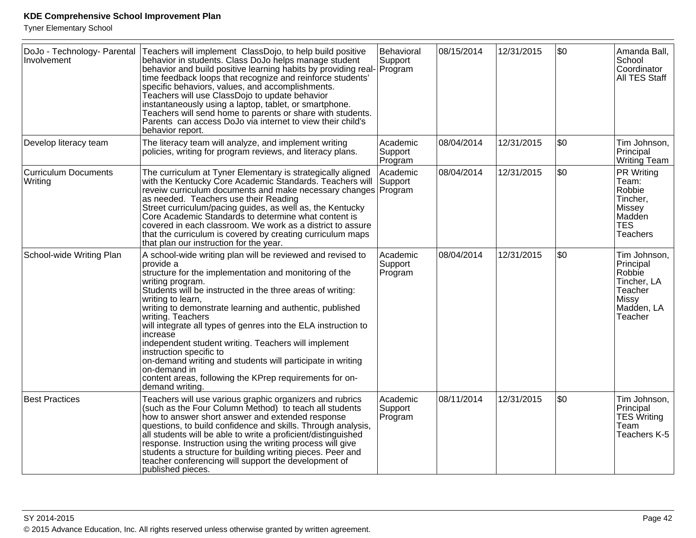| DoJo - Technology- Parental<br>Involvement | Teachers will implement ClassDojo, to help build positive<br>behavior in students. Class DoJo helps manage student<br>behavior and build positive learning habits by providing real-<br>time feedback loops that recognize and reinforce students'<br>specific behaviors, values, and accomplishments.<br>Teachers will use ClassDojo to update behavior<br>instantaneously using a laptop, tablet, or smartphone.<br>Teachers will send home to parents or share with students.<br>Parents can access DoJo via internet to view their child's<br>behavior report.                                                                                     | Behavioral<br>Support<br>Program | 08/15/2014 | 12/31/2015 | \$0 | Amanda Ball,<br>School<br>Coordinator<br>All TES Staff                                          |
|--------------------------------------------|--------------------------------------------------------------------------------------------------------------------------------------------------------------------------------------------------------------------------------------------------------------------------------------------------------------------------------------------------------------------------------------------------------------------------------------------------------------------------------------------------------------------------------------------------------------------------------------------------------------------------------------------------------|----------------------------------|------------|------------|-----|-------------------------------------------------------------------------------------------------|
| Develop literacy team                      | The literacy team will analyze, and implement writing<br>policies, writing for program reviews, and literacy plans.                                                                                                                                                                                                                                                                                                                                                                                                                                                                                                                                    | Academic<br>Support<br>Program   | 08/04/2014 | 12/31/2015 | \$0 | Tim Johnson,<br>Principal<br>Writing Team                                                       |
| <b>Curriculum Documents</b><br>Writing     | The curriculum at Tyner Elementary is strategically aligned<br>with the Kentucky Core Academic Standards. Teachers will<br>reveiw curriculum documents and make necessary changes   Program<br>as needed. Teachers use their Reading<br>Street curriculum/pacing guides, as well as, the Kentucky<br>Core Academic Standards to determine what content is<br>covered in each classroom. We work as a district to assure<br>that the curriculum is covered by creating curriculum maps<br>that plan our instruction for the year.                                                                                                                       | Academic<br>Support              | 08/04/2014 | 12/31/2015 | \$0 | PR Writing<br>Team:<br>Robbie<br>Tincher,<br>Missey<br>Madden<br><b>TES</b><br><b>Teachers</b>  |
| School-wide Writing Plan                   | A school-wide writing plan will be reviewed and revised to<br>provide a<br>structure for the implementation and monitoring of the<br>writing program.<br>Students will be instructed in the three areas of writing:<br>writing to learn,<br>writing to demonstrate learning and authentic, published<br>writing. Teachers<br>will integrate all types of genres into the ELA instruction to<br>increase<br>independent student writing. Teachers will implement<br>instruction specific to<br>on-demand writing and students will participate in writing<br>on-demand in<br>content areas, following the KPrep requirements for on-<br>demand writing. | Academic<br>Support<br>Program   | 08/04/2014 | 12/31/2015 | \$0 | Tim Johnson,<br>Principal<br>Robbie<br>Tincher, LA<br>Teacher<br>Missy<br>Madden, LA<br>Teacher |
| <b>Best Practices</b>                      | Teachers will use various graphic organizers and rubrics<br>(such as the Four Column Method) to teach all students<br>how to answer short answer and extended response<br>questions, to build confidence and skills. Through analysis,<br>all students will be able to write a proficient/distinguished<br>response. Instruction using the writing process will give<br>students a structure for building writing pieces. Peer and<br>teacher conferencing will support the development of<br>published pieces.                                                                                                                                        | Academic<br>Support<br>Program   | 08/11/2014 | 12/31/2015 | \$0 | Tim Johnson,<br>Principal<br><b>TES Writing</b><br>Team<br>Teachers K-5                         |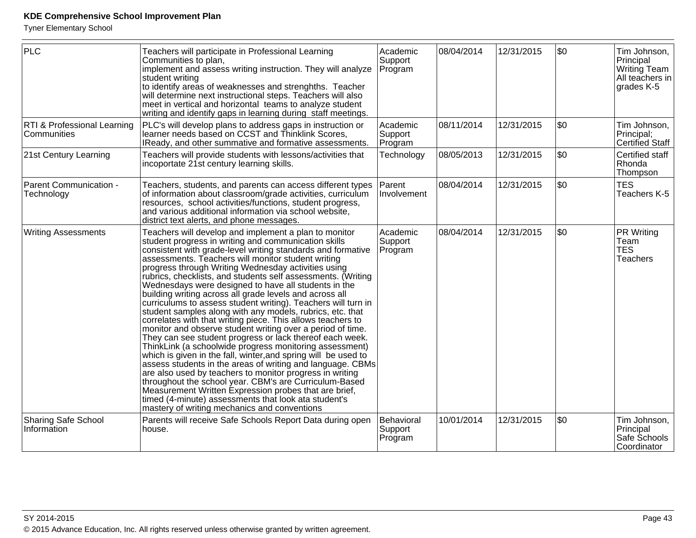| <b>PLC</b>                                 | Teachers will participate in Professional Learning<br>Communities to plan,<br>implement and assess writing instruction. They will analyze<br>student writing<br>to identify areas of weaknesses and strenghths. Teacher<br>will determine next instructional steps. Teachers will also<br>meet in vertical and horizontal teams to analyze student<br>writing and identify gaps in learning during staff meetings.                                                                                                                                                                                                                                                                                                                                                                                                                                                                                                                                                                                                                                                                                                                                                                                                                                                                    | Academic<br>Support<br>Program   | 08/04/2014 | 12/31/2015 | \$0 | Tim Johnson,<br>Principal<br>Writing Team<br>$ $ All teachers in $ $<br>grades K-5 |
|--------------------------------------------|---------------------------------------------------------------------------------------------------------------------------------------------------------------------------------------------------------------------------------------------------------------------------------------------------------------------------------------------------------------------------------------------------------------------------------------------------------------------------------------------------------------------------------------------------------------------------------------------------------------------------------------------------------------------------------------------------------------------------------------------------------------------------------------------------------------------------------------------------------------------------------------------------------------------------------------------------------------------------------------------------------------------------------------------------------------------------------------------------------------------------------------------------------------------------------------------------------------------------------------------------------------------------------------|----------------------------------|------------|------------|-----|------------------------------------------------------------------------------------|
| RTI & Professional Learning<br>Communities | PLC's will develop plans to address gaps in instruction or<br>learner needs based on CCST and Thinklink Scores,<br>IReady, and other summative and formative assessments.                                                                                                                                                                                                                                                                                                                                                                                                                                                                                                                                                                                                                                                                                                                                                                                                                                                                                                                                                                                                                                                                                                             | Academic<br>Support<br>Program   | 08/11/2014 | 12/31/2015 | \$0 | Tim Johnson,<br>Principal;<br><b>Certified Staff</b>                               |
| 21st Century Learning                      | Teachers will provide students with lessons/activities that<br>incoportate 21st century learning skills.                                                                                                                                                                                                                                                                                                                                                                                                                                                                                                                                                                                                                                                                                                                                                                                                                                                                                                                                                                                                                                                                                                                                                                              | Technology                       | 08/05/2013 | 12/31/2015 | \$0 | Certified staff<br>Rhonda<br>Thompson                                              |
| Parent Communication -<br>Technology       | Teachers, students, and parents can access different types<br>of information about classroom/grade activities, curriculum<br>resources, school activities/functions, student progress,<br>and various additional information via school website,<br>district text alerts, and phone messages.                                                                                                                                                                                                                                                                                                                                                                                                                                                                                                                                                                                                                                                                                                                                                                                                                                                                                                                                                                                         | Parent<br>Involvement            | 08/04/2014 | 12/31/2015 | \$0 | <b>TES</b><br>Teachers K-5                                                         |
| <b>Writing Assessments</b>                 | Teachers will develop and implement a plan to monitor<br>student progress in writing and communication skills<br>consistent with grade-level writing standards and formative<br>assessments. Teachers will monitor student writing<br>progress through Writing Wednesday activities using<br>rubrics, checklists, and students self assessments. (Writing<br>Wednesdays were designed to have all students in the<br>building writing across all grade levels and across all<br>curriculums to assess student writing). Teachers will turn in<br>student samples along with any models, rubrics, etc. that<br>correlates with that writing piece. This allows teachers to<br>monitor and observe student writing over a period of time.<br>They can see student progress or lack thereof each week.<br>ThinkLink (a schoolwide progress monitoring assessment)<br>which is given in the fall, winter, and spring will be used to<br>assess students in the areas of writing and language. CBMs<br>are also used by teachers to monitor progress in writing<br>throughout the school year. CBM's are Curriculum-Based<br>Measurement Written Expression probes that are brief,<br>timed (4-minute) assessments that look ata student's<br>mastery of writing mechanics and conventions | Academic<br>Support<br>Program   | 08/04/2014 | 12/31/2015 | \$0 | PR Writing<br>Team<br><b>TES</b><br><b>Teachers</b>                                |
| <b>Sharing Safe School</b><br>Information  | Parents will receive Safe Schools Report Data during open<br>house.                                                                                                                                                                                                                                                                                                                                                                                                                                                                                                                                                                                                                                                                                                                                                                                                                                                                                                                                                                                                                                                                                                                                                                                                                   | Behavioral<br>Support<br>Program | 10/01/2014 | 12/31/2015 | \$0 | Tim Johnson,<br>Principal<br>Safe Schools<br>Coordinator                           |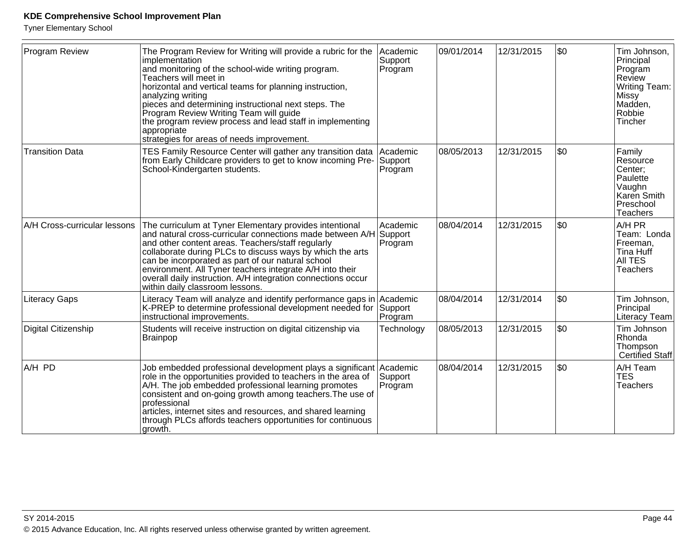| <b>Program Review</b>        | The Program Review for Writing will provide a rubric for the<br>implementation<br>and monitoring of the school-wide writing program.<br>Teachers will meet in<br>horizontal and vertical teams for planning instruction,<br>analyzing writing<br>pieces and determining instructional next steps. The<br>Program Review Writing Team will guide<br>the program review process and lead staff in implementing<br>appropriate<br>strategies for areas of needs improvement. | Academic<br>Support<br>Program | 09/01/2014 | 12/31/2015 | \$0 | Tim Johnson,<br>Principal<br>Program<br>Review<br>Writing Team:<br>Missy<br>Madden,<br>Robbie<br>Tincher |
|------------------------------|---------------------------------------------------------------------------------------------------------------------------------------------------------------------------------------------------------------------------------------------------------------------------------------------------------------------------------------------------------------------------------------------------------------------------------------------------------------------------|--------------------------------|------------|------------|-----|----------------------------------------------------------------------------------------------------------|
| <b>Transition Data</b>       | TES Family Resource Center will gather any transition data<br>from Early Childcare providers to get to know incoming Pre-<br>School-Kindergarten students.                                                                                                                                                                                                                                                                                                                | Academic<br>Support<br>Program | 08/05/2013 | 12/31/2015 | \$0 | Family<br>Resource<br>Center;<br>Paulette<br>Vaughn<br>Karen Smith<br>Preschool<br>Teachers              |
| A/H Cross-curricular lessons | The curriculum at Tyner Elementary provides intentional<br>and natural cross-curricular connections made between A/H Support<br>and other content areas. Teachers/staff regularly<br>collaborate during PLCs to discuss ways by which the arts<br>can be incorporated as part of our natural school<br>environment. All Tyner teachers integrate A/H into their<br>overall daily instruction. A/H integration connections occur<br>within daily classroom lessons.        | Academic<br>Program            | 08/04/2014 | 12/31/2015 | \$0 | A/H PR<br>Team: Londa<br>Freeman,<br>Tina Huff<br>AII TES<br>Teachers                                    |
| <b>Literacy Gaps</b>         | Literacy Team will analyze and identify performance gaps in Academic<br>K-PREP to determine professional development needed for Support<br>instructional improvements.                                                                                                                                                                                                                                                                                                    | Program                        | 08/04/2014 | 12/31/2014 | \$0 | Tim Johnson,<br>Principal<br>Literacy Team                                                               |
| Digital Citizenship          | Students will receive instruction on digital citizenship via<br>Brainpop                                                                                                                                                                                                                                                                                                                                                                                                  | Technology                     | 08/05/2013 | 12/31/2015 | \$0 | Tim Johnson<br><b>Rhonda</b><br>Thompson<br><b>Certified Staff</b>                                       |
| A/H PD                       | Job embedded professional development plays a significant Academic<br>role in the opportunities provided to teachers in the area of<br>A/H. The job embedded professional learning promotes<br>consistent and on-going growth among teachers. The use of<br>professional<br>articles, internet sites and resources, and shared learning<br>through PLCs affords teachers opportunities for continuous<br>growth.                                                          | Support<br>Program             | 08/04/2014 | 12/31/2015 | \$0 | A/H Team<br><b>TES</b><br><b>Teachers</b>                                                                |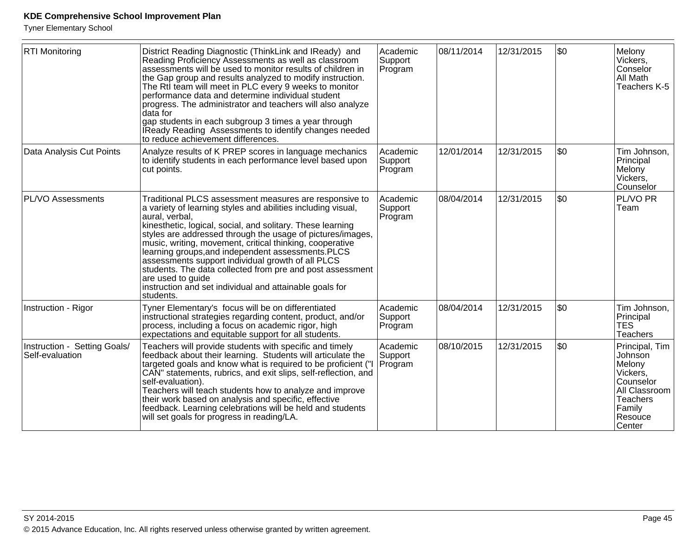| <b>RTI Monitoring</b>                           | District Reading Diagnostic (ThinkLink and IReady) and<br>Reading Proficiency Assessments as well as classroom<br>assessments will be used to monitor results of children in<br>the Gap group and results analyzed to modify instruction.<br>The Rtl team will meet in PLC every 9 weeks to monitor<br>performance data and determine individual student<br>progress. The administrator and teachers will also analyze<br>data for<br>gap students in each subgroup 3 times a year through<br>IReady Reading Assessments to identify changes needed<br>to reduce achievement differences.             | Academic<br>Support<br>Program | 08/11/2014 | 12/31/2015 | \$0  | Melony<br>Vickers,<br>Conselor<br>All Math<br>Teachers K-5                                                                       |
|-------------------------------------------------|-------------------------------------------------------------------------------------------------------------------------------------------------------------------------------------------------------------------------------------------------------------------------------------------------------------------------------------------------------------------------------------------------------------------------------------------------------------------------------------------------------------------------------------------------------------------------------------------------------|--------------------------------|------------|------------|------|----------------------------------------------------------------------------------------------------------------------------------|
| Data Analysis Cut Points                        | Analyze results of K PREP scores in language mechanics<br>to identify students in each performance level based upon<br>cut points.                                                                                                                                                                                                                                                                                                                                                                                                                                                                    | Academic<br>Support<br>Program | 12/01/2014 | 12/31/2015 | l\$0 | Tim Johnson,<br>Principal<br>Melony<br>Vickers,<br>Counselor                                                                     |
| PL/VO Assessments                               | Traditional PLCS assessment measures are responsive to<br>a variety of learning styles and abilities including visual,<br>aural, verbal,<br>kinesthetic, logical, social, and solitary. These learning<br>styles are addressed through the usage of pictures/images,<br>music, writing, movement, critical thinking, cooperative<br>learning groups, and independent assessments. PLCS<br>assessments support individual growth of all PLCS<br>students. The data collected from pre and post assessment<br>are used to guide<br>instruction and set individual and attainable goals for<br>students. | Academic<br>Support<br>Program | 08/04/2014 | 12/31/2015 | \$0  | PL/VO PR<br>Team                                                                                                                 |
| Instruction - Rigor                             | Tyner Elementary's focus will be on differentiated<br>instructional strategies regarding content, product, and/or<br>process, including a focus on academic rigor, high<br>expectations and equitable support for all students.                                                                                                                                                                                                                                                                                                                                                                       | Academic<br>Support<br>Program | 08/04/2014 | 12/31/2015 | \$0  | Tim Johnson,<br>Principal<br><b>TES</b><br>Teachers                                                                              |
| Instruction - Setting Goals/<br>Self-evaluation | Teachers will provide students with specific and timely<br>feedback about their learning. Students will articulate the<br>targeted goals and know what is required to be proficient ("<br>CAN" statements, rubrics, and exit slips, self-reflection, and<br>self-evaluation).<br>Teachers will teach students how to analyze and improve<br>their work based on analysis and specific, effective<br>feedback. Learning celebrations will be held and students<br>will set goals for progress in reading/LA.                                                                                           | Academic<br>Support<br>Program | 08/10/2015 | 12/31/2015 | l\$0 | Principal, Tim<br>Johnson<br>Melony<br>Vickers,<br>Counselor<br>All Classroom<br><b>Teachers</b><br>Family<br>Resouce<br> Center |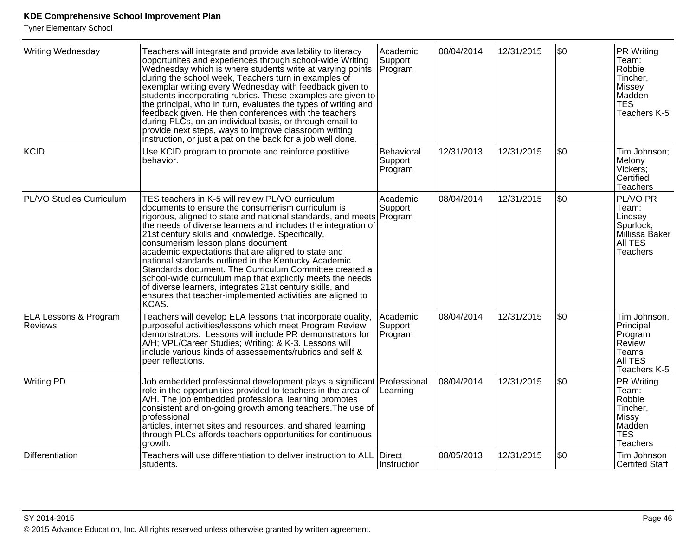| Writing Wednesday                                  | Teachers will integrate and provide availability to literacy<br>opportunites and experiences through school-wide Writing<br>Wednesday which is where students write at varying points<br>during the school week, Teachers turn in examples of<br>exemplar writing every Wednesday with feedback given to<br>students incorporating rubrics. These examples are given to<br>the principal, who in turn, evaluates the types of writing and<br>feedback given. He then conferences with the teachers<br>during PLCs, on an individual basis, or through email to<br>provide next steps, ways to improve classroom writing<br>instruction, or just a pat on the back for a job well done.                            | Academic<br>Support<br>Program   | 08/04/2014 | 12/31/2015 | \$0 | PR Writing<br>Team:<br>Robbie<br>Tincher,<br>Missey<br>Madden<br><b>TES</b><br>Teachers K-5          |
|----------------------------------------------------|-------------------------------------------------------------------------------------------------------------------------------------------------------------------------------------------------------------------------------------------------------------------------------------------------------------------------------------------------------------------------------------------------------------------------------------------------------------------------------------------------------------------------------------------------------------------------------------------------------------------------------------------------------------------------------------------------------------------|----------------------------------|------------|------------|-----|------------------------------------------------------------------------------------------------------|
| KCID                                               | Use KCID program to promote and reinforce postitive<br>behavior.                                                                                                                                                                                                                                                                                                                                                                                                                                                                                                                                                                                                                                                  | Behavioral<br>Support<br>Program | 12/31/2013 | 12/31/2015 | \$0 | Tim Johnson;<br>Melony<br>Vickers:<br>Certified<br><b>Teachers</b>                                   |
| PL/VO Studies Curriculum                           | TES teachers in K-5 will review PL/VO curriculum<br>documents to ensure the consumerism curriculum is<br>rigorous, aligned to state and national standards, and meets Program<br>the needs of diverse learners and includes the integration of<br>21st century skills and knowledge. Specifically,<br>consumerism lesson plans document<br>academic expectations that are aligned to state and<br>national standards outlined in the Kentucky Academic<br>Standards document. The Curriculum Committee created a<br>school-wide curriculum map that explicitly meets the needs<br>of diverse learners, integrates 21st century skills, and<br>ensures that teacher-implemented activities are aligned to<br>KCAS. | Academic<br>Support              | 08/04/2014 | 12/31/2015 | \$0 | PL/VO PR<br>Team:<br>Lindsey<br>Spurlock,<br>Millissa Baker<br>All TES<br><b>Teachers</b>            |
| <b>ELA Lessons &amp; Program</b><br><b>Reviews</b> | Teachers will develop ELA lessons that incorporate quality,<br>purposeful activities/lessons which meet Program Review<br>demonstrators. Lessons will include PR demonstrators for<br>A/H; VPL/Career Studies; Writing: & K-3. Lessons will<br>include various kinds of assessements/rubrics and self &<br>peer reflections.                                                                                                                                                                                                                                                                                                                                                                                      | Academic<br>Support<br>Program   | 08/04/2014 | 12/31/2015 | \$0 | Tim Johnson,<br>Principal<br>Program<br><b>Review</b><br>Teams<br><b>AII TES</b><br>Teachers K-5     |
| <b>Writing PD</b>                                  | Job embedded professional development plays a significant Professional<br>role in the opportunities provided to teachers in the area of<br>A/H. The job embedded professional learning promotes<br>consistent and on-going growth among teachers. The use of<br>professional<br>articles, internet sites and resources, and shared learning<br>through PLCs affords teachers opportunities for continuous<br>growth.                                                                                                                                                                                                                                                                                              | Learning                         | 08/04/2014 | 12/31/2015 | \$0 | <b>PR Writing</b><br>Team:<br>Robbie<br>Tincher,<br>Missy<br>Madden<br><b>TES</b><br><b>Teachers</b> |
| Differentiation                                    | Teachers will use differentiation to deliver instruction to ALL<br>students.                                                                                                                                                                                                                                                                                                                                                                                                                                                                                                                                                                                                                                      | Direct<br>Instruction            | 08/05/2013 | 12/31/2015 | \$0 | Tim Johnson<br>Certifed Staff                                                                        |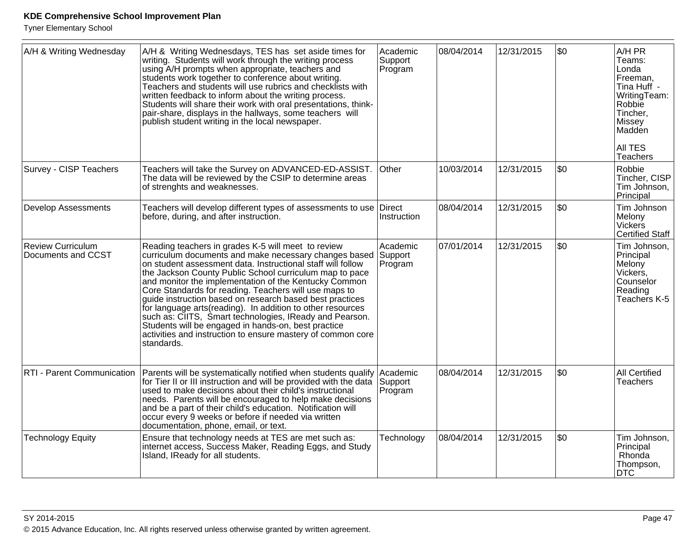| A/H & Writing Wednesday                        | A/H & Writing Wednesdays, TES has set aside times for<br>writing. Students will work through the writing process<br>using A/H prompts when appropriate, teachers and<br>students work together to conference about writing.<br>Teachers and students will use rubrics and checklists with<br>written feedback to inform about the writing process.<br>Students will share their work with oral presentations, think-<br>pair-share, displays in the hallways, some teachers will<br>publish student writing in the local newspaper.                                                                                                                                                       | Academic<br>Support<br>Program | 08/04/2014 | 12/31/2015 | l\$0 | A/H PR<br>Teams:<br>Londa<br>Freeman,<br>Tina Huff -<br>WritingTeam:<br>Robbie<br>Tincher,<br>Missey<br>Maddén<br><b>AII TES</b><br>Teachers |
|------------------------------------------------|-------------------------------------------------------------------------------------------------------------------------------------------------------------------------------------------------------------------------------------------------------------------------------------------------------------------------------------------------------------------------------------------------------------------------------------------------------------------------------------------------------------------------------------------------------------------------------------------------------------------------------------------------------------------------------------------|--------------------------------|------------|------------|------|----------------------------------------------------------------------------------------------------------------------------------------------|
| Survey - CISP Teachers                         | Teachers will take the Survey on ADVANCED-ED-ASSIST.<br>The data will be reviewed by the CSIP to determine areas<br>of strenghts and weaknesses.                                                                                                                                                                                                                                                                                                                                                                                                                                                                                                                                          | Other                          | 10/03/2014 | 12/31/2015 | \$0  | Robbie<br>Tincher, CISP<br>Tim Johnson,<br>Principal                                                                                         |
| <b>Develop Assessments</b>                     | Teachers will develop different types of assessments to use Direct<br>before, during, and after instruction.                                                                                                                                                                                                                                                                                                                                                                                                                                                                                                                                                                              | Instruction                    | 08/04/2014 | 12/31/2015 | \$0  | Tim Johnson<br>Melony<br>Vickers<br><b>Certified Staff</b>                                                                                   |
| <b>Review Curriculum</b><br>Documents and CCST | Reading teachers in grades K-5 will meet to review<br>curriculum documents and make necessary changes based Support<br>on student assessment data. Instructional staff will follow<br>the Jackson County Public School curriculum map to pace<br>and monitor the implementation of the Kentucky Common<br>Core Standards for reading. Teachers will use maps to<br>guide instruction based on research based best practices<br>for language arts (reading). In addition to other resources<br>such as: CIITS, Smart technologies, IReady and Pearson.<br>Students will be engaged in hands-on, best practice<br>activities and instruction to ensure mastery of common core<br>standards. | Academic<br>Program            | 07/01/2014 | 12/31/2015 | \$0  | Tim Johnson,<br>Principal<br>Melony<br>Vickers,<br>Counselor<br>Reading<br>Teachers K-5                                                      |
| RTI - Parent Communication                     | Parents will be systematically notified when students qualify Academic<br>for Tier II or III instruction and will be provided with the data<br>used to make decisions about their child's instructional<br>needs. Parents will be encouraged to help make decisions<br>and be a part of their child's education. Notification will<br>occur every 9 weeks or before if needed via written<br>documentation, phone, email, or text.                                                                                                                                                                                                                                                        | Support<br>Program             | 08/04/2014 | 12/31/2015 | \$0  | <b>All Certified</b><br><b>Teachers</b>                                                                                                      |
| <b>Technology Equity</b>                       | Ensure that technology needs at TES are met such as:<br>internet access, Success Maker, Reading Eggs, and Study<br>Island, IReady for all students.                                                                                                                                                                                                                                                                                                                                                                                                                                                                                                                                       | Technology                     | 08/04/2014 | 12/31/2015 | \$0  | Tim Johnson,<br>Principal<br>Rhonda<br>Thompson,<br>DTC                                                                                      |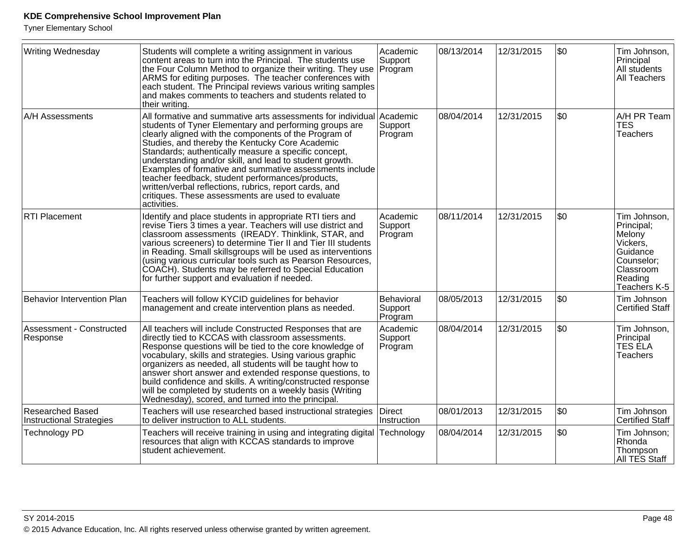| Writing Wednesday                                          | Students will complete a writing assignment in various<br>content areas to turn into the Principal. The students use<br>the Four Column Method to organize their writing. They use<br>ARMS for editing purposes. The teacher conferences with<br>each student. The Principal reviews various writing samples<br>and makes comments to teachers and students related to<br>their writing.                                                                                                                                                                                                          | Academic<br>Support<br>Program   | 08/13/2014 | 12/31/2015 | \$0 | Tim Johnson,<br>Principal<br>All students<br>All Teachers                                                          |
|------------------------------------------------------------|---------------------------------------------------------------------------------------------------------------------------------------------------------------------------------------------------------------------------------------------------------------------------------------------------------------------------------------------------------------------------------------------------------------------------------------------------------------------------------------------------------------------------------------------------------------------------------------------------|----------------------------------|------------|------------|-----|--------------------------------------------------------------------------------------------------------------------|
| A/H Assessments                                            | All formative and summative arts assessments for individual<br>students of Tyner Elementary and performing groups are<br>clearly aligned with the components of the Program of<br>Studies, and thereby the Kentucky Core Academic<br>Standards; authentically measure a specific concept,<br>understanding and/or skill, and lead to student growth.<br>Examples of formative and summative assessments include<br>teacher feedback, student performances/products,<br>written/verbal reflections, rubrics, report cards, and<br>critiques. These assessments are used to evaluate<br>activities. | Academic<br>Support<br>Program   | 08/04/2014 | 12/31/2015 | \$0 | A/H PR Team<br><b>TES</b><br><b>Teachers</b>                                                                       |
| <b>RTI Placement</b>                                       | Identify and place students in appropriate RTI tiers and<br>revise Tiers 3 times a year. Teachers will use district and<br>classroom assessments (IREADY. Thinklink, STAR, and<br>various screeners) to determine Tier II and Tier III students<br>in Reading. Small skillsgroups will be used as interventions<br>(using various curricular tools such as Pearson Resources,<br>COACH). Students may be referred to Special Education<br>for further support and evaluation if needed.                                                                                                           | Academic<br>Support<br>Program   | 08/11/2014 | 12/31/2015 | \$0 | Tim Johnson,<br>Principal;<br>Melony<br>Vickers,<br>Guidance<br>Counselor;<br>Classroom<br>Reading<br>Teachers K-5 |
| Behavior Intervention Plan                                 | Teachers will follow KYCID guidelines for behavior<br>management and create intervention plans as needed.                                                                                                                                                                                                                                                                                                                                                                                                                                                                                         | Behavioral<br>Support<br>Program | 08/05/2013 | 12/31/2015 | \$0 | Tim Johnson<br><b>Certified Staff</b>                                                                              |
| Assessment - Constructed<br>Response                       | All teachers will include Constructed Responses that are<br>directly tied to KCCAS with classroom assessments.<br>Response questions will be tied to the core knowledge of<br>vocabulary, skills and strategies. Using various graphic<br>organizers as needed, all students will be taught how to<br>answer short answer and extended response questions, to<br>build confidence and skills. A writing/constructed response<br>will be completed by students on a weekly basis (Writing<br>Wednesday), scored, and turned into the principal.                                                    | Academic<br>Support<br>Program   | 08/04/2014 | 12/31/2015 | \$0 | Tim Johnson,<br>Principal<br><b>TES ELA</b><br><b>Teachers</b>                                                     |
| <b>Researched Based</b><br><b>Instructional Strategies</b> | Teachers will use researched based instructional strategies<br>to deliver instruction to ALL students.                                                                                                                                                                                                                                                                                                                                                                                                                                                                                            | <b>Direct</b><br>Instruction     | 08/01/2013 | 12/31/2015 | \$0 | Tim Johnson<br>Certified Staff                                                                                     |
| <b>Technology PD</b>                                       | Teachers will receive training in using and integrating digital<br>resources that align with KCCAS standards to improve<br>student achievement.                                                                                                                                                                                                                                                                                                                                                                                                                                                   | Technology                       | 08/04/2014 | 12/31/2015 | \$0 | Tim Johnson;<br>Rhonda<br>Thompson<br>All TES Staff                                                                |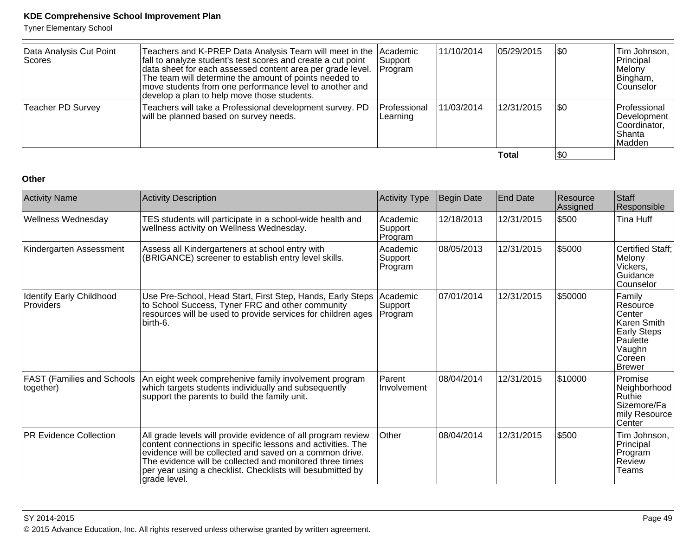Tyner Elementary School

| Data Analysis Cut Point<br> Scores | Teachers and K-PREP Data Analysis Team will meet in the Academic<br>fall to analyze student's test scores and create a cut point<br>data sheet for each assessed content area per grade level.<br>The team will determine the amount of points needed to<br>move students from one performance level to another and<br>develop a plan to help move those students. | Support<br> Program      | 11/10/2014 | 05/29/2015 | \$0 | Tim Johnson,  <br>Principal<br>Melony<br>Bingham,<br>lCounselor   |
|------------------------------------|--------------------------------------------------------------------------------------------------------------------------------------------------------------------------------------------------------------------------------------------------------------------------------------------------------------------------------------------------------------------|--------------------------|------------|------------|-----|-------------------------------------------------------------------|
| <b>Teacher PD Survey</b>           | Teachers will take a Professional development survey. PD<br>will be planned based on survey needs.                                                                                                                                                                                                                                                                 | Professional<br>Learning | 11/03/2014 | 12/31/2015 | \$0 | Professional<br>Development<br> Coordinator.<br>lShanta<br>Madden |
|                                    |                                                                                                                                                                                                                                                                                                                                                                    |                          |            | Total      | \$0 |                                                                   |

#### **Other**

| <b>Activity Name</b>                           | <b>Activity Description</b>                                                                                                                                                                                                                                                                                                      | <b>Activity Type</b>           | Begin Date | End Date   | Resource<br>Assigned | Staff<br>Responsible                                                                                                 |
|------------------------------------------------|----------------------------------------------------------------------------------------------------------------------------------------------------------------------------------------------------------------------------------------------------------------------------------------------------------------------------------|--------------------------------|------------|------------|----------------------|----------------------------------------------------------------------------------------------------------------------|
| Wellness Wednesday                             | TES students will participate in a school-wide health and<br>wellness activity on Wellness Wednesday.                                                                                                                                                                                                                            | Academic<br>Support<br>Program | 12/18/2013 | 12/31/2015 | <b>\$500</b>         | Tina Huff                                                                                                            |
| Kindergarten Assessment                        | Assess all Kindergarteners at school entry with<br>(BRIGANCE) screener to establish entry level skills.                                                                                                                                                                                                                          | Academic<br>Support<br>Program | 08/05/2013 | 12/31/2015 | \$5000               | <b>Certified Staff:</b><br>Melony<br>Vickers,<br>Guidance<br>Counselor                                               |
| Identify Early Childhood<br>Providers          | Use Pre-School, Head Start, First Step, Hands, Early Steps<br>to School Success, Tyner FRC and other community<br>resources will be used to provide services for children ages<br>birth-6.                                                                                                                                       | Academic<br>Support<br>Program | 07/01/2014 | 12/31/2015 | \$50000              | Family<br>Resource<br>Center<br><b>Karen Smith</b><br><b>Early Steps</b><br>Paulette<br>Vaughn<br>l Coreen<br>Brewer |
| <b>FAST (Families and Schools</b><br>together) | An eight week comprehenive family involvement program<br>which targets students individually and subsequently<br>support the parents to build the family unit.                                                                                                                                                                   | Parent<br>Involvement          | 08/04/2014 | 12/31/2015 | \$10000              | Promise<br>Neighborhood<br>Ruthie<br>Sizemore/Fa<br>mily Resource<br>Center                                          |
| <b>PR Evidence Collection</b>                  | All grade levels will provide evidence of all program review<br>content connections in specific lessons and activities. The<br>evidence will be collected and saved on a common drive.<br>The evidence will be collected and monitored three times<br>per year using a checklist. Checklists will besubmitted by<br>grade level. | Other                          | 08/04/2014 | 12/31/2015 | \$500                | Tim Johnson,<br>Principal<br>Program<br>Review<br>Teams                                                              |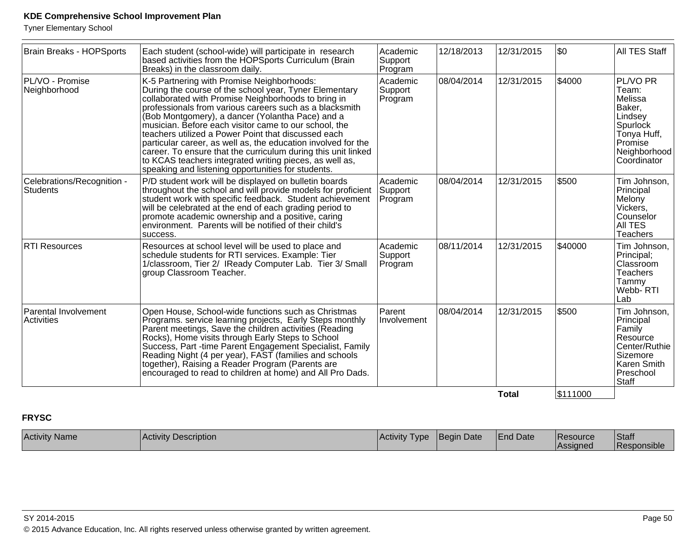Tyner Elementary School

| <b>Brain Breaks - HOPSports</b>               | Each student (school-wide) will participate in research<br>based activities from the HOPSports Curriculum (Brain<br>Breaks) in the classroom daily.                                                                                                                                                                                                                                                                                                                                                                                                                                                                                                                             | Academic<br>Support<br>Program | 12/18/2013 | 12/31/2015   | \$0      | All TES Staff                                                                                                            |
|-----------------------------------------------|---------------------------------------------------------------------------------------------------------------------------------------------------------------------------------------------------------------------------------------------------------------------------------------------------------------------------------------------------------------------------------------------------------------------------------------------------------------------------------------------------------------------------------------------------------------------------------------------------------------------------------------------------------------------------------|--------------------------------|------------|--------------|----------|--------------------------------------------------------------------------------------------------------------------------|
| PL/VO - Promise<br>Neighborhood               | K-5 Partnering with Promise Neighborhoods:<br>Academic<br>During the course of the school year, Tyner Elementary<br>collaborated with Promise Neighborhoods to bring in<br>Support<br>Program<br>professionals from various careers such as a blacksmith<br>(Bob Montgomery), a dancer (Yolantha Pace) and a<br>musician. Before each visitor came to our school, the<br>teachers utilized a Power Point that discussed each<br>particular career, as well as, the education involved for the<br>career. To ensure that the curriculum during this unit linked<br>to KCAS teachers integrated writing pieces, as well as,<br>speaking and listening opportunities for students. |                                | 08/04/2014 | 12/31/2015   | \$4000   | PL/VO PR<br>Team:<br>Melissa<br>Baker,<br>Lindsey<br>Spurlock<br>Tonya Huff,<br>Promise<br>Neighborhood<br>Coordinator   |
| Celebrations/Recognition -<br><b>Students</b> | P/D student work will be displayed on bulletin boards<br>throughout the school and will provide models for proficient<br>student work with specific feedback. Student achievement<br>will be celebrated at the end of each grading period to<br>promote academic ownership and a positive, caring<br>environment. Parents will be notified of their child's<br>success.                                                                                                                                                                                                                                                                                                         | Academic<br>Support<br>Program | 08/04/2014 | 12/31/2015   | \$500    | Tim Johnson,<br>Principal<br>Melony<br>Vickers,<br>Counselor<br>AII TES<br><b>Teachers</b>                               |
| <b>RTI Resources</b>                          | Resources at school level will be used to place and<br>schedule students for RTI services. Example: Tier<br>1/classroom, Tier 2/ IReady Computer Lab. Tier 3/ Small<br>group Classroom Teacher.                                                                                                                                                                                                                                                                                                                                                                                                                                                                                 | Academic<br>Support<br>Program | 08/11/2014 | 12/31/2015   | \$40000  | Tim Johnson,<br>Principal;<br>Classroom<br><b>Teachers</b><br>Tammy<br>Webb- RTI<br>Lab                                  |
| Parental Involvement<br>Activities            | Open House, School-wide functions such as Christmas<br>Programs. service learning projects, Early Steps monthly<br>Parent meetings, Save the children activities (Reading<br>Rocks), Home visits through Early Steps to School<br>Success, Part -time Parent Engagement Specialist, Family<br>Reading Night (4 per year), FAST (families and schools<br>together), Raising a Reader Program (Parents are<br>encouraged to read to children at home) and All Pro Dads.                                                                                                                                                                                                           | Parent<br>Involvement          | 08/04/2014 | 12/31/2015   | \$500    | Tim Johnson,<br>Principal<br>Family<br>Resource<br>Center/Ruthie<br>Sizemore<br>Karen Smith<br>Preschool<br><b>Staff</b> |
|                                               |                                                                                                                                                                                                                                                                                                                                                                                                                                                                                                                                                                                                                                                                                 |                                |            | <b>Total</b> | \$111000 |                                                                                                                          |

# **FRYSC**

| Activity<br><sup>√</sup> Name | Activ <sup>e</sup><br>Description | IActivitv<br>'ype | 'Beain<br>າ Date | <b>IEnd Date</b> | <b>Resource</b><br><b>Assigned</b> | Staff<br>$\cdots$<br><b>Responsible</b> |
|-------------------------------|-----------------------------------|-------------------|------------------|------------------|------------------------------------|-----------------------------------------|
|-------------------------------|-----------------------------------|-------------------|------------------|------------------|------------------------------------|-----------------------------------------|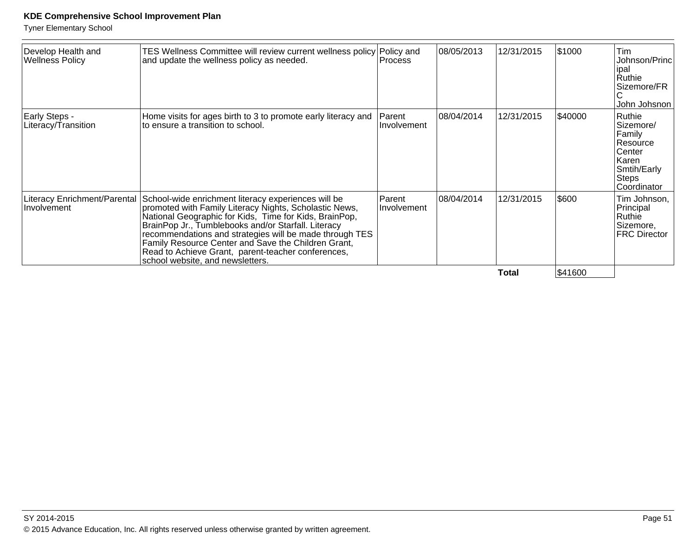| Develop Health and<br><b>Wellness Policy</b> | TES Wellness Committee will review current wellness policy Policy and<br>and update the wellness policy as needed.                                                                                                                                                                                                                                                                                                                         | Process                      | 08/05/2013 | 12/31/2015 | \$1000  | Tim<br>Johnson/Princl<br>ipal<br>Ruthie<br>Sizemore/FR<br>John Johsnon                                     |
|----------------------------------------------|--------------------------------------------------------------------------------------------------------------------------------------------------------------------------------------------------------------------------------------------------------------------------------------------------------------------------------------------------------------------------------------------------------------------------------------------|------------------------------|------------|------------|---------|------------------------------------------------------------------------------------------------------------|
| Early Steps -<br>Literacy/Transition         | Home visits for ages birth to 3 to promote early literacy and<br>to ensure a transition to school.                                                                                                                                                                                                                                                                                                                                         | <b>Parent</b><br>Involvement | 08/04/2014 | 12/31/2015 | \$40000 | Ruthie<br>Sizemore/<br>Family<br>Resource<br>Center<br>Karen<br>Smtih/Early<br><b>Steps</b><br>Coordinator |
| Literacy Enrichment/Parental<br>Involvement  | School-wide enrichment literacy experiences will be<br>promoted with Family Literacy Nights, Scholastic News,<br>National Geographic for Kids, Time for Kids, BrainPop,<br>BrainPop Jr., Tumblebooks and/or Starfall. Literacy<br>recommendations and strategies will be made through TES<br>Family Resource Center and Save the Children Grant,<br>Read to Achieve Grant, parent-teacher conferences,<br>school website, and newsletters. | Parent<br>Involvement        | 08/04/2014 | 12/31/2015 | \$600   | Tim Johnson,<br>Principal<br>Ruthie<br>Sizemore,<br><b>FRC Director</b>                                    |
|                                              |                                                                                                                                                                                                                                                                                                                                                                                                                                            |                              |            | Total      | \$41600 |                                                                                                            |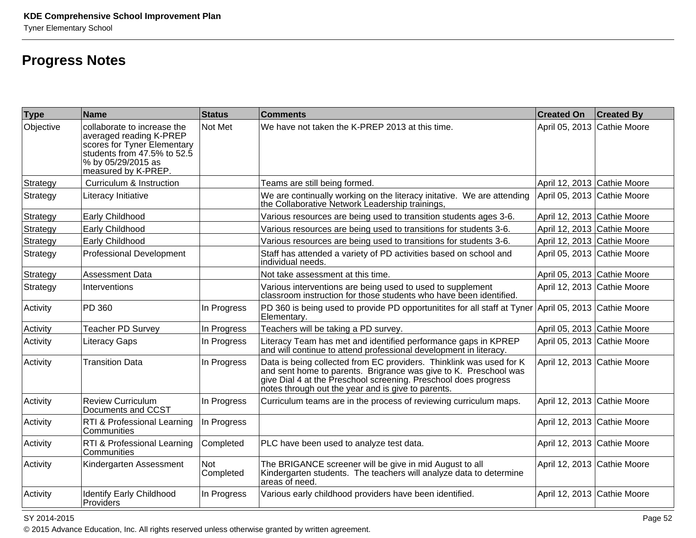# **Progress Notes**

| <b>Type</b> | Name                                                                                                                                                              | Status           | <b>Comments</b>                                                                                                                                                                                                                                                  | <b>Created On</b>           | <b>Created By</b> |
|-------------|-------------------------------------------------------------------------------------------------------------------------------------------------------------------|------------------|------------------------------------------------------------------------------------------------------------------------------------------------------------------------------------------------------------------------------------------------------------------|-----------------------------|-------------------|
| Objective   | collaborate to increase the<br>averaged reading K-PREP<br>scores for Tyner Elementary<br>students from 47.5% to 52.5<br>% by 05/29/2015 as<br>measured by K-PREP. | Not Met          | We have not taken the K-PREP 2013 at this time.                                                                                                                                                                                                                  | April 05, 2013 Cathie Moore |                   |
| Strategy    | Curriculum & Instruction                                                                                                                                          |                  | Teams are still being formed.                                                                                                                                                                                                                                    | April 12, 2013 Cathie Moore |                   |
| Strategy    | Literacy Initiative                                                                                                                                               |                  | We are continually working on the literacy initative. We are attending<br>the Collaborative Network Leadership trainings,                                                                                                                                        | April 05, 2013 Cathie Moore |                   |
| Strategy    | Early Childhood                                                                                                                                                   |                  | Various resources are being used to transition students ages 3-6.                                                                                                                                                                                                | April 12, 2013 Cathie Moore |                   |
| Strategy    | Early Childhood                                                                                                                                                   |                  | Various resources are being used to transitions for students 3-6.                                                                                                                                                                                                | April 12, 2013 Cathie Moore |                   |
| Strategy    | Early Childhood                                                                                                                                                   |                  | Various resources are being used to transitions for students 3-6.                                                                                                                                                                                                | April 12, 2013 Cathie Moore |                   |
| Strategy    | <b>Professional Development</b>                                                                                                                                   |                  | Staff has attended a variety of PD activities based on school and<br>individual needs.                                                                                                                                                                           | April 05, 2013 Cathie Moore |                   |
| Strategy    | <b>Assessment Data</b>                                                                                                                                            |                  | Not take assessment at this time.                                                                                                                                                                                                                                | April 05, 2013 Cathie Moore |                   |
| Strategy    | Interventions                                                                                                                                                     |                  | Various interventions are being used to used to supplement<br>classroom instruction for those students who have been identified.                                                                                                                                 | April 12, 2013 Cathie Moore |                   |
| Activity    | PD 360                                                                                                                                                            | In Progress      | PD 360 is being used to provide PD opportunitites for all staff at Tyner April 05, 2013 Cathie Moore<br>Elementary.                                                                                                                                              |                             |                   |
| Activity    | <b>Teacher PD Survey</b>                                                                                                                                          | In Progress      | Teachers will be taking a PD survey.                                                                                                                                                                                                                             | April 05, 2013 Cathie Moore |                   |
| Activity    | Literacy Gaps                                                                                                                                                     | In Progress      | Literacy Team has met and identified performance gaps in KPREP<br>and will continue to attend professional development in literacy.                                                                                                                              | April 05, 2013 Cathie Moore |                   |
| Activity    | <b>Transition Data</b>                                                                                                                                            | In Progress      | Data is being collected from EC providers. Thinklink was used for K<br>and sent home to parents. Brigrance was give to K. Preschool was<br>give Dial 4 at the Preschool screening. Preschool does progress<br>notes through out the year and is give to parents. | April 12, 2013 Cathie Moore |                   |
| Activity    | <b>Review Curriculum</b><br>Documents and CCST                                                                                                                    | In Progress      | Curriculum teams are in the process of reviewing curriculum maps.                                                                                                                                                                                                | April 12, 2013 Cathie Moore |                   |
| Activity    | RTI & Professional Learning<br>Communities                                                                                                                        | In Progress      |                                                                                                                                                                                                                                                                  | April 12, 2013 Cathie Moore |                   |
| Activity    | RTI & Professional Learning<br>Communities                                                                                                                        | Completed        | PLC have been used to analyze test data.                                                                                                                                                                                                                         | April 12, 2013 Cathie Moore |                   |
| Activity    | Kindergarten Assessment                                                                                                                                           | Not<br>Completed | The BRIGANCE screener will be give in mid August to all<br>Kindergarten students. The teachers will analyze data to determine<br>areas of need.                                                                                                                  | April 12, 2013 Cathie Moore |                   |
| Activity    | <b>Identify Early Childhood</b><br>Providers                                                                                                                      | In Progress      | Various early childhood providers have been identified.                                                                                                                                                                                                          | April 12, 2013 Cathie Moore |                   |

#### SY 2014-2015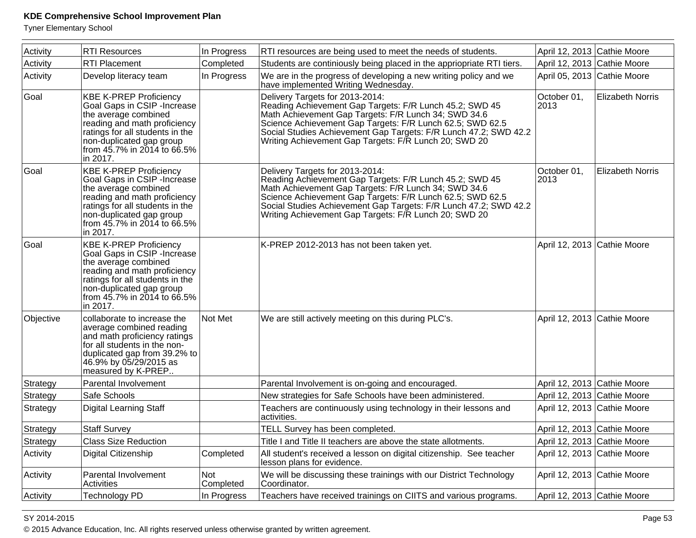Tyner Elementary School

| Activity  | <b>RTI Resources</b>                                                                                                                                                                                                            | In Progress      | RTI resources are being used to meet the needs of students.                                                                                                                                                                                                                                                                                  | April 12, 2013 Cathie Moore |                         |
|-----------|---------------------------------------------------------------------------------------------------------------------------------------------------------------------------------------------------------------------------------|------------------|----------------------------------------------------------------------------------------------------------------------------------------------------------------------------------------------------------------------------------------------------------------------------------------------------------------------------------------------|-----------------------------|-------------------------|
| Activity  | <b>RTI Placement</b>                                                                                                                                                                                                            | Completed        | Students are continiously being placed in the appriopriate RTI tiers.                                                                                                                                                                                                                                                                        | April 12, 2013 Cathie Moore |                         |
| Activity  | Develop literacy team                                                                                                                                                                                                           | In Progress      | We are in the progress of developing a new writing policy and we<br>have implemented Writing Wednesday.                                                                                                                                                                                                                                      | April 05, 2013 Cathie Moore |                         |
| Goal      | <b>KBE K-PREP Proficiency</b><br>Goal Gaps in CSIP - Increase<br>the average combined<br>reading and math proficiency<br>ratings for all students in the<br>non-duplicated gap group<br>from 45.7% in 2014 to 66.5%<br>in 2017. |                  | Delivery Targets for 2013-2014:<br>Reading Achievement Gap Targets: F/R Lunch 45.2; SWD 45<br>Math Achievement Gap Targets: F/R Lunch 34; SWD 34.6<br>Science Achievement Gap Targets: F/R Lunch 62.5; SWD 62.5<br>Social Studies Achievement Gap Targets: F/R Lunch 47.2; SWD 42.2<br>Writing Achievement Gap Targets: F/R Lunch 20; SWD 20 | October 01,<br>2013         | <b>Elizabeth Norris</b> |
| Goal      | <b>KBE K-PREP Proficiency</b><br>Goal Gaps in CSIP - Increase<br>the average combined<br>reading and math proficiency<br>ratings for all students in the<br>non-duplicated gap group<br>from 45.7% in 2014 to 66.5%<br>in 2017. |                  | Delivery Targets for 2013-2014:<br>Reading Achievement Gap Targets: F/R Lunch 45.2; SWD 45<br>Math Achievement Gap Targets: F/R Lunch 34; SWD 34.6<br>Science Achievement Gap Targets: F/R Lunch 62.5; SWD 62.5<br>Social Studies Achievement Gap Targets: F/R Lunch 47.2; SWD 42.2<br>Writing Achievement Gap Targets: F/R Lunch 20; SWD 20 | October 01,<br>2013         | <b>Elizabeth Norris</b> |
| Goal      | <b>KBE K-PREP Proficiency</b><br>Goal Gaps in CSIP - Increase<br>the average combined<br>reading and math proficiency<br>ratings for all students in the<br>non-duplicated gap group<br>from 45.7% in 2014 to 66.5%<br>in 2017. |                  | K-PREP 2012-2013 has not been taken yet.                                                                                                                                                                                                                                                                                                     | April 12, 2013 Cathie Moore |                         |
| Objective | collaborate to increase the<br>average combined reading<br>and math proficiency ratings<br>for all students in the non-<br>duplicated gap from 39.2% to<br>46.9% by 05/29/2015 as<br>measured by K-PREP                         | Not Met          | We are still actively meeting on this during PLC's.                                                                                                                                                                                                                                                                                          | April 12, 2013 Cathie Moore |                         |
| Strategy  | Parental Involvement                                                                                                                                                                                                            |                  | Parental Involvement is on-going and encouraged.                                                                                                                                                                                                                                                                                             | April 12, 2013 Cathie Moore |                         |
| Strategy  | Safe Schools                                                                                                                                                                                                                    |                  | New strategies for Safe Schools have been administered.                                                                                                                                                                                                                                                                                      | April 12, 2013 Cathie Moore |                         |
| Strategy  | Digital Learning Staff                                                                                                                                                                                                          |                  | Teachers are continuously using technology in their lessons and<br>activities.                                                                                                                                                                                                                                                               | April 12, 2013 Cathie Moore |                         |
| Strategy  | <b>Staff Survey</b>                                                                                                                                                                                                             |                  | TELL Survey has been completed.                                                                                                                                                                                                                                                                                                              | April 12, 2013 Cathie Moore |                         |
| Strategy  | <b>Class Size Reduction</b>                                                                                                                                                                                                     |                  | Title I and Title II teachers are above the state allotments.                                                                                                                                                                                                                                                                                | April 12, 2013 Cathie Moore |                         |
| Activity  | Digital Citizenship                                                                                                                                                                                                             | Completed        | All student's received a lesson on digital citizenship. See teacher<br>lesson plans for evidence.                                                                                                                                                                                                                                            | April 12, 2013 Cathie Moore |                         |
| Activity  | Parental Involvement<br>Activities                                                                                                                                                                                              | Not<br>Completed | We will be discussing these trainings with our District Technology<br>Coordinator.                                                                                                                                                                                                                                                           | April 12, 2013 Cathie Moore |                         |
| Activity  | <b>Technology PD</b>                                                                                                                                                                                                            | In Progress      | Teachers have received trainings on CIITS and various programs.                                                                                                                                                                                                                                                                              | April 12, 2013 Cathie Moore |                         |

#### SY 2014-2015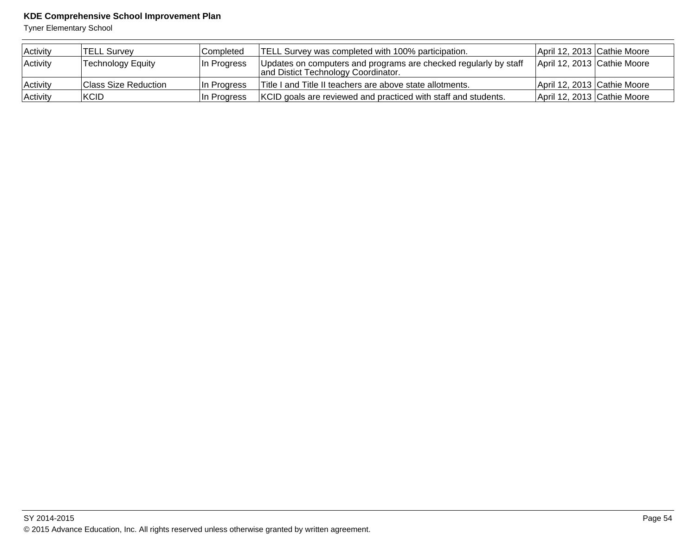| Activity | TELL Survey              | Completed   | <b>TELL Survey was completed with 100% participation.</b>                                               | April 12, 2013 Cathie Moore |  |
|----------|--------------------------|-------------|---------------------------------------------------------------------------------------------------------|-----------------------------|--|
| Activity | <b>Technology Equity</b> | In Progress | Updates on computers and programs are checked regularly by staff<br>and Distict Technology Coordinator. | April 12, 2013 Cathie Moore |  |
| Activity | Class Size Reduction     | In Progress | Title I and Title II teachers are above state allotments.                                               | April 12, 2013 Cathie Moore |  |
| Activity | KCID                     | In Progress | KCID goals are reviewed and practiced with staff and students.                                          | April 12, 2013 Cathie Moore |  |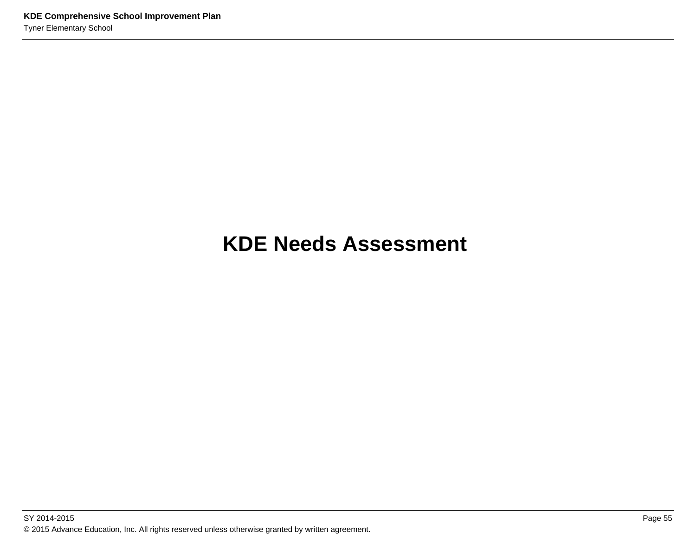# **KDE Needs Assessment**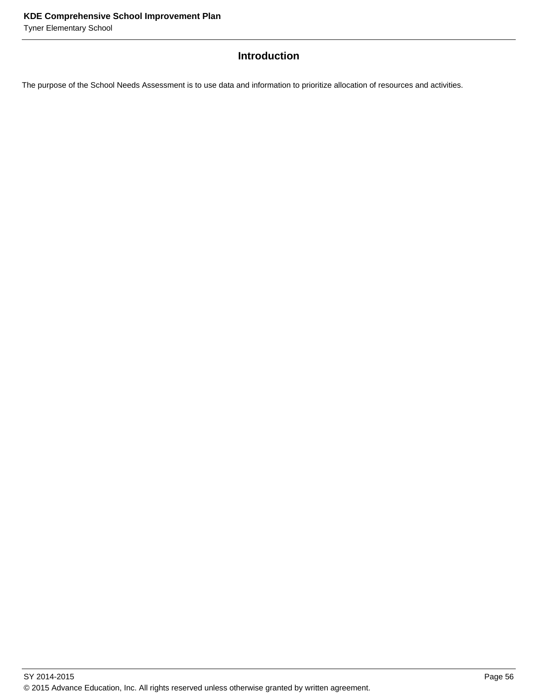# **Introduction**

The purpose of the School Needs Assessment is to use data and information to prioritize allocation of resources and activities.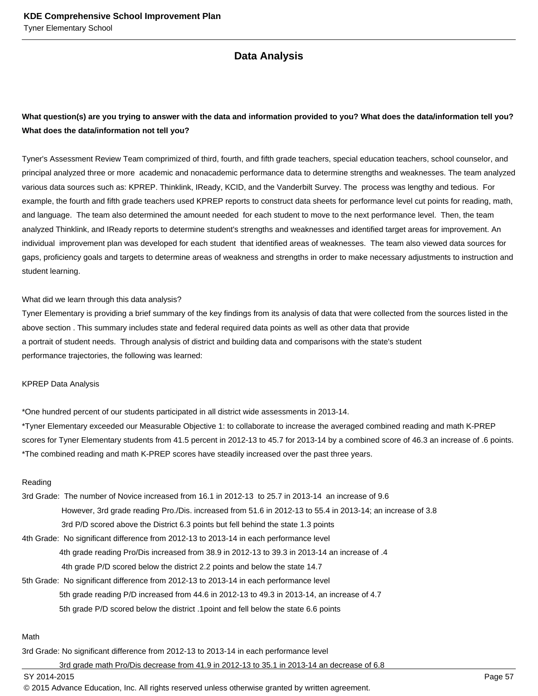# **Data Analysis**

# **What question(s) are you trying to answer with the data and information provided to you? What does the data/information tell you? What does the data/information not tell you?**

Tyner's Assessment Review Team comprimized of third, fourth, and fifth grade teachers, special education teachers, school counselor, and principal analyzed three or more academic and nonacademic performance data to determine strengths and weaknesses. The team analyzed various data sources such as: KPREP. Thinklink, IReady, KCID, and the Vanderbilt Survey. The process was lengthy and tedious. For example, the fourth and fifth grade teachers used KPREP reports to construct data sheets for performance level cut points for reading, math, and language. The team also determined the amount needed for each student to move to the next performance level. Then, the team analyzed Thinklink, and IReady reports to determine student's strengths and weaknesses and identified target areas for improvement. An individual improvement plan was developed for each student that identified areas of weaknesses. The team also viewed data sources for gaps, proficiency goals and targets to determine areas of weakness and strengths in order to make necessary adjustments to instruction and student learning.

#### What did we learn through this data analysis?

Tyner Elementary is providing a brief summary of the key findings from its analysis of data that were collected from the sources listed in the above section . This summary includes state and federal required data points as well as other data that provide a portrait of student needs. Through analysis of district and building data and comparisons with the state's student performance trajectories, the following was learned:

#### KPREP Data Analysis

\*One hundred percent of our students participated in all district wide assessments in 2013-14.

\*Tyner Elementary exceeded our Measurable Objective 1: to collaborate to increase the averaged combined reading and math K-PREP scores for Tyner Elementary students from 41.5 percent in 2012-13 to 45.7 for 2013-14 by a combined score of 46.3 an increase of .6 points. \*The combined reading and math K-PREP scores have steadily increased over the past three years.

#### Reading

3rd Grade: The number of Novice increased from 16.1 in 2012-13 to 25.7 in 2013-14 an increase of 9.6 However, 3rd grade reading Pro./Dis. increased from 51.6 in 2012-13 to 55.4 in 2013-14; an increase of 3.8 3rd P/D scored above the District 6.3 points but fell behind the state 1.3 points 4th Grade: No significant difference from 2012-13 to 2013-14 in each performance level

4th grade reading Pro/Dis increased from 38.9 in 2012-13 to 39.3 in 2013-14 an increase of .4

- 4th grade P/D scored below the district 2.2 points and below the state 14.7
- 5th Grade: No significant difference from 2012-13 to 2013-14 in each performance level

5th grade reading P/D increased from 44.6 in 2012-13 to 49.3 in 2013-14, an increase of 4.7

5th grade P/D scored below the district .1point and fell below the state 6.6 points

#### Math

3rd Grade: No significant difference from 2012-13 to 2013-14 in each performance level

3rd grade math Pro/Dis decrease from 41.9 in 2012-13 to 35.1 in 2013-14 an decrease of 6.8

SY 2014-2015 Page 57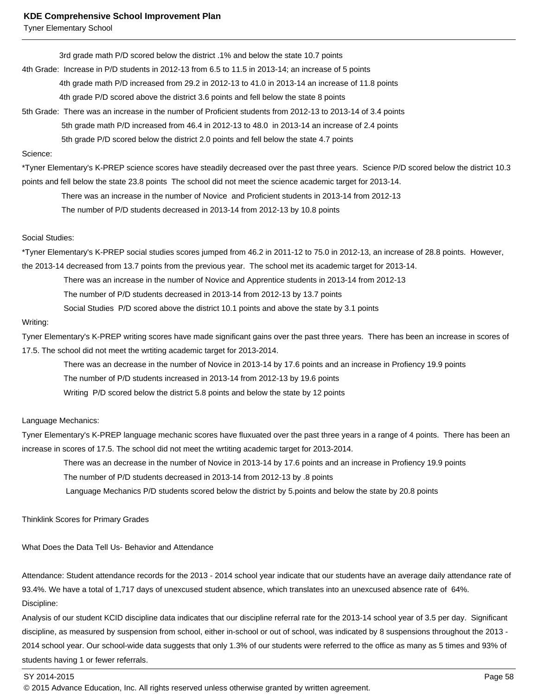Tyner Elementary School

3rd grade math P/D scored below the district .1% and below the state 10.7 points

4th Grade: Increase in P/D students in 2012-13 from 6.5 to 11.5 in 2013-14; an increase of 5 points

4th grade math P/D increased from 29.2 in 2012-13 to 41.0 in 2013-14 an increase of 11.8 points

4th grade P/D scored above the district 3.6 points and fell below the state 8 points

5th Grade: There was an increase in the number of Proficient students from 2012-13 to 2013-14 of 3.4 points

5th grade math P/D increased from 46.4 in 2012-13 to 48.0 in 2013-14 an increase of 2.4 points

5th grade P/D scored below the district 2.0 points and fell below the state 4.7 points

#### Science:

\*Tyner Elementary's K-PREP science scores have steadily decreased over the past three years. Science P/D scored below the district 10.3 points and fell below the state 23.8 points The school did not meet the science academic target for 2013-14.

There was an increase in the number of Novice and Proficient students in 2013-14 from 2012-13

The number of P/D students decreased in 2013-14 from 2012-13 by 10.8 points

#### Social Studies:

\*Tyner Elementary's K-PREP social studies scores jumped from 46.2 in 2011-12 to 75.0 in 2012-13, an increase of 28.8 points. However, the 2013-14 decreased from 13.7 points from the previous year. The school met its academic target for 2013-14.

There was an increase in the number of Novice and Apprentice students in 2013-14 from 2012-13

The number of P/D students decreased in 2013-14 from 2012-13 by 13.7 points

Social Studies P/D scored above the district 10.1 points and above the state by 3.1 points

#### Writing:

Tyner Elementary's K-PREP writing scores have made significant gains over the past three years. There has been an increase in scores of 17.5. The school did not meet the wrtiting academic target for 2013-2014.

 There was an decrease in the number of Novice in 2013-14 by 17.6 points and an increase in Profiency 19.9 points The number of P/D students increased in 2013-14 from 2012-13 by 19.6 points Writing P/D scored below the district 5.8 points and below the state by 12 points

#### Language Mechanics:

Tyner Elementary's K-PREP language mechanic scores have fluxuated over the past three years in a range of 4 points. There has been an increase in scores of 17.5. The school did not meet the wrtiting academic target for 2013-2014.

There was an decrease in the number of Novice in 2013-14 by 17.6 points and an increase in Profiency 19.9 points

The number of P/D students decreased in 2013-14 from 2012-13 by .8 points

Language Mechanics P/D students scored below the district by 5.points and below the state by 20.8 points

Thinklink Scores for Primary Grades

What Does the Data Tell Us- Behavior and Attendance

Attendance: Student attendance records for the 2013 - 2014 school year indicate that our students have an average daily attendance rate of 93.4%. We have a total of 1,717 days of unexcused student absence, which translates into an unexcused absence rate of 64%. Discipline:

Analysis of our student KCID discipline data indicates that our discipline referral rate for the 2013-14 school year of 3.5 per day. Significant discipline, as measured by suspension from school, either in-school or out of school, was indicated by 8 suspensions throughout the 2013 - 2014 school year. Our school-wide data suggests that only 1.3% of our students were referred to the office as many as 5 times and 93% of students having 1 or fewer referrals.

#### SY 2014-2015 Page 58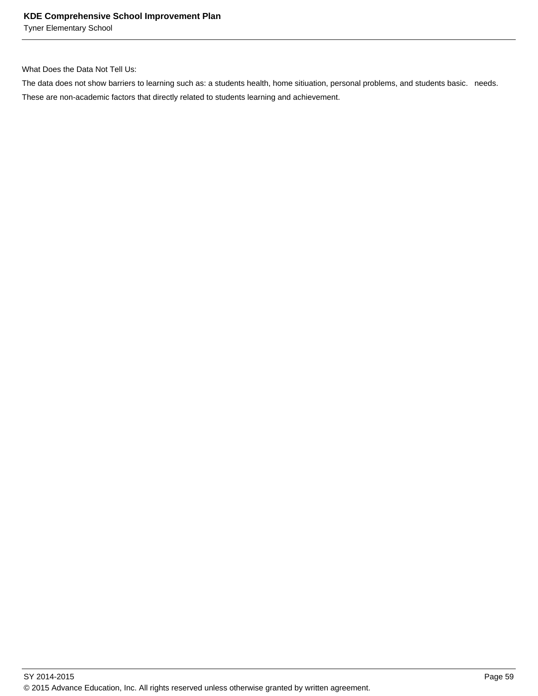Tyner Elementary School

What Does the Data Not Tell Us:

The data does not show barriers to learning such as: a students health, home sitiuation, personal problems, and students basic. needs. These are non-academic factors that directly related to students learning and achievement.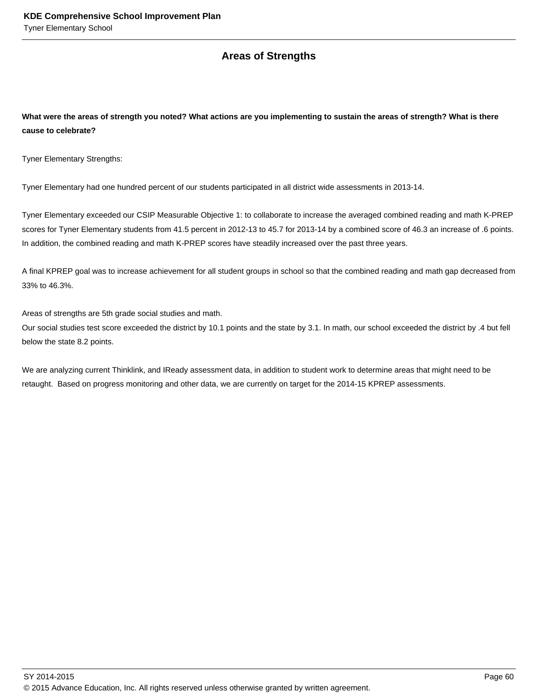# **Areas of Strengths**

**What were the areas of strength you noted? What actions are you implementing to sustain the areas of strength? What is there cause to celebrate?**

Tyner Elementary Strengths:

Tyner Elementary had one hundred percent of our students participated in all district wide assessments in 2013-14.

Tyner Elementary exceeded our CSIP Measurable Objective 1: to collaborate to increase the averaged combined reading and math K-PREP scores for Tyner Elementary students from 41.5 percent in 2012-13 to 45.7 for 2013-14 by a combined score of 46.3 an increase of .6 points. In addition, the combined reading and math K-PREP scores have steadily increased over the past three years.

A final KPREP goal was to increase achievement for all student groups in school so that the combined reading and math gap decreased from 33% to 46.3%.

Areas of strengths are 5th grade social studies and math.

Our social studies test score exceeded the district by 10.1 points and the state by 3.1. In math, our school exceeded the district by .4 but fell below the state 8.2 points.

We are analyzing current Thinklink, and IReady assessment data, in addition to student work to determine areas that might need to be retaught. Based on progress monitoring and other data, we are currently on target for the 2014-15 KPREP assessments.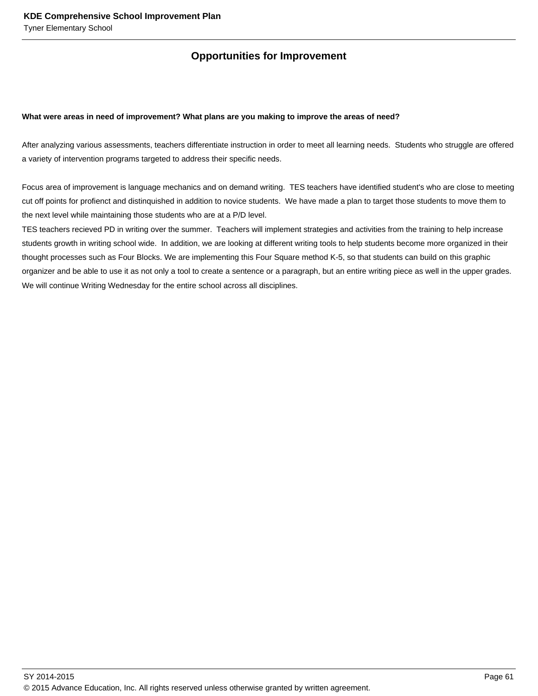# **Opportunities for Improvement**

#### **What were areas in need of improvement? What plans are you making to improve the areas of need?**

After analyzing various assessments, teachers differentiate instruction in order to meet all learning needs. Students who struggle are offered a variety of intervention programs targeted to address their specific needs.

Focus area of improvement is language mechanics and on demand writing. TES teachers have identified student's who are close to meeting cut off points for profienct and distinquished in addition to novice students. We have made a plan to target those students to move them to the next level while maintaining those students who are at a P/D level.

TES teachers recieved PD in writing over the summer. Teachers will implement strategies and activities from the training to help increase students growth in writing school wide. In addition, we are looking at different writing tools to help students become more organized in their thought processes such as Four Blocks. We are implementing this Four Square method K-5, so that students can build on this graphic organizer and be able to use it as not only a tool to create a sentence or a paragraph, but an entire writing piece as well in the upper grades. We will continue Writing Wednesday for the entire school across all disciplines.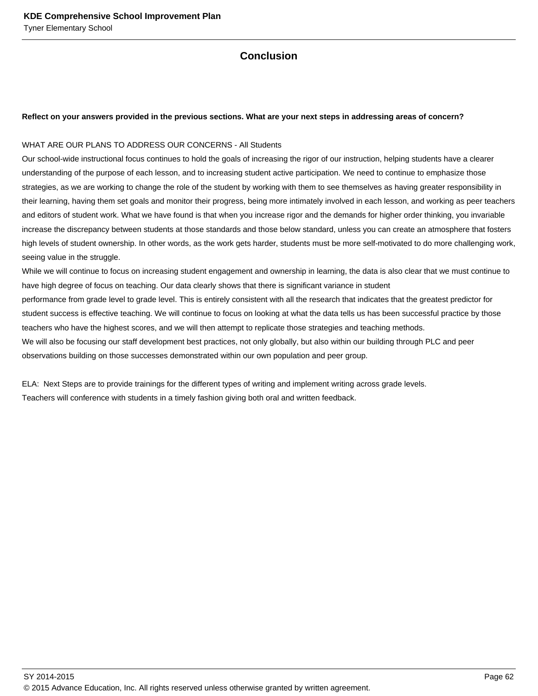# **Conclusion**

#### **Reflect on your answers provided in the previous sections. What are your next steps in addressing areas of concern?**

#### WHAT ARE OUR PLANS TO ADDRESS OUR CONCERNS - All Students

Our school-wide instructional focus continues to hold the goals of increasing the rigor of our instruction, helping students have a clearer understanding of the purpose of each lesson, and to increasing student active participation. We need to continue to emphasize those strategies, as we are working to change the role of the student by working with them to see themselves as having greater responsibility in their learning, having them set goals and monitor their progress, being more intimately involved in each lesson, and working as peer teachers and editors of student work. What we have found is that when you increase rigor and the demands for higher order thinking, you invariable increase the discrepancy between students at those standards and those below standard, unless you can create an atmosphere that fosters high levels of student ownership. In other words, as the work gets harder, students must be more self-motivated to do more challenging work, seeing value in the struggle.

While we will continue to focus on increasing student engagement and ownership in learning, the data is also clear that we must continue to have high degree of focus on teaching. Our data clearly shows that there is significant variance in student

performance from grade level to grade level. This is entirely consistent with all the research that indicates that the greatest predictor for student success is effective teaching. We will continue to focus on looking at what the data tells us has been successful practice by those teachers who have the highest scores, and we will then attempt to replicate those strategies and teaching methods.

We will also be focusing our staff development best practices, not only globally, but also within our building through PLC and peer observations building on those successes demonstrated within our own population and peer group.

ELA: Next Steps are to provide trainings for the different types of writing and implement writing across grade levels. Teachers will conference with students in a timely fashion giving both oral and written feedback.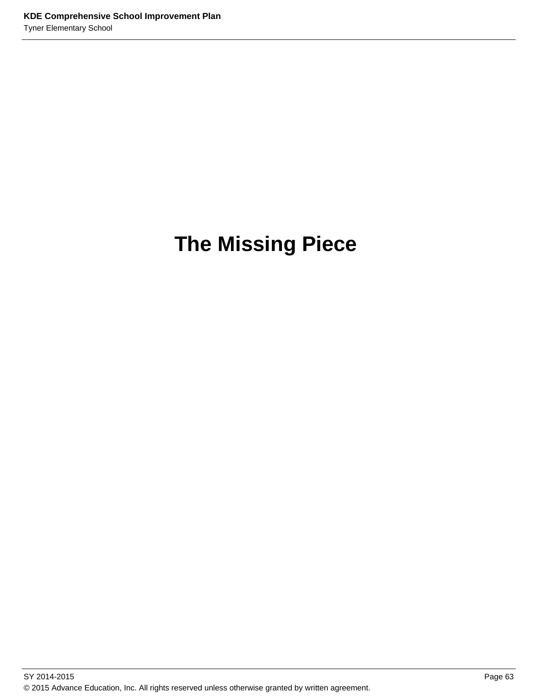# **The Missing Piece**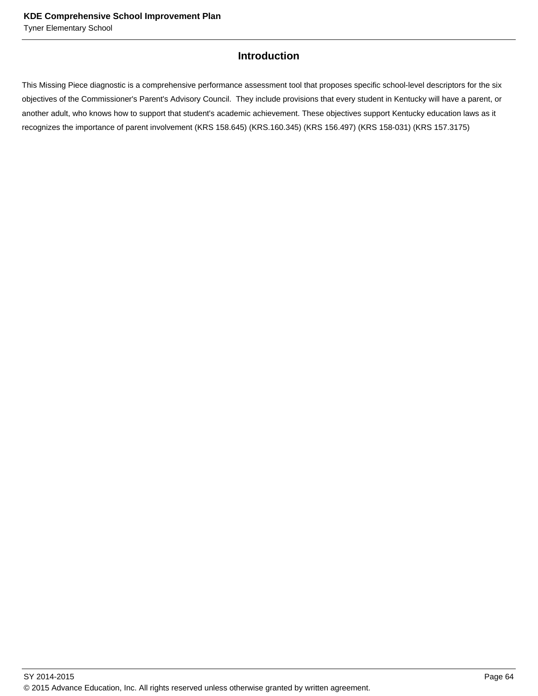# **Introduction**

This Missing Piece diagnostic is a comprehensive performance assessment tool that proposes specific school-level descriptors for the six objectives of the Commissioner's Parent's Advisory Council. They include provisions that every student in Kentucky will have a parent, or another adult, who knows how to support that student's academic achievement. These objectives support Kentucky education laws as it recognizes the importance of parent involvement (KRS 158.645) (KRS.160.345) (KRS 156.497) (KRS 158-031) (KRS 157.3175)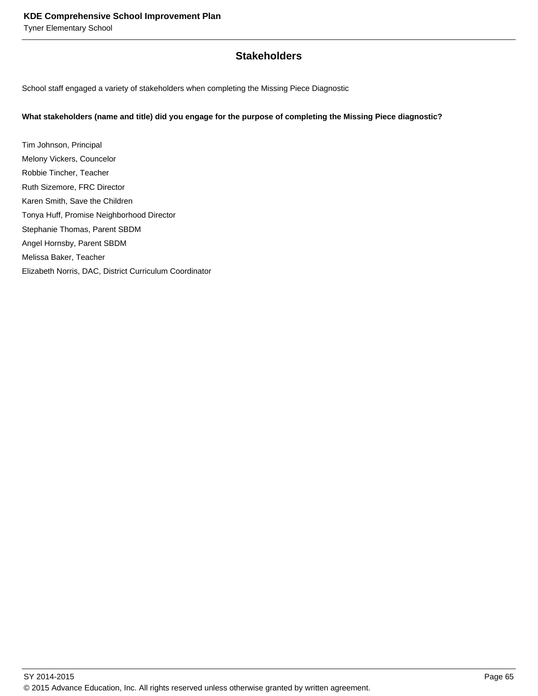# **Stakeholders**

School staff engaged a variety of stakeholders when completing the Missing Piece Diagnostic

#### **What stakeholders (name and title) did you engage for the purpose of completing the Missing Piece diagnostic?**

Tim Johnson, Principal Melony Vickers, Councelor Robbie Tincher, Teacher Ruth Sizemore, FRC Director Karen Smith, Save the Children Tonya Huff, Promise Neighborhood Director Stephanie Thomas, Parent SBDM Angel Hornsby, Parent SBDM Melissa Baker, Teacher Elizabeth Norris, DAC, District Curriculum Coordinator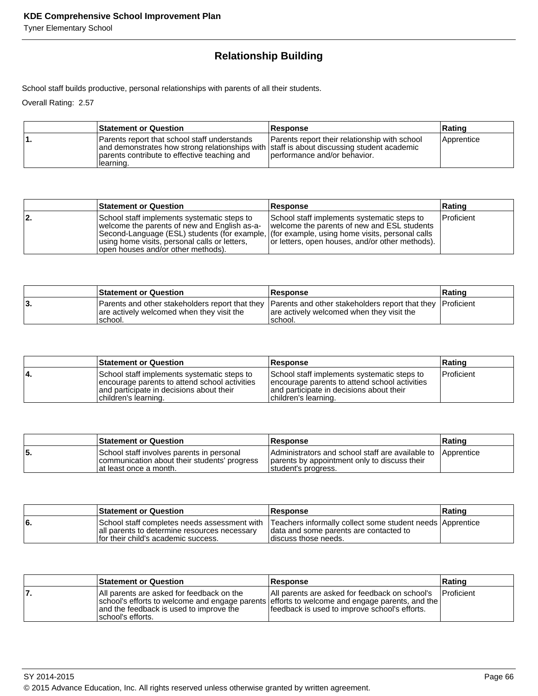# **Relationship Building**

School staff builds productive, personal relationships with parents of all their students.

Overall Rating: 2.57

| <b>Statement or Question</b>                                                                                                                                                                            | <b>Response</b>                                                               | Rating     |
|---------------------------------------------------------------------------------------------------------------------------------------------------------------------------------------------------------|-------------------------------------------------------------------------------|------------|
| Parents report that school staff understands<br>and demonstrates how strong relationships with staff is about discussing student academic<br>parents contribute to effective teaching and<br>Ilearning. | Parents report their relationship with school<br>performance and/or behavior. | Apprentice |

|     | <b>Statement or Question</b>                                                                                                                                                                                                                                                       | <b>Response</b>                                                                                                                               | Rating            |
|-----|------------------------------------------------------------------------------------------------------------------------------------------------------------------------------------------------------------------------------------------------------------------------------------|-----------------------------------------------------------------------------------------------------------------------------------------------|-------------------|
| 12. | School staff implements systematic steps to<br>welcome the parents of new and English as-a-<br>Second-Language (ESL) students (for example, (for example, using home visits, personal calls<br>using home visits, personal calls or letters,<br>open houses and/or other methods). | School staff implements systematic steps to<br>welcome the parents of new and ESL students<br>or letters, open houses, and/or other methods). | <b>Proficient</b> |

|    | <b>Statement or Question</b>                                                                                                                                        | <b>Response</b>                                      | <b>Rating</b> |
|----|---------------------------------------------------------------------------------------------------------------------------------------------------------------------|------------------------------------------------------|---------------|
| J. | Parents and other stakeholders report that they Parents and other stakeholders report that they Proficient<br>are actively welcomed when they visit the<br>'school. | are actively welcomed when they visit the<br>school. |               |

|    | <b>Statement or Question</b>                                                                                                                                     | <b>Response</b>                                                                                                                                                   | ∣Ratinq            |
|----|------------------------------------------------------------------------------------------------------------------------------------------------------------------|-------------------------------------------------------------------------------------------------------------------------------------------------------------------|--------------------|
| 4. | School staff implements systematic steps to<br>encourage parents to attend school activities<br>and participate in decisions about their<br>children's learning. | School staff implements systematic steps to<br>encourage parents to attend school activities<br>and participate in decisions about their<br>Ichildren's learning. | <b>IProficient</b> |

|     | <b>Statement or Question</b>                                                                                         | <b>Response</b>                                                                                                                    | ⊪Ratinq |
|-----|----------------------------------------------------------------------------------------------------------------------|------------------------------------------------------------------------------------------------------------------------------------|---------|
| 55. | School staff involves parents in personal<br>communication about their students' progress<br>lat least once a month. | Administrators and school staff are available to Apprentice<br>parents by appointment only to discuss their<br>student's progress. |         |

|    | <b>Statement or Question</b>                                                          | <b>Response</b>                                                                                                                                                           | ∣Ratinɑ |
|----|---------------------------------------------------------------------------------------|---------------------------------------------------------------------------------------------------------------------------------------------------------------------------|---------|
| 6. | all parents to determine resources necessary<br>If or their child's academic success. | School staff completes needs assessment with Teachers informally collect some student needs Apprentice<br>data and some parents are contacted to<br>Idiscuss those needs. |         |

|     | <b>Statement or Question</b>                                                                                                                                                                                | <b>Response</b>                                                                                 | Rating             |
|-----|-------------------------------------------------------------------------------------------------------------------------------------------------------------------------------------------------------------|-------------------------------------------------------------------------------------------------|--------------------|
| '7. | IAII parents are asked for feedback on the<br>school's efforts to welcome and engage parents efforts to welcome and engage parents, and the<br>and the feedback is used to improve the<br>school's efforts. | All parents are asked for feedback on school's<br>feedback is used to improve school's efforts. | <b>IProficient</b> |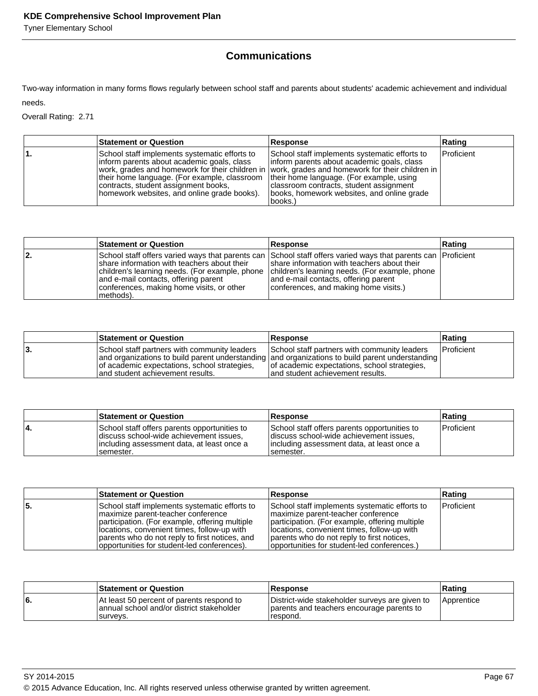Tyner Elementary School

# **Communications**

Two-way information in many forms flows regularly between school staff and parents about students' academic achievement and individual needs.

Overall Rating: 2.71

| <b>Statement or Question</b>                                                                                                                                                                                                       | Response                                                                                                                                                                                                                                                                                                                                          | Rating            |
|------------------------------------------------------------------------------------------------------------------------------------------------------------------------------------------------------------------------------------|---------------------------------------------------------------------------------------------------------------------------------------------------------------------------------------------------------------------------------------------------------------------------------------------------------------------------------------------------|-------------------|
| School staff implements systematic efforts to<br>Inform parents about academic goals, class<br>their home language. (For example, classroom<br>contracts, student assignment books,<br>homework websites, and online grade books). | School staff implements systematic efforts to<br>linform parents about academic goals, class<br>work, grades and homework for their children in vork, grades and homework for their children in<br>their home language. (For example, using<br>classroom contracts, student assignment<br>(books, homework websites, and online grade)<br>books.) | <b>Proficient</b> |

|     | <b>Statement or Question</b>                                                                                                                                                                      | Response                                                                                                                                                                                                                                                                                       | Rating |
|-----|---------------------------------------------------------------------------------------------------------------------------------------------------------------------------------------------------|------------------------------------------------------------------------------------------------------------------------------------------------------------------------------------------------------------------------------------------------------------------------------------------------|--------|
| 12. | Ishare information with teachers about their<br>children's learning needs. (For example, phone<br>and e-mail contacts, offering parent<br>conferences, making home visits, or other<br> methods). | School staff offers varied ways that parents can School staff offers varied ways that parents can Proficient<br>share information with teachers about their<br>children's learning needs. (For example, phone<br>and e-mail contacts, offering parent<br>conferences, and making home visits.) |        |

|    | <b>Statement or Question</b>                                                                                                      | <b>Response</b>                                                                                                                                                                                                                     | ∣Ratinɑ           |
|----|-----------------------------------------------------------------------------------------------------------------------------------|-------------------------------------------------------------------------------------------------------------------------------------------------------------------------------------------------------------------------------------|-------------------|
| 3. | School staff partners with community leaders<br>of academic expectations, school strategies,<br>land student achievement results. | School staff partners with community leaders<br>and organizations to build parent understanding and organizations to build parent understanding<br>of academic expectations, school strategies,<br>and student achievement results. | <b>Proficient</b> |

|    | <b>Statement or Question</b>                                                                                                                         | <b>Response</b>                                                                                                                                      | ∣Ratinq           |
|----|------------------------------------------------------------------------------------------------------------------------------------------------------|------------------------------------------------------------------------------------------------------------------------------------------------------|-------------------|
| 4. | School staff offers parents opportunities to<br>discuss school-wide achievement issues.<br>lincluding assessment data, at least once a<br>Isemester. | School staff offers parents opportunities to<br>discuss school-wide achievement issues.<br>lincluding assessment data, at least once a<br>Isemester. | <b>Proficient</b> |

|     | <b>Statement or Question</b>                                                                                                                                                                                                                                                           | Response                                                                                                                                                                                                                                                                          | Rating     |
|-----|----------------------------------------------------------------------------------------------------------------------------------------------------------------------------------------------------------------------------------------------------------------------------------------|-----------------------------------------------------------------------------------------------------------------------------------------------------------------------------------------------------------------------------------------------------------------------------------|------------|
| '5. | School staff implements systematic efforts to<br>Imaximize parent-teacher conference<br>participation. (For example, offering multiple<br>locations, convenient times, follow-up with<br>parents who do not reply to first notices, and<br>opportunities for student-led conferences). | School staff implements systematic efforts to<br>maximize parent-teacher conference<br>participation. (For example, offering multiple<br>locations, convenient times, follow-up with<br>parents who do not reply to first notices,<br>opportunities for student-led conferences.) | Proficient |

|    | <b>Statement or Question</b>                                                                        | <b>Response</b>                                                                                         | ∣Ratinɑ           |
|----|-----------------------------------------------------------------------------------------------------|---------------------------------------------------------------------------------------------------------|-------------------|
| 6. | At least 50 percent of parents respond to<br>annual school and/or district stakeholder<br>Isurvevs. | District-wide stakeholder surveys are given to<br>parents and teachers encourage parents to<br>respond. | <b>Apprentice</b> |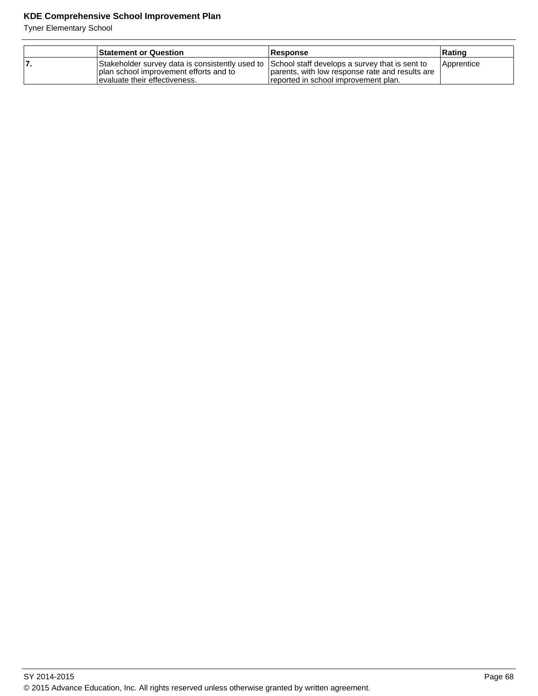| <b>Statement or Question</b>                                                                                                                                               | <b>Response</b>                                                                         | ∣Ratinɑ           |
|----------------------------------------------------------------------------------------------------------------------------------------------------------------------------|-----------------------------------------------------------------------------------------|-------------------|
| Stakeholder survey data is consistently used to School staff develops a survey that is sent to<br>plan school improvement efforts and to<br>levaluate their effectiveness. | parents, with low response rate and results are<br>reported in school improvement plan. | <b>Apprentice</b> |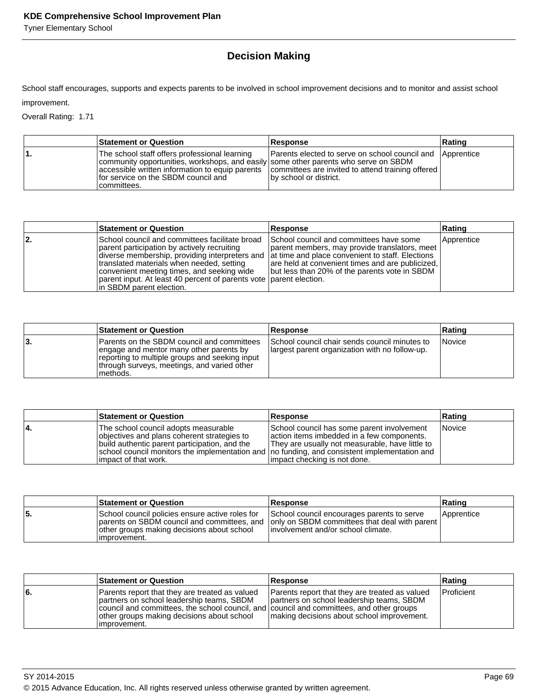Tyner Elementary School

# **Decision Making**

School staff encourages, supports and expects parents to be involved in school improvement decisions and to monitor and assist school improvement.

Overall Rating: 1.71

| <b>Statement or Question</b>                                                                                                                                                                | <b>Response</b>                                                                                                                                                                                     | Rating |
|---------------------------------------------------------------------------------------------------------------------------------------------------------------------------------------------|-----------------------------------------------------------------------------------------------------------------------------------------------------------------------------------------------------|--------|
| The school staff offers professional learning<br>community opportunities, workshops, and easily some other parents who serve on SBDM<br>for service on the SBDM council and<br>Icommittees. | <b>Parents elected to serve on school council and Apprentice</b><br>  accessible written information to equip parents   committees are invited to attend training offered<br>by school or district. |        |

|     | <b>Statement or Question</b>                                                                                                                                                                                                                                                                                                                                                                  | Response                                                                                                                                                                                      | Rating     |
|-----|-----------------------------------------------------------------------------------------------------------------------------------------------------------------------------------------------------------------------------------------------------------------------------------------------------------------------------------------------------------------------------------------------|-----------------------------------------------------------------------------------------------------------------------------------------------------------------------------------------------|------------|
| 12. | School council and committees facilitate broad<br>parent participation by actively recruiting<br>diverse membership, providing interpreters and at time and place convenient to staff. Elections<br>translated materials when needed, setting<br>convenient meeting times, and seeking wide<br>parent input. At least 40 percent of parents vote parent election.<br>In SBDM parent election. | School council and committees have some<br>parent members, may provide translators, meet<br>are held at convenient times and are publicized,<br>but less than 20% of the parents vote in SBDM | Apprentice |

|    | <b>Statement or Question</b>                                                                                                                                                                         | <b>Response</b>                                                                                 | Rating |
|----|------------------------------------------------------------------------------------------------------------------------------------------------------------------------------------------------------|-------------------------------------------------------------------------------------------------|--------|
| 3. | Parents on the SBDM council and committees<br>engage and mentor many other parents by<br>reporting to multiple groups and seeking input<br>Ithrough surveys, meetings, and varied other<br>Imethods. | School council chair sends council minutes to<br>largest parent organization with no follow-up. | Novice |

|    | <b>Statement or Question</b>                                                                                                                                                                                                                                    | <b>Response</b>                                                                                                                                                              | Rating        |
|----|-----------------------------------------------------------------------------------------------------------------------------------------------------------------------------------------------------------------------------------------------------------------|------------------------------------------------------------------------------------------------------------------------------------------------------------------------------|---------------|
| 4. | The school council adopts measurable<br>objectives and plans coherent strategies to<br>build authentic parent participation, and the<br>school council monitors the implementation and   no funding, and consistent implementation and<br>limpact of that work. | School council has some parent involvement<br>laction items imbedded in a few components.<br>They are usually not measurable, have little to<br>impact checking is not done. | <b>Novice</b> |

|    | <b>Statement or Question</b>                                                                                   | <b>Response</b>                                                                                                                                                                | Rating     |
|----|----------------------------------------------------------------------------------------------------------------|--------------------------------------------------------------------------------------------------------------------------------------------------------------------------------|------------|
| 5. | School council policies ensure active roles for<br>other groups making decisions about school<br>limprovement. | School council encourages parents to serve<br>parents on SBDM council and committees, and only on SBDM committees that deal with parent<br>linvolvement and/or school climate. | Apprentice |

|     | <b>Statement or Question</b>                                                                                                                                                                                                                           | <b>Response</b>                                                                                                                           | Rating     |
|-----|--------------------------------------------------------------------------------------------------------------------------------------------------------------------------------------------------------------------------------------------------------|-------------------------------------------------------------------------------------------------------------------------------------------|------------|
| l6. | Parents report that they are treated as valued<br>partners on school leadership teams, SBDM<br>council and committees, the school council, and council and committees, and other groups<br>other groups making decisions about school<br>limprovement. | Parents report that they are treated as valued<br>partners on school leadership teams, SBDM<br>making decisions about school improvement. | Proficient |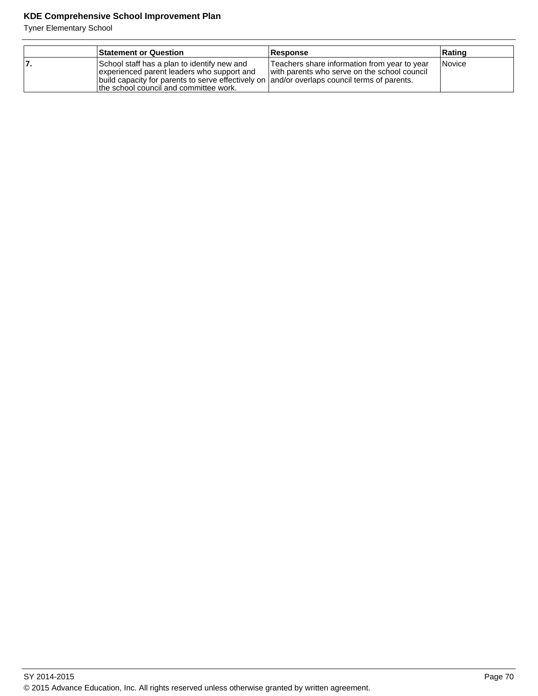| <b>Statement or Question</b>                                                                                                                                                                                                         | <b>Response</b>                                                                              | Rating        |
|--------------------------------------------------------------------------------------------------------------------------------------------------------------------------------------------------------------------------------------|----------------------------------------------------------------------------------------------|---------------|
| School staff has a plan to identify new and<br>experienced parent leaders who support and<br>build capacity for parents to serve effectively on  and/or overlaps council terms of parents.<br>the school council and committee work. | Teachers share information from year to year<br>with parents who serve on the school council | <b>Novice</b> |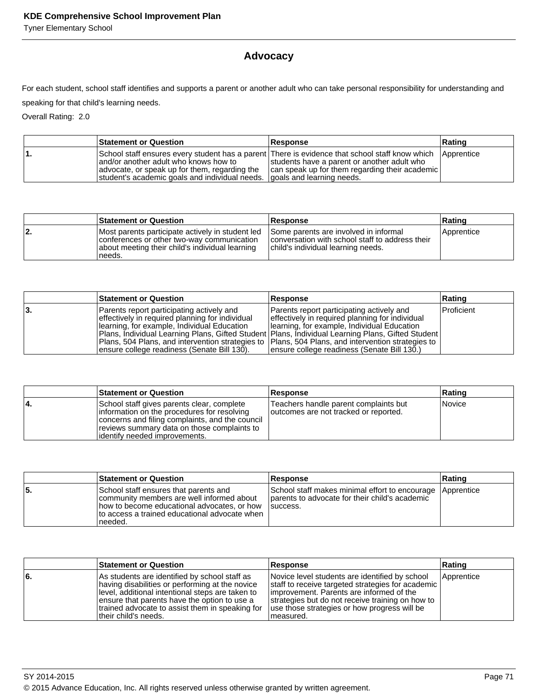Tyner Elementary School

# **Advocacy**

For each student, school staff identifies and supports a parent or another adult who can take personal responsibility for understanding and

speaking for that child's learning needs.

Overall Rating: 2.0

|    | <b>Statement or Question</b>                                                                                                                                          | <b>Response</b>                                                                                                                                                                                            | ∣Ratinɑ |
|----|-----------------------------------------------------------------------------------------------------------------------------------------------------------------------|------------------------------------------------------------------------------------------------------------------------------------------------------------------------------------------------------------|---------|
| 1. | land/or another adult who knows how to<br>advocate, or speak up for them, regarding the<br>student's academic goals and individual needs.   goals and learning needs. | School staff ensures every student has a parent There is evidence that school staff know which Apprentice<br>students have a parent or another adult who<br>can speak up for them regarding their academic |         |

|     | <b>Statement or Question</b>                                                                                                                                | <b>Response</b>                                                                                                                | Rating     |
|-----|-------------------------------------------------------------------------------------------------------------------------------------------------------------|--------------------------------------------------------------------------------------------------------------------------------|------------|
| 12. | Most parents participate actively in student led<br>conferences or other two-way communication<br>about meeting their child's individual learning<br>needs. | Some parents are involved in informal<br>conversation with school staff to address their<br>child's individual learning needs. | Apprentice |

|    | <b>Statement or Question</b>                                                                                                                                                                                                                                                                                                                                                                                | <b>Response</b>                                                                                                                                                                              | Rating     |
|----|-------------------------------------------------------------------------------------------------------------------------------------------------------------------------------------------------------------------------------------------------------------------------------------------------------------------------------------------------------------------------------------------------------------|----------------------------------------------------------------------------------------------------------------------------------------------------------------------------------------------|------------|
| 3. | Parents report participating actively and<br>effectively in required planning for individual<br>Hearning, for example, Individual Education<br>Plans, Individual Learning Plans, Gifted Student   Plans, Individual Learning Plans, Gifted Student  <br>Plans, 504 Plans, and intervention strategies to  Plans, 504 Plans, and intervention strategies to  <br>ensure college readiness (Senate Bill 130). | Parents report participating actively and<br>effectively in required planning for individual<br>Ilearning, for example, Individual Education<br>Jensure college readiness (Senate Bill 130.) | Proficient |

|    | <b>Statement or Question</b>                                                                                                                                                                                                  | <b>Response</b>                                                                | Rating        |
|----|-------------------------------------------------------------------------------------------------------------------------------------------------------------------------------------------------------------------------------|--------------------------------------------------------------------------------|---------------|
| 4. | School staff gives parents clear, complete<br>information on the procedures for resolving<br>concerns and filing complaints, and the council<br>reviews summary data on those complaints to<br>lidentify needed improvements. | Teachers handle parent complaints but<br>outcomes are not tracked or reported. | <i>Novice</i> |

|    | <b>Statement or Question</b>                                                                                                                                                                    | <b>Response</b>                                                                                                          | Rating |
|----|-------------------------------------------------------------------------------------------------------------------------------------------------------------------------------------------------|--------------------------------------------------------------------------------------------------------------------------|--------|
| 5. | School staff ensures that parents and<br>community members are well informed about<br>how to become educational advocates, or how<br>Ito access a trained educational advocate when<br>Ineeded. | School staff makes minimal effort to encourage Apprentice<br>parents to advocate for their child's academic<br>Isuccess. |        |

|    | <b>Statement or Question</b>                                                                                                                                                                                                                                                     | Response                                                                                                                                                                                                                                                           | Rating     |
|----|----------------------------------------------------------------------------------------------------------------------------------------------------------------------------------------------------------------------------------------------------------------------------------|--------------------------------------------------------------------------------------------------------------------------------------------------------------------------------------------------------------------------------------------------------------------|------------|
| 6. | As students are identified by school staff as<br>having disabilities or performing at the novice<br>level, additional intentional steps are taken to<br>ensure that parents have the option to use a<br>trained advocate to assist them in speaking for<br>ltheir child's needs. | Novice level students are identified by school<br>staff to receive targeted strategies for academic<br>limprovement. Parents are informed of the<br>strategies but do not receive training on how to<br>use those strategies or how progress will be<br>Imeasured. | Apprentice |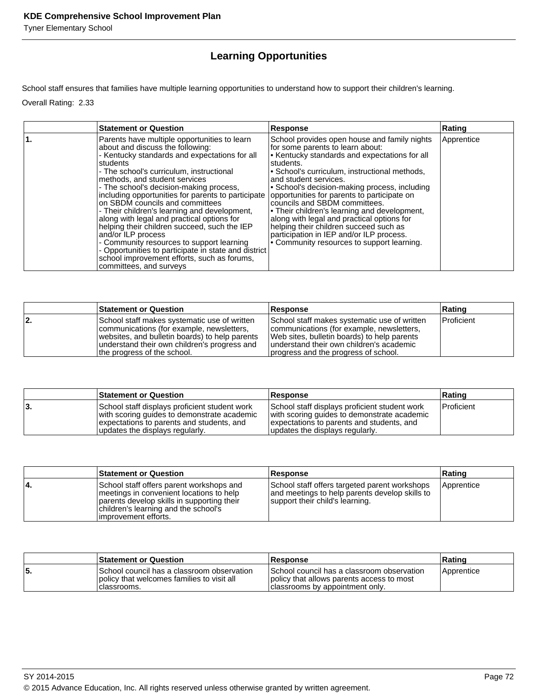Tyner Elementary School

# **Learning Opportunities**

School staff ensures that families have multiple learning opportunities to understand how to support their children's learning.

Overall Rating: 2.33

| <b>Statement or Question</b>                                                                                                                                                                                                                                                                                                                                                                                                                                                                                                                                                                                                                                                                                      | <b>Response</b>                                                                                                                                                                                                                                                                                                                                                                                                                                                                                                                                                                             | Rating     |
|-------------------------------------------------------------------------------------------------------------------------------------------------------------------------------------------------------------------------------------------------------------------------------------------------------------------------------------------------------------------------------------------------------------------------------------------------------------------------------------------------------------------------------------------------------------------------------------------------------------------------------------------------------------------------------------------------------------------|---------------------------------------------------------------------------------------------------------------------------------------------------------------------------------------------------------------------------------------------------------------------------------------------------------------------------------------------------------------------------------------------------------------------------------------------------------------------------------------------------------------------------------------------------------------------------------------------|------------|
| Parents have multiple opportunities to learn<br>about and discuss the following:<br>- Kentucky standards and expectations for all<br>students<br>- The school's curriculum, instructional<br>methods, and student services<br>- The school's decision-making process,<br>including opportunities for parents to participate<br>on SBDM councils and committees<br>- Their children's learning and development,<br>along with legal and practical options for<br>helping their children succeed, such the IEP<br>and/or ILP process<br>- Community resources to support learning<br>- Opportunities to participate in state and district<br>school improvement efforts, such as forums,<br>committees, and surveys | School provides open house and family nights<br>for some parents to learn about:<br>• Kentucky standards and expectations for all<br>students.<br>• School's curriculum, instructional methods,<br>and student services.<br>· School's decision-making process, including<br>opportunities for parents to participate on<br>councils and SBDM committees.<br>• Their children's learning and development,<br>along with legal and practical options for<br>helping their children succeed such as<br>participation in IEP and/or ILP process.<br>• Community resources to support learning. | Apprentice |

|    | <b>Statement or Question</b>                                                                                                                                                                                               | <b>Response</b>                                                                                                                                                                                                              | Rating            |
|----|----------------------------------------------------------------------------------------------------------------------------------------------------------------------------------------------------------------------------|------------------------------------------------------------------------------------------------------------------------------------------------------------------------------------------------------------------------------|-------------------|
| 2. | School staff makes systematic use of written<br>communications (for example, newsletters,<br>websites, and bulletin boards) to help parents<br>understand their own children's progress and<br>the progress of the school. | School staff makes systematic use of written<br>communications (for example, newsletters,<br>Web sites, bulletin boards) to help parents<br>understand their own children's academic<br>progress and the progress of school. | <b>Proficient</b> |

|    | <b>Statement or Question</b>                                                                                                                                                 | <b>Response</b>                                                                                                                                                              | Rating            |
|----|------------------------------------------------------------------------------------------------------------------------------------------------------------------------------|------------------------------------------------------------------------------------------------------------------------------------------------------------------------------|-------------------|
| 3. | School staff displays proficient student work<br>with scoring guides to demonstrate academic<br>expectations to parents and students, and<br>updates the displays regularly. | School staff displays proficient student work<br>with scoring guides to demonstrate academic<br>expectations to parents and students, and<br>updates the displays regularly. | <b>Proficient</b> |

|     | <b>Statement or Question</b>                                                                                                                                                                        | <b>Response</b>                                                                                                                    | Rating     |
|-----|-----------------------------------------------------------------------------------------------------------------------------------------------------------------------------------------------------|------------------------------------------------------------------------------------------------------------------------------------|------------|
| 14. | School staff offers parent workshops and<br>Imeetings in convenient locations to help<br>parents develop skills in supporting their<br>children's learning and the school's<br>improvement efforts. | School staff offers targeted parent workshops<br>and meetings to help parents develop skills to<br>support their child's learning. | Apprentice |

|     | <b>Statement or Question</b>                                                                             | Response                                                                                                                   | ∣Ratinɑ    |
|-----|----------------------------------------------------------------------------------------------------------|----------------------------------------------------------------------------------------------------------------------------|------------|
| 55. | School council has a classroom observation<br>policy that welcomes families to visit all<br>Iclassrooms. | School council has a classroom observation<br>policy that allows parents access to most<br>classrooms by appointment only. | Apprentice |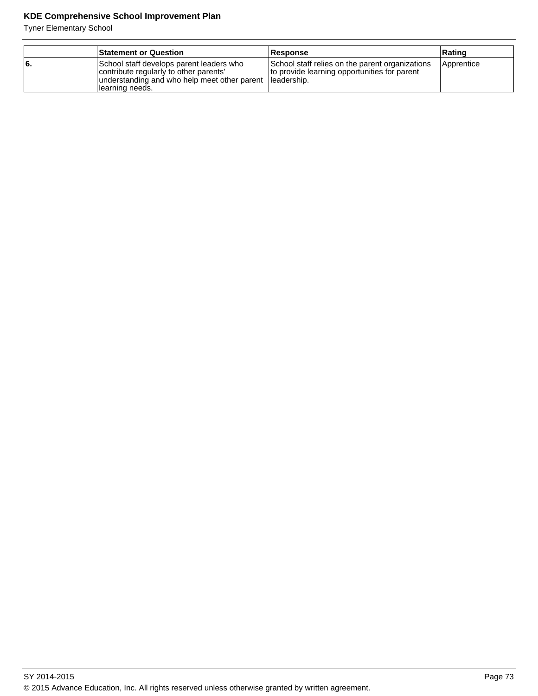|     | <b>Statement or Question</b>                                                                                                                           | <b>Response</b>                                                                                                 | ∣Ratinɑ    |
|-----|--------------------------------------------------------------------------------------------------------------------------------------------------------|-----------------------------------------------------------------------------------------------------------------|------------|
| l6. | School staff develops parent leaders who<br>contribute regularly to other parents'<br>understanding and who help meet other parent<br>Ilearning needs. | School staff relies on the parent organizations<br>to provide learning opportunities for parent<br>lleadership. | Apprentice |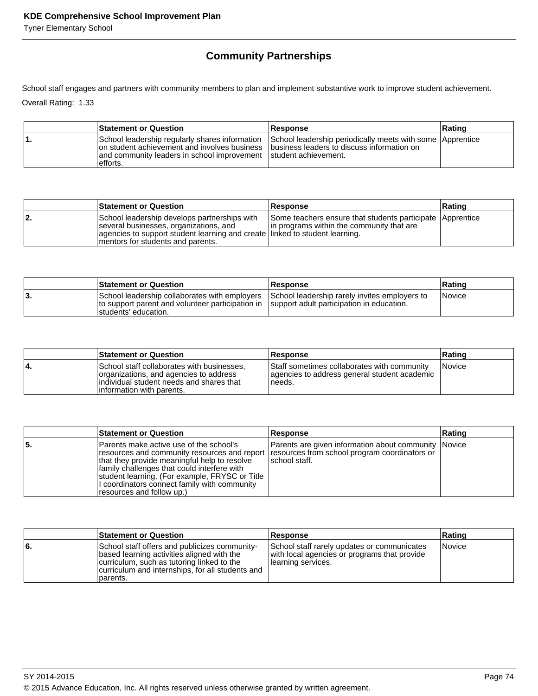# **Community Partnerships**

School staff engages and partners with community members to plan and implement substantive work to improve student achievement.

Overall Rating: 1.33

| <b>Statement or Question</b>                                                                                                                                                                                                | <b>Response</b>                                           | Rating |
|-----------------------------------------------------------------------------------------------------------------------------------------------------------------------------------------------------------------------------|-----------------------------------------------------------|--------|
| School leadership regularly shares information<br>on student achievement and involves business I business leaders to discuss information on<br>and community leaders in school improvement student achievement.<br>efforts. | School leadership periodically meets with some Apprentice |        |

|     | <b>Statement or Question</b>                                                                                                                                                                                | <b>Response</b>                                                                                        | <b>Rating</b> |
|-----|-------------------------------------------------------------------------------------------------------------------------------------------------------------------------------------------------------------|--------------------------------------------------------------------------------------------------------|---------------|
| 12. | School leadership develops partnerships with<br>several businesses, organizations, and<br>agencies to support student learning and create linked to student learning.<br>Imentors for students and parents. | Some teachers ensure that students participate Apprentice<br>In programs within the community that are |               |

|      | <b>Statement or Question</b>                                                                                               | <b>Response</b>                                                                            | Rating        |
|------|----------------------------------------------------------------------------------------------------------------------------|--------------------------------------------------------------------------------------------|---------------|
| .د ا | School leadership collaborates with employers<br>to support parent and volunteer participation in<br>Istudents' education. | School leadership rarely invites employers to<br>support adult participation in education. | <i>Novice</i> |

|    | <b>Statement or Question</b>                                                                                                                                   | <b>Response</b>                                                                                       | Rating        |
|----|----------------------------------------------------------------------------------------------------------------------------------------------------------------|-------------------------------------------------------------------------------------------------------|---------------|
| 4. | School staff collaborates with businesses,<br>organizations, and agencies to address<br>individual student needs and shares that<br>linformation with parents. | Staff sometimes collaborates with community<br>agencies to address general student academic<br>needs. | <b>Novice</b> |

|     | <b>Statement or Question</b>                                                                                                                                                                                                                                                                                                                                           | <b>Response</b>                                                        | Rating |
|-----|------------------------------------------------------------------------------------------------------------------------------------------------------------------------------------------------------------------------------------------------------------------------------------------------------------------------------------------------------------------------|------------------------------------------------------------------------|--------|
| ۱5. | lParents make active use of the school's<br>resources and community resources and report   resources from school program coordinators or<br>that they provide meaningful help to resolve<br>family challenges that could interfere with<br>student learning. (For example, FRYSC or Title<br>I coordinators connect family with community<br>resources and follow up.) | Parents are given information about community Novice<br>Ischool staff. |        |

|     | <b>Statement or Question</b>                                                                                                                                                                              | <b>Response</b>                                                                                                   | Rating |
|-----|-----------------------------------------------------------------------------------------------------------------------------------------------------------------------------------------------------------|-------------------------------------------------------------------------------------------------------------------|--------|
| l6. | School staff offers and publicizes community-<br>based learning activities aligned with the<br>curriculum, such as tutoring linked to the<br>curriculum and internships, for all students and<br>parents. | School staff rarely updates or communicates<br>with local agencies or programs that provide<br>Iearning services. | Novice |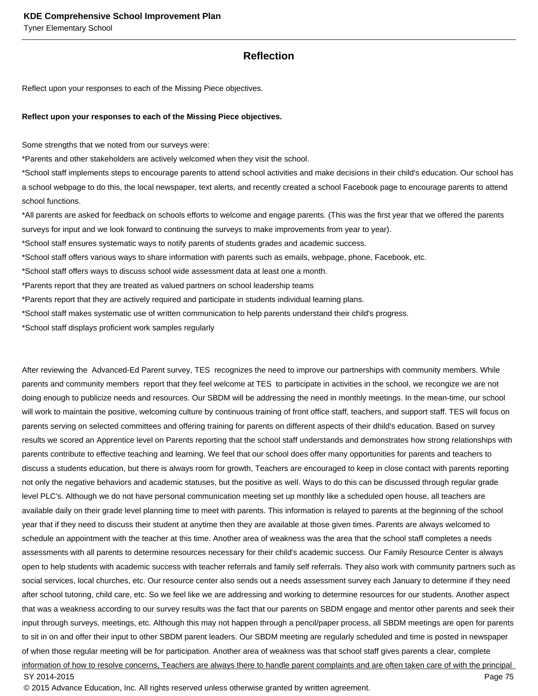## **Reflection**

Reflect upon your responses to each of the Missing Piece objectives.

#### **Reflect upon your responses to each of the Missing Piece objectives.**

Some strengths that we noted from our surveys were:

\*Parents and other stakeholders are actively welcomed when they visit the school.

\*School staff implements steps to encourage parents to attend school activities and make decisions in their child's education. Our school has a school webpage to do this, the local newspaper, text alerts, and recently created a school Facebook page to encourage parents to attend school functions.

\*All parents are asked for feedback on schools efforts to welcome and engage parents. (This was the first year that we offered the parents surveys for input and we look forward to continuing the surveys to make improvements from year to year).

\*School staff ensures systematic ways to notify parents of students grades and academic success.

\*School staff offers various ways to share information with parents such as emails, webpage, phone, Facebook, etc.

\*School staff offers ways to discuss school wide assessment data at least one a month.

\*Parents report that they are treated as valued partners on school leadership teams

\*Parents report that they are actively required and participate in students individual learning plans.

\*School staff makes systematic use of written communication to help parents understand their child's progress.

\*School staff displays proficient work samples regularly

After reviewing the Advanced-Ed Parent survey, TES recognizes the need to improve our partnerships with community members. While parents and community members report that they feel welcome at TES to participate in activities in the school, we recongize we are not doing enough to publicize needs and resources. Our SBDM will be addressing the need in monthly meetings. In the mean-time, our school will work to maintain the positive, welcoming culture by continuous training of front office staff, teachers, and support staff. TES will focus on parents serving on selected committees and offering training for parents on different aspects of their dhild's education. Based on survey results we scored an Apprentice level on Parents reporting that the school staff understands and demonstrates how strong relationships with parents contribute to effective teaching and learning. We feel that our school does offer many opportunities for parents and teachers to discuss a students education, but there is always room for growth, Teachers are encouraged to keep in close contact with parents reporting not only the negative behaviors and academic statuses, but the positive as well. Ways to do this can be discussed through regular grade level PLC's. Although we do not have personal communication meeting set up monthly like a scheduled open house, all teachers are available daily on their grade level planning time to meet with parents. This information is relayed to parents at the beginning of the school year that if they need to discuss their student at anytime then they are available at those given times. Parents are always welcomed to schedule an appointment with the teacher at this time. Another area of weakness was the area that the school staff completes a needs assessments with all parents to determine resources necessary for their child's academic success. Our Family Resource Center is always open to help students with academic success with teacher referrals and family self referrals. They also work with community partners such as social services, local churches, etc. Our resource center also sends out a needs assessment survey each January to determine if they need after school tutoring, child care, etc. So we feel like we are addressing and working to determine resources for our students. Another aspect that was a weakness according to our survey results was the fact that our parents on SBDM engage and mentor other parents and seek their input through surveys, meetings, etc. Although this may not happen through a pencil/paper process, all SBDM meetings are open for parents to sit in on and offer their input to other SBDM parent leaders. Our SBDM meeting are regularly scheduled and time is posted in newspaper of when those regular meeting will be for participation. Another area of weakness was that school staff gives parents a clear, complete information of how to resolve concerns, Teachers are always there to handle parent complaints and are often taken care of with the principal SY 2014-2015 Page 75

© 2015 Advance Education, Inc. All rights reserved unless otherwise granted by written agreement.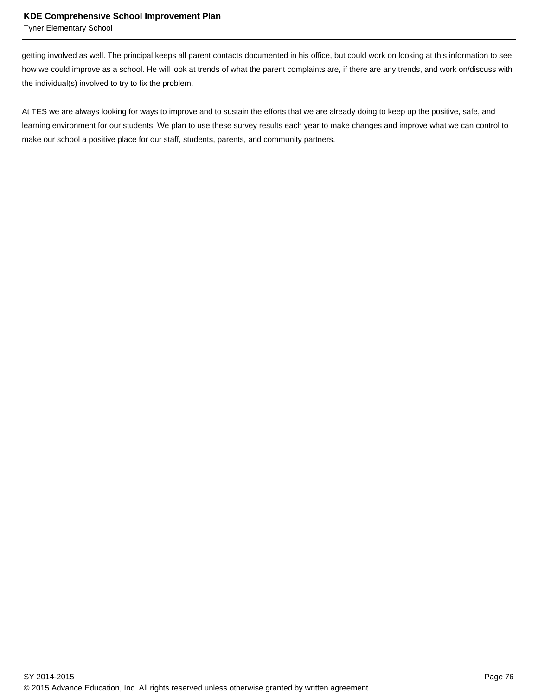Tyner Elementary School

getting involved as well. The principal keeps all parent contacts documented in his office, but could work on looking at this information to see how we could improve as a school. He will look at trends of what the parent complaints are, if there are any trends, and work on/discuss with the individual(s) involved to try to fix the problem.

At TES we are always looking for ways to improve and to sustain the efforts that we are already doing to keep up the positive, safe, and learning environment for our students. We plan to use these survey results each year to make changes and improve what we can control to make our school a positive place for our staff, students, parents, and community partners.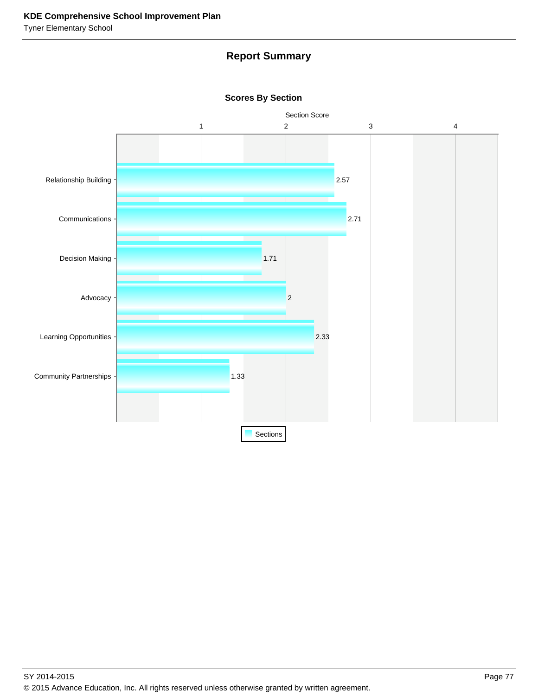# **Report Summary**



**Scores By Section**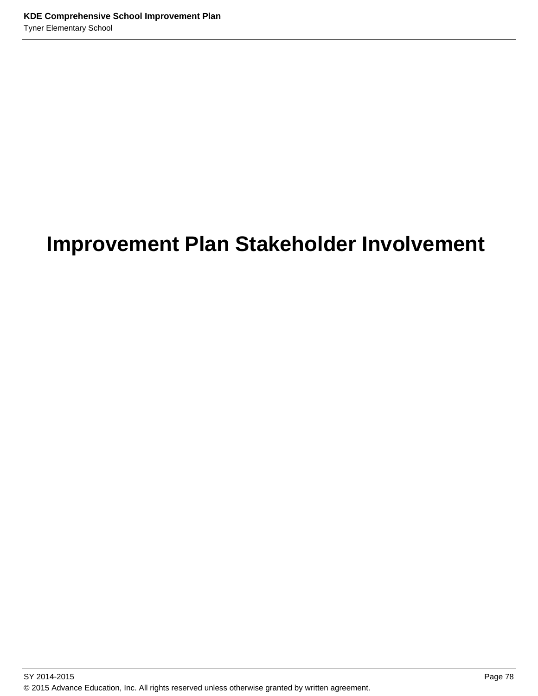# **Improvement Plan Stakeholder Involvement**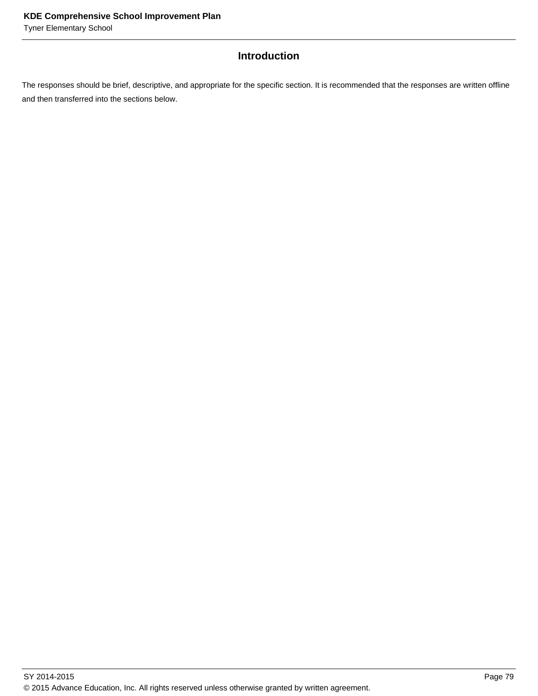# **Introduction**

The responses should be brief, descriptive, and appropriate for the specific section. It is recommended that the responses are written offline and then transferred into the sections below.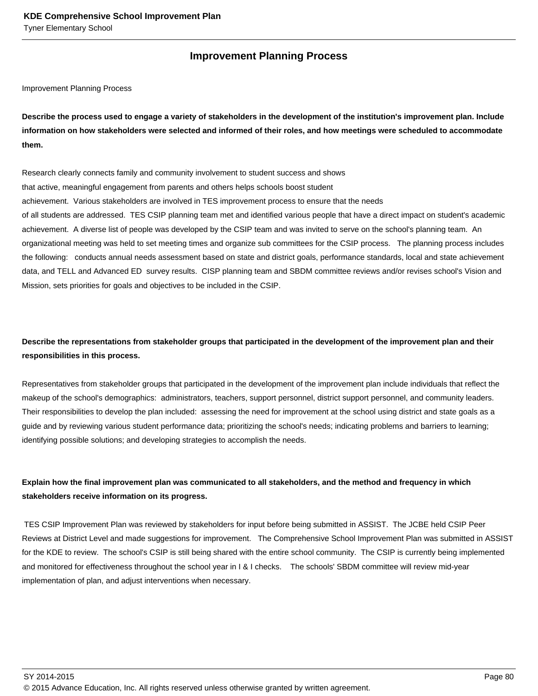## **Improvement Planning Process**

Improvement Planning Process

**Describe the process used to engage a variety of stakeholders in the development of the institution's improvement plan. Include information on how stakeholders were selected and informed of their roles, and how meetings were scheduled to accommodate them.** 

Research clearly connects family and community involvement to student success and shows that active, meaningful engagement from parents and others helps schools boost student achievement. Various stakeholders are involved in TES improvement process to ensure that the needs of all students are addressed. TES CSIP planning team met and identified various people that have a direct impact on student's academic achievement. A diverse list of people was developed by the CSIP team and was invited to serve on the school's planning team. An organizational meeting was held to set meeting times and organize sub committees for the CSIP process. The planning process includes the following: conducts annual needs assessment based on state and district goals, performance standards, local and state achievement data, and TELL and Advanced ED survey results. CISP planning team and SBDM committee reviews and/or revises school's Vision and Mission, sets priorities for goals and objectives to be included in the CSIP.

## **Describe the representations from stakeholder groups that participated in the development of the improvement plan and their responsibilities in this process.**

Representatives from stakeholder groups that participated in the development of the improvement plan include individuals that reflect the makeup of the school's demographics: administrators, teachers, support personnel, district support personnel, and community leaders. Their responsibilities to develop the plan included: assessing the need for improvement at the school using district and state goals as a guide and by reviewing various student performance data; prioritizing the school's needs; indicating problems and barriers to learning; identifying possible solutions; and developing strategies to accomplish the needs.

# **Explain how the final improvement plan was communicated to all stakeholders, and the method and frequency in which stakeholders receive information on its progress.**

 TES CSIP Improvement Plan was reviewed by stakeholders for input before being submitted in ASSIST. The JCBE held CSIP Peer Reviews at District Level and made suggestions for improvement. The Comprehensive School Improvement Plan was submitted in ASSIST for the KDE to review. The school's CSIP is still being shared with the entire school community. The CSIP is currently being implemented and monitored for effectiveness throughout the school year in I & I checks. The schools' SBDM committee will review mid-year implementation of plan, and adjust interventions when necessary.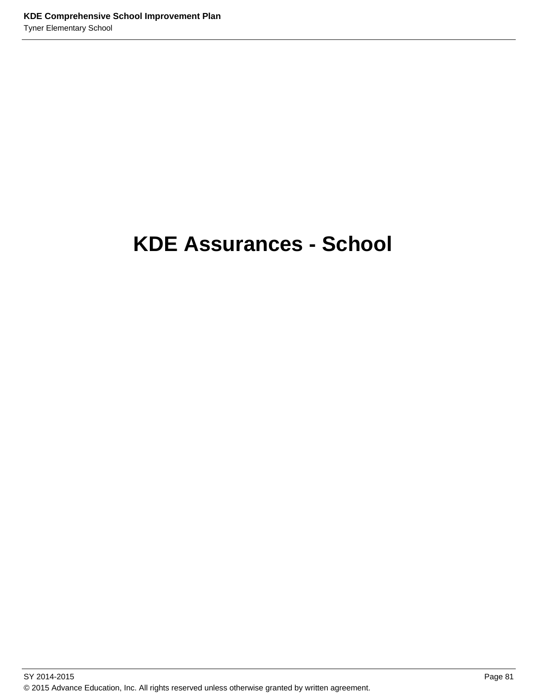# **KDE Assurances - School**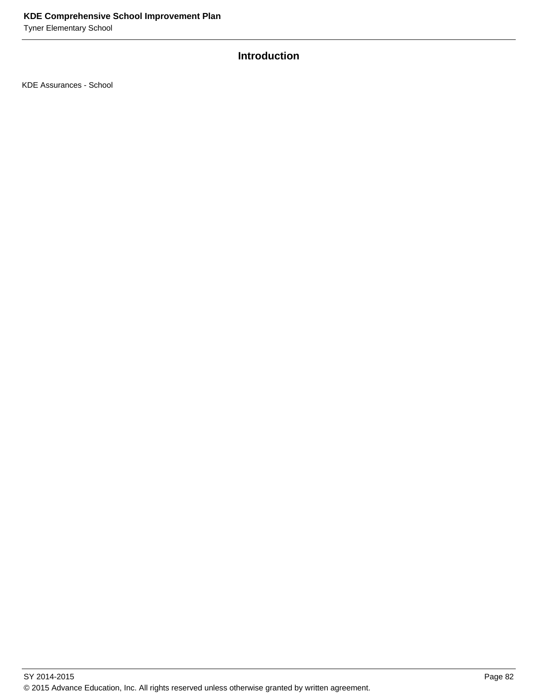# **Introduction**

KDE Assurances - School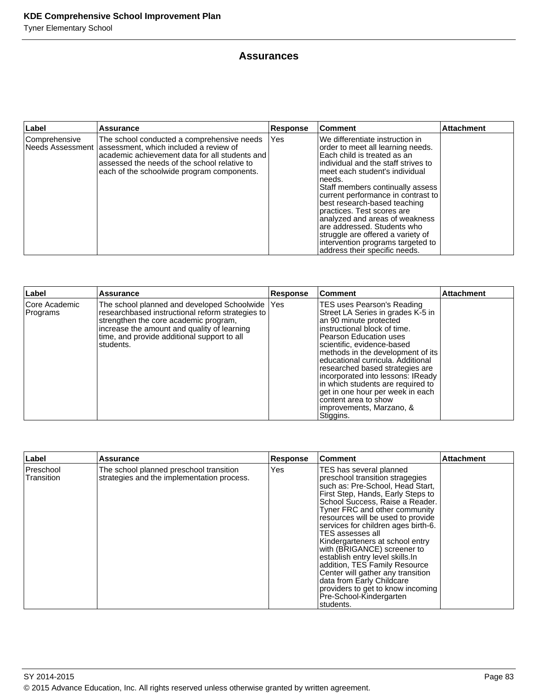## **Assurances**

| Label           | <b>Assurance</b>                                                                                                                                                                                                                                        | <b>Response</b> | Comment                                                                                                                                                                                                                                                                                                                                                                                                                                                                                                       | <b>Attachment</b> |
|-----------------|---------------------------------------------------------------------------------------------------------------------------------------------------------------------------------------------------------------------------------------------------------|-----------------|---------------------------------------------------------------------------------------------------------------------------------------------------------------------------------------------------------------------------------------------------------------------------------------------------------------------------------------------------------------------------------------------------------------------------------------------------------------------------------------------------------------|-------------------|
| l Comprehensive | The school conducted a comprehensive needs<br>Needs Assessment   assessment, which included a review of<br>academic achievement data for all students and<br>assessed the needs of the school relative to<br>each of the schoolwide program components. | Yes             | We differentiate instruction in<br>order to meet all learning needs.<br>Each child is treated as an<br>lindividual and the staff strives to<br>lmeet each student's individual<br>Ineeds.<br>Staff members continually assess<br>current performance in contrast to<br>best research-based teaching<br>practices. Test scores are<br>analyzed and areas of weakness<br>are addressed. Students who<br>struggle are offered a variety of<br>intervention programs targeted to<br>address their specific needs. |                   |

| Label                     | <b>Assurance</b>                                                                                                                                                                                                                                           | Response | ∣Comment                                                                                                                                                                                                                                                                                                                                                                                                                                                                              | <b>Attachment</b> |
|---------------------------|------------------------------------------------------------------------------------------------------------------------------------------------------------------------------------------------------------------------------------------------------------|----------|---------------------------------------------------------------------------------------------------------------------------------------------------------------------------------------------------------------------------------------------------------------------------------------------------------------------------------------------------------------------------------------------------------------------------------------------------------------------------------------|-------------------|
| Core Academic<br>Programs | The school planned and developed Schoolwide   Yes<br>researchbased instructional reform strategies to<br>strengthen the core academic program,<br>increase the amount and quality of learning<br>time, and provide additional support to all<br>Istudents. |          | TES uses Pearson's Reading<br>Street LA Series in grades K-5 in<br>an 90 minute protected<br>instructional block of time.<br><b>Pearson Education uses</b><br>scientific, evidence-based<br>methods in the development of its<br>educational curricula. Additional<br>researched based strategies are<br>incorporated into lessons: IReady<br>in which students are required to<br>get in one hour per week in each<br>content area to show<br>limprovements, Marzano, &<br>Stiggins. |                   |

| Label                          | <b>Assurance</b>                                                                      | <b>Response</b> | <b>Comment</b>                                                                                                                                                                                                                                                                                                                                                                                                                                                                                                                                                                                | <b>Attachment</b> |
|--------------------------------|---------------------------------------------------------------------------------------|-----------------|-----------------------------------------------------------------------------------------------------------------------------------------------------------------------------------------------------------------------------------------------------------------------------------------------------------------------------------------------------------------------------------------------------------------------------------------------------------------------------------------------------------------------------------------------------------------------------------------------|-------------------|
| <b>Preschool</b><br>Transition | The school planned preschool transition<br>strategies and the implementation process. | Yes             | TES has several planned<br>preschool transition stragegies<br>such as: Pre-School, Head Start,<br>First Step, Hands, Early Steps to<br>School Success, Raise a Reader.<br>Tyner FRC and other community<br>resources will be used to provide<br>services for children ages birth-6.<br>TES assesses all<br>Kindergarteners at school entry<br>with (BRIGANCE) screener to<br>establish entry level skills. In<br>addition, TES Family Resource<br>Center will gather any transition<br>data from Early Childcare<br>providers to get to know incoming<br>Pre-School-Kindergarten<br>students. |                   |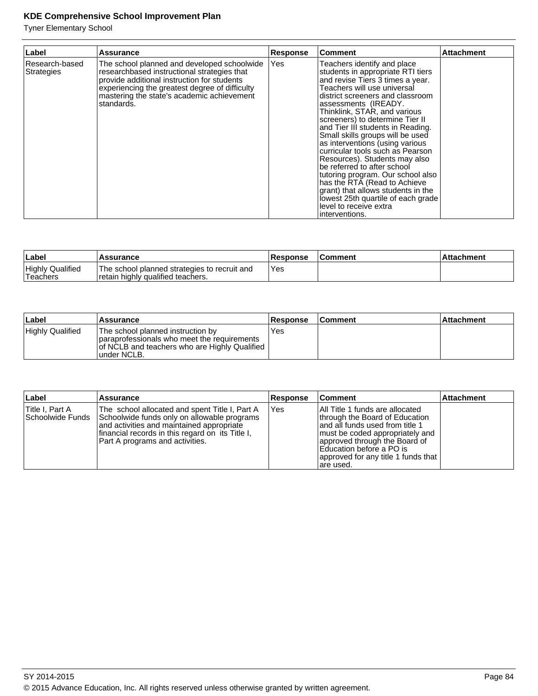| Label                        | <b>Assurance</b>                                                                                                                                                                                                                                        | <b>Response</b> | <b>Comment</b>                                                                                                                                                                                                                                                                                                                                                                                                                                                                                                                                                                                                                                                                  | <b>Attachment</b> |
|------------------------------|---------------------------------------------------------------------------------------------------------------------------------------------------------------------------------------------------------------------------------------------------------|-----------------|---------------------------------------------------------------------------------------------------------------------------------------------------------------------------------------------------------------------------------------------------------------------------------------------------------------------------------------------------------------------------------------------------------------------------------------------------------------------------------------------------------------------------------------------------------------------------------------------------------------------------------------------------------------------------------|-------------------|
| Research-based<br>Strategies | The school planned and developed schoolwide<br>researchbased instructional strategies that<br>provide additional instruction for students<br>experiencing the greatest degree of difficulty<br>mastering the state's academic achievement<br>standards. | Yes             | Teachers identify and place<br>students in appropriate RTI tiers<br>and revise Tiers 3 times a year.<br>Teachers will use universal<br>district screeners and classroom<br>assessments (IREADY.<br>Thinklink, STAR, and various<br>screeners) to determine Tier II<br>and Tier III students in Reading.<br>Small skills groups will be used<br>as interventions (using various<br>curricular tools such as Pearson<br>Resources). Students may also<br>be referred to after school<br>tutoring program. Our school also<br>has the RTA (Read to Achieve<br>grant) that allows students in the<br>lowest 25th quartile of each grade<br>level to receive extra<br>interventions. |                   |

| ∣Label                               | Assurance                                                                         | <b>Response</b> | Comment | <b>Attachment</b> |
|--------------------------------------|-----------------------------------------------------------------------------------|-----------------|---------|-------------------|
| <b>Highly Qualified</b><br>'Teachers | The school planned strategies to recruit and<br>retain highly qualified teachers. | Yes             |         |                   |

| ∣Label                  | <b>Assurance</b>                                                                                                                                  | <b>Response</b> | ∣Comment | <b>Attachment</b> |
|-------------------------|---------------------------------------------------------------------------------------------------------------------------------------------------|-----------------|----------|-------------------|
| <b>Highly Qualified</b> | The school planned instruction by<br>paraprofessionals who meet the requirements<br>of NCLB and teachers who are Highly Qualified<br>lunder NCLB. | Yes             |          |                   |

| Label                               | <b>Assurance</b>                                                                                                                                                                                                                         | <b>Response</b> | <b>Comment</b>                                                                                                                                                                                                                                              | <b>Attachment</b> |
|-------------------------------------|------------------------------------------------------------------------------------------------------------------------------------------------------------------------------------------------------------------------------------------|-----------------|-------------------------------------------------------------------------------------------------------------------------------------------------------------------------------------------------------------------------------------------------------------|-------------------|
| Title I, Part A<br>Schoolwide Funds | The school allocated and spent Title I, Part A<br>Schoolwide funds only on allowable programs<br>and activities and maintained appropriate<br>financial records in this regard on its Title I,<br><b>Part A programs and activities.</b> | IYes            | All Title 1 funds are allocated<br>through the Board of Education<br>and all funds used from title 1<br>I must be coded appropriately and<br>approved through the Board of<br>Education before a PO is<br>approved for any title 1 funds that<br>lare used. |                   |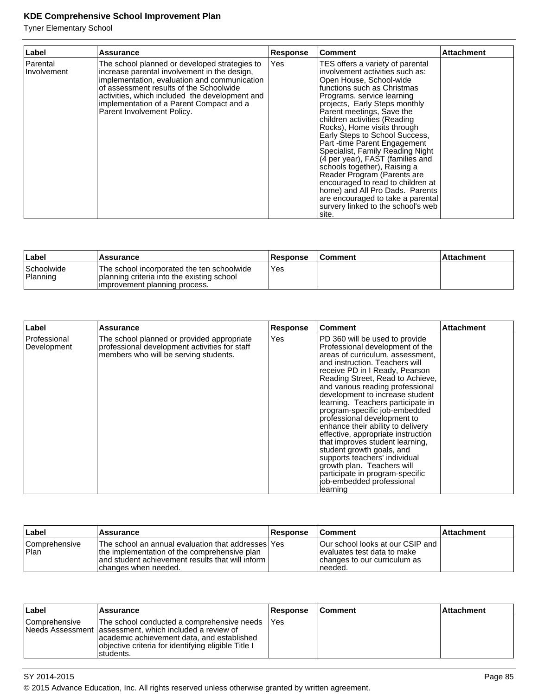| Label                   | <b>Assurance</b>                                                                                                                                                                                                                                                                                                     | <b>Response</b> | <b>Comment</b>                                                                                                                                                                                                                                                                                                                                                                                                                                                                                                                                                                                                                                                | <b>Attachment</b> |
|-------------------------|----------------------------------------------------------------------------------------------------------------------------------------------------------------------------------------------------------------------------------------------------------------------------------------------------------------------|-----------------|---------------------------------------------------------------------------------------------------------------------------------------------------------------------------------------------------------------------------------------------------------------------------------------------------------------------------------------------------------------------------------------------------------------------------------------------------------------------------------------------------------------------------------------------------------------------------------------------------------------------------------------------------------------|-------------------|
| Parental<br>Involvement | The school planned or developed strategies to<br>increase parental involvement in the design,<br>implementation, evaluation and communication<br>of assessment results of the Schoolwide<br>activities, which included the development and<br>implementation of a Parent Compact and a<br>Parent Involvement Policy. | Yes             | TES offers a variety of parental<br>involvement activities such as:<br>Open House, School-wide<br>functions such as Christmas<br>Programs, service learning<br>projects, Early Steps monthly<br>Parent meetings, Save the<br>children activities (Reading<br>Rocks), Home visits through<br>Early Steps to School Success,<br>Part -time Parent Engagement<br>Specialist, Family Reading Night<br>(4 per year), FAST (families and<br>schools together), Raising a<br>Reader Program (Parents are<br>encouraged to read to children at<br>home) and All Pro Dads. Parents<br>are encouraged to take a parental<br>survery linked to the school's web<br>site. |                   |

| ∣Label                 | 'Assurance                                                                                                                 | <b>Response</b> | <b>Comment</b> | ∣Attachment |
|------------------------|----------------------------------------------------------------------------------------------------------------------------|-----------------|----------------|-------------|
| Schoolwide<br>Planning | The school incorporated the ten schoolwide<br>planning criteria into the existing school<br>limprovement planning process. | Yes             |                |             |

| Label                       | Assurance                                                                                                                            | <b>Response</b> | <b>Comment</b>                                                                                                                                                                                                                                                                                                                                                                                                                                                                                                                                                                                                                                                                  | <b>Attachment</b> |
|-----------------------------|--------------------------------------------------------------------------------------------------------------------------------------|-----------------|---------------------------------------------------------------------------------------------------------------------------------------------------------------------------------------------------------------------------------------------------------------------------------------------------------------------------------------------------------------------------------------------------------------------------------------------------------------------------------------------------------------------------------------------------------------------------------------------------------------------------------------------------------------------------------|-------------------|
| Professional<br>Development | The school planned or provided appropriate<br>professional development activities for staff<br>members who will be serving students. | lYes            | PD 360 will be used to provide<br>Professional development of the<br>areas of curriculum, assessment,<br>and instruction. Teachers will<br>receive PD in I Ready, Pearson<br>Reading Street, Read to Achieve,<br>and various reading professional<br>development to increase student<br>learning. Teachers participate in<br>program-specific job-embedded<br>professional development to<br>enhance their ability to delivery<br>effective, appropriate instruction<br>that improves student learning,<br>student growth goals, and<br>supports teachers' individual<br>growth plan. Teachers will<br>participate in program-specific<br>job-embedded professional<br>learning |                   |

| ∣Label                 | Assurance                                                                                                                                                                           | <b>Response</b> | <b>Comment</b>                                                                                                 | ∣Attachment |
|------------------------|-------------------------------------------------------------------------------------------------------------------------------------------------------------------------------------|-----------------|----------------------------------------------------------------------------------------------------------------|-------------|
| Comprehensive<br> Plan | The school an annual evaluation that addresses   Yes<br>the implementation of the comprehensive plan<br>and student achievement results that will inform I<br>Ichanges when needed. |                 | Our school looks at our CSIP and I<br>levaluates test data to make<br>changes to our curriculum as<br>'needed. |             |

| ∣Label          | <b>Assurance</b>                                                                                                                                                                                                         | <b>Response</b> | ∣Comment | ∣Attachment |
|-----------------|--------------------------------------------------------------------------------------------------------------------------------------------------------------------------------------------------------------------------|-----------------|----------|-------------|
| l Comprehensive | The school conducted a comprehensive needs<br>Needs Assessment lassessment, which included a review of<br>academic achievement data, and established<br>objective criteria for identifying eligible Title I<br>students. | l Yes           |          |             |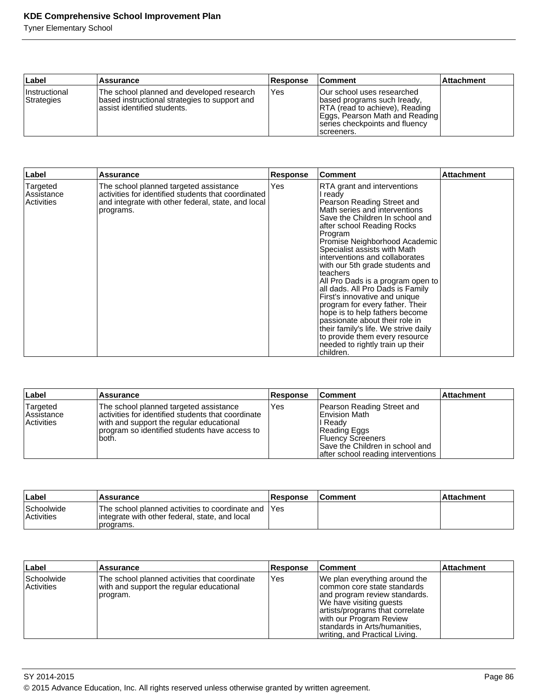| Label                              | Assurance                                                                                                                  | Response | ∣Comment                                                                                                                                                                                     | <b>Attachment</b> |
|------------------------------------|----------------------------------------------------------------------------------------------------------------------------|----------|----------------------------------------------------------------------------------------------------------------------------------------------------------------------------------------------|-------------------|
| <i>Instructional</i><br>Strategies | The school planned and developed research<br>based instructional strategies to support and<br>lassist identified students. | Yes      | <b>Our school uses researched</b><br>(based programs such Iready,<br><b>RTA</b> (read to achieve), Reading<br>Eggs, Pearson Math and Reading<br>series checkpoints and fluency<br>screeners. |                   |

| Label                                | <b>Assurance</b>                                                                                                                                                 | <b>Response</b> | <b>Comment</b>                                                                                                                                                                                                                                                                                                                                                                                                                                                                                                                                                                                                                                                                  | <b>Attachment</b> |
|--------------------------------------|------------------------------------------------------------------------------------------------------------------------------------------------------------------|-----------------|---------------------------------------------------------------------------------------------------------------------------------------------------------------------------------------------------------------------------------------------------------------------------------------------------------------------------------------------------------------------------------------------------------------------------------------------------------------------------------------------------------------------------------------------------------------------------------------------------------------------------------------------------------------------------------|-------------------|
| Targeted<br>Assistance<br>Activities | The school planned targeted assistance<br>activities for identified students that coordinated<br>and integrate with other federal, state, and local<br>programs. | Yes             | RTA grant and interventions<br>I ready<br>Pearson Reading Street and<br>Math series and interventions<br>Save the Children In school and<br>after school Reading Rocks<br>Program<br>Promise Neighborhood Academic<br>Specialist assists with Math<br>interventions and collaborates<br>with our 5th grade students and<br>teachers<br>All Pro Dads is a program open to<br>all dads. All Pro Dads is Family<br>First's innovative and unique<br>program for every father. Their<br>hope is to help fathers become<br>passionate about their role in<br>their family's life. We strive daily<br>to provide them every resource<br>needed to rightly train up their<br>children. |                   |

| ∣Label                                             | <b>Assurance</b>                                                                                                                                                                                   | <b>Response</b> | <b>Comment</b>                                                                                                                                                               | <b>Attachment</b> |
|----------------------------------------------------|----------------------------------------------------------------------------------------------------------------------------------------------------------------------------------------------------|-----------------|------------------------------------------------------------------------------------------------------------------------------------------------------------------------------|-------------------|
| Targeted<br><b>Assistance</b><br><b>Activities</b> | The school planned targeted assistance<br>activities for identified students that coordinate<br>with and support the regular educational<br>program so identified students have access to<br>both. | Yes             | Pearson Reading Street and<br>IEnvision Math<br>l Readv<br>Reading Eggs<br><b>Fluency Screeners</b><br>Save the Children in school and<br>after school reading interventions |                   |

| ∣Label                          | <b>Assurance</b>                                                                                                     | <b>Response</b> | <b>Comment</b> | ⊦Attachment |
|---------------------------------|----------------------------------------------------------------------------------------------------------------------|-----------------|----------------|-------------|
| Schoolwide<br><b>Activities</b> | The school planned activities to coordinate and IYes<br>lintegrate with other federal, state, and local<br>programs. |                 |                |             |

| Label                    | Assurance                                                                                             | <b>Response</b> | <b>Comment</b>                                                                                                                                                                                                                                             | <b>Attachment</b> |
|--------------------------|-------------------------------------------------------------------------------------------------------|-----------------|------------------------------------------------------------------------------------------------------------------------------------------------------------------------------------------------------------------------------------------------------------|-------------------|
| Schoolwide<br>Activities | The school planned activities that coordinate<br>with and support the regular educational<br>program. | l Yes           | We plan everything around the<br>Icommon core state standards<br>and program review standards.<br>We have visiting guests<br>artists/programs that correlate<br>with our Program Review<br>standards in Arts/humanities,<br>writing, and Practical Living. |                   |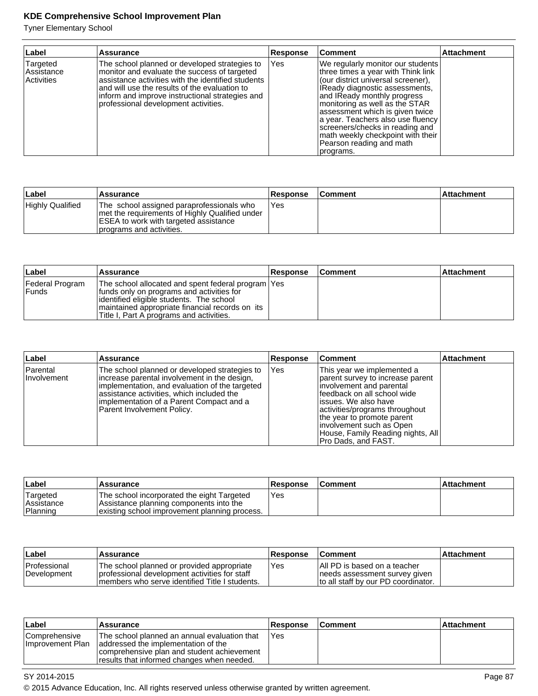Tyner Elementary School

| Label                                 | <b>Assurance</b>                                                                                                                                                                                                                                                                                | Response | <b>Comment</b>                                                                                                                                                                                                                                                                                                                                                                                            | <b>Attachment</b> |
|---------------------------------------|-------------------------------------------------------------------------------------------------------------------------------------------------------------------------------------------------------------------------------------------------------------------------------------------------|----------|-----------------------------------------------------------------------------------------------------------------------------------------------------------------------------------------------------------------------------------------------------------------------------------------------------------------------------------------------------------------------------------------------------------|-------------------|
| Targeted<br> Assistance<br>Activities | The school planned or developed strategies to<br>monitor and evaluate the success of targeted<br>assistance activities with the identified students<br>and will use the results of the evaluation to<br>inform and improve instructional strategies and<br>professional development activities. | Yes      | We regularly monitor our students<br>three times a year with Think link<br>(our district universal screener),<br>IReady diagnostic assessments,<br>and IReady monthly progress<br>monitoring as well as the STAR<br>assessment which is given twice<br>a year. Teachers also use fluency<br>screeners/checks in reading and<br>math weekly checkpoint with their<br>Pearson reading and math<br>programs. |                   |

| Label            | Assurance                                                                                                                                                          | <b>Response</b> | <b>Comment</b> | <b>Attachment</b> |
|------------------|--------------------------------------------------------------------------------------------------------------------------------------------------------------------|-----------------|----------------|-------------------|
| Highly Qualified | The school assigned paraprofessionals who<br>I met the requirements of Highly Qualified under<br>ESEA to work with targeted assistance<br>programs and activities. | Yes             |                |                   |

| ∣Label                     | Assurance                                                                                                                                                                                                                                      | <b>Response</b> | <b>Comment</b> | <b>Attachment</b> |
|----------------------------|------------------------------------------------------------------------------------------------------------------------------------------------------------------------------------------------------------------------------------------------|-----------------|----------------|-------------------|
| Federal Program<br>l Funds | The school allocated and spent federal program   Yes<br>Ifunds only on programs and activities for<br>lidentified eligible students. The school<br>maintained appropriate financial records on its<br>Title I, Part A programs and activities. |                 |                |                   |

| Label                     | Assurance                                                                                                                                                                                                                                                              | <b>Response</b> | <b>Comment</b>                                                                                                                                                                                                                                                                                               | <b>Attachment</b> |
|---------------------------|------------------------------------------------------------------------------------------------------------------------------------------------------------------------------------------------------------------------------------------------------------------------|-----------------|--------------------------------------------------------------------------------------------------------------------------------------------------------------------------------------------------------------------------------------------------------------------------------------------------------------|-------------------|
| Parental<br>I Involvement | The school planned or developed strategies to<br>increase parental involvement in the design,<br>implementation, and evaluation of the targeted<br>assistance activities, which included the<br>implementation of a Parent Compact and a<br>Parent Involvement Policy. | lYes            | This year we implemented a<br>parent survey to increase parent<br>involvement and parental<br>lfeedback on all school wide<br>lissues. We also have<br>activities/programs throughout<br>the year to promote parent<br>linvolvement such as Open<br>House, Family Reading nights, All<br>Pro Dads, and FAST. |                   |

| ∣Label                                    | Assurance                                                                                                                              | <b>Response</b> | <b>Comment</b> | ∣Attachment |
|-------------------------------------------|----------------------------------------------------------------------------------------------------------------------------------------|-----------------|----------------|-------------|
| Targeted<br><b>Assistance</b><br>Planning | The school incorporated the eight Targeted<br>Assistance planning components into the<br>existing school improvement planning process. | Yes             |                |             |

| ∣Label                             | <b>Assurance</b>                                                                                                                               | <b>Response</b> | <b>Comment</b>                                                                                         | ⊺Attachment |
|------------------------------------|------------------------------------------------------------------------------------------------------------------------------------------------|-----------------|--------------------------------------------------------------------------------------------------------|-------------|
| <b>Professional</b><br>Development | The school planned or provided appropriate<br>professional development activities for staff<br>Imembers who serve identified Title I students. | Yes             | IAII PD is based on a teacher<br>needs assessment survey given<br>Ito all staff by our PD coordinator. |             |

| ∣Label                                   | <b>Assurance</b>                                                                                                                                                                | <b>Response</b> | <b>∣Comment</b> | ∣Attachment |
|------------------------------------------|---------------------------------------------------------------------------------------------------------------------------------------------------------------------------------|-----------------|-----------------|-------------|
| <b>Comprehensive</b><br>Improvement Plan | The school planned an annual evaluation that<br>addressed the implementation of the<br>comprehensive plan and student achievement<br>results that informed changes when needed. | Yes             |                 |             |

# SY 2014-2015 Page 87

© 2015 Advance Education, Inc. All rights reserved unless otherwise granted by written agreement.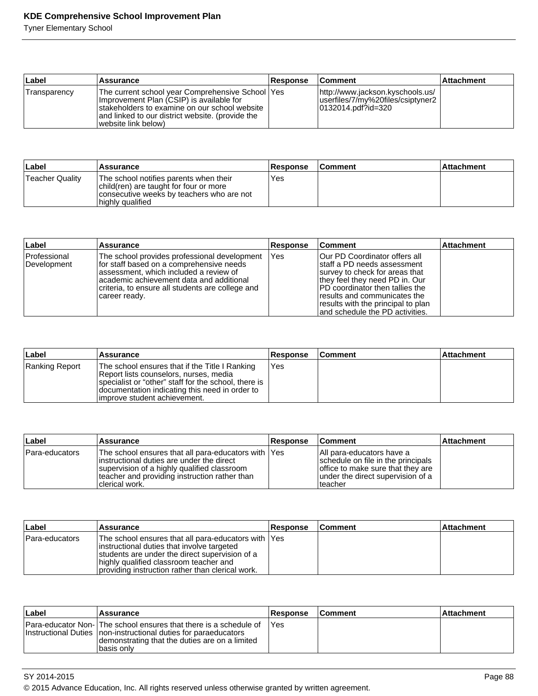| ∣Label       | Assurance                                                                                                                                                                                                                 | <b>Response</b> | ∣Comment                                                                                     | ∣Attachment |
|--------------|---------------------------------------------------------------------------------------------------------------------------------------------------------------------------------------------------------------------------|-----------------|----------------------------------------------------------------------------------------------|-------------|
| Transparency | The current school year Comprehensive School  Yes<br>Improvement Plan (CSIP) is available for<br>stakeholders to examine on our school website<br>and linked to our district website. (provide the<br>(website link below |                 | http://www.jackson.kyschools.us/<br> userfiles/7/my%20files/csiptyner2<br>0132014.pdf?id=320 |             |

| ∣Label          | Assurance                                                                                                                                         | <b>Response</b> | <b>Comment</b> | l Attachment |
|-----------------|---------------------------------------------------------------------------------------------------------------------------------------------------|-----------------|----------------|--------------|
| Teacher Quality | The school notifies parents when their<br>child(ren) are taught for four or more<br>consecutive weeks by teachers who are not<br>highly qualified | 'Yes            |                |              |

| ∣Label                      | <b>Assurance</b>                                                                                                                                                                                                                                       | Response    | <b>Comment</b>                                                                                                                                                                                                                                                                           | <b>Attachment</b> |
|-----------------------------|--------------------------------------------------------------------------------------------------------------------------------------------------------------------------------------------------------------------------------------------------------|-------------|------------------------------------------------------------------------------------------------------------------------------------------------------------------------------------------------------------------------------------------------------------------------------------------|-------------------|
| Professional<br>Development | The school provides professional development<br>for staff based on a comprehensive needs<br>lassessment, which included a review of<br>lacademic achievement data and additional<br>criteria, to ensure all students are college and<br> career ready. | <b>IYes</b> | <b>Our PD Coordinator offers all</b><br>Istaff a PD needs assessment<br>Isurvey to check for areas that<br>they feel they need PD in. Our<br>IPD coordinator then tallies the<br>fresults and communicates the<br>results with the principal to plan<br>land schedule the PD activities. |                   |

| ∣Label         | <b>Assurance</b>                                                                                                                                                                                                                    | <b>Response</b> | <b>Comment</b> | <b>Attachment</b> |
|----------------|-------------------------------------------------------------------------------------------------------------------------------------------------------------------------------------------------------------------------------------|-----------------|----------------|-------------------|
| Ranking Report | The school ensures that if the Title I Ranking<br>Report lists counselors, nurses, media<br>specialist or "other" staff for the school, there is<br>documentation indicating this need in order to<br>limprove student achievement. | IYes            |                |                   |

| ∣Label         | Assurance                                                                                                                                                                                                             | <b>Response</b> | <b>Comment</b>                                                                                                                                         | <b>Attachment</b> |
|----------------|-----------------------------------------------------------------------------------------------------------------------------------------------------------------------------------------------------------------------|-----------------|--------------------------------------------------------------------------------------------------------------------------------------------------------|-------------------|
| Para-educators | The school ensures that all para-educators with  Yes<br>linstructional duties are under the direct<br>supervision of a highly qualified classroom<br>teacher and providing instruction rather than<br>Iclerical work. |                 | IAII para-educators have a<br>schedule on file in the principals<br>office to make sure that they are<br>under the direct supervision of a<br>Iteacher |                   |

| Label          | <b>Assurance</b>                                                                                                                                                                                                                                   | Response | <b>Comment</b> | ∣Attachment |
|----------------|----------------------------------------------------------------------------------------------------------------------------------------------------------------------------------------------------------------------------------------------------|----------|----------------|-------------|
| Para-educators | The school ensures that all para-educators with TYes<br>instructional duties that involve targeted<br>students are under the direct supervision of a<br>highly qualified classroom teacher and<br>providing instruction rather than clerical work. |          |                |             |

| Label | <b>Assurance</b>                                                                                                                                                                                       | <b>Response</b> | l Comment | ∣Attachment |
|-------|--------------------------------------------------------------------------------------------------------------------------------------------------------------------------------------------------------|-----------------|-----------|-------------|
|       | Para-educator Non- The school ensures that there is a schedule of<br>Instructional Duties Inon-instructional duties for paraeducators<br>demonstrating that the duties are on a limited<br>Ibasis onlv | Yes             |           |             |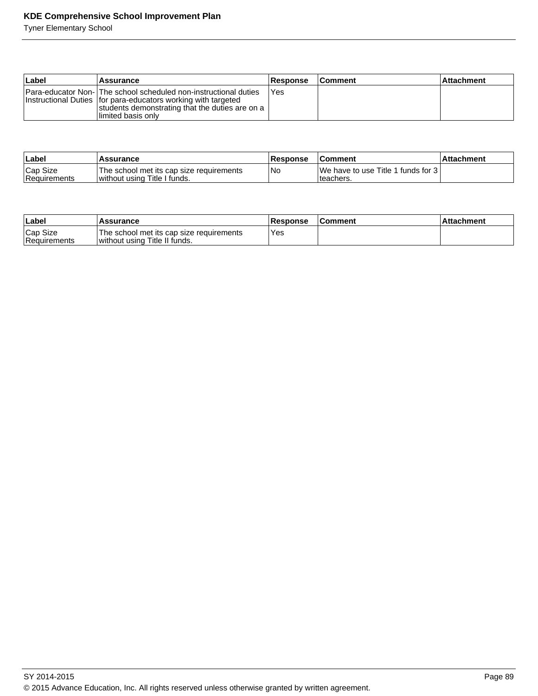| ∣Label | Assurance                                                                                                                                                                                                       | <b>Response</b> | <b>Comment</b> | ⊺Attachment |
|--------|-----------------------------------------------------------------------------------------------------------------------------------------------------------------------------------------------------------------|-----------------|----------------|-------------|
|        | Para-educator Non-   The school scheduled non-instructional duties<br>Instructional Duties   for para-educators working with targeted<br>students demonstrating that the duties are on a<br>Ilimited basis only | l Yes           |                |             |

| <b>Laber</b>             | <b>Assurance</b>                                                         | <b>Response</b> | ⊺Comment                                           | ⊺Attachment |
|--------------------------|--------------------------------------------------------------------------|-----------------|----------------------------------------------------|-------------|
| Cap Size<br>Requirements | The school met its cap size requirements<br>without using Title I funds. | 'No             | We have to use Title 1 funds for 3 l<br>Iteachers. |             |

| ∣Label                   | <b>Assurance</b>                                                          | Response | <b>IComment</b> | ⊺Attachment |
|--------------------------|---------------------------------------------------------------------------|----------|-----------------|-------------|
| Cap Size<br>Requirements | The school met its cap size requirements<br>without using Title II funds. | Yes      |                 |             |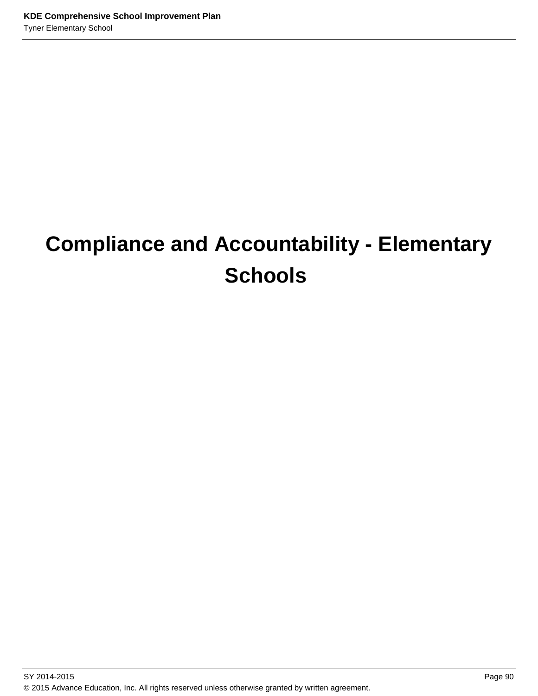# **Compliance and Accountability - Elementary Schools**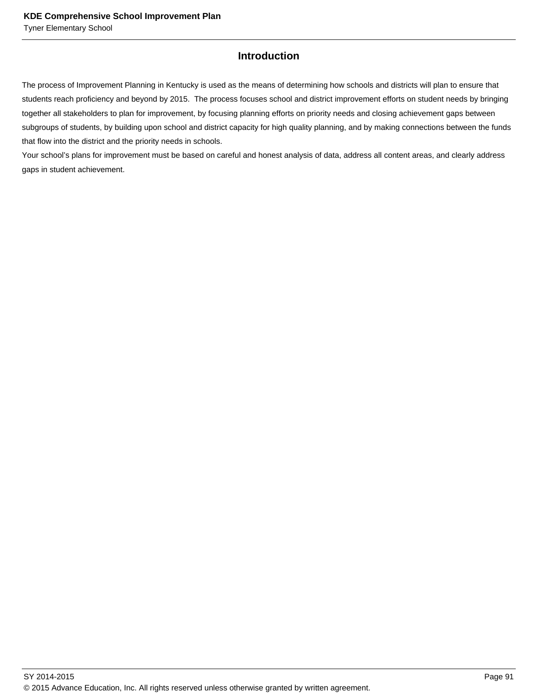# **Introduction**

The process of Improvement Planning in Kentucky is used as the means of determining how schools and districts will plan to ensure that students reach proficiency and beyond by 2015. The process focuses school and district improvement efforts on student needs by bringing together all stakeholders to plan for improvement, by focusing planning efforts on priority needs and closing achievement gaps between subgroups of students, by building upon school and district capacity for high quality planning, and by making connections between the funds that flow into the district and the priority needs in schools.

Your school's plans for improvement must be based on careful and honest analysis of data, address all content areas, and clearly address gaps in student achievement.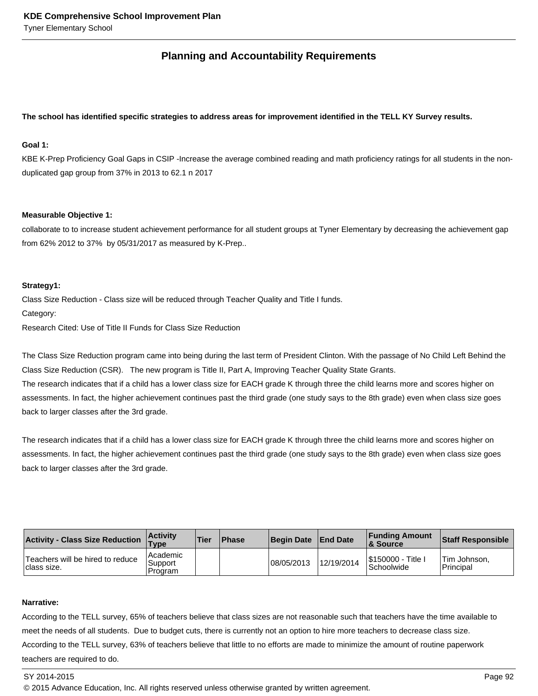# **Planning and Accountability Requirements**

### **The school has identified specific strategies to address areas for improvement identified in the TELL KY Survey results.**

## **Goal 1:**

KBE K-Prep Proficiency Goal Gaps in CSIP -Increase the average combined reading and math proficiency ratings for all students in the nonduplicated gap group from 37% in 2013 to 62.1 n 2017

#### **Measurable Objective 1:**

collaborate to to increase student achievement performance for all student groups at Tyner Elementary by decreasing the achievement gap from 62% 2012 to 37% by 05/31/2017 as measured by K-Prep..

### **Strategy1:**

Class Size Reduction - Class size will be reduced through Teacher Quality and Title I funds. Category:

Research Cited: Use of Title II Funds for Class Size Reduction

The Class Size Reduction program came into being during the last term of President Clinton. With the passage of No Child Left Behind the Class Size Reduction (CSR). The new program is Title II, Part A, Improving Teacher Quality State Grants.

The research indicates that if a child has a lower class size for EACH grade K through three the child learns more and scores higher on assessments. In fact, the higher achievement continues past the third grade (one study says to the 8th grade) even when class size goes back to larger classes after the 3rd grade.

The research indicates that if a child has a lower class size for EACH grade K through three the child learns more and scores higher on assessments. In fact, the higher achievement continues past the third grade (one study says to the 8th grade) even when class size goes back to larger classes after the 3rd grade.

| <b>Activity - Class Size Reduction</b>           | <b>Activity</b><br>$T$ ype       | Tier | <b>Phase</b> | Begin Date End Date |            | <b>Funding Amount</b><br>& Source       | <b>Staff Responsible</b>  |
|--------------------------------------------------|----------------------------------|------|--------------|---------------------|------------|-----------------------------------------|---------------------------|
| Teachers will be hired to reduce<br>Iclass size. | l Academic<br>Support<br>Program |      |              | 08/05/2013          | 12/19/2014 | \$150000 - Title  <br><b>Schoolwide</b> | Tim Johnson.<br>Principal |

#### **Narrative:**

According to the TELL survey, 65% of teachers believe that class sizes are not reasonable such that teachers have the time available to meet the needs of all students. Due to budget cuts, there is currently not an option to hire more teachers to decrease class size. According to the TELL survey, 63% of teachers believe that little to no efforts are made to minimize the amount of routine paperwork teachers are required to do.

#### SY 2014-2015 Page 92

© 2015 Advance Education, Inc. All rights reserved unless otherwise granted by written agreement.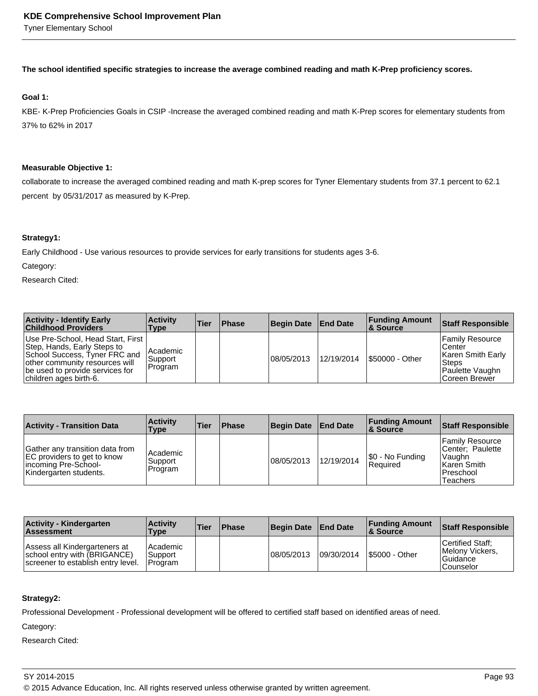**The school identified specific strategies to increase the average combined reading and math K-Prep proficiency scores.**

## **Goal 1:**

KBE- K-Prep Proficiencies Goals in CSIP -Increase the averaged combined reading and math K-Prep scores for elementary students from 37% to 62% in 2017

#### **Measurable Objective 1:**

collaborate to increase the averaged combined reading and math K-prep scores for Tyner Elementary students from 37.1 percent to 62.1 percent by 05/31/2017 as measured by K-Prep.

### **Strategy1:**

Early Childhood - Use various resources to provide services for early transitions for students ages 3-6.

Category:

Research Cited:

| <b>Activity - Identify Early</b><br><b>Childhood Providers</b>                                                                                                                                       | <b>Activity</b><br><b>Type</b>   | Tier | <b>Phase</b> | Begin Date  | <b>End Date</b> | <b>Funding Amount</b><br>∣& Source | <b>Staff Responsible</b>                                                                              |
|------------------------------------------------------------------------------------------------------------------------------------------------------------------------------------------------------|----------------------------------|------|--------------|-------------|-----------------|------------------------------------|-------------------------------------------------------------------------------------------------------|
| Use Pre-School, Head Start, First  <br> Step, Hands, Early Steps to<br> School Success, Tyner FRC and<br>other community resources will<br>be used to provide services for<br>children ages birth-6. | l Academic<br>Support<br>Program |      |              | 108/05/2013 | 12/19/2014      | \$50000 - Other                    | <b>Family Resource</b><br>lCenter<br>Karen Smith Early<br>'Steps<br>Paulette Vaughn<br>lCoreen Brewer |

| <b>Activity - Transition Data</b>                                                                                | <b>Activity</b><br>Type          | Tier | <b>Phase</b> | <b>Begin Date</b> | <b>End Date</b> | <b>Funding Amount</b><br>∣& Source | <b>Staff Responsible</b>                                                                         |
|------------------------------------------------------------------------------------------------------------------|----------------------------------|------|--------------|-------------------|-----------------|------------------------------------|--------------------------------------------------------------------------------------------------|
| Gather any transition data from<br>EC providers to get to know<br>incoming Pre-School-<br>Kindergarten students. | l Academic<br>Support<br>Program |      |              | 08/05/2013        | 12/19/2014      | $ \$0 - No Funding$<br>Reauired    | <b>Family Resource</b><br>ICenter: Paulette<br> Vaughn<br>l Karen Smith<br>Preschool<br>Teachers |

| <b>Activity - Kindergarten</b><br><b>Assessment</b>                                                 | <b>Activity</b><br>Type                  | <b>Tier</b> | <b>Phase</b> | Begin Date End Date |             | <b>Funding Amount</b><br><b>8 Source</b> | <b>Staff Responsible</b>                                               |
|-----------------------------------------------------------------------------------------------------|------------------------------------------|-------------|--------------|---------------------|-------------|------------------------------------------|------------------------------------------------------------------------|
| Assess all Kindergarteners at<br>school entry with (BRIGANCE)<br>screener to establish entry level. | l Academic<br>Support<br><b>IProgram</b> |             |              | 08/05/2013          | 109/30/2014 | <b>S5000 - Other</b>                     | Certified Staff:<br><b>IMelony Vickers.</b><br>l Guidance<br>Counselor |

#### **Strategy2:**

Professional Development - Professional development will be offered to certified staff based on identified areas of need.

Category: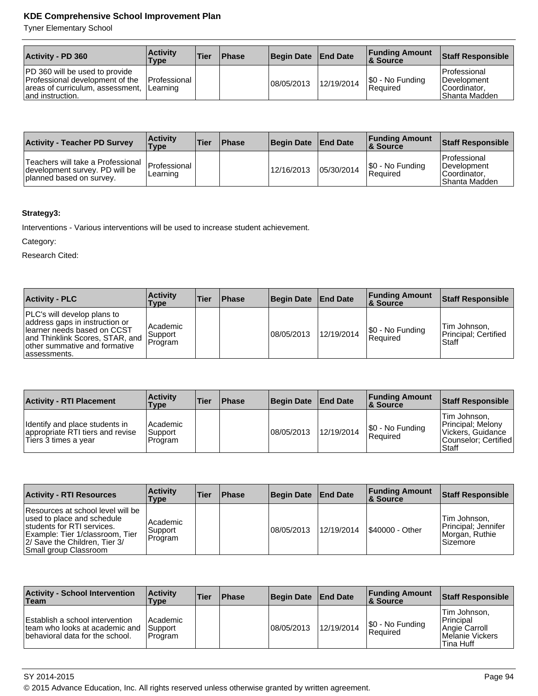Tyner Elementary School

| <b>Activity - PD 360</b>                                                                                                          | <b>∣Activitv</b><br>Type | Tier | <b>Phase</b> | Begin Date End Date |            | <b>Funding Amount</b><br>8 Source | Staff Responsible                                                     |
|-----------------------------------------------------------------------------------------------------------------------------------|--------------------------|------|--------------|---------------------|------------|-----------------------------------|-----------------------------------------------------------------------|
| <b>PD</b> 360 will be used to provide<br>Professional development of the<br>areas of curriculum, assessment,<br>land instruction. | Professional<br>Learning |      |              | 108/05/2013         | 12/19/2014 | S0 - No Funding<br>Required       | Professional<br><b>IDevelopment</b><br>Coordinator.<br>IShanta Madden |

| <b>Activity - Teacher PD Survey</b>                                                             | <b>Activity</b><br><b>Type</b> | 'Tier | Phase | <b>Begin Date</b> | <b>End Date</b> | <b>Funding Amount</b><br>∣& Source | Staff Responsible                                                           |
|-------------------------------------------------------------------------------------------------|--------------------------------|-------|-------|-------------------|-----------------|------------------------------------|-----------------------------------------------------------------------------|
| Teachers will take a Professional<br>development survey. PD will be<br>planned based on survey. | Professional<br>Learning       |       |       | 12/16/2013        | 05/30/2014      | S0 - No Funding<br>l Reauired      | Professional<br><b>IDevelopment</b><br>Coordinator.<br><b>Shanta Madden</b> |

## **Strategy3:**

Interventions - Various interventions will be used to increase student achievement.

Category:

Research Cited:

| <b>Activity - PLC</b>                                                                                                                                                              | <b>Activity</b><br>Type                 | ∣Tier | <b>Phase</b> | <b>Begin Date</b> | <b>End Date</b> | <b>Funding Amount</b><br>8. Source  | <b>Staff Responsible</b>                        |
|------------------------------------------------------------------------------------------------------------------------------------------------------------------------------------|-----------------------------------------|-------|--------------|-------------------|-----------------|-------------------------------------|-------------------------------------------------|
| PLC's will develop plans to<br>address gaps in instruction or<br>llearner needs based on CCST<br>and Thinklink Scores, STAR, and<br>other summative and formative<br>lassessments. | l Academic<br><b>Support</b><br>Program |       |              | 08/05/2013        | 12/19/2014      | \$0 - No Funding<br><b>Required</b> | Tim Johnson,<br>Principal; Certified<br>l Staff |

| <b>Activity - RTI Placement</b>                                                            | <b>Activity</b><br>Type          | <b>Tier</b> | <b>Phase</b> | <b>Begin Date</b> | <b>End Date</b> | <b>Funding Amount</b><br><b>8 Source</b> | <b>Staff Responsible</b>                                                                         |
|--------------------------------------------------------------------------------------------|----------------------------------|-------------|--------------|-------------------|-----------------|------------------------------------------|--------------------------------------------------------------------------------------------------|
| Identify and place students in<br>appropriate RTI tiers and revise<br>Tiers 3 times a year | l Academic<br>Support<br>Program |             |              | 08/05/2013        | 12/19/2014      | S0 - No Funding<br>l Reauired            | <b>Tim Johnson.</b><br>Principal; Melony<br>Vickers, Guidance<br>Counselor: Certified<br>l Staff |

| <b>Activity - RTI Resources</b>                                                                                                                                                            | <b>Activity</b><br>Type          | <b>Tier</b> | <b>Phase</b> | <b>Begin Date</b> | <b>End Date</b> | <b>Funding Amount</b><br><b>8 Source</b> | <b>Staff Responsible</b>                                            |
|--------------------------------------------------------------------------------------------------------------------------------------------------------------------------------------------|----------------------------------|-------------|--------------|-------------------|-----------------|------------------------------------------|---------------------------------------------------------------------|
| Resources at school level will be<br>used to place and schedule<br>students for RTI services.<br>Example: Tier 1/classroom, Tier<br>2/ Save the Children, Tier 3/<br>Small group Classroom | l Academic<br>Support<br>Program |             |              | 08/05/2013        | 12/19/2014      | \$40000 - Other                          | Tim Johnson,<br>Principal; Jennifer<br>Morgan, Ruthie<br>l Sizemore |

| <b>Activity - School Intervention</b><br>∣Team                                                       | <b>Activity</b><br>Type            | Tier | <b>Phase</b> | <b>Begin Date</b> | <b>End Date</b> | <b>Funding Amount</b><br>8 Source | <b>Staff Responsible</b>                                                            |
|------------------------------------------------------------------------------------------------------|------------------------------------|------|--------------|-------------------|-----------------|-----------------------------------|-------------------------------------------------------------------------------------|
| Establish a school intervention<br>team who looks at academic and<br>behavioral data for the school. | l Academic<br>Support<br>l Program |      |              | 08/05/2013        | 12/19/2014      | S0 - No Funding<br>l Reauired     | lTim Johnson.<br><b>Principal</b><br>Angie Carroll<br>Melanie Vickers<br>lTina Huff |

SY 2014-2015 Page 94

© 2015 Advance Education, Inc. All rights reserved unless otherwise granted by written agreement.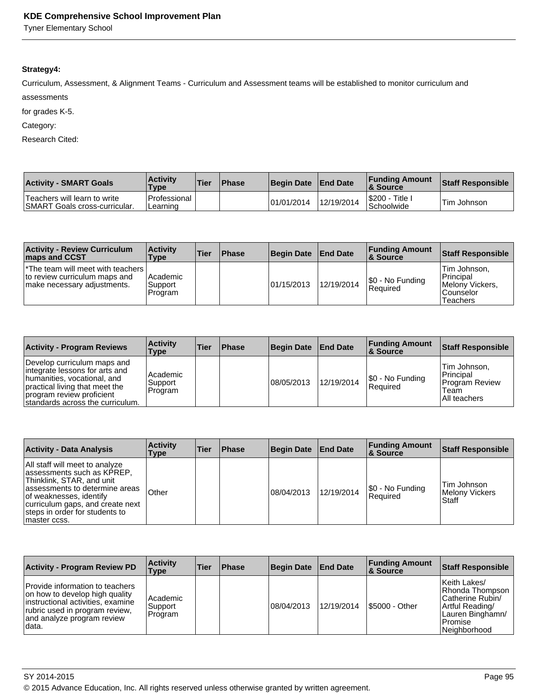Tyner Elementary School

## **Strategy4:**

Curriculum, Assessment, & Alignment Teams - Curriculum and Assessment teams will be established to monitor curriculum and assessments

for grades K-5.

Category:

Research Cited:

| <b>Activity - SMART Goals</b>                                        | <b>Activity</b><br><b>Type</b> | <b>Tier</b> | <b>Phase</b> | <b>Begin Date</b> | <b>End Date</b> | <b>Funding Amount</b><br>& Source | <b>Staff Responsible</b> |
|----------------------------------------------------------------------|--------------------------------|-------------|--------------|-------------------|-----------------|-----------------------------------|--------------------------|
| Teachers will learn to write<br><b>SMART Goals cross-curricular.</b> | l Professional<br>Learning     |             |              | 01/01/2014        | 12/19/2014      | l\$200 - ˈ<br>Title<br>Schoolwide | 'Tim Johnson             |

| <b>Activity - Review Curriculum</b><br><b>Imaps and CCST</b>                                                    | <b>Activity</b><br>Type            | <b>Tier</b> | <b>Phase</b> | <b>Begin Date</b> | <b>End Date</b> | <b>Funding Amount</b><br><b>&amp; Source</b> | Staff Responsible                                                       |
|-----------------------------------------------------------------------------------------------------------------|------------------------------------|-------------|--------------|-------------------|-----------------|----------------------------------------------|-------------------------------------------------------------------------|
| <sup>*</sup> The team will meet with teachers  <br>to review curriculum maps and<br>make necessary adjustments. | l Academic<br> Support <br>Program |             |              | 01/15/2013        | 12/19/2014      | S0 - No Funding<br>Reauired                  | Tim Johnson.<br>l Principal<br>Melony Vickers,<br>Counselor<br>Teachers |

| <b>Activity - Program Reviews</b>                                                                                                                                                               | <b>Activity</b><br>Type        | ∣Tier | Phase | <b>Begin Date</b> | <b>End Date</b> | <b>Funding Amount</b><br>∣& Source | <b>Staff Responsible</b>                                              |
|-------------------------------------------------------------------------------------------------------------------------------------------------------------------------------------------------|--------------------------------|-------|-------|-------------------|-----------------|------------------------------------|-----------------------------------------------------------------------|
| Develop curriculum maps and<br>integrate lessons for arts and<br>humanities, vocational, and<br>practical living that meet the<br>program review proficient<br>standards across the curriculum. | Academic<br>Support<br>Program |       |       | 108/05/2013       | 12/19/2014      | S0 - No Funding<br><b>Required</b> | ∣Tim Johnson,<br>Principal<br>Program Review<br>Team<br>IAII teachers |

| <b>Activity - Data Analysis</b>                                                                                                                                                                                                               | <b>Activity</b><br>Type | <b>Tier</b> | <b>Phase</b> | <b>Begin Date</b> | <b>End Date</b> | <b>Funding Amount</b><br>8 Source | <b>Staff Responsible</b>                 |
|-----------------------------------------------------------------------------------------------------------------------------------------------------------------------------------------------------------------------------------------------|-------------------------|-------------|--------------|-------------------|-----------------|-----------------------------------|------------------------------------------|
| All staff will meet to analyze<br>assessments such as KPREP,<br>Thinklink, STAR, and unit<br>assessments to determine areas<br>of weaknesses, identify<br>curriculum gaps, and create next<br>steps in order for students to<br>Imaster ccss. | 'Other                  |             |              | 08/04/2013        | 12/19/2014      | S0 - No Funding<br>Required       | Tim Johnson<br>Melony Vickers<br>l Staff |

| <b>Activity - Program Review PD</b>                                                                                                                                              | <b>Activity</b><br>Type        | <b>Tier</b> | <b>Phase</b> | <b>Begin Date</b> | <b>End Date</b> | <b>Funding Amount</b><br><b>8 Source</b> | <b>Staff Responsible</b>                                                                                                |
|----------------------------------------------------------------------------------------------------------------------------------------------------------------------------------|--------------------------------|-------------|--------------|-------------------|-----------------|------------------------------------------|-------------------------------------------------------------------------------------------------------------------------|
| Provide information to teachers<br>on how to develop high quality<br>instructional activities, examine<br>rubric used in program review,<br>and analyze program review<br>Idata. | Academic<br>Support<br>Program |             |              | 08/04/2013        | 12/19/2014      | <b>S5000 - Other</b>                     | Keith Lakes/<br>Rhonda Thompson<br>Catherine Rubin/<br>Artful Reading/<br>Lauren Binghamn/<br>l Promise<br>Neighborhood |

SY 2014-2015 Page 95

© 2015 Advance Education, Inc. All rights reserved unless otherwise granted by written agreement.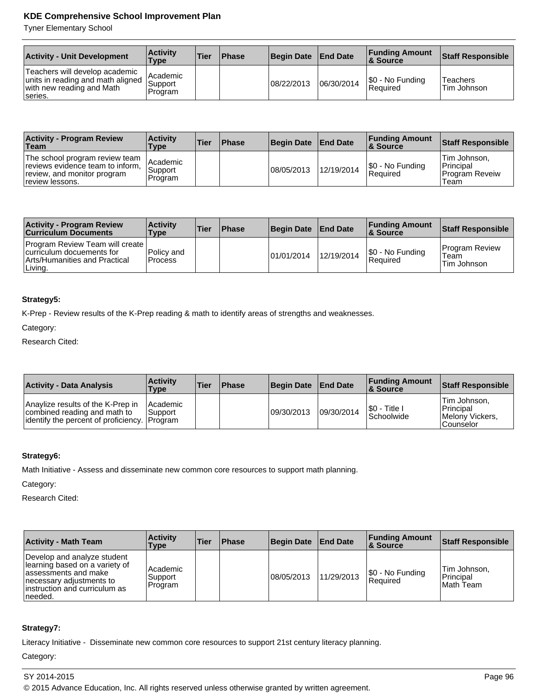Tyner Elementary School

| <b>Activity - Unit Development</b>                                                                          | <b>Activity</b><br>Type          | <b>Tier</b> | <b>Phase</b> | <b>Begin Date</b> | <b>End Date</b> | <b>Funding Amount</b><br>∣& Source | Staff Responsible              |
|-------------------------------------------------------------------------------------------------------------|----------------------------------|-------------|--------------|-------------------|-----------------|------------------------------------|--------------------------------|
| Teachers will develop academic<br>units in reading and math aligned<br>with new reading and Math<br>series. | l Academic<br>Support<br>Program |             |              | 08/22/2013        | 06/30/2014      | S0 - No Funding<br>l Reauired      | <b>Teachers</b><br>Tim Johnson |

| <b>Activity - Program Review</b><br>Team                                                                             | <b>Activity</b><br><b>Type</b>   | Tier | <b>Phase</b> | Begin Date | <b>End Date</b> | <b>Funding Amount</b><br>∣& Source | Staff Responsible                                            |
|----------------------------------------------------------------------------------------------------------------------|----------------------------------|------|--------------|------------|-----------------|------------------------------------|--------------------------------------------------------------|
| The school program review team<br>reviews evidence team to inform,<br>review, and monitor program<br>review lessons. | l Academic<br>Support<br>Program |      |              | 08/05/2013 | 12/19/2014      | S0 - No Funding<br> Reauired       | Tim Johnson.<br><b>Principal</b><br>l Program Reveiw<br>Team |

| <b>Activity - Program Review</b><br><b>Curriculum Documents</b>                                                        | <b>Activity</b><br>Type | <b>Tier</b> | <b>Phase</b> | <b>Begin Date</b> | <b>End Date</b> | <b>Funding Amount</b><br><b>8 Source</b> | <b>Staff Responsible</b>                     |
|------------------------------------------------------------------------------------------------------------------------|-------------------------|-------------|--------------|-------------------|-----------------|------------------------------------------|----------------------------------------------|
| <b>Program Review Team will create</b><br>curriculum docuements for<br><b>Arts/Humanities and Practical</b><br>Living. | Policy and<br>l Process |             |              | 101/01/2014       | 12/19/2014      | S0 - No Funding<br>Required              | <b>Program Review</b><br>Team<br>Tim Johnson |

## **Strategy5:**

K-Prep - Review results of the K-Prep reading & math to identify areas of strengths and weaknesses.

Category:

Research Cited:

| <b>Activity - Data Analysis</b>                                                                                    | <b>Activity</b><br><b>Type</b> | <b>Tier</b> | <b>Phase</b> | <b>Begin Date</b> | <b>End Date</b> | <b>Funding Amount</b><br>∣& Source  | Staff Responsible                                                   |
|--------------------------------------------------------------------------------------------------------------------|--------------------------------|-------------|--------------|-------------------|-----------------|-------------------------------------|---------------------------------------------------------------------|
| Anaylize results of the K-Prep in<br>combined reading and math to<br>lidentify the percent of proficiency. Program | <b>IAcademic</b><br> Support   |             |              | 09/30/2013        | 09/30/2014      | I\$0 - Title I<br><b>Schoolwide</b> | Tim Johnson.<br>Principal<br><b>IMelony Vickers.</b><br>l Counselor |

## **Strategy6:**

Math Initiative - Assess and disseminate new common core resources to support math planning.

Category:

Research Cited:

| <b>Activity - Math Team</b>                                                                                                                                      | <b>Activity</b><br>Type            | <b>Tier</b> | <b>IPhase</b> | <b>Begin Date</b> | <b>End Date</b> | <b>Funding Amount</b><br>8. Source | <b>Staff Responsible</b>               |
|------------------------------------------------------------------------------------------------------------------------------------------------------------------|------------------------------------|-------------|---------------|-------------------|-----------------|------------------------------------|----------------------------------------|
| Develop and analyze student<br>learning based on a variety of<br>lassessments and make<br>Inecessary adjustments to<br>linstruction and curriculum as<br>needed. | l Academic<br> Support <br>Program |             |               | 08/05/2013        | 11/29/2013      | \$0 - No Funding<br>Reauired       | Tim Johnson,<br>Principal<br>Math Team |

## **Strategy7:**

Literacy Initiative - Disseminate new common core resources to support 21st century literacy planning.

Category: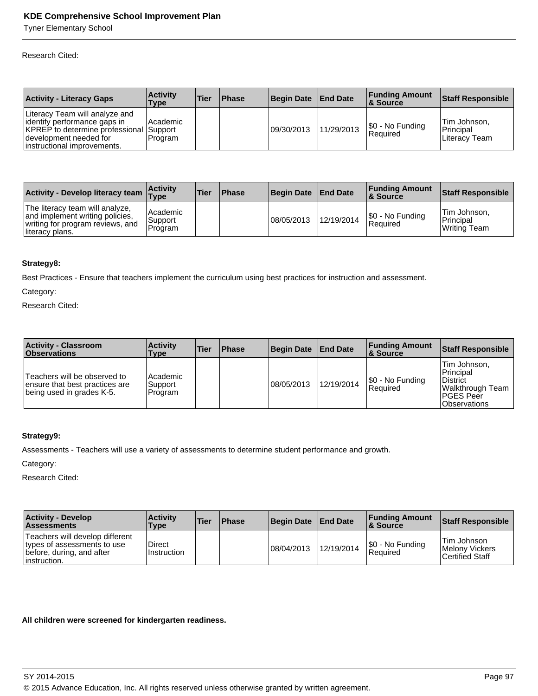Tyner Elementary School

Research Cited:

| <b>Activity - Literacy Gaps</b>                                                                                                                                   | <b>Activity</b><br>Type | ∣Tier | <b>Phase</b> | Begin Date  | <b>End Date</b> | <b>Funding Amount</b><br>8 Source | <b>Staff Responsible</b>                   |
|-------------------------------------------------------------------------------------------------------------------------------------------------------------------|-------------------------|-------|--------------|-------------|-----------------|-----------------------------------|--------------------------------------------|
| Literacy Team will analyze and<br>dentify performance gaps in<br>KPREP to determine professional Support<br>development needed for<br>instructional improvements. | Academic<br>l Program   |       |              | 109/30/2013 | 11/29/2013      | S0 - No Funding<br>Required       | Tim Johnson.<br>Principal<br>Literacv Team |

| Activity - Develop literacy team Type                                                                                      | <b>Activity</b>                   | <b>Tier</b> | <b>Phase</b> | <b>Begin Date</b> | <b>End Date</b> | <b>Funding Amount</b><br>∣& Source | Staff Responsible                         |
|----------------------------------------------------------------------------------------------------------------------------|-----------------------------------|-------------|--------------|-------------------|-----------------|------------------------------------|-------------------------------------------|
| The literacy team will analyze,<br>and implement writing policies,<br>writing for program reviews, and<br>lliteracy plans. | l Academic<br>⊩Support<br>Program |             |              | 08/05/2013        | 12/19/2014      | S0 - No Funding<br>Reauired        | Tim Johnson.<br>Principal<br>Writing Team |

### **Strategy8:**

Best Practices - Ensure that teachers implement the curriculum using best practices for instruction and assessment.

Category:

Research Cited:

| <b>Activity - Classroom</b><br><b>Observations</b>                                          | <b>Activity</b><br>Type          | <b>Tier</b> | <b>Phase</b> | <b>Begin Date</b> | <b>End Date</b> | <b>Funding Amount</b><br>∣& Source | <b>Staff Responsible</b>                                                                                         |
|---------------------------------------------------------------------------------------------|----------------------------------|-------------|--------------|-------------------|-----------------|------------------------------------|------------------------------------------------------------------------------------------------------------------|
| Teachers will be observed to<br>ensure that best practices are<br>being used in grades K-5. | l Academic<br>Support<br>Program |             |              | 08/05/2013        | 12/19/2014      | S0 - No Funding<br>Required        | Tim Johnson.<br>Principal<br><b>District</b><br> Walkthrough Team  <br><b>IPGES Peer</b><br><b>IObservations</b> |

#### **Strategy9:**

Assessments - Teachers will use a variety of assessments to determine student performance and growth.

Category:

Research Cited:

| <b>Activity - Develop</b><br><b>Assessments</b>                                                              | <b>Activity</b><br>Type | <b>Tier</b> | <b>Phase</b> | Begin Date | <b>End Date</b> | <b>Funding Amount</b><br><b>8 Source</b> | Staff Responsible                                       |
|--------------------------------------------------------------------------------------------------------------|-------------------------|-------------|--------------|------------|-----------------|------------------------------------------|---------------------------------------------------------|
| Teachers will develop different<br>types of assessments to use<br>before, during, and after<br>linstruction. | Direct<br>Instruction   |             |              | 08/04/2013 | 12/19/2014      | \$0 - No Funding<br>Required             | Tim Johnson<br>Melony Vickers<br><b>Certified Staff</b> |

### **All children were screened for kindergarten readiness.**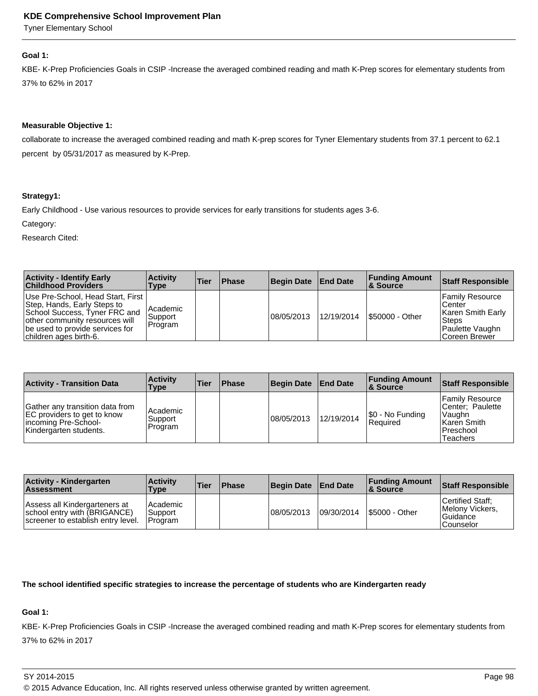Tyner Elementary School

#### **Goal 1:**

KBE- K-Prep Proficiencies Goals in CSIP -Increase the averaged combined reading and math K-Prep scores for elementary students from 37% to 62% in 2017

## **Measurable Objective 1:**

collaborate to increase the averaged combined reading and math K-prep scores for Tyner Elementary students from 37.1 percent to 62.1 percent by 05/31/2017 as measured by K-Prep.

### **Strategy1:**

Early Childhood - Use various resources to provide services for early transitions for students ages 3-6.

Category:

Research Cited:

| <b>Activity - Identify Early</b><br><b>Childhood Providers</b>                                                                                                                                     | <b>∣Activitv</b><br>Type       | <b>Tier</b> | <b>Phase</b> | Begin Date End Date |            | <b>Funding Amount</b><br>∣& Source | <b>Staff Responsible</b>                                                                     |
|----------------------------------------------------------------------------------------------------------------------------------------------------------------------------------------------------|--------------------------------|-------------|--------------|---------------------|------------|------------------------------------|----------------------------------------------------------------------------------------------|
| Use Pre-School, Head Start, First  <br>Step, Hands, Early Steps to<br>School Success, Tyner FRC and<br>other community resources will<br>be used to provide services for<br>children ages birth-6. | Academic<br>Support<br>Program |             |              | 08/05/2013          | 12/19/2014 | <b>S50000 - Other</b>              | Family Resource<br>Center<br>Karen Smith Early<br>Steps<br>Paulette Vaughn<br>lCoreen Brewer |

| <b>Activity - Transition Data</b>                                                                                | <b>Activity</b><br>Type          | Tier | <b>Phase</b> | <b>Begin Date</b> | <b>End Date</b> | <b>Funding Amount</b><br><b>8 Source</b> | <b>Staff Responsible</b>                                                                        |
|------------------------------------------------------------------------------------------------------------------|----------------------------------|------|--------------|-------------------|-----------------|------------------------------------------|-------------------------------------------------------------------------------------------------|
| Gather any transition data from<br>EC providers to get to know<br>incoming Pre-School-<br>Kindergarten students. | l Academic<br>Support<br>Program |      |              | 08/05/2013        | 12/19/2014      | \$0 - No Funding<br>Reauired             | <b>Family Resource</b><br>ICenter: Paulette<br>Vaughn<br>Karen Smith<br>l Preschool<br>Teachers |

| <b>Activity - Kindergarten</b><br><b>Assessment</b>                                                 | <b>Activity</b><br><b>Type</b>           | <b>Tier</b> | <b>Phase</b> | Begin Date End Date |             | <b>Funding Amount</b><br>8 Source | Staff Responsible                                                      |
|-----------------------------------------------------------------------------------------------------|------------------------------------------|-------------|--------------|---------------------|-------------|-----------------------------------|------------------------------------------------------------------------|
| Assess all Kindergarteners at<br>school entry with (BRIGANCE)<br>screener to establish entry level. | l Academic<br>Support<br><b>IProgram</b> |             |              | 108/05/2013         | 109/30/2014 | <b>S5000 - Other</b>              | Certified Staff:<br>Melony Vickers.<br><b>IGuidance</b><br>l Counselor |

#### **The school identified specific strategies to increase the percentage of students who are Kindergarten ready**

## **Goal 1:**

KBE- K-Prep Proficiencies Goals in CSIP -Increase the averaged combined reading and math K-Prep scores for elementary students from 37% to 62% in 2017

SY 2014-2015 Page 98

<sup>© 2015</sup> Advance Education, Inc. All rights reserved unless otherwise granted by written agreement.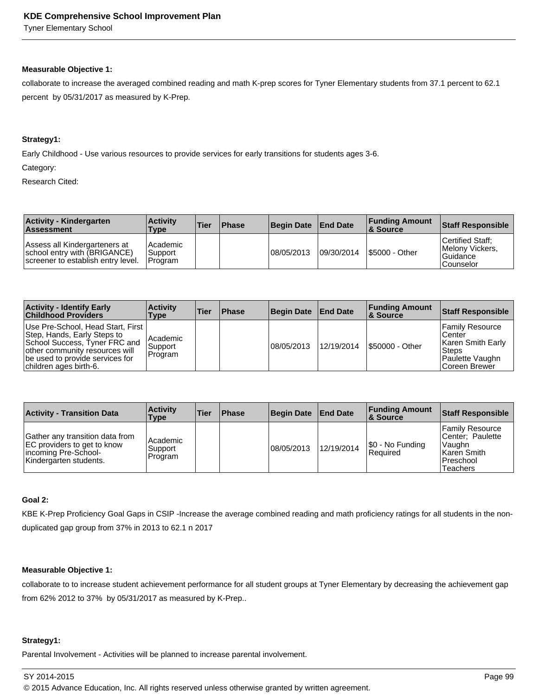Tyner Elementary School

#### **Measurable Objective 1:**

collaborate to increase the averaged combined reading and math K-prep scores for Tyner Elementary students from 37.1 percent to 62.1 percent by 05/31/2017 as measured by K-Prep.

## **Strategy1:**

Early Childhood - Use various resources to provide services for early transitions for students ages 3-6.

Category:

Research Cited:

| <b>Activity - Kindergarten</b><br><b>Assessment</b>                                                 | <b>Activity</b><br><b>Type</b>     | 'Tier | <b>Phase</b> | <b>Begin Date</b> | <b>End Date</b> | <b>Funding Amount</b><br>∣& Source | Staff Responsible                                                |
|-----------------------------------------------------------------------------------------------------|------------------------------------|-------|--------------|-------------------|-----------------|------------------------------------|------------------------------------------------------------------|
| Assess all Kindergarteners at<br>school entry with (BRIGANCE)<br>screener to establish entry level. | l Academic<br>Support<br>l Program |       |              | 108/05/2013       | 109/30/2014     | <b>S5000 - Other</b>               | Certified Staff:<br>Melony Vickers,<br>l Guidance<br>l Counselor |

| <b>Activity - Identify Early</b><br><b>Childhood Providers</b>                                                                                                                                     | <b>Activity</b><br>Type          | Tier | <b>Phase</b> | <b>Begin Date</b> | <b>End Date</b> | <b>Funding Amount</b><br>∣& Source | <b>Staff Responsible</b>                                                                             |
|----------------------------------------------------------------------------------------------------------------------------------------------------------------------------------------------------|----------------------------------|------|--------------|-------------------|-----------------|------------------------------------|------------------------------------------------------------------------------------------------------|
| Use Pre-School, Head Start, First  <br>Step, Hands, Early Steps to<br>School Success, Tyner FRC and<br>other community resources will<br>be used to provide services for<br>children ages birth-6. | l Academic<br>Support<br>Program |      |              | 08/05/2013        | 12/19/2014      | S50000 - Other                     | Family Resource<br>l Center<br>Karen Smith Early<br><b>Steps</b><br>Paulette Vaughn<br>Coreen Brewer |

| <b>Activity - Transition Data</b>                                                                                | <b>Activity</b><br>Type        | <b>Tier</b> | <b>Phase</b> | <b>Begin Date</b> | <b>End Date</b> | <b>Funding Amount</b><br>∣& Source | <b>Staff Responsible</b>                                                                 |
|------------------------------------------------------------------------------------------------------------------|--------------------------------|-------------|--------------|-------------------|-----------------|------------------------------------|------------------------------------------------------------------------------------------|
| Gather any transition data from<br>EC providers to get to know<br>incoming Pre-School-<br>Kindergarten students. | Academic<br>Support<br>Program |             |              | 08/05/2013        | 12/19/2014      | \$0 - No Funding<br>l Reauired     | Family Resource<br>Center: Paulette<br> Vaughn<br>l Karen Smith<br>Preschool<br>Teachers |

## **Goal 2:**

KBE K-Prep Proficiency Goal Gaps in CSIP -Increase the average combined reading and math proficiency ratings for all students in the nonduplicated gap group from 37% in 2013 to 62.1 n 2017

#### **Measurable Objective 1:**

collaborate to to increase student achievement performance for all student groups at Tyner Elementary by decreasing the achievement gap from 62% 2012 to 37% by 05/31/2017 as measured by K-Prep..

#### **Strategy1:**

Parental Involvement - Activities will be planned to increase parental involvement.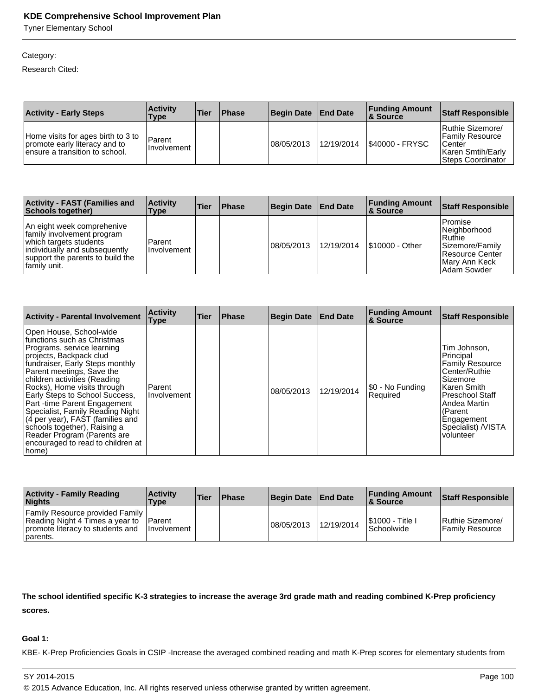Tyner Elementary School

## Category:

Research Cited:

| <b>Activity - Early Steps</b>                                                                         | <b>Activity</b><br><b>Type</b> | 'Tier | Phase | Begin Date | <b>End Date</b> | <b>Funding Amount</b><br>∣& Source | <b>Staff Responsible</b>                                                                                     |
|-------------------------------------------------------------------------------------------------------|--------------------------------|-------|-------|------------|-----------------|------------------------------------|--------------------------------------------------------------------------------------------------------------|
| Home visits for ages birth to 3 to<br>promote early literacy and to<br>ensure a transition to school. | Parent<br>l Involvement        |       |       | 08/05/2013 | 12/19/2014      | <b>S40000 - FRYSC</b>              | Ruthie Sizemore/<br><b>Family Resource</b><br><b>Center</b><br>Karen Smtih/Early<br><b>Steps Coordinator</b> |

| <b>Activity - FAST (Families and</b><br>Schools together)                                                                                                               | <b>Activity</b><br>Type | <b>Tier</b> | Phase | <b>Begin Date</b> | <b>End Date</b> | <b>Funding Amount</b><br>∣& Source | <b>Staff Responsible</b>                                                                                     |
|-------------------------------------------------------------------------------------------------------------------------------------------------------------------------|-------------------------|-------------|-------|-------------------|-----------------|------------------------------------|--------------------------------------------------------------------------------------------------------------|
| An eight week comprehenive<br>family involvement program<br>which targets students<br>individually and subsequently<br>support the parents to build the<br>family unit. | Parent<br>l Involvement |             |       | 08/05/2013        | 12/19/2014      | <b>S10000 - Other</b>              | l Promise<br>Neighborhood<br>Ruthie<br>Sizemore/Family<br>Resource Center<br> Mary Ann Keck <br>IAdam Sowder |

| <b>Activity - Parental Involvement</b>                                                                                                                                                                                                                                                                                                                                                                                                                                                               | <b>Activity</b><br>Type | Tier | <b>Phase</b> | <b>Begin Date</b> | <b>End Date</b> | <b>Funding Amount</b><br>& Source | <b>Staff Responsible</b>                                                                                                                                                                              |
|------------------------------------------------------------------------------------------------------------------------------------------------------------------------------------------------------------------------------------------------------------------------------------------------------------------------------------------------------------------------------------------------------------------------------------------------------------------------------------------------------|-------------------------|------|--------------|-------------------|-----------------|-----------------------------------|-------------------------------------------------------------------------------------------------------------------------------------------------------------------------------------------------------|
| Open House, School-wide<br>functions such as Christmas<br>Programs, service learning<br>projects, Backpack clud<br>fundraiser, Early Steps monthly<br>Parent meetings, Save the<br>children activities (Reading<br>Rocks), Home visits through<br>Early Steps to School Success,<br>Part-time Parent Engagement<br>Specialist, Family Reading Night<br>(4 per year), FAST (families and<br>schools together), Raising a<br>Reader Program (Parents are<br>encouraged to read to children at<br>home) | l Parent<br>Involvement |      |              | 08/05/2013        | 12/19/2014      | I\$0 - No Funding<br>Required     | Tim Johnson.<br>Principal<br><b>Family Resource</b><br>Center/Ruthie<br>Sizemore<br>Karen Smith<br><b>Preschool Staff</b><br>Andea Martin<br>(Parent<br>Engagement<br>Specialist) /VISTA<br>volunteer |

| <b>Activity - Family Reading</b><br><b>Nights</b>                                                                           | <b>Activity</b><br><b>Type</b> | 'Tier | <b>Phase</b> | <b>Begin Date</b> | <b>End Date</b> | <b>Funding Amount</b><br>∣& Source     | Staff Responsible                   |
|-----------------------------------------------------------------------------------------------------------------------------|--------------------------------|-------|--------------|-------------------|-----------------|----------------------------------------|-------------------------------------|
| <b>Family Resource provided Family  </b><br>Reading Night 4 Times a year to<br>promote literacy to students and<br>parents. | Parent<br><b>Ilnvolvement</b>  |       |              | 108/05/2013       | 12/19/2014      | <b>S1000 - Title I</b><br>l Schoolwide | Ruthie Sizemore/<br>Family Resource |

**The school identified specific K-3 strategies to increase the average 3rd grade math and reading combined K-Prep proficiency scores.** 

#### **Goal 1:**

KBE- K-Prep Proficiencies Goals in CSIP -Increase the averaged combined reading and math K-Prep scores for elementary students from

© 2015 Advance Education, Inc. All rights reserved unless otherwise granted by written agreement.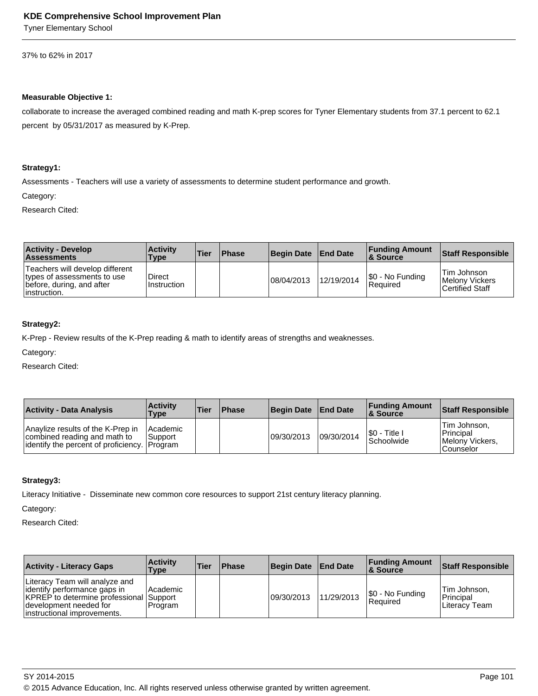Tyner Elementary School

37% to 62% in 2017

#### **Measurable Objective 1:**

collaborate to increase the averaged combined reading and math K-prep scores for Tyner Elementary students from 37.1 percent to 62.1 percent by 05/31/2017 as measured by K-Prep.

#### **Strategy1:**

Assessments - Teachers will use a variety of assessments to determine student performance and growth.

Category:

Research Cited:

| <b>Activity - Develop</b><br><b>Assessments</b>                                                              | <b>Activity</b><br>Type | <b>Tier</b> | <b>Phase</b> | Begin Date End Date |            | <b>Funding Amount</b><br>8 Source | <b>Staff Responsible</b>                                       |
|--------------------------------------------------------------------------------------------------------------|-------------------------|-------------|--------------|---------------------|------------|-----------------------------------|----------------------------------------------------------------|
| Teachers will develop different<br>types of assessments to use<br>before, during, and after<br>linstruction. | Direct<br>Instruction   |             |              | 08/04/2013          | 12/19/2014 | S0 - No Funding<br>l Reauired     | Tim Johnson<br><b>Melony Vickers</b><br><b>Certified Staff</b> |

## **Strategy2:**

K-Prep - Review results of the K-Prep reading & math to identify areas of strengths and weaknesses.

Category:

Research Cited:

| <b>Activity - Data Analysis</b>                                                                                    | <b>Activity</b><br><b>Type</b> | <b>Tier</b> | <b>Phase</b> | <b>Begin Date</b> | <b>End Date</b> | <b>Funding Amount</b><br><b>8 Source</b> | Staff Responsible                                                |
|--------------------------------------------------------------------------------------------------------------------|--------------------------------|-------------|--------------|-------------------|-----------------|------------------------------------------|------------------------------------------------------------------|
| Anaylize results of the K-Prep in<br>combined reading and math to<br>lidentify the percent of proficiency. Program | l Academic<br>l Support        |             |              | 09/30/2013        | 09/30/2014      | I\$0 - Title I<br><b>Schoolwide</b>      | <b>Tim Johnson.</b><br>Principal<br>Melony Vickers.<br>Counselor |

#### **Strategy3:**

Literacy Initiative - Disseminate new common core resources to support 21st century literacy planning.

Category:

| <b>Activity - Literacy Gaps</b>                                                                                                                                           | <b>Activity</b><br>Type | Tier | <b>Phase</b> | <b>Begin Date</b> | <b>End Date</b> | <b>Funding Amount</b><br>∣& Source | <b>Staff Responsible</b>                          |
|---------------------------------------------------------------------------------------------------------------------------------------------------------------------------|-------------------------|------|--------------|-------------------|-----------------|------------------------------------|---------------------------------------------------|
| Literacy Team will analyze and<br>dentify performance gaps in<br><b>KPREP</b> to determine professional Support<br>development needed for<br>linstructional improvements. | l Academic<br>l Program |      |              | 09/30/2013        | 11/29/2013      | \$0 - No Funding<br>Reauired       | Tim Johnson.<br>Principal<br><b>Literacy Team</b> |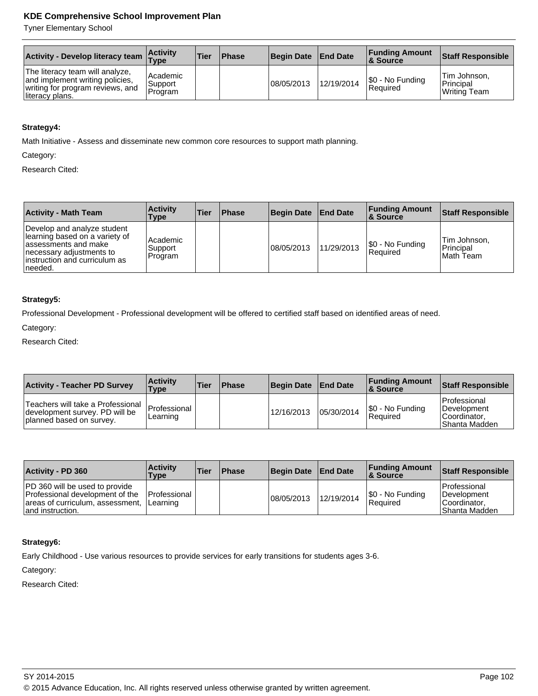Tyner Elementary School

| <b>Activity - Develop literacy team</b>                                                                                   | <b>Activity</b><br>$T$ ype         | 'Tier | <b>Phase</b> | Begin Date End Date |            | <b>Funding Amount</b><br>8 Source | Staff Responsible                         |
|---------------------------------------------------------------------------------------------------------------------------|------------------------------------|-------|--------------|---------------------|------------|-----------------------------------|-------------------------------------------|
| The literacy team will analyze,<br>and implement writing policies,<br>writing for program reviews, and<br>literacy plans. | l Academic<br>Support<br>l Program |       |              | 108/05/2013         | 12/19/2014 | S0 - No Funding<br>Reauired       | Tim Johnson,<br>Principal<br>Writing Team |

## **Strategy4:**

Math Initiative - Assess and disseminate new common core resources to support math planning.

Category:

Research Cited:

| <b>Activity - Math Team</b>                                                                                                                                     | <b>Activity</b><br>Type        | <b>Tier</b> | <b>Phase</b> | <b>Begin Date</b> | <b>End Date</b> | <b>Funding Amount</b><br><b>8 Source</b> | <b>Staff Responsible</b>                |
|-----------------------------------------------------------------------------------------------------------------------------------------------------------------|--------------------------------|-------------|--------------|-------------------|-----------------|------------------------------------------|-----------------------------------------|
| Develop and analyze student<br>learning based on a variety of<br>assessments and make<br>necessary adjustments to<br>linstruction and curriculum as<br>Ineeded. | Academic<br>Support<br>Program |             |              | 08/05/2013        | 11/29/2013      | $ \$0 - No Funding $<br>Required         | ⊦Tim Johnson,<br>Principal<br>Math Team |

### **Strategy5:**

Professional Development - Professional development will be offered to certified staff based on identified areas of need.

Category:

Research Cited:

| <b>Activity - Teacher PD Survey</b>                                                             | <b>Activity</b><br>Type  | Tier | <b>Phase</b> | Begin Date | <b>End Date</b> | <b>Funding Amount</b><br>∣& Source | <b>Staff Responsible</b>                                                |
|-------------------------------------------------------------------------------------------------|--------------------------|------|--------------|------------|-----------------|------------------------------------|-------------------------------------------------------------------------|
| Teachers will take a Professional<br>development survey. PD will be<br>planned based on survey. | Professional<br>Learning |      |              | 12/16/2013 | 05/30/2014      | S0 - No Funding<br>l Reauired      | Professional<br><b>IDevelopment</b><br> Coordinator,<br>l Shanta Madden |

| <b>Activity - PD 360</b>                                                                                                         | <b>Activity</b><br><b>Type</b>           | <b>Tier</b> | <b>Phase</b> | <b>Begin Date</b> | <b>End Date</b> | <b>Funding Amount</b><br><b>8 Source</b> | <b>Staff Responsible</b>                                       |
|----------------------------------------------------------------------------------------------------------------------------------|------------------------------------------|-------------|--------------|-------------------|-----------------|------------------------------------------|----------------------------------------------------------------|
| <b>PD</b> 360 will be used to provide<br>Professional development of the<br>areas of curriculum, assessment,<br>and instruction. | <b>IProfessional</b><br><b>ILearning</b> |             |              | 08/05/2013        | 12/19/2014      | S0 - No Funding<br>Required              | Professional<br>Development<br>ICoordinator.<br>IShanta Madden |

## **Strategy6:**

Early Childhood - Use various resources to provide services for early transitions for students ages 3-6.

Category: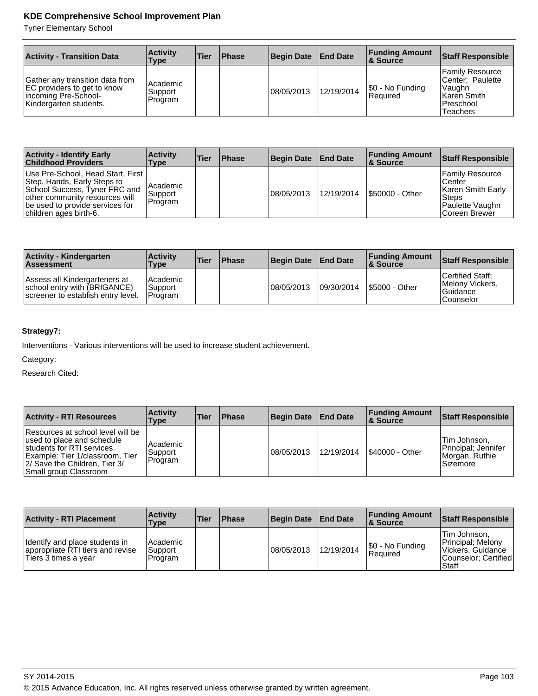Tyner Elementary School

| <b>Activity - Transition Data</b>                                                                                | <b>Activity</b><br>Type        | <b>Tier</b> | <b>Phase</b> | Begin Date  | <b>End Date</b> | <b>Funding Amount</b><br><b>8 Source</b> | <b>Staff Responsible</b>                                                                       |
|------------------------------------------------------------------------------------------------------------------|--------------------------------|-------------|--------------|-------------|-----------------|------------------------------------------|------------------------------------------------------------------------------------------------|
| Gather any transition data from<br>EC providers to get to know<br>incoming Pre-School-<br>Kindergarten students. | Academic<br>Support<br>Program |             |              | 108/05/2013 | 12/19/2014      | \$0 - No Funding<br>Required             | Family Resource<br>Center: Paulette<br><b>Vaughn</b><br>Karen Smith<br>l Preschool<br>Teachers |

| <b>Activity - Identify Early</b><br><b>Childhood Providers</b>                                                                                                                                     | <b>∣Activitv</b><br>Type       | <b>Tier</b> | <b>Phase</b> | Begin Date End Date |            | <b>Funding Amount</b><br><b>8 Source</b> | <b>Staff Responsible</b>                                                                       |
|----------------------------------------------------------------------------------------------------------------------------------------------------------------------------------------------------|--------------------------------|-------------|--------------|---------------------|------------|------------------------------------------|------------------------------------------------------------------------------------------------|
| Use Pre-School, Head Start, First  <br>Step, Hands, Early Steps to<br>School Success, Tyner FRC and<br>other community resources will<br>be used to provide services for<br>children ages birth-6. | Academic<br>Support<br>Program |             |              | 08/05/2013          | 12/19/2014 | <b>S50000 - Other</b>                    | Family Resource<br>l Center<br>Karen Smith Early<br>Steps<br>Paulette Vaughn<br>lCoreen Brewer |

| <b>Activity - Kindergarten</b><br><b>Assessment</b>                                                 | <b>Activity</b><br>Type         | 'Tier | <b>Phase</b> | Begin Date  | <b>End Date</b> | <b>Funding Amount</b><br>8 Source | Staff Responsible                                            |
|-----------------------------------------------------------------------------------------------------|---------------------------------|-------|--------------|-------------|-----------------|-----------------------------------|--------------------------------------------------------------|
| Assess all Kindergarteners at<br>school entry with (BRIGANCE)<br>screener to establish entry level. | Academic<br>Support<br>IProgram |       |              | 108/05/2013 | 09/30/2014      | <b>S5000 - Other</b>              | Certified Staff:<br>Melony Vickers.<br>Guidance<br>Counselor |

## **Strategy7:**

Interventions - Various interventions will be used to increase student achievement.

Category:

| <b>Activity - RTI Resources</b>                                                                                                                                                            | <b>Activity</b><br>Type          | <b>Tier</b> | <b>Phase</b> | <b>Begin Date</b> | <b>End Date</b> | <b>Funding Amount</b><br>∣& Source | <b>Staff Responsible</b>                                            |
|--------------------------------------------------------------------------------------------------------------------------------------------------------------------------------------------|----------------------------------|-------------|--------------|-------------------|-----------------|------------------------------------|---------------------------------------------------------------------|
| Resources at school level will be<br>used to place and schedule<br>students for RTI services.<br>Example: Tier 1/classroom, Tier<br>2/ Save the Children, Tier 3/<br>Small group Classroom | l Academic<br>Support<br>Program |             |              | 08/05/2013        | 12/19/2014      | S40000 - Other                     | Tim Johnson,<br>Principal; Jennifer<br>Morgan, Ruthie<br>l Sizemore |

| <b>Activity - RTI Placement</b>                                                            | <b>Activity</b><br><b>Type</b>   | ∣Tier | <b>Phase</b> | <b>Begin Date</b> | <b>End Date</b> | <b>Funding Amount</b><br>8 Source | Staff Responsible                                                                               |
|--------------------------------------------------------------------------------------------|----------------------------------|-------|--------------|-------------------|-----------------|-----------------------------------|-------------------------------------------------------------------------------------------------|
| Identify and place students in<br>appropriate RTI tiers and revise<br>Tiers 3 times a year | l Academic<br>Support<br>Program |       |              | 08/05/2013        | 12/19/2014      | S0 - No Funding<br>Reauired       | Tim Johnson.<br>Principal: Melony<br>Vickers, Guidance<br>ICounselor: Certified<br><b>Staff</b> |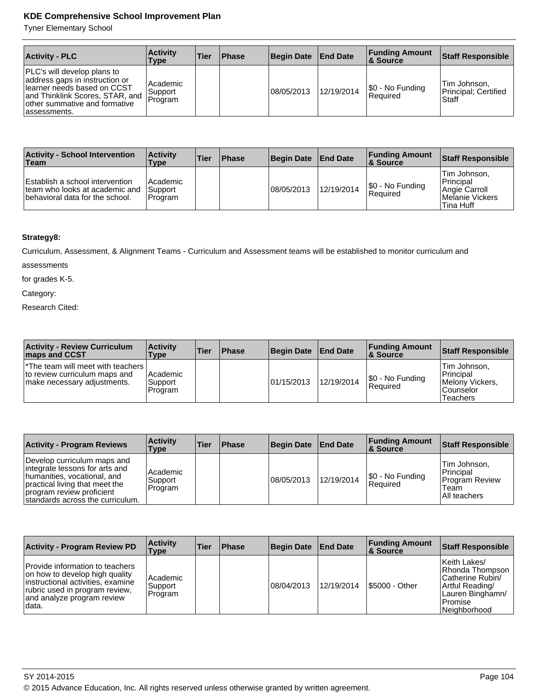Tyner Elementary School

| <b>Activity - PLC</b>                                                                                                                                                              | <b>Activity</b><br>Type        | <b>Tier</b> | <b>Phase</b> | Begin Date | <b>End Date</b> | <b>Funding Amount</b><br>8 Source | <b>Staff Responsible</b>                      |
|------------------------------------------------------------------------------------------------------------------------------------------------------------------------------------|--------------------------------|-------------|--------------|------------|-----------------|-----------------------------------|-----------------------------------------------|
| PLC's will develop plans to<br>address gaps in instruction or<br>Ilearner needs based on CCST<br>and Thinklink Scores, STAR, and<br>other summative and formative<br>lassessments. | Academic<br>Support<br>Program |             |              | 08/05/2013 | 12/19/2014      | $ \$0 - No$ Funding<br> Reauired  | Tim Johnson,<br>Principal; Certified<br>Staff |

| <b>Activity - School Intervention</b><br>∣Team                                                       | <b>Activity</b><br>Type            | <b>Tier</b> | <b>Phase</b> | <b>Begin Date</b> | <b>End Date</b> | <b>Funding Amount</b><br><b>8 Source</b> | Staff Responsible                                                                  |
|------------------------------------------------------------------------------------------------------|------------------------------------|-------------|--------------|-------------------|-----------------|------------------------------------------|------------------------------------------------------------------------------------|
| Establish a school intervention<br>team who looks at academic and<br>behavioral data for the school. | l Academic<br>Support<br>l Program |             |              | 08/05/2013        | 12/19/2014      | \$0 - No Funding<br>Reauired             | Tim Johnson.<br><b>Principal</b><br>Angie Carroll<br>Melanie Vickers<br>lTina Huff |

## **Strategy8:**

Curriculum, Assessment, & Alignment Teams - Curriculum and Assessment teams will be established to monitor curriculum and

assessments

for grades K-5.

Category:

| <b>Activity - Review Curriculum</b><br><b>maps and CCST</b>                                                      | <b>Activity</b><br>Type          | ∣Tier | Phase | <b>Begin Date</b> | <b>End Date</b> | <b>Funding Amount</b><br>∣& Source | <b>Staff Responsible</b>                                                |
|------------------------------------------------------------------------------------------------------------------|----------------------------------|-------|-------|-------------------|-----------------|------------------------------------|-------------------------------------------------------------------------|
| <sup>*</sup> The team will meet with teachers  <br>to review curriculum maps and<br>∣make necessary adjustments. | l Academic<br>Support<br>Program |       |       | 01/15/2013        | 12/19/2014      | S0 - No Funding<br>l Reauired      | Tim Johnson.<br>Principal<br>Melony Vickers.<br>l Counselor<br>Teachers |

| <b>Activity - Program Reviews</b>                                                                                                                                                               | <b>Activity</b><br>Type          | <b>Tier</b> | <b>Phase</b> | Begin Date | <b>End Date</b> | <b>Funding Amount</b><br>∣& Source  | <b>Staff Responsible</b>                                                    |
|-------------------------------------------------------------------------------------------------------------------------------------------------------------------------------------------------|----------------------------------|-------------|--------------|------------|-----------------|-------------------------------------|-----------------------------------------------------------------------------|
| Develop curriculum maps and<br>integrate lessons for arts and<br>humanities, vocational, and<br>practical living that meet the<br>program review proficient<br>standards across the curriculum. | l Academic<br>Support<br>Program |             |              | 08/05/2013 | 12/19/2014      | \$0 - No Funding<br><b>Required</b> | Tim Johnson,<br>Principal<br><b>Program Review</b><br>Team<br>IAII teachers |

| <b>Activity - Program Review PD</b>                                                                                                                                             | <b>Activity</b><br><b>Type</b> | <b>Tier</b> | <b>Phase</b> | Begin Date  | <b>End Date</b> | <b>Funding Amount</b><br>8. Source | <b>Staff Responsible</b>                                                                                                 |
|---------------------------------------------------------------------------------------------------------------------------------------------------------------------------------|--------------------------------|-------------|--------------|-------------|-----------------|------------------------------------|--------------------------------------------------------------------------------------------------------------------------|
| Provide information to teachers<br>on how to develop high quality<br>instructional activities, examine<br>rubric used in program review,<br>and analyze program review<br>data. | Academic<br>Support<br>Program |             |              | 108/04/2013 | 12/19/2014      | \$5000 - Other                     | Keith Lakes/<br>IRhonda Thompson<br>Catherine Rubin/<br>Artful Reading/<br>Lauren Binghamn/<br>l Promise<br>Neighborhood |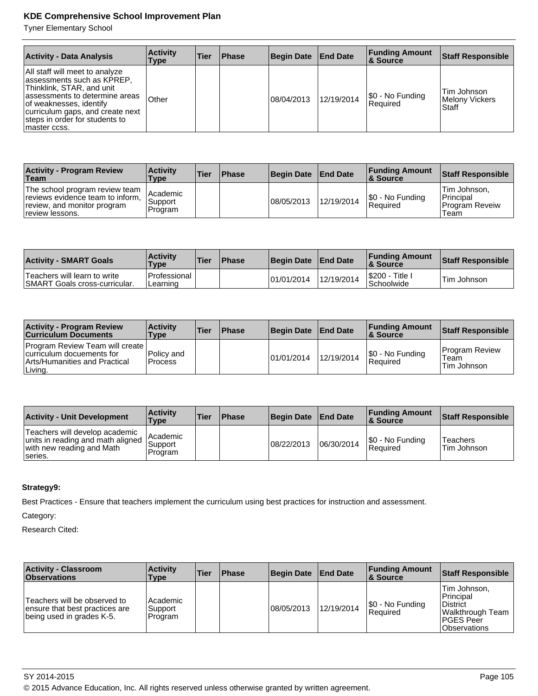Tyner Elementary School

| <b>Activity - Data Analysis</b>                                                                                                                                                                                                                | <b>Activity</b><br>Type | Tier | <b>Phase</b> | <b>Begin Date</b> | <b>End Date</b> | <b>Funding Amount</b><br>8. Source | <b>Staff Responsible</b>               |
|------------------------------------------------------------------------------------------------------------------------------------------------------------------------------------------------------------------------------------------------|-------------------------|------|--------------|-------------------|-----------------|------------------------------------|----------------------------------------|
| All staff will meet to analyze<br>assessments such as KPREP,<br>Thinklink, STAR, and unit<br>lassessments to determine areas<br>of weaknesses, identify<br>curriculum gaps, and create next<br>steps in order for students to<br>Imaster ccss. | <b>Other</b>            |      |              | 08/04/2013        | 12/19/2014      | \$0 - No Funding<br>l Reauired     | Tim Johnson<br>Melony Vickers<br>Staff |

| <b>Activity - Program Review</b><br>Team                                                                             | <b>Activity</b><br>Type            | 'Tier | <b>Phase</b> | <b>Begin Date</b> | <b>End Date</b> | <b>Funding Amount</b><br>∣& Source | Staff Responsible                                            |
|----------------------------------------------------------------------------------------------------------------------|------------------------------------|-------|--------------|-------------------|-----------------|------------------------------------|--------------------------------------------------------------|
| The school program review team<br>reviews evidence team to inform,<br>review, and monitor program<br>review lessons. | l Academic<br>Support<br>l Program |       |              | 08/05/2013        | 12/19/2014      | S0 - No Funding<br>Required        | Tim Johnson.<br><b>Principal</b><br>l Program Reveiw<br>Team |

| <b>Activity - SMART Goals</b>                                         | <b>Activity</b><br><b>Type</b> | 'Tier | <b>Phase</b> | <b>Begin Date</b> | <b>End Date</b> | <b>Funding Amount</b><br><b>&amp; Source</b> | Staff Responsible |
|-----------------------------------------------------------------------|--------------------------------|-------|--------------|-------------------|-----------------|----------------------------------------------|-------------------|
| Teachers will learn to write<br><b>ISMART Goals cross-curricular.</b> | l Professional<br>Learning     |       |              | 01/01/2014        | 12/19/2014      | '\$200 -<br>Title i<br>Schoolwide            | Tim Johnson       |

| <b>Activity - Program Review</b><br><b>Curriculum Documents</b>                                                 | <b>Activity</b><br>Type | <b>Tier</b> | <b>Phase</b> | <b>Begin Date</b> | <b>End Date</b> | <b>Funding Amount</b><br>∣& Source | Staff Responsible                            |
|-----------------------------------------------------------------------------------------------------------------|-------------------------|-------------|--------------|-------------------|-----------------|------------------------------------|----------------------------------------------|
| <b>Program Review Team will create</b><br>curriculum docuements for<br>Arts/Humanities and Practical<br>Living. | Policy and<br>l Process |             |              | 101/01/2014       | 12/19/2014      | S0 - No Funding<br>Required        | <b>Program Review</b><br>Team<br>Tim Johnson |

| <b>Activity - Unit Development</b>                                                                          | <b>Activity</b><br>Type          | <b>Tier</b> | <b>Phase</b> | <b>Begin Date</b> | <b>End Date</b> | <b>Funding Amount</b><br>8 Source | <b>Staff Responsible</b>              |
|-------------------------------------------------------------------------------------------------------------|----------------------------------|-------------|--------------|-------------------|-----------------|-----------------------------------|---------------------------------------|
| Teachers will develop academic<br>units in reading and math aligned<br>with new reading and Math<br>series. | l Academic<br>Support<br>Program |             |              | 08/22/2013        | 06/30/2014      | S0 - No Funding<br>l Reauired     | <sup>1</sup> Teachers<br> Tim Johnson |

# **Strategy9:**

Best Practices - Ensure that teachers implement the curriculum using best practices for instruction and assessment.

Category:

Research Cited:

| <b>Activity - Classroom</b><br><b>Observations</b>                                          | <b>Activity</b><br>Type          | <b>Tier</b> | <b>Phase</b> | <b>Begin Date</b> | <b>End Date</b> | <b>Funding Amount</b><br>∣& Source | <b>Staff Responsible</b>                                                                                         |
|---------------------------------------------------------------------------------------------|----------------------------------|-------------|--------------|-------------------|-----------------|------------------------------------|------------------------------------------------------------------------------------------------------------------|
| Teachers will be observed to<br>ensure that best practices are<br>being used in grades K-5. | l Academic<br>Support<br>Program |             |              | 108/05/2013       | 12/19/2014      | S0 - No Funding<br>Required        | Tim Johnson,<br>Principal<br><b>District</b><br> Walkthrough Team  <br><b>IPGES Peer</b><br><b>IObservations</b> |

SY 2014-2015 Page 105

© 2015 Advance Education, Inc. All rights reserved unless otherwise granted by written agreement.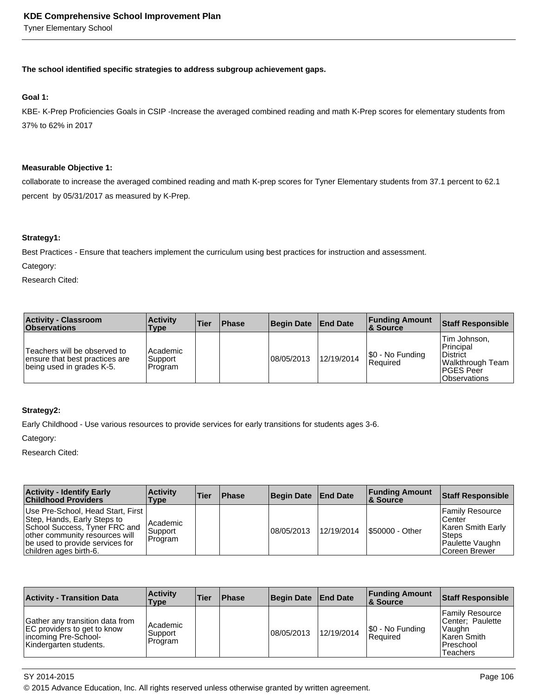Tyner Elementary School

### **The school identified specific strategies to address subgroup achievement gaps.**

## **Goal 1:**

KBE- K-Prep Proficiencies Goals in CSIP -Increase the averaged combined reading and math K-Prep scores for elementary students from 37% to 62% in 2017

### **Measurable Objective 1:**

collaborate to increase the averaged combined reading and math K-prep scores for Tyner Elementary students from 37.1 percent to 62.1 percent by 05/31/2017 as measured by K-Prep.

### **Strategy1:**

Best Practices - Ensure that teachers implement the curriculum using best practices for instruction and assessment.

Category:

Research Cited:

| <b>Activity - Classroom</b><br><b>Observations</b>                                          | <b>Activity</b><br>Type         | <b>Tier</b> | <b>Phase</b> | <b>Begin Date</b> | <b>End Date</b> | <b>Funding Amount</b><br>∣& Source | <b>Staff Responsible</b>                                                                             |
|---------------------------------------------------------------------------------------------|---------------------------------|-------------|--------------|-------------------|-----------------|------------------------------------|------------------------------------------------------------------------------------------------------|
| Teachers will be observed to<br>ensure that best practices are<br>being used in grades K-5. | Academic <br>Support<br>Program |             |              | 08/05/2013        | 12/19/2014      | S0 - No Funding<br> Reauired       | Tim Johnson,<br>Principal<br>District<br>Walkthrough Team<br><b>PGES Peer</b><br><b>Observations</b> |

## **Strategy2:**

Early Childhood - Use various resources to provide services for early transitions for students ages 3-6.

Category:

Research Cited:

| <b>Activity - Identify Early</b><br><b>Childhood Providers</b>                                                                                                                                   | <b>Activity</b><br><b>Type</b>        | <b>Tier</b> | <b>Phase</b> | Begin Date End Date |            | <b>Funding Amount</b><br>8 Source | Staff Responsible                                                                           |
|--------------------------------------------------------------------------------------------------------------------------------------------------------------------------------------------------|---------------------------------------|-------------|--------------|---------------------|------------|-----------------------------------|---------------------------------------------------------------------------------------------|
| Use Pre-School, Head Start, First<br>Step, Hands, Early Steps to<br>School Success, Tyner FRC and<br>other community resources will<br>be used to provide services for<br>children ages birth-6. | Academic<br><b>Support</b><br>Program |             |              | 08/05/2013          | 12/19/2014 | 1\$50000 - Other                  | Family Resource<br>Center<br>Karen Smith Early<br>Steps<br>Paulette Vaughn<br>Coreen Brewer |

| <b>Activity - Transition Data</b>                                                                                | <b>Activity</b><br><b>Type</b>   | <b>Tier</b> | <b>Phase</b> | <b>Begin Date</b> | <b>End Date</b> | <b>Funding Amount</b><br>∣& Source | <b>Staff Responsible</b>                                                                       |
|------------------------------------------------------------------------------------------------------------------|----------------------------------|-------------|--------------|-------------------|-----------------|------------------------------------|------------------------------------------------------------------------------------------------|
| Gather any transition data from<br>EC providers to get to know<br>incoming Pre-School-<br>Kindergarten students. | l Academic<br>Support<br>Program |             |              | 08/05/2013        | 12/19/2014      | \$0 - No Funding<br>l Reauired     | Family Resource<br>Center: Paulette<br>Vaughn<br>Karen Smith<br>l Preschool<br><b>Teachers</b> |

SY 2014-2015 Page 106

© 2015 Advance Education, Inc. All rights reserved unless otherwise granted by written agreement.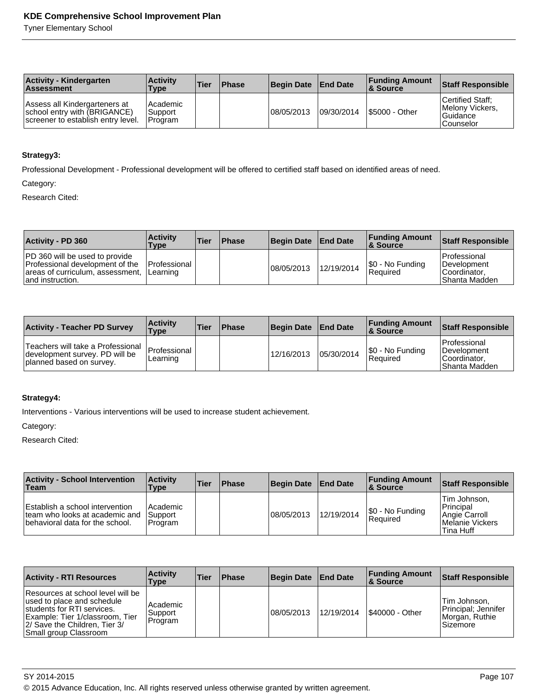Tyner Elementary School

| <b>Activity - Kindergarten</b><br><b>Assessment</b>                                                 | <b>Activity</b><br>Type          | 'Tier | <b>Phase</b> | <b>Begin Date</b> | <b>End Date</b> | <b>Funding Amount</b><br><b>8 Source</b> | <b>Staff Responsible</b>                                              |
|-----------------------------------------------------------------------------------------------------|----------------------------------|-------|--------------|-------------------|-----------------|------------------------------------------|-----------------------------------------------------------------------|
| Assess all Kindergarteners at<br>school entry with (BRIGANCE)<br>screener to establish entry level. | Academic<br>Support<br>l Program |       |              | 08/05/2013        | 09/30/2014      | S5000 - Other                            | Certified Staff:<br>Melony Vickers,<br>l Guidance<br><b>Counselor</b> |

### **Strategy3:**

Professional Development - Professional development will be offered to certified staff based on identified areas of need.

Category:

Research Cited:

| <b>Activity - PD 360</b>                                                                                                         | <b>Activity</b><br>Type         | <b>Tier</b> | <b>Phase</b> | Begin Date End Date |            | <b>Funding Amount</b><br>8 Source | <b>Staff Responsible</b>                                              |
|----------------------------------------------------------------------------------------------------------------------------------|---------------------------------|-------------|--------------|---------------------|------------|-----------------------------------|-----------------------------------------------------------------------|
| <b>PD</b> 360 will be used to provide<br>Professional development of the<br>areas of curriculum, assessment,<br>and instruction. | <b>Professional</b><br>Learning |             |              | 108/05/2013         | 12/19/2014 | S0 - No Funding<br>Required       | Professional<br><b>IDevelopment</b><br>Coordinator.<br>IShanta Madden |

| <b>Activity - Teacher PD Survey</b>                                                             | <b>Activity</b><br><b>Type</b> | 'Tier | 'Phase | Begin Date End Date |            | <b>Funding Amount</b><br><b>8 Source</b> | <b>Staff Responsible</b>                                                 |
|-------------------------------------------------------------------------------------------------|--------------------------------|-------|--------|---------------------|------------|------------------------------------------|--------------------------------------------------------------------------|
| Teachers will take a Professional<br>development survey. PD will be<br>planned based on survey. | Professional<br>Learning       |       |        | 12/16/2013          | 05/30/2014 | S0 - No Funding<br> Reauired             | l Professional<br><b>IDevelopment</b><br>ICoordinator.<br>IShanta Madden |

# **Strategy4:**

Interventions - Various interventions will be used to increase student achievement.

Category:

| <b>Activity - School Intervention</b><br>Team                                                        | <b>Activity</b><br>Type          | <b>Tier</b> | <b>Phase</b> | Begin Date End Date |            | <b>Funding Amount</b><br>∣& Source  | Staff Responsible                                                                 |
|------------------------------------------------------------------------------------------------------|----------------------------------|-------------|--------------|---------------------|------------|-------------------------------------|-----------------------------------------------------------------------------------|
| Establish a school intervention<br>team who looks at academic and<br>behavioral data for the school. | l Academic<br>Support<br>Program |             |              | 08/05/2013          | 12/19/2014 | \$0 - No Funding<br><b>Required</b> | Tim Johnson.<br>Principal<br><b>Angie Carroll</b><br>Melanie Vickers<br>Tina Huff |

| <b>Activity - RTI Resources</b>                                                                                                                                                             | <b>Activity</b><br><b>Type</b>        | <b>Tier</b> | <b>Phase</b> | <b>Begin Date</b> | <b>End Date</b> | <b>Funding Amount</b><br>∣& Source | <b>Staff Responsible</b>                                            |
|---------------------------------------------------------------------------------------------------------------------------------------------------------------------------------------------|---------------------------------------|-------------|--------------|-------------------|-----------------|------------------------------------|---------------------------------------------------------------------|
| Resources at school level will be<br>used to place and schedule<br>Istudents for RTI services.<br>Example: Tier 1/classroom, Tier<br>2/ Save the Children, Tier 3/<br>Small group Classroom | Academic<br><b>Support</b><br>Program |             |              | 08/05/2013        | 12/19/2014      | \$40000 - Other                    | Tim Johnson,<br>Principal; Jennifer<br>Morgan, Ruthie<br>l Sizemore |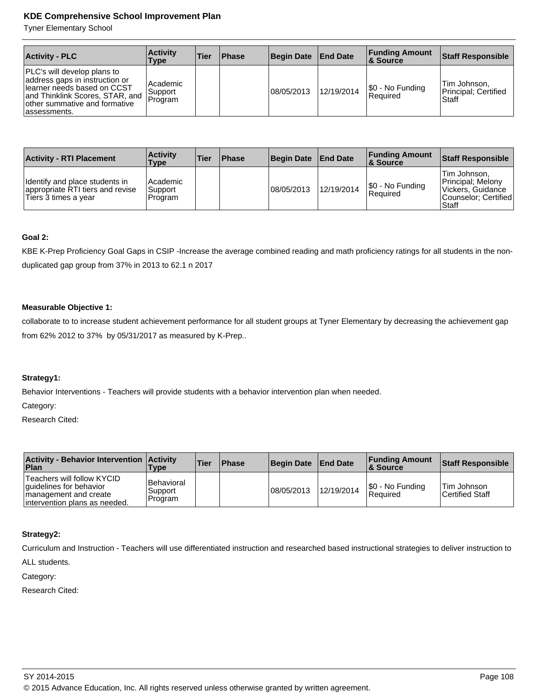Tyner Elementary School

| <b>Activity - PLC</b>                                                                                                                                                             | <b>Activity</b><br><b>Type</b>    | <b>Tier</b> | <b>IPhase</b> | Begin Date End Date |            | <b>Funding Amount</b><br><b>8 Source</b> | <b>Staff Responsible</b>                      |
|-----------------------------------------------------------------------------------------------------------------------------------------------------------------------------------|-----------------------------------|-------------|---------------|---------------------|------------|------------------------------------------|-----------------------------------------------|
| PLC's will develop plans to<br>address gaps in instruction or<br>Hearner needs based on CCST<br>and Thinklink Scores, STAR, and<br>other summative and formative<br>lassessments. | l Academic<br>∣Support<br>Program |             |               | 08/05/2013          | 12/19/2014 | \$0 - No Funding<br><b>Required</b>      | Tim Johnson,<br>Principal: Certified<br>Staff |

| <b>Activity - RTI Placement</b>                                                            | <b>Activity</b><br><b>Type</b>          | Tier | <b>Phase</b> | Begin Date End Date |            | <b>Funding Amount</b><br>8. Source | Staff Responsible                                                                                |
|--------------------------------------------------------------------------------------------|-----------------------------------------|------|--------------|---------------------|------------|------------------------------------|--------------------------------------------------------------------------------------------------|
| Identify and place students in<br>appropriate RTI tiers and revise<br>Tiers 3 times a year | <b>Academic</b><br>Support<br>l Program |      |              | 08/05/2013          | 12/19/2014 | S0 - No Funding<br><b>Required</b> | Tim Johnson.<br><b>Principal: Melony</b><br>Vickers, Guidance<br>Counselor: Certified<br>l Staff |

### **Goal 2:**

KBE K-Prep Proficiency Goal Gaps in CSIP -Increase the average combined reading and math proficiency ratings for all students in the nonduplicated gap group from 37% in 2013 to 62.1 n 2017

#### **Measurable Objective 1:**

collaborate to to increase student achievement performance for all student groups at Tyner Elementary by decreasing the achievement gap from 62% 2012 to 37% by 05/31/2017 as measured by K-Prep..

## **Strategy1:**

Behavior Interventions - Teachers will provide students with a behavior intervention plan when needed.

Category:

Research Cited:

| Activity - Behavior Intervention   Activity<br>Plan                                                              | Type                                    | <b>Tier</b> | <b>Phase</b> | Begin Date | <b>End Date</b> | <b>Funding Amount</b><br><b>8 Source</b> | Staff Responsible                      |
|------------------------------------------------------------------------------------------------------------------|-----------------------------------------|-------------|--------------|------------|-----------------|------------------------------------------|----------------------------------------|
| Teachers will follow KYCID<br>guidelines for behavior<br>management and create<br>lintervention plans as needed. | <b>Behavioral</b><br>Support<br>Program |             |              | 08/05/2013 | 12/19/2014      | \$0 - No Funding<br>l Reauired           | lTim Johnson<br><b>Certified Staff</b> |

## **Strategy2:**

Curriculum and Instruction - Teachers will use differentiated instruction and researched based instructional strategies to deliver instruction to

ALL students.

Category: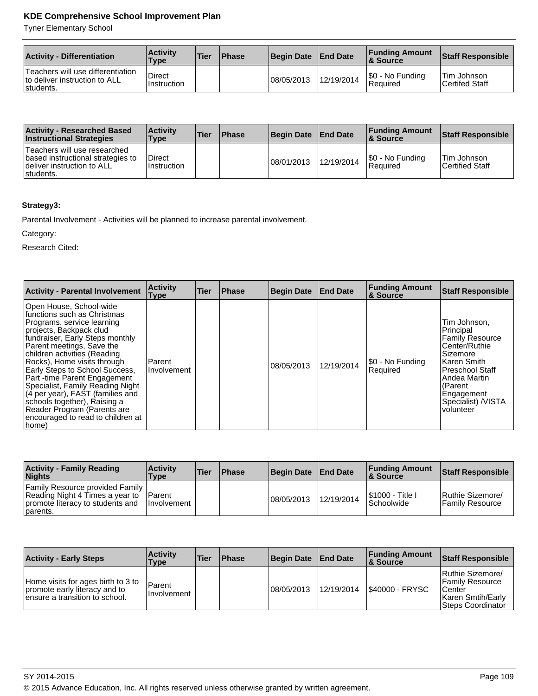Tyner Elementary School

| <b>Activity - Differentiation</b>                                               | <b>Activity</b><br>Type      | <b>Tier</b> | <b>Phase</b> | <b>Begin Date</b> | <b>End Date</b> | <b>Funding Amount</b><br><b>8 Source</b> | <b>Staff Responsible</b>             |
|---------------------------------------------------------------------------------|------------------------------|-------------|--------------|-------------------|-----------------|------------------------------------------|--------------------------------------|
| Teachers will use differentiation<br>to deliver instruction to ALL<br>students. | <b>Direct</b><br>Instruction |             |              | 08/05/2013        | 12/19/2014      | S0 - No Funding<br>l Reauired            | <b>Tim Johnson</b><br>Certifed Staff |

| <b>Activity - Researched Based</b><br><b>Instructional Strategies</b>                                        | <b>Activity</b><br>Type | 'Tier | <b>Phase</b> | <b>Begin Date</b> | <b>End Date</b> | <b>Funding Amount</b><br>∣& Source | <b>Staff Responsible</b>              |
|--------------------------------------------------------------------------------------------------------------|-------------------------|-------|--------------|-------------------|-----------------|------------------------------------|---------------------------------------|
| Teachers will use researched<br>based instructional strategies to<br>deliver instruction to ALL<br>students. | Direct<br>l Instruction |       |              | 08/01/2013        | 12/19/2014      | S0 - No Funding<br>Required        | <b>Tim Johnson</b><br>Certified Staff |

# **Strategy3:**

Parental Involvement - Activities will be planned to increase parental involvement.

Category:

| <b>Activity - Parental Involvement</b>                                                                                                                                                                                                                                                                                                                                                                                                                                                                      | <b>Activity</b><br><b>Type</b> | Tier | <b>Phase</b> | <b>Begin Date</b> | <b>End Date</b> | <b>Funding Amount</b><br>& Source | <b>Staff Responsible</b>                                                                                                                                                                                       |
|-------------------------------------------------------------------------------------------------------------------------------------------------------------------------------------------------------------------------------------------------------------------------------------------------------------------------------------------------------------------------------------------------------------------------------------------------------------------------------------------------------------|--------------------------------|------|--------------|-------------------|-----------------|-----------------------------------|----------------------------------------------------------------------------------------------------------------------------------------------------------------------------------------------------------------|
| Open House, School-wide<br>functions such as Christmas<br>Programs, service learning<br>projects, Backpack clud<br>fundraiser, Early Steps monthly<br>Parent meetings, Save the<br>children activities (Reading<br>Rocks), Home visits through<br><b>Early Steps to School Success,</b><br>Part-time Parent Engagement<br>Specialist, Family Reading Night<br>(4 per year), FAST (families and<br>schools together), Raising a<br>Reader Program (Parents are<br>encouraged to read to children at<br>home) | l Parent<br>Involvement        |      |              | 08/05/2013        | 12/19/2014      | \$0 - No Funding<br>Reauired      | Tim Johnson,<br>Principal<br><b>Family Resource</b><br>Center/Ruthie<br><b>Sizemore</b><br>Karen Smith<br><b>Preschool Staff</b><br>Andea Martin<br>l (Parent<br>Engagement<br>Specialist) /VISTA<br>volunteer |

| <b>Activity - Family Reading</b><br><b>Nights</b>                                                                         | <b>Activity</b><br>Type               | <b>Tier</b> | <b>Phase</b> | Begin Date | <b>End Date</b> | <b>Funding Amount</b><br>∣& Source          | Staff Responsible                    |
|---------------------------------------------------------------------------------------------------------------------------|---------------------------------------|-------------|--------------|------------|-----------------|---------------------------------------------|--------------------------------------|
| <b>Family Resource provided Family</b><br>Reading Night 4 Times a year to<br>promote literacy to students and<br>parents. | <b>IParent</b><br><b>Ilnvolvement</b> |             |              | 08/05/2013 | 12/19/2014      | <b>S1000 - Title I</b><br><b>Schoolwide</b> | Ruthie Sizemore/<br> Family Resource |

| <b>Activity - Early Steps</b>                                                                          | <b>Activity</b><br>Type      | Tier | <b>Phase</b> | <b>Begin Date</b> | <b>End Date</b> | <b>Funding Amount</b><br><b>8</b> Source | Staff Responsible                                                                                             |
|--------------------------------------------------------------------------------------------------------|------------------------------|------|--------------|-------------------|-----------------|------------------------------------------|---------------------------------------------------------------------------------------------------------------|
| Home visits for ages birth to 3 to<br>promote early literacy and to<br>lensure a transition to school. | Parent<br><b>Involvement</b> |      |              | 08/05/2013        | 12/19/2014      | <b>S40000 - FRYSC</b>                    | Ruthie Sizemore/<br><b>Family Resource</b><br><b>ICenter</b><br>Karen Smtih/Early<br><b>Steps Coordinator</b> |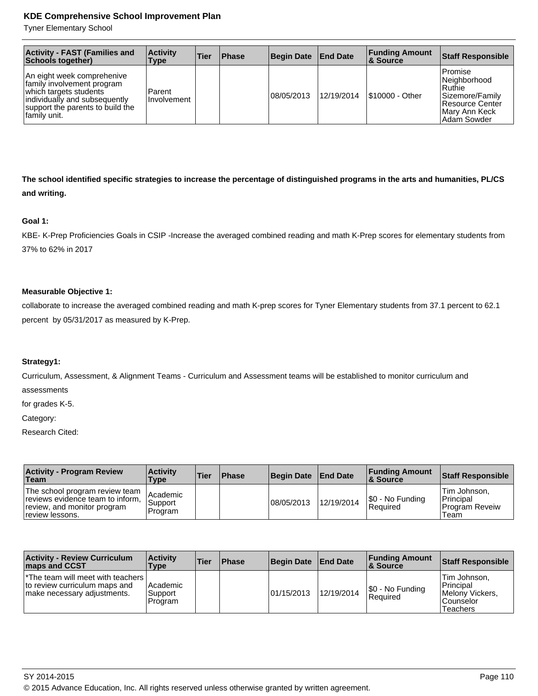Tyner Elementary School

| <b>Activity - FAST (Families and</b><br>Schools together)                                                                                                                | <b>Activity</b><br>Type      | Tier | <b>Phase</b> | Begin Date   End Date |            | <b>Funding Amount</b><br>∣& Source | <b>Staff Responsible</b>                                                                                      |
|--------------------------------------------------------------------------------------------------------------------------------------------------------------------------|------------------------------|------|--------------|-----------------------|------------|------------------------------------|---------------------------------------------------------------------------------------------------------------|
| An eight week comprehenive<br>family involvement program<br>which targets students<br>individually and subsequently<br>support the parents to build the<br> family unit. | Parent<br><b>Involvement</b> |      |              | 08/05/2013            | 12/19/2014 | S10000 - Other                     | l Promise<br>Neighborhood<br>l Ruthie<br>Sizemore/Family<br>Resource Center<br>Mary Ann Keck<br>l Adam Sowder |

**The school identified specific strategies to increase the percentage of distinguished programs in the arts and humanities, PL/CS and writing.**

#### **Goal 1:**

KBE- K-Prep Proficiencies Goals in CSIP -Increase the averaged combined reading and math K-Prep scores for elementary students from 37% to 62% in 2017

#### **Measurable Objective 1:**

collaborate to increase the averaged combined reading and math K-prep scores for Tyner Elementary students from 37.1 percent to 62.1 percent by 05/31/2017 as measured by K-Prep.

### **Strategy1:**

Curriculum, Assessment, & Alignment Teams - Curriculum and Assessment teams will be established to monitor curriculum and assessments

for grades K-5.

Category:

| <b>Activity - Program Review</b><br>∣Team                                                                            | <b>Activity</b><br>Type          | <b>Tier</b> | <b>Phase</b> | <b>Begin Date</b> | <b>End Date</b> | <b>Funding Amount</b><br>8 Source | <b>Staff Responsible</b>                                                 |
|----------------------------------------------------------------------------------------------------------------------|----------------------------------|-------------|--------------|-------------------|-----------------|-----------------------------------|--------------------------------------------------------------------------|
| The school program review team<br>reviews evidence team to inform,<br>review, and monitor program<br>review lessons. | l Academic<br>Support<br>Program |             |              | 108/05/2013       | 12/19/2014      | S0 - No Funding<br>Required       | <b>Tim Johnson.</b><br><b>Principal</b><br><b>Program Revelw</b><br>Team |

| <b>Activity - Review Curriculum</b><br><b>Imaps and CCST</b>                                                    | <b>Activity</b><br>Type            | <b>Tier</b> | <b>Phase</b> | <b>Begin Date</b> | <b>End Date</b> | <b>Funding Amount</b><br>8 Source | <b>Staff Responsible</b>                                                       |
|-----------------------------------------------------------------------------------------------------------------|------------------------------------|-------------|--------------|-------------------|-----------------|-----------------------------------|--------------------------------------------------------------------------------|
| <sup>*</sup> The team will meet with teachers  <br>to review curriculum maps and<br>make necessary adjustments. | l Academic<br> Support <br>Program |             |              | 101/15/2013       | 12/19/2014      | S0 - No Funding<br>l Reauired     | Tim Johnson,<br>Principal<br>Melony Vickers.<br>l Counselor<br><b>Teachers</b> |